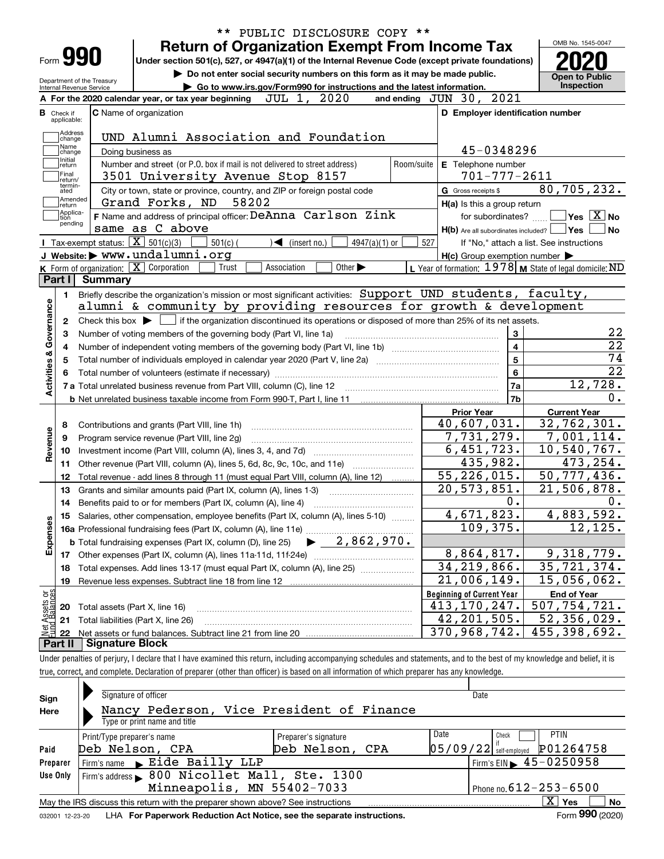|                              |                                                                                                                                                     |                             | ** PUBLIC DISCLOSURE COPY ** |                                                           |                                                                                                                                                                                                                                                          |
|------------------------------|-----------------------------------------------------------------------------------------------------------------------------------------------------|-----------------------------|------------------------------|-----------------------------------------------------------|----------------------------------------------------------------------------------------------------------------------------------------------------------------------------------------------------------------------------------------------------------|
|                              | <b>Return of Organization Exempt From Income Tax</b>                                                                                                |                             |                              |                                                           | OMB No. 1545-0047                                                                                                                                                                                                                                        |
| Form 990                     | Under section 501(c), 527, or 4947(a)(1) of the Internal Revenue Code (except private foundations)                                                  |                             |                              |                                                           |                                                                                                                                                                                                                                                          |
| Department of the Treasury   | Do not enter social security numbers on this form as it may be made public.                                                                         |                             |                              |                                                           | <b>Open to Public</b><br>Inspection                                                                                                                                                                                                                      |
| Internal Revenue Service     | Go to www.irs.gov/Form990 for instructions and the latest information.<br>JUL 1, 2020<br>A For the 2020 calendar year, or tax year beginning        |                             |                              | and ending JUN 30, 2021                                   |                                                                                                                                                                                                                                                          |
| <b>B</b> Check if            | C Name of organization                                                                                                                              |                             |                              | D Employer identification number                          |                                                                                                                                                                                                                                                          |
| applicable:                  |                                                                                                                                                     |                             |                              |                                                           |                                                                                                                                                                                                                                                          |
| Address<br>change            | UND Alumni Association and Foundation                                                                                                               |                             |                              |                                                           |                                                                                                                                                                                                                                                          |
| Name<br>change               | Doing business as                                                                                                                                   |                             |                              | 45-0348296                                                |                                                                                                                                                                                                                                                          |
| Initial<br>return            | Number and street (or P.O. box if mail is not delivered to street address)                                                                          |                             | Room/suite                   | E Telephone number                                        |                                                                                                                                                                                                                                                          |
| Final<br>return/             | 3501 University Avenue Stop 8157                                                                                                                    |                             |                              | $701 - 777 - 2611$                                        |                                                                                                                                                                                                                                                          |
| termin-<br>ated              | City or town, state or province, country, and ZIP or foreign postal code                                                                            |                             |                              | G Gross receipts \$                                       | 80,705,232.                                                                                                                                                                                                                                              |
| Amended<br> return           | Grand Forks, ND<br>58202                                                                                                                            |                             |                              | H(a) Is this a group return                               |                                                                                                                                                                                                                                                          |
| Applica-<br>tion<br>pending  | F Name and address of principal officer: DeAnna Carlson Zink                                                                                        |                             |                              | for subordinates?                                         | $\sqrt{}$ Yes $\sqrt{}$ X $\sqrt{}$ No                                                                                                                                                                                                                   |
|                              | same as C above                                                                                                                                     |                             |                              | $H(b)$ Are all subordinates included? $\Box$ Yes          | No                                                                                                                                                                                                                                                       |
|                              | Tax-exempt status: $\boxed{\mathbf{X}}$ 501(c)(3)<br>$501(c)$ (<br>$\sqrt{\bullet}$ (insert no.)                                                    | $4947(a)(1)$ or             | 527                          |                                                           | If "No," attach a list. See instructions                                                                                                                                                                                                                 |
|                              | J Website: > www.undalumni.org                                                                                                                      |                             |                              | $H(c)$ Group exemption number $\blacktriangleright$       |                                                                                                                                                                                                                                                          |
|                              | K Form of organization: X Corporation<br>Trust<br>Association                                                                                       | Other $\blacktriangleright$ |                              | L Year of formation: 1978   M State of legal domicile: ND |                                                                                                                                                                                                                                                          |
| Part I                       | <b>Summary</b>                                                                                                                                      |                             |                              |                                                           |                                                                                                                                                                                                                                                          |
| 1.                           | Briefly describe the organization's mission or most significant activities: Support UND students, faculty,                                          |                             |                              |                                                           |                                                                                                                                                                                                                                                          |
|                              | alumni & community by providing resources for growth & development                                                                                  |                             |                              |                                                           |                                                                                                                                                                                                                                                          |
| 2                            | Check this box $\blacktriangleright$ $\blacksquare$ if the organization discontinued its operations or disposed of more than 25% of its net assets. |                             |                              |                                                           |                                                                                                                                                                                                                                                          |
| з                            | Number of voting members of the governing body (Part VI, line 1a)                                                                                   |                             |                              | 3                                                         | 22                                                                                                                                                                                                                                                       |
| Activities & Governance<br>4 |                                                                                                                                                     |                             |                              | $\overline{\mathbf{4}}$                                   | $\overline{22}$                                                                                                                                                                                                                                          |
| 5                            |                                                                                                                                                     |                             |                              | $\overline{5}$                                            |                                                                                                                                                                                                                                                          |
|                              |                                                                                                                                                     |                             |                              |                                                           |                                                                                                                                                                                                                                                          |
|                              |                                                                                                                                                     |                             |                              | $\bf{6}$                                                  |                                                                                                                                                                                                                                                          |
|                              | 7 a Total unrelated business revenue from Part VIII, column (C), line 12 [11] [12] [11] [12] [11] [11] [12] [1                                      |                             |                              | 7a                                                        |                                                                                                                                                                                                                                                          |
|                              |                                                                                                                                                     |                             |                              | 7b                                                        |                                                                                                                                                                                                                                                          |
|                              |                                                                                                                                                     |                             |                              | <b>Prior Year</b>                                         | <b>Current Year</b>                                                                                                                                                                                                                                      |
| 8                            | Contributions and grants (Part VIII, line 1h)                                                                                                       |                             |                              | 40,607,031.                                               |                                                                                                                                                                                                                                                          |
| 9                            | Program service revenue (Part VIII, line 2g)                                                                                                        |                             |                              | 7,731,279.                                                |                                                                                                                                                                                                                                                          |
| 10                           |                                                                                                                                                     |                             |                              | 6,451,723.                                                |                                                                                                                                                                                                                                                          |
| 11                           | Other revenue (Part VIII, column (A), lines 5, 6d, 8c, 9c, 10c, and 11e) <i>mummumm</i>                                                             |                             |                              | 435,982.                                                  |                                                                                                                                                                                                                                                          |
| 12                           | Total revenue - add lines 8 through 11 (must equal Part VIII, column (A), line 12)                                                                  |                             |                              | $\overline{55}$ , 226, 015.                               |                                                                                                                                                                                                                                                          |
| 13                           | Grants and similar amounts paid (Part IX, column (A), lines 1-3)                                                                                    |                             |                              | $\overline{20, 573, 851}$ .                               |                                                                                                                                                                                                                                                          |
| 14                           | Benefits paid to or for members (Part IX, column (A), line 4)                                                                                       |                             |                              | 0.                                                        |                                                                                                                                                                                                                                                          |
| 15                           | Salaries, other compensation, employee benefits (Part IX, column (A), lines 5-10)                                                                   |                             |                              | 4,671,823.                                                |                                                                                                                                                                                                                                                          |
|                              | 16a Professional fundraising fees (Part IX, column (A), line 11e)                                                                                   |                             |                              | 109,375.                                                  |                                                                                                                                                                                                                                                          |
|                              | <b>b</b> Total fundraising expenses (Part IX, column (D), line 25)                                                                                  | $-2,862,970.$               |                              |                                                           |                                                                                                                                                                                                                                                          |
| 17                           |                                                                                                                                                     |                             |                              | 8,864,817.                                                |                                                                                                                                                                                                                                                          |
| 18                           | Total expenses. Add lines 13-17 (must equal Part IX, column (A), line 25)                                                                           |                             |                              | $34, 219, 866$ .                                          |                                                                                                                                                                                                                                                          |
| 19                           | Revenue less expenses. Subtract line 18 from line 12                                                                                                |                             |                              | $\overline{21}$ , 006, 149.                               |                                                                                                                                                                                                                                                          |
|                              |                                                                                                                                                     |                             |                              | <b>Beginning of Current Year</b>                          | <b>End of Year</b>                                                                                                                                                                                                                                       |
| Revenue<br>Expenses<br>20    | Total assets (Part X, line 16)                                                                                                                      |                             |                              | 413, 170, 247.                                            | 74<br>$\overline{22}$<br>12,728.<br>0.<br>32, 762, 301.<br>7,001,114.<br>10,540,767.<br>473,254.<br>$\overline{50, 777, 436}$ .<br>$\overline{21,506,878.}$<br>0.<br>4,883,592.<br>12,125.<br>9,318,779.<br>35, 721, 374.<br>15,056,062.<br>507,754,721. |
| Net Assets or<br>21<br>22    | Total liabilities (Part X, line 26)                                                                                                                 |                             |                              | 42, 201, 505.<br>370,968,742.                             | 52,356,029.<br>455,398,692.                                                                                                                                                                                                                              |

true, correct, and complete. Declaration of preparer (other than officer) is based on all information of which preparer has any knowledge.

| Sign<br>Here    | Signature of officer<br>Nancy Pederson, Vice President of Finance               |                      |      | Date                                              |                     |    |
|-----------------|---------------------------------------------------------------------------------|----------------------|------|---------------------------------------------------|---------------------|----|
|                 | Type or print name and title                                                    |                      |      |                                                   |                     |    |
|                 | Print/Type preparer's name                                                      | Preparer's signature | Date | Check                                             | <b>PTIN</b>         |    |
| Paid            | Deb Nelson, CPA                                                                 | Deb Nelson, CPA      |      | $05/09/22$ self-employed                          | P01264758           |    |
| Preparer        | Firm's name Eide Bailly LLP                                                     |                      |      | $I$ Firm's EIN $\blacktriangleright$ 45 - 0250958 |                     |    |
| Use Only        | Firm's address > 800 Nicollet Mall, Ste. 1300                                   |                      |      |                                                   |                     |    |
|                 | Minneapolis, MN 55402-7033                                                      |                      |      | Phone no. $612 - 253 - 6500$                      |                     |    |
|                 | May the IRS discuss this return with the preparer shown above? See instructions |                      |      |                                                   | $\mathbf{x}$<br>Yes | No |
| 032001 12-23-20 | LHA For Paperwork Reduction Act Notice, see the separate instructions.          |                      |      |                                                   | Form 990 (2020)     |    |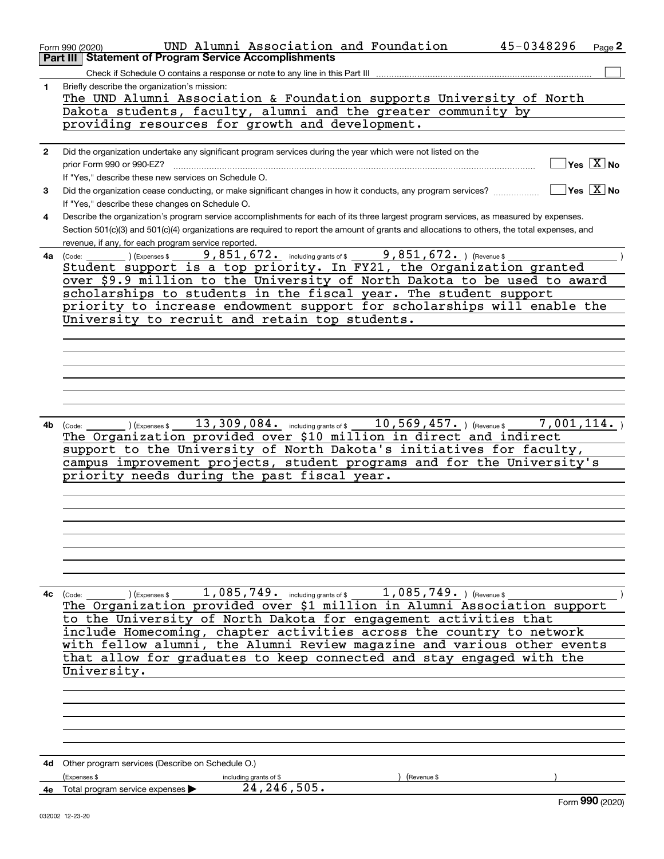|              | UND Alumni Association and Foundation<br>Form 990 (2020)<br><b>Statement of Program Service Accomplishments</b><br>Part III                                                                                      | 45-0348296 | Page 2                                    |
|--------------|------------------------------------------------------------------------------------------------------------------------------------------------------------------------------------------------------------------|------------|-------------------------------------------|
|              | Check if Schedule O contains a response or note to any line in this Part III                                                                                                                                     |            |                                           |
| 1            | Briefly describe the organization's mission:<br>The UND Alumni Association & Foundation supports University of North                                                                                             |            |                                           |
|              | Dakota students, faculty, alumni and the greater community by                                                                                                                                                    |            |                                           |
|              | providing resources for growth and development.                                                                                                                                                                  |            |                                           |
| $\mathbf{2}$ | Did the organization undertake any significant program services during the year which were not listed on the                                                                                                     |            |                                           |
|              | prior Form 990 or 990-EZ?                                                                                                                                                                                        |            | $\overline{\mathsf{Yes} \ \mathbb{X}}$ No |
|              | If "Yes," describe these new services on Schedule O.                                                                                                                                                             |            |                                           |
| 3            | Did the organization cease conducting, or make significant changes in how it conducts, any program services?<br>If "Yes," describe these changes on Schedule O.                                                  |            | $\sqrt{}$ Yes $\sqrt{}$ X $\sqrt{}$ No    |
| 4            | Describe the organization's program service accomplishments for each of its three largest program services, as measured by expenses.                                                                             |            |                                           |
|              | Section 501(c)(3) and 501(c)(4) organizations are required to report the amount of grants and allocations to others, the total expenses, and                                                                     |            |                                           |
|              | revenue, if any, for each program service reported.                                                                                                                                                              |            |                                           |
| 4a           | 9,851,672. including grants of \$ 9,851,672. ) (Revenue \$<br>(Express \$<br>(Code:                                                                                                                              |            |                                           |
|              | Student support is a top priority. In FY21, the Organization granted                                                                                                                                             |            |                                           |
|              | over \$9.9 million to the University of North Dakota to be used to award<br>scholarships to students in the fiscal year. The student support                                                                     |            |                                           |
|              | priority to increase endowment support for scholarships will enable the                                                                                                                                          |            |                                           |
|              | University to recruit and retain top students.                                                                                                                                                                   |            |                                           |
|              |                                                                                                                                                                                                                  |            |                                           |
|              |                                                                                                                                                                                                                  |            |                                           |
|              |                                                                                                                                                                                                                  |            |                                           |
|              |                                                                                                                                                                                                                  |            |                                           |
|              |                                                                                                                                                                                                                  |            |                                           |
|              |                                                                                                                                                                                                                  |            |                                           |
|              | $_{\rm \odot}$ ) (Expenses \$ $_{\rm \odot}$ 13 , 309 , 084 $_{\rm \bullet}$ including grants of \$ $_{\rm \odot}$ 10 , 569 , 457 $_{\rm \bullet}$ ) (Revenue \$ $_{\rm \odot}$ 7 , 001 , 114 $_{\rm \bullet}$ ) |            |                                           |
| 4b           | (Code:<br>The Organization provided over \$10 million in direct and indirect                                                                                                                                     |            |                                           |
|              | support to the University of North Dakota's initiatives for faculty,                                                                                                                                             |            |                                           |
|              | campus improvement projects, student programs and for the University's                                                                                                                                           |            |                                           |
|              | priority needs during the past fiscal year.                                                                                                                                                                      |            |                                           |
|              |                                                                                                                                                                                                                  |            |                                           |
|              |                                                                                                                                                                                                                  |            |                                           |
|              |                                                                                                                                                                                                                  |            |                                           |
|              |                                                                                                                                                                                                                  |            |                                           |
|              |                                                                                                                                                                                                                  |            |                                           |
|              |                                                                                                                                                                                                                  |            |                                           |
|              |                                                                                                                                                                                                                  |            |                                           |
|              | 4c $(\text{Code:})$ (Expenses \$ 1,085,749. including grants of \$ 1,085,749.) (Revenue \$                                                                                                                       |            |                                           |
|              | The Organization provided over \$1 million in Alumni Association support                                                                                                                                         |            |                                           |
|              | to the University of North Dakota for engagement activities that<br>include Homecoming, chapter activities across the country to network                                                                         |            |                                           |
|              | with fellow alumni, the Alumni Review magazine and various other events                                                                                                                                          |            |                                           |
|              | that allow for graduates to keep connected and stay engaged with the                                                                                                                                             |            |                                           |
|              | University.                                                                                                                                                                                                      |            |                                           |
|              |                                                                                                                                                                                                                  |            |                                           |
|              |                                                                                                                                                                                                                  |            |                                           |
|              |                                                                                                                                                                                                                  |            |                                           |
|              |                                                                                                                                                                                                                  |            |                                           |
|              |                                                                                                                                                                                                                  |            |                                           |
|              |                                                                                                                                                                                                                  |            |                                           |
|              | 4d Other program services (Describe on Schedule O.)<br>(Expenses \$<br>(Revenue \$<br>including grants of \$                                                                                                     |            |                                           |
|              | 24, 246, 505.<br>4e Total program service expenses                                                                                                                                                               |            |                                           |
|              |                                                                                                                                                                                                                  |            | Form 990 (2020)                           |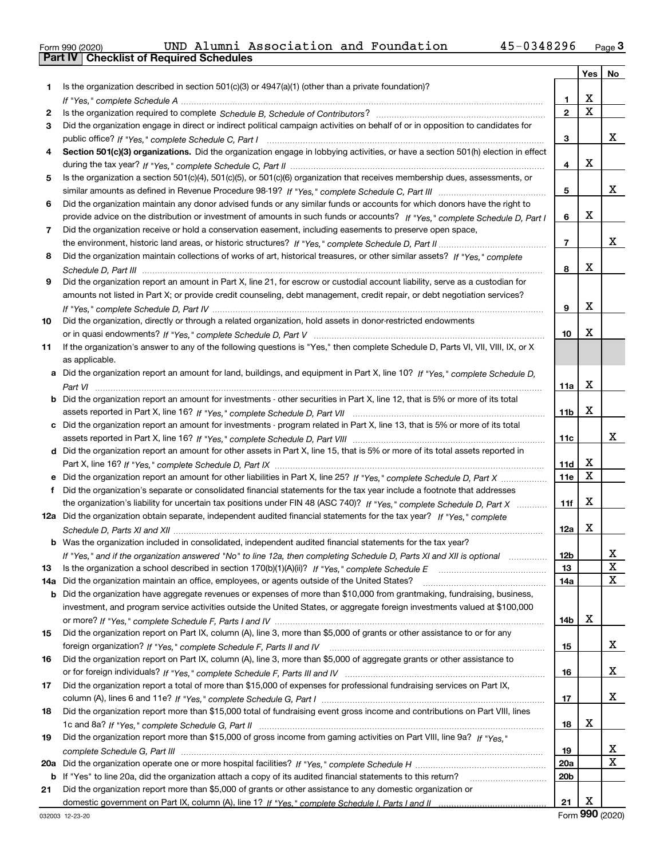|  | Form 990 (2020) |
|--|-----------------|

|     |                                                                                                                                       |                 | Yes         | No     |
|-----|---------------------------------------------------------------------------------------------------------------------------------------|-----------------|-------------|--------|
| 1   | Is the organization described in section $501(c)(3)$ or $4947(a)(1)$ (other than a private foundation)?                               |                 |             |        |
|     |                                                                                                                                       | 1               | х           |        |
| 2   |                                                                                                                                       | $\mathbf{2}$    | $\mathbf X$ |        |
| З   | Did the organization engage in direct or indirect political campaign activities on behalf of or in opposition to candidates for       |                 |             |        |
|     |                                                                                                                                       | 3               |             | x      |
| 4   | Section 501(c)(3) organizations. Did the organization engage in lobbying activities, or have a section 501(h) election in effect      |                 |             |        |
|     |                                                                                                                                       | 4               | X           |        |
| 5   | Is the organization a section 501(c)(4), 501(c)(5), or 501(c)(6) organization that receives membership dues, assessments, or          |                 |             |        |
|     |                                                                                                                                       | 5               |             | х      |
| 6   | Did the organization maintain any donor advised funds or any similar funds or accounts for which donors have the right to             |                 |             |        |
|     | provide advice on the distribution or investment of amounts in such funds or accounts? If "Yes," complete Schedule D, Part I          | 6               | X           |        |
| 7   | Did the organization receive or hold a conservation easement, including easements to preserve open space,                             |                 |             |        |
|     |                                                                                                                                       | 7               |             | х      |
| 8   | Did the organization maintain collections of works of art, historical treasures, or other similar assets? If "Yes," complete          |                 |             |        |
|     |                                                                                                                                       | 8               | X           |        |
|     |                                                                                                                                       |                 |             |        |
| 9   | Did the organization report an amount in Part X, line 21, for escrow or custodial account liability, serve as a custodian for         |                 |             |        |
|     | amounts not listed in Part X; or provide credit counseling, debt management, credit repair, or debt negotiation services?             |                 | X           |        |
|     |                                                                                                                                       | 9               |             |        |
| 10  | Did the organization, directly or through a related organization, hold assets in donor-restricted endowments                          |                 |             |        |
|     |                                                                                                                                       | 10              | X           |        |
| 11  | If the organization's answer to any of the following questions is "Yes," then complete Schedule D, Parts VI, VII, VIII, IX, or X      |                 |             |        |
|     | as applicable.                                                                                                                        |                 |             |        |
|     | a Did the organization report an amount for land, buildings, and equipment in Part X, line 10? If "Yes," complete Schedule D,         |                 |             |        |
|     |                                                                                                                                       | 11a             | X           |        |
|     | <b>b</b> Did the organization report an amount for investments - other securities in Part X, line 12, that is 5% or more of its total |                 |             |        |
|     |                                                                                                                                       | 11 <sub>b</sub> | X           |        |
|     | c Did the organization report an amount for investments - program related in Part X, line 13, that is 5% or more of its total         |                 |             |        |
|     |                                                                                                                                       | 11c             |             | х      |
|     | d Did the organization report an amount for other assets in Part X, line 15, that is 5% or more of its total assets reported in       |                 |             |        |
|     |                                                                                                                                       | 11d             | х           |        |
|     | e Did the organization report an amount for other liabilities in Part X, line 25? If "Yes," complete Schedule D, Part X               | 11e             | X           |        |
| f   | Did the organization's separate or consolidated financial statements for the tax year include a footnote that addresses               |                 |             |        |
|     | the organization's liability for uncertain tax positions under FIN 48 (ASC 740)? If "Yes," complete Schedule D, Part X                | 11f             | X           |        |
|     | 12a Did the organization obtain separate, independent audited financial statements for the tax year? If "Yes," complete               |                 |             |        |
|     |                                                                                                                                       | 12a             | X           |        |
|     | <b>b</b> Was the organization included in consolidated, independent audited financial statements for the tax year?                    |                 |             |        |
|     | If "Yes," and if the organization answered "No" to line 12a, then completing Schedule D, Parts XI and XII is optional                 | 12 <sub>b</sub> |             | х      |
| 13  |                                                                                                                                       | 13              |             | X      |
| 14a | Did the organization maintain an office, employees, or agents outside of the United States?                                           | 14a             |             | X      |
|     | <b>b</b> Did the organization have aggregate revenues or expenses of more than \$10,000 from grantmaking, fundraising, business,      |                 |             |        |
|     | investment, and program service activities outside the United States, or aggregate foreign investments valued at \$100,000            |                 |             |        |
|     |                                                                                                                                       | 14b             | X           |        |
| 15  | Did the organization report on Part IX, column (A), line 3, more than \$5,000 of grants or other assistance to or for any             |                 |             |        |
|     |                                                                                                                                       | 15              |             | x      |
| 16  | Did the organization report on Part IX, column (A), line 3, more than \$5,000 of aggregate grants or other assistance to              |                 |             |        |
|     |                                                                                                                                       | 16              |             | х      |
| 17  | Did the organization report a total of more than \$15,000 of expenses for professional fundraising services on Part IX,               |                 |             |        |
|     |                                                                                                                                       | 17              |             | x      |
|     | Did the organization report more than \$15,000 total of fundraising event gross income and contributions on Part VIII, lines          |                 |             |        |
| 18  |                                                                                                                                       |                 | X           |        |
|     |                                                                                                                                       | 18              |             |        |
| 19  | Did the organization report more than \$15,000 of gross income from gaming activities on Part VIII, line 9a? If "Yes."                |                 |             |        |
|     |                                                                                                                                       | 19              |             | х<br>X |
| 20a |                                                                                                                                       | <b>20a</b>      |             |        |
| b   | If "Yes" to line 20a, did the organization attach a copy of its audited financial statements to this return?                          | 20 <sub>b</sub> |             |        |
| 21  | Did the organization report more than \$5,000 of grants or other assistance to any domestic organization or                           |                 |             |        |
|     |                                                                                                                                       | 21              | X           |        |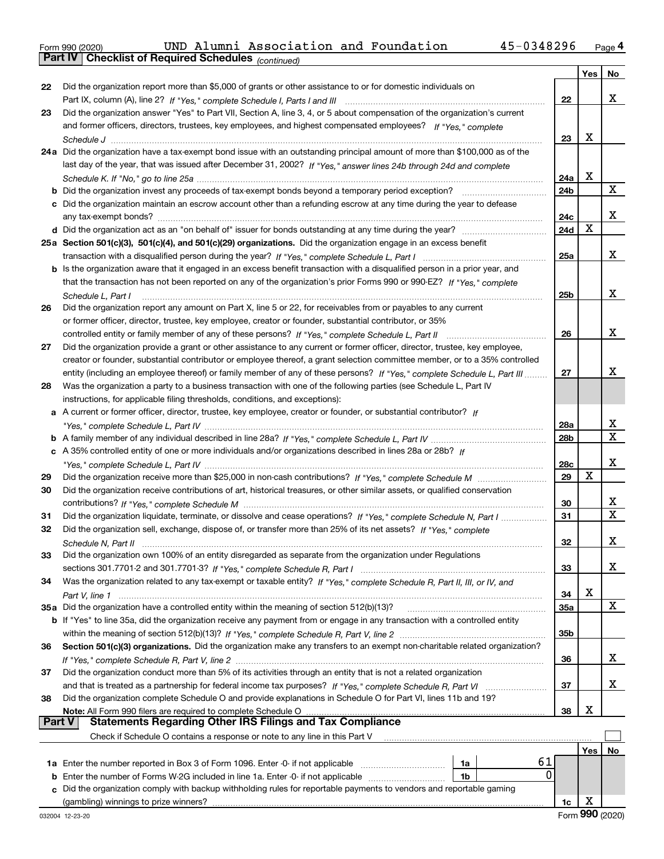|  | Form 990 (2020) |
|--|-----------------|
|  |                 |

*(continued)*

|               |                                                                                                                              |                 | Yes | No                |
|---------------|------------------------------------------------------------------------------------------------------------------------------|-----------------|-----|-------------------|
| 22            | Did the organization report more than \$5,000 of grants or other assistance to or for domestic individuals on                |                 |     |                   |
|               |                                                                                                                              | 22              |     | х                 |
| 23            | Did the organization answer "Yes" to Part VII, Section A, line 3, 4, or 5 about compensation of the organization's current   |                 |     |                   |
|               | and former officers, directors, trustees, key employees, and highest compensated employees? If "Yes," complete               |                 |     |                   |
|               |                                                                                                                              | 23              | х   |                   |
|               | 24a Did the organization have a tax-exempt bond issue with an outstanding principal amount of more than \$100,000 as of the  |                 |     |                   |
|               | last day of the year, that was issued after December 31, 2002? If "Yes," answer lines 24b through 24d and complete           |                 |     |                   |
|               |                                                                                                                              | 24a             | x   |                   |
|               | <b>b</b> Did the organization invest any proceeds of tax-exempt bonds beyond a temporary period exception?                   | 24b             |     | x                 |
|               | c Did the organization maintain an escrow account other than a refunding escrow at any time during the year to defease       |                 |     |                   |
|               |                                                                                                                              | 24c             |     | x                 |
|               |                                                                                                                              | 24d             | х   |                   |
|               | 25a Section 501(c)(3), 501(c)(4), and 501(c)(29) organizations. Did the organization engage in an excess benefit             |                 |     |                   |
|               |                                                                                                                              | 25a             |     | x                 |
|               | b Is the organization aware that it engaged in an excess benefit transaction with a disqualified person in a prior year, and |                 |     |                   |
|               | that the transaction has not been reported on any of the organization's prior Forms 990 or 990-EZ? If "Yes," complete        |                 |     |                   |
|               | Schedule L, Part I                                                                                                           | 25b             |     | x                 |
| 26            | Did the organization report any amount on Part X, line 5 or 22, for receivables from or payables to any current              |                 |     |                   |
|               | or former officer, director, trustee, key employee, creator or founder, substantial contributor, or 35%                      |                 |     |                   |
|               | controlled entity or family member of any of these persons? If "Yes," complete Schedule L, Part II                           | 26              |     | x                 |
| 27            | Did the organization provide a grant or other assistance to any current or former officer, director, trustee, key employee,  |                 |     |                   |
|               | creator or founder, substantial contributor or employee thereof, a grant selection committee member, or to a 35% controlled  |                 |     |                   |
|               | entity (including an employee thereof) or family member of any of these persons? If "Yes," complete Schedule L, Part III     | 27              |     | x                 |
| 28            | Was the organization a party to a business transaction with one of the following parties (see Schedule L, Part IV            |                 |     |                   |
|               | instructions, for applicable filing thresholds, conditions, and exceptions):                                                 |                 |     |                   |
|               | a A current or former officer, director, trustee, key employee, creator or founder, or substantial contributor? If           |                 |     |                   |
|               |                                                                                                                              | 28a             |     | x<br>$\mathbf{x}$ |
|               |                                                                                                                              | 28 <sub>b</sub> |     |                   |
|               | c A 35% controlled entity of one or more individuals and/or organizations described in lines 28a or 28b? If                  |                 |     | x                 |
|               |                                                                                                                              | 28c             | X   |                   |
| 29            |                                                                                                                              | 29              |     |                   |
| 30            | Did the organization receive contributions of art, historical treasures, or other similar assets, or qualified conservation  |                 |     | x                 |
|               |                                                                                                                              | 30              |     | x                 |
| 31            | Did the organization liquidate, terminate, or dissolve and cease operations? If "Yes," complete Schedule N, Part I           | 31              |     |                   |
| 32            | Did the organization sell, exchange, dispose of, or transfer more than 25% of its net assets? If "Yes," complete             |                 |     | x.                |
|               |                                                                                                                              | 32              |     |                   |
| 33            | Did the organization own 100% of an entity disregarded as separate from the organization under Regulations                   |                 |     | x                 |
|               |                                                                                                                              | 33              |     |                   |
| 34            | Was the organization related to any tax-exempt or taxable entity? If "Yes," complete Schedule R, Part II, III, or IV, and    | 34              | х   |                   |
|               | 35a Did the organization have a controlled entity within the meaning of section 512(b)(13)?                                  | <b>35a</b>      |     | X                 |
|               | b If "Yes" to line 35a, did the organization receive any payment from or engage in any transaction with a controlled entity  |                 |     |                   |
|               |                                                                                                                              | 35b             |     |                   |
| 36            | Section 501(c)(3) organizations. Did the organization make any transfers to an exempt non-charitable related organization?   |                 |     |                   |
|               |                                                                                                                              | 36              |     | X.                |
| 37            | Did the organization conduct more than 5% of its activities through an entity that is not a related organization             |                 |     |                   |
|               | and that is treated as a partnership for federal income tax purposes? If "Yes," complete Schedule R, Part VI                 | 37              |     | X.                |
| 38            | Did the organization complete Schedule O and provide explanations in Schedule O for Part VI, lines 11b and 19?               |                 |     |                   |
|               | Note: All Form 990 filers are required to complete Schedule O                                                                | 38              | х   |                   |
| <b>Part V</b> | <b>Statements Regarding Other IRS Filings and Tax Compliance</b>                                                             |                 |     |                   |
|               | Check if Schedule O contains a response or note to any line in this Part V                                                   |                 |     |                   |
|               |                                                                                                                              |                 | Yes | No                |
|               | 61<br>1a                                                                                                                     |                 |     |                   |
|               | 0<br><b>b</b> Enter the number of Forms W-2G included in line 1a. Enter -0- if not applicable<br>1b                          |                 |     |                   |
| c             | Did the organization comply with backup withholding rules for reportable payments to vendors and reportable gaming           |                 |     |                   |
|               | (gambling) winnings to prize winners?                                                                                        | 1c              | х   |                   |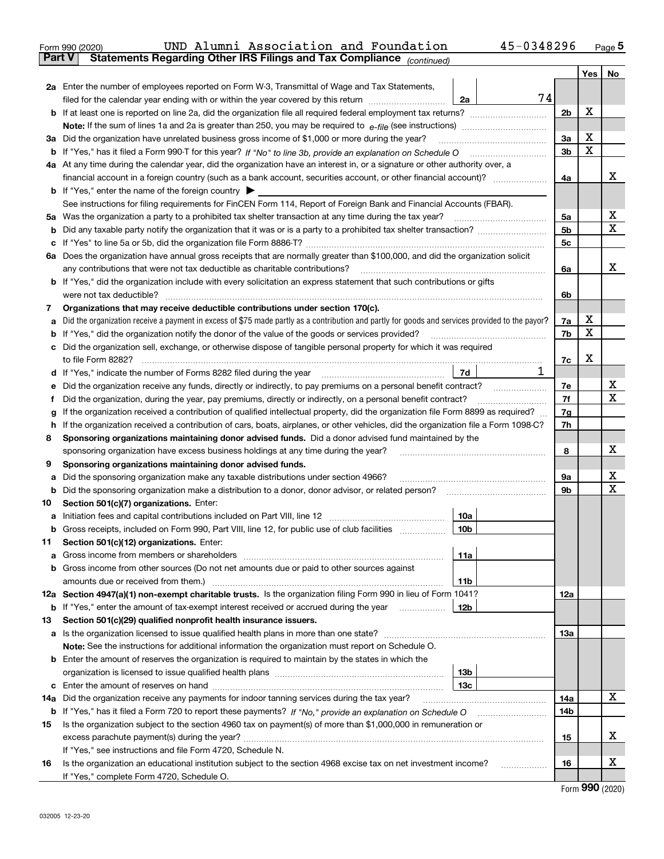|               | 45-0348296<br>UND Alumni Association and Foundation<br>Form 990 (2020)                                                                                                                                                                                                                       |                |     | $_{\text{Page}}$ 5 |
|---------------|----------------------------------------------------------------------------------------------------------------------------------------------------------------------------------------------------------------------------------------------------------------------------------------------|----------------|-----|--------------------|
| <b>Part V</b> | Statements Regarding Other IRS Filings and Tax Compliance (continued)                                                                                                                                                                                                                        |                |     |                    |
|               |                                                                                                                                                                                                                                                                                              |                | Yes | No                 |
|               | 2a Enter the number of employees reported on Form W-3, Transmittal of Wage and Tax Statements,                                                                                                                                                                                               |                |     |                    |
|               | 74<br>filed for the calendar year ending with or within the year covered by this return<br>2a                                                                                                                                                                                                |                |     |                    |
| b             | If at least one is reported on line 2a, did the organization file all required federal employment tax returns?                                                                                                                                                                               | 2 <sub>b</sub> | X   |                    |
|               |                                                                                                                                                                                                                                                                                              |                |     |                    |
|               | 3a Did the organization have unrelated business gross income of \$1,000 or more during the year?                                                                                                                                                                                             | 3a             | X   |                    |
| b             |                                                                                                                                                                                                                                                                                              | 3b             | x   |                    |
|               | 4a At any time during the calendar year, did the organization have an interest in, or a signature or other authority over, a                                                                                                                                                                 |                |     |                    |
|               |                                                                                                                                                                                                                                                                                              | 4a             |     | x                  |
|               | <b>b</b> If "Yes," enter the name of the foreign country $\blacktriangleright$                                                                                                                                                                                                               |                |     |                    |
|               | See instructions for filing requirements for FinCEN Form 114, Report of Foreign Bank and Financial Accounts (FBAR).                                                                                                                                                                          |                |     |                    |
| 5a            |                                                                                                                                                                                                                                                                                              | 5a             |     | х                  |
| b             |                                                                                                                                                                                                                                                                                              | 5 <sub>b</sub> |     | x                  |
| c             |                                                                                                                                                                                                                                                                                              | 5c             |     |                    |
|               | 6a Does the organization have annual gross receipts that are normally greater than \$100,000, and did the organization solicit                                                                                                                                                               |                |     |                    |
|               | any contributions that were not tax deductible as charitable contributions?                                                                                                                                                                                                                  | 6a             |     | x                  |
|               | <b>b</b> If "Yes," did the organization include with every solicitation an express statement that such contributions or gifts                                                                                                                                                                |                |     |                    |
|               | were not tax deductible?                                                                                                                                                                                                                                                                     | 6b             |     |                    |
| 7             | Organizations that may receive deductible contributions under section 170(c).                                                                                                                                                                                                                |                |     |                    |
| а             | Did the organization receive a payment in excess of \$75 made partly as a contribution and partly for goods and services provided to the payor?                                                                                                                                              | 7a             | х   |                    |
| b             | If "Yes," did the organization notify the donor of the value of the goods or services provided?                                                                                                                                                                                              | 7b             | X   |                    |
| с             | Did the organization sell, exchange, or otherwise dispose of tangible personal property for which it was required                                                                                                                                                                            |                |     |                    |
|               |                                                                                                                                                                                                                                                                                              | 7c             | X   |                    |
| d             | 1<br>7d                                                                                                                                                                                                                                                                                      |                |     |                    |
| е             | Did the organization receive any funds, directly or indirectly, to pay premiums on a personal benefit contract?                                                                                                                                                                              | 7е             |     | х                  |
| f             | Did the organization, during the year, pay premiums, directly or indirectly, on a personal benefit contract?                                                                                                                                                                                 | 7f             |     | x                  |
| g             | If the organization received a contribution of qualified intellectual property, did the organization file Form 8899 as required?                                                                                                                                                             | 7g             |     |                    |
| h             | If the organization received a contribution of cars, boats, airplanes, or other vehicles, did the organization file a Form 1098-C?                                                                                                                                                           | 7h             |     |                    |
| 8             | Sponsoring organizations maintaining donor advised funds. Did a donor advised fund maintained by the                                                                                                                                                                                         |                |     | х                  |
|               | sponsoring organization have excess business holdings at any time during the year?                                                                                                                                                                                                           | 8              |     |                    |
| 9             | Sponsoring organizations maintaining donor advised funds.                                                                                                                                                                                                                                    |                |     | х                  |
| а             | Did the sponsoring organization make any taxable distributions under section 4966?                                                                                                                                                                                                           | 9а             |     | x                  |
| b             | Did the sponsoring organization make a distribution to a donor, donor advisor, or related person?                                                                                                                                                                                            | 9b             |     |                    |
| 10            | Section 501(c)(7) organizations. Enter:                                                                                                                                                                                                                                                      |                |     |                    |
|               | 10a<br>a Initiation fees and capital contributions included on Part VIII, line 12 [111] [11] [11] Initiation fees and capital contributions included on Part VIII, line 12<br>10 <sub>b</sub><br>Gross receipts, included on Form 990, Part VIII, line 12, for public use of club facilities |                |     |                    |
|               |                                                                                                                                                                                                                                                                                              |                |     |                    |
| 11            | Section 501(c)(12) organizations. Enter:<br>11a<br>Gross income from members or shareholders                                                                                                                                                                                                 |                |     |                    |
| а<br>b        | Gross income from other sources (Do not net amounts due or paid to other sources against                                                                                                                                                                                                     |                |     |                    |
|               | 11 <sub>b</sub>                                                                                                                                                                                                                                                                              |                |     |                    |
|               | 12a Section 4947(a)(1) non-exempt charitable trusts. Is the organization filing Form 990 in lieu of Form 1041?                                                                                                                                                                               | 12a            |     |                    |
|               | 12b<br><b>b</b> If "Yes," enter the amount of tax-exempt interest received or accrued during the year <i>manument</i>                                                                                                                                                                        |                |     |                    |
| 13            | Section 501(c)(29) qualified nonprofit health insurance issuers.                                                                                                                                                                                                                             |                |     |                    |
| a             | Is the organization licensed to issue qualified health plans in more than one state?                                                                                                                                                                                                         | 13a            |     |                    |
|               | Note: See the instructions for additional information the organization must report on Schedule O.                                                                                                                                                                                            |                |     |                    |
|               | <b>b</b> Enter the amount of reserves the organization is required to maintain by the states in which the                                                                                                                                                                                    |                |     |                    |
|               | 13 <sub>b</sub>                                                                                                                                                                                                                                                                              |                |     |                    |
| c             | 13 <sub>c</sub>                                                                                                                                                                                                                                                                              |                |     |                    |
| 14a           | Did the organization receive any payments for indoor tanning services during the tax year?                                                                                                                                                                                                   | 14a            |     | X                  |
|               | <b>b</b> If "Yes," has it filed a Form 720 to report these payments? If "No," provide an explanation on Schedule O                                                                                                                                                                           | 14b            |     |                    |
| 15            | Is the organization subject to the section 4960 tax on payment(s) of more than \$1,000,000 in remuneration or                                                                                                                                                                                |                |     |                    |
|               |                                                                                                                                                                                                                                                                                              | 15             |     | х                  |
|               | If "Yes," see instructions and file Form 4720, Schedule N.                                                                                                                                                                                                                                   |                |     |                    |
| 16            | Is the organization an educational institution subject to the section 4968 excise tax on net investment income?                                                                                                                                                                              | 16             |     | х                  |
|               | If "Yes," complete Form 4720, Schedule O.                                                                                                                                                                                                                                                    |                |     |                    |
|               |                                                                                                                                                                                                                                                                                              |                |     | $\mathbf{QQ}$      |

Form (2020) **990**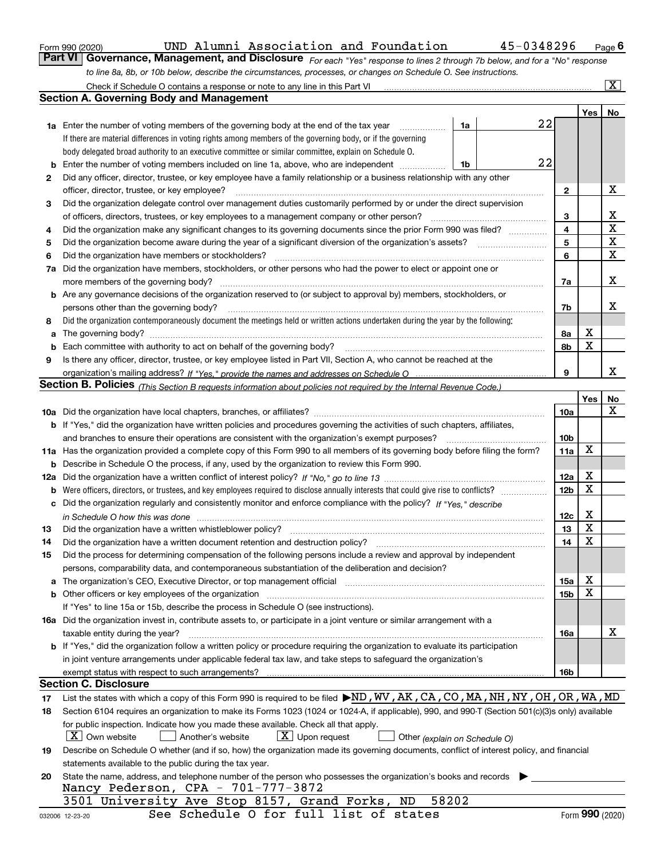|  | Form 990 (2020) |
|--|-----------------|
|  |                 |

| Form 990 (2020) |  | UND Alumni Association and Foundation                                              |                                                                                                                  | 45-0348296                                                                                                                    | $P$ <sub>age</sub> $6$  |
|-----------------|--|------------------------------------------------------------------------------------|------------------------------------------------------------------------------------------------------------------|-------------------------------------------------------------------------------------------------------------------------------|-------------------------|
|                 |  |                                                                                    |                                                                                                                  | Part VI   Governance, Management, and Disclosure For each "Yes" response to lines 2 through 7b below, and for a "No" response |                         |
|                 |  |                                                                                    | to line 8a, 8b, or 10b below, describe the circumstances, processes, or changes on Schedule O. See instructions. |                                                                                                                               |                         |
|                 |  | Chack if Schodule $\Omega$ contains a response or note to any line in this Part VI |                                                                                                                  |                                                                                                                               | $\overline{\mathbf{x}}$ |

|     | Check if Schedule O contains a response or note to any line in this Part VI                                                                                                                                                    |    |    |                 |     | X               |
|-----|--------------------------------------------------------------------------------------------------------------------------------------------------------------------------------------------------------------------------------|----|----|-----------------|-----|-----------------|
|     | <b>Section A. Governing Body and Management</b>                                                                                                                                                                                |    |    |                 |     |                 |
|     |                                                                                                                                                                                                                                |    |    |                 | Yes | No              |
|     | <b>1a</b> Enter the number of voting members of the governing body at the end of the tax year                                                                                                                                  | 1a | 22 |                 |     |                 |
|     | If there are material differences in voting rights among members of the governing body, or if the governing                                                                                                                    |    |    |                 |     |                 |
|     | body delegated broad authority to an executive committee or similar committee, explain on Schedule O.                                                                                                                          |    |    |                 |     |                 |
| b   | Enter the number of voting members included on line 1a, above, who are independent                                                                                                                                             | 1b | 22 |                 |     |                 |
| 2   | Did any officer, director, trustee, or key employee have a family relationship or a business relationship with any other                                                                                                       |    |    |                 |     |                 |
|     | officer, director, trustee, or key employee?                                                                                                                                                                                   |    |    | 2               |     | х               |
| З   | Did the organization delegate control over management duties customarily performed by or under the direct supervision                                                                                                          |    |    |                 |     |                 |
|     | of officers, directors, trustees, or key employees to a management company or other person?                                                                                                                                    |    |    | 3               |     | x               |
|     |                                                                                                                                                                                                                                |    |    | 4               |     | $\mathbf X$     |
| 4   | Did the organization make any significant changes to its governing documents since the prior Form 990 was filed?                                                                                                               |    |    | 5               |     | $\mathbf X$     |
| 5   |                                                                                                                                                                                                                                |    |    |                 |     | X               |
| 6   | Did the organization have members or stockholders?                                                                                                                                                                             |    |    | 6               |     |                 |
| 7a  | Did the organization have members, stockholders, or other persons who had the power to elect or appoint one or                                                                                                                 |    |    |                 |     |                 |
|     |                                                                                                                                                                                                                                |    |    | 7a              |     | х               |
|     | <b>b</b> Are any governance decisions of the organization reserved to (or subject to approval by) members, stockholders, or                                                                                                    |    |    |                 |     |                 |
|     | persons other than the governing body?                                                                                                                                                                                         |    |    | 7b              |     | х               |
| 8   | Did the organization contemporaneously document the meetings held or written actions undertaken during the year by the following:                                                                                              |    |    |                 |     |                 |
| a   |                                                                                                                                                                                                                                |    |    | 8а              | х   |                 |
| b   |                                                                                                                                                                                                                                |    |    | 8b              | X   |                 |
| 9   | Is there any officer, director, trustee, or key employee listed in Part VII, Section A, who cannot be reached at the                                                                                                           |    |    |                 |     |                 |
|     |                                                                                                                                                                                                                                |    |    | 9               |     | x               |
|     | <b>Section B. Policies</b> (This Section B requests information about policies not required by the Internal Revenue Code.)                                                                                                     |    |    |                 |     |                 |
|     |                                                                                                                                                                                                                                |    |    |                 | Yes | No              |
|     |                                                                                                                                                                                                                                |    |    | 10a             |     | x               |
|     | <b>b</b> If "Yes," did the organization have written policies and procedures governing the activities of such chapters, affiliates,                                                                                            |    |    |                 |     |                 |
|     | and branches to ensure their operations are consistent with the organization's exempt purposes?                                                                                                                                |    |    | 10 <sub>b</sub> |     |                 |
|     | 11a Has the organization provided a complete copy of this Form 990 to all members of its governing body before filing the form?                                                                                                |    |    | 11a             | X   |                 |
| b   | Describe in Schedule O the process, if any, used by the organization to review this Form 990.                                                                                                                                  |    |    |                 |     |                 |
| 12a |                                                                                                                                                                                                                                |    |    | 12a             | X   |                 |
| b   |                                                                                                                                                                                                                                |    |    | 12 <sub>b</sub> | X   |                 |
| c   | Did the organization regularly and consistently monitor and enforce compliance with the policy? If "Yes." describe                                                                                                             |    |    |                 |     |                 |
|     | in Schedule O how this was done measured and contain an account of the state of the state of the state of the                                                                                                                  |    |    | 12c             | х   |                 |
| 13  | Did the organization have a written whistleblower policy?                                                                                                                                                                      |    |    | 13              | X   |                 |
| 14  | Did the organization have a written document retention and destruction policy?                                                                                                                                                 |    |    | 14              | X   |                 |
|     |                                                                                                                                                                                                                                |    |    |                 |     |                 |
| 15  | Did the process for determining compensation of the following persons include a review and approval by independent                                                                                                             |    |    |                 |     |                 |
|     | persons, comparability data, and contemporaneous substantiation of the deliberation and decision?                                                                                                                              |    |    |                 |     |                 |
|     | a The organization's CEO, Executive Director, or top management official manufactured content content of the organization's CEO, Executive Director, or top management official manufactured content of the state of the conte |    |    | 15a             | х   |                 |
|     |                                                                                                                                                                                                                                |    |    | 15 <sub>b</sub> | X   |                 |
|     | If "Yes" to line 15a or 15b, describe the process in Schedule O (see instructions).                                                                                                                                            |    |    |                 |     |                 |
|     | 16a Did the organization invest in, contribute assets to, or participate in a joint venture or similar arrangement with a                                                                                                      |    |    |                 |     |                 |
|     | taxable entity during the year?                                                                                                                                                                                                |    |    | 16a             |     | X               |
|     | b If "Yes," did the organization follow a written policy or procedure requiring the organization to evaluate its participation                                                                                                 |    |    |                 |     |                 |
|     | in joint venture arrangements under applicable federal tax law, and take steps to safeguard the organization's                                                                                                                 |    |    |                 |     |                 |
|     | exempt status with respect to such arrangements?                                                                                                                                                                               |    |    | 16b             |     |                 |
|     | <b>Section C. Disclosure</b>                                                                                                                                                                                                   |    |    |                 |     |                 |
| 17  | List the states with which a copy of this Form 990 is required to be filed >ND, WV, AK, CA, CO, MA, NH, NY, OH, OR, WA, MD                                                                                                     |    |    |                 |     |                 |
| 18  | Section 6104 requires an organization to make its Forms 1023 (1024 or 1024-A, if applicable), 990, and 990-T (Section 501(c)(3)s only) available                                                                               |    |    |                 |     |                 |
|     | for public inspection. Indicate how you made these available. Check all that apply.                                                                                                                                            |    |    |                 |     |                 |
|     | $X$ Own website<br>$\lfloor x \rfloor$ Upon request<br>Another's website<br>Other (explain on Schedule O)                                                                                                                      |    |    |                 |     |                 |
| 19  | Describe on Schedule O whether (and if so, how) the organization made its governing documents, conflict of interest policy, and financial                                                                                      |    |    |                 |     |                 |
|     | statements available to the public during the tax year.                                                                                                                                                                        |    |    |                 |     |                 |
| 20  | State the name, address, and telephone number of the person who possesses the organization's books and records                                                                                                                 |    |    |                 |     |                 |
|     | Nancy Pederson, CPA - 701-777-3872                                                                                                                                                                                             |    |    |                 |     |                 |
|     | 58202<br>3501 University Ave Stop 8157, Grand Forks,<br>ND                                                                                                                                                                     |    |    |                 |     |                 |
|     | See Schedule O for full list of states<br>032006 12-23-20                                                                                                                                                                      |    |    |                 |     | Form 990 (2020) |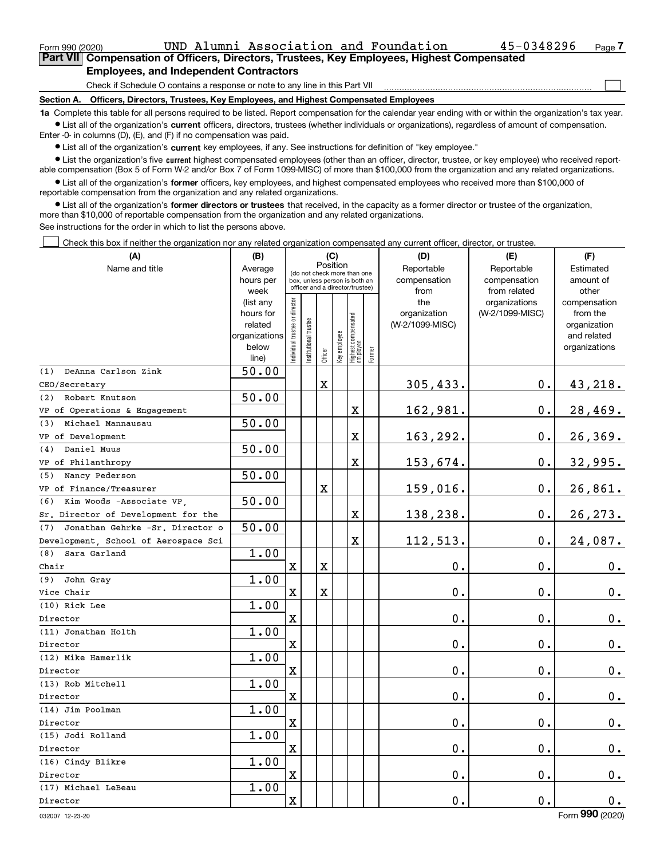$\mathcal{L}^{\text{max}}$ 

**Employees, and Independent Contractors**

Check if Schedule O contains a response or note to any line in this Part VII

**Section A. Officers, Directors, Trustees, Key Employees, and Highest Compensated Employees**

**1a**  Complete this table for all persons required to be listed. Report compensation for the calendar year ending with or within the organization's tax year. **•** List all of the organization's current officers, directors, trustees (whether individuals or organizations), regardless of amount of compensation.

Enter -0- in columns (D), (E), and (F) if no compensation was paid.

 $\bullet$  List all of the organization's  $\,$ current key employees, if any. See instructions for definition of "key employee."

**•** List the organization's five current highest compensated employees (other than an officer, director, trustee, or key employee) who received reportable compensation (Box 5 of Form W-2 and/or Box 7 of Form 1099-MISC) of more than \$100,000 from the organization and any related organizations.

**•** List all of the organization's former officers, key employees, and highest compensated employees who received more than \$100,000 of reportable compensation from the organization and any related organizations.

**former directors or trustees**  ¥ List all of the organization's that received, in the capacity as a former director or trustee of the organization, more than \$10,000 of reportable compensation from the organization and any related organizations.

See instructions for the order in which to list the persons above.

Check this box if neither the organization nor any related organization compensated any current officer, director, or trustee.  $\mathcal{L}^{\text{max}}$ 

| (A)                                    | (B)                    |                                |                       | (C)         |              |                                                                  |        | (D)             | (E)                              | (F)                      |
|----------------------------------------|------------------------|--------------------------------|-----------------------|-------------|--------------|------------------------------------------------------------------|--------|-----------------|----------------------------------|--------------------------|
| Name and title                         | Average                |                                |                       | Position    |              | (do not check more than one                                      |        | Reportable      | Reportable                       | Estimated                |
|                                        | hours per              |                                |                       |             |              | box, unless person is both an<br>officer and a director/trustee) |        | compensation    | compensation                     | amount of                |
|                                        | week                   |                                |                       |             |              |                                                                  |        | from<br>the     | from related                     | other                    |
|                                        | (list any<br>hours for |                                |                       |             |              |                                                                  |        | organization    | organizations<br>(W-2/1099-MISC) | compensation<br>from the |
|                                        | related                |                                |                       |             |              |                                                                  |        | (W-2/1099-MISC) |                                  | organization             |
|                                        | organizations          |                                |                       |             |              |                                                                  |        |                 |                                  | and related              |
|                                        | below                  | Individual trustee or director | Institutional trustee |             | Key employee |                                                                  |        |                 |                                  | organizations            |
|                                        | line)                  |                                |                       | Officer     |              | Highest compensated<br> employee                                 | Former |                 |                                  |                          |
| DeAnna Carlson Zink<br>(1)             | 50.00                  |                                |                       |             |              |                                                                  |        |                 |                                  |                          |
| CEO/Secretary                          |                        |                                |                       | X           |              |                                                                  |        | 305,433.        | $0$ .                            | 43,218.                  |
| Robert Knutson<br>(2)                  | 50.00                  |                                |                       |             |              |                                                                  |        |                 |                                  |                          |
| VP of Operations & Engagement          |                        |                                |                       |             |              | X                                                                |        | 162,981.        | 0.                               | 28,469.                  |
| Michael Mannausau<br>(3)               | 50.00                  |                                |                       |             |              |                                                                  |        |                 |                                  |                          |
| VP of Development                      |                        |                                |                       |             |              | X                                                                |        | 163,292.        | 0.                               | 26,369.                  |
| Daniel Muus<br>(4)                     | 50.00                  |                                |                       |             |              |                                                                  |        |                 |                                  |                          |
| VP of Philanthropy                     |                        |                                |                       |             |              | X                                                                |        | 153,674.        | 0.                               | 32,995.                  |
| Nancy Pederson<br>(5)                  | 50.00                  |                                |                       |             |              |                                                                  |        |                 |                                  |                          |
| VP of Finance/Treasurer                |                        |                                |                       | X           |              |                                                                  |        | 159,016.        | 0.                               | 26,861.                  |
| Kim Woods -Associate VP,<br>(6)        | 50.00                  |                                |                       |             |              |                                                                  |        |                 |                                  |                          |
| Sr. Director of Development for the    |                        |                                |                       |             |              | X                                                                |        | 138,238.        | 0.                               | 26, 273.                 |
| Jonathan Gehrke -Sr. Director o<br>(7) | 50.00                  |                                |                       |             |              |                                                                  |        |                 |                                  |                          |
| Development, School of Aerospace Sci   |                        |                                |                       |             |              | $\overline{\textbf{X}}$                                          |        | 112,513.        | 0.                               | 24,087.                  |
| Sara Garland<br>(8)                    | 1.00                   |                                |                       |             |              |                                                                  |        |                 |                                  |                          |
| Chair                                  |                        | $\mathbf X$                    |                       | X           |              |                                                                  |        | 0.              | 0.                               | $\mathbf 0$ .            |
| John Gray<br>(9)                       | 1.00                   |                                |                       |             |              |                                                                  |        |                 |                                  |                          |
| Vice Chair                             |                        | $\mathbf X$                    |                       | $\mathbf X$ |              |                                                                  |        | 0.              | 0.                               | 0.                       |
| (10) Rick Lee                          | 1.00                   |                                |                       |             |              |                                                                  |        |                 |                                  |                          |
| Director                               |                        | $\mathbf X$                    |                       |             |              |                                                                  |        | 0.              | 0.                               | 0.                       |
| (11) Jonathan Holth                    | 1.00                   |                                |                       |             |              |                                                                  |        |                 |                                  |                          |
| Director                               |                        | $\mathbf X$                    |                       |             |              |                                                                  |        | 0.              | 0.                               | 0.                       |
| (12) Mike Hamerlik                     | 1.00                   |                                |                       |             |              |                                                                  |        |                 |                                  |                          |
| Director                               |                        | $\mathbf x$                    |                       |             |              |                                                                  |        | 0.              | 0.                               | 0.                       |
| (13) Rob Mitchell                      | 1.00                   |                                |                       |             |              |                                                                  |        |                 |                                  |                          |
| Director                               |                        | $\mathbf X$                    |                       |             |              |                                                                  |        | $0$ .           | 0.                               | 0.                       |
| (14) Jim Poolman                       | 1.00                   |                                |                       |             |              |                                                                  |        |                 |                                  |                          |
| Director                               |                        | $\mathbf x$                    |                       |             |              |                                                                  |        | 0.              | 0.                               | $0$ .                    |
| (15) Jodi Rolland                      | 1.00                   |                                |                       |             |              |                                                                  |        |                 |                                  |                          |
| Director                               |                        | $\mathbf X$                    |                       |             |              |                                                                  |        | 0.              | 0.                               | $0_{.}$                  |
| (16) Cindy Blikre                      | 1.00                   |                                |                       |             |              |                                                                  |        |                 |                                  |                          |
| Director                               |                        | $\mathbf x$                    |                       |             |              |                                                                  |        | 0.              | 0.                               | $\mathbf 0$ .            |
| (17) Michael LeBeau                    | 1.00                   |                                |                       |             |              |                                                                  |        |                 |                                  |                          |
| Director                               |                        | $\mathbf X$                    |                       |             |              |                                                                  |        | 0.              | 0.                               | 0.                       |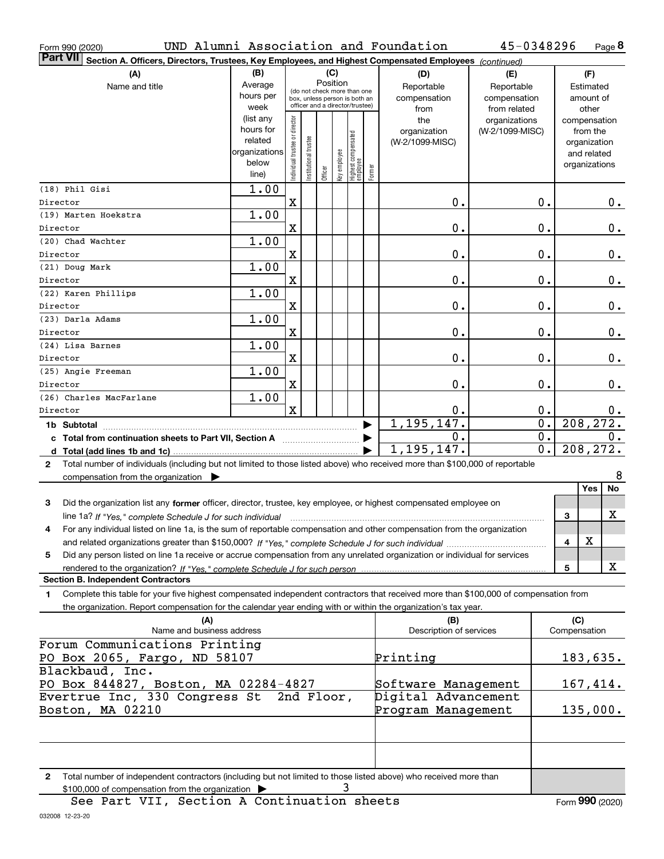| Form 990 (2020)                                                                                                                              |                          |                                |                       |          |              |                                 |        | UND Alumni Association and Foundation | 45-0348296       |               |              | Page 8 |
|----------------------------------------------------------------------------------------------------------------------------------------------|--------------------------|--------------------------------|-----------------------|----------|--------------|---------------------------------|--------|---------------------------------------|------------------|---------------|--------------|--------|
| <b>Part VII</b><br>Section A. Officers, Directors, Trustees, Key Employees, and Highest Compensated Employees (continued)                    |                          |                                |                       |          |              |                                 |        |                                       |                  |               |              |        |
| (A)                                                                                                                                          | (B)                      |                                |                       | (C)      |              |                                 |        | (D)                                   | (E)              |               | (F)          |        |
| Name and title                                                                                                                               | Average                  |                                |                       | Position |              | (do not check more than one     |        | Reportable                            | Reportable       |               | Estimated    |        |
|                                                                                                                                              | hours per                |                                |                       |          |              | box, unless person is both an   |        | compensation                          | compensation     |               | amount of    |        |
|                                                                                                                                              | week                     |                                |                       |          |              | officer and a director/trustee) |        | from                                  | from related     |               | other        |        |
|                                                                                                                                              | (list any                |                                |                       |          |              |                                 |        | the                                   | organizations    | compensation  |              |        |
|                                                                                                                                              | hours for                |                                |                       |          |              |                                 |        | organization                          | (W-2/1099-MISC)  |               | from the     |        |
|                                                                                                                                              | related<br>organizations |                                |                       |          |              |                                 |        | (W-2/1099-MISC)                       |                  |               | organization |        |
|                                                                                                                                              | below                    |                                |                       |          |              |                                 |        |                                       |                  |               | and related  |        |
|                                                                                                                                              | line)                    | Individual trustee or director | Institutional trustee | Officer  | Key employee | Highest compensated<br>employee | Former |                                       |                  | organizations |              |        |
| (18) Phil Gisi                                                                                                                               | 1.00                     |                                |                       |          |              |                                 |        |                                       |                  |               |              |        |
| Director                                                                                                                                     |                          | X                              |                       |          |              |                                 |        | 0.                                    | Ο.               |               |              | 0.     |
| (19) Marten Hoekstra                                                                                                                         | 1.00                     |                                |                       |          |              |                                 |        |                                       |                  |               |              |        |
| Director                                                                                                                                     |                          | X                              |                       |          |              |                                 |        | 0.                                    | Ο.               |               |              | 0.     |
| (20) Chad Wachter                                                                                                                            | 1.00                     |                                |                       |          |              |                                 |        |                                       |                  |               |              |        |
| Director                                                                                                                                     |                          | X                              |                       |          |              |                                 |        | 0.                                    | Ο.               |               |              | 0.     |
| (21) Doug Mark                                                                                                                               | 1.00                     |                                |                       |          |              |                                 |        |                                       |                  |               |              |        |
| Director                                                                                                                                     |                          | X                              |                       |          |              |                                 |        | 0.                                    | Ο.               |               |              | 0.     |
| (22) Karen Phillips                                                                                                                          | 1.00                     |                                |                       |          |              |                                 |        |                                       |                  |               |              |        |
| Director                                                                                                                                     |                          | X                              |                       |          |              |                                 |        | 0.                                    | Ο.               |               |              | 0.     |
| (23) Darla Adams                                                                                                                             | 1.00                     |                                |                       |          |              |                                 |        |                                       |                  |               |              |        |
| Director                                                                                                                                     |                          | X                              |                       |          |              |                                 |        | 0.                                    | Ο.               |               |              | 0.     |
| (24) Lisa Barnes                                                                                                                             | 1.00                     |                                |                       |          |              |                                 |        |                                       |                  |               |              |        |
| Director                                                                                                                                     |                          | X                              |                       |          |              |                                 |        | 0.                                    | Ο.               |               |              | 0.     |
| (25) Angie Freeman                                                                                                                           | 1.00                     |                                |                       |          |              |                                 |        |                                       |                  |               |              |        |
| Director                                                                                                                                     |                          | X                              |                       |          |              |                                 |        | 0.                                    | Ο.               |               |              | 0.     |
| (26) Charles MacFarlane                                                                                                                      | 1.00                     |                                |                       |          |              |                                 |        |                                       |                  |               |              |        |
| Director                                                                                                                                     |                          | $\mathbf x$                    |                       |          |              |                                 |        | 0.                                    | 0.               |               |              | 0.     |
|                                                                                                                                              |                          |                                |                       |          |              |                                 |        | 1, 195, 147.                          | $\overline{0}$ . | 208, 272.     |              |        |
| c Total from continuation sheets to Part VII, Section A                                                                                      |                          |                                |                       |          |              |                                 |        | 0.                                    | 0.               |               |              | 0.     |
|                                                                                                                                              |                          |                                |                       |          |              |                                 |        | 1, 195, 147.                          | 0.               | 208, 272.     |              |        |
| Total number of individuals (including but not limited to those listed above) who received more than \$100,000 of reportable<br>$\mathbf{2}$ |                          |                                |                       |          |              |                                 |        |                                       |                  |               |              |        |
| compensation from the organization                                                                                                           |                          |                                |                       |          |              |                                 |        |                                       |                  |               |              | 8      |
|                                                                                                                                              |                          |                                |                       |          |              |                                 |        |                                       |                  |               | Yes          | No     |
| 3<br>Did the organization list any former officer, director, trustee, key employee, or highest compensated employee on                       |                          |                                |                       |          |              |                                 |        |                                       |                  |               |              |        |
| line 1a? If "Yes," complete Schedule J for such individual manufactured contained and the Yes," complete Schedule J for such individual      |                          |                                |                       |          |              |                                 |        |                                       |                  | 3             |              | X      |
| For any individual listed on line 1a, is the sum of reportable compensation and other compensation from the organization                     |                          |                                |                       |          |              |                                 |        |                                       |                  |               |              |        |
|                                                                                                                                              |                          |                                |                       |          |              |                                 |        |                                       |                  | 4             | X            |        |
| Did any person listed on line 1a receive or accrue compensation from any unrelated organization or individual for services<br>5              |                          |                                |                       |          |              |                                 |        |                                       |                  |               |              | X      |
| rendered to the organization? If "Yes." complete Schedule J for such person.<br><b>Section B. Independent Contractors</b>                    |                          |                                |                       |          |              |                                 |        |                                       |                  | 5             |              |        |
| Complete this table for your five highest compensated independent contractors that received more than \$100,000 of compensation from<br>1.   |                          |                                |                       |          |              |                                 |        |                                       |                  |               |              |        |
| the organization. Report compensation for the calendar year ending with or within the organization's tax year.                               |                          |                                |                       |          |              |                                 |        |                                       |                  |               |              |        |
| (A)                                                                                                                                          |                          |                                |                       |          |              |                                 |        | (B)                                   |                  | (C)           |              |        |
| Name and business address                                                                                                                    |                          |                                |                       |          |              |                                 |        | Description of services               |                  | Compensation  |              |        |
| Forum Communications Printing                                                                                                                |                          |                                |                       |          |              |                                 |        |                                       |                  |               |              |        |
| PO Box 2065, Fargo, ND 58107                                                                                                                 |                          |                                |                       |          |              |                                 |        | Printing                              |                  | 183,635.      |              |        |
| Blackbaud, Inc.                                                                                                                              |                          |                                |                       |          |              |                                 |        |                                       |                  |               |              |        |
| PO Box 844827, Boston, MA 02284-4827                                                                                                         |                          |                                |                       |          |              |                                 |        | Software Management                   |                  | 167,414.      |              |        |
| Evertrue Inc, 330 Congress St 2nd Floor,                                                                                                     |                          |                                |                       |          |              |                                 |        | Digital Advancement                   |                  |               |              |        |
| Boston, MA 02210                                                                                                                             |                          |                                |                       |          |              |                                 |        | Program Management                    |                  | 135,000.      |              |        |
|                                                                                                                                              |                          |                                |                       |          |              |                                 |        |                                       |                  |               |              |        |
|                                                                                                                                              |                          |                                |                       |          |              |                                 |        |                                       |                  |               |              |        |
|                                                                                                                                              |                          |                                |                       |          |              |                                 |        |                                       |                  |               |              |        |
|                                                                                                                                              |                          |                                |                       |          |              |                                 |        |                                       |                  |               |              |        |

**2**Total number of independent contractors (including but not limited to those listed above) who received more than  $$100,000$  of compensation from the organization  $\blacktriangleright$   $\bf{3}$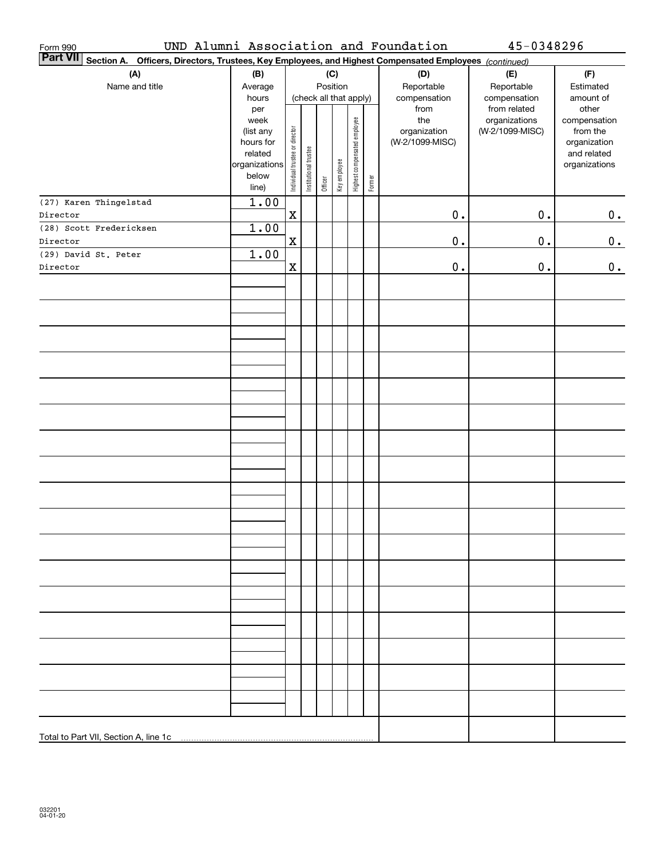| Form 990<br><b>Part VII</b>                                                                            |                          |                                |                        |         |              |                              |        | UND Alumni Association and Foundation | 45-0348296                                       |                                   |
|--------------------------------------------------------------------------------------------------------|--------------------------|--------------------------------|------------------------|---------|--------------|------------------------------|--------|---------------------------------------|--------------------------------------------------|-----------------------------------|
| Section A. Officers, Directors, Trustees, Key Employees, and Highest Compensated Employees (continued) |                          |                                |                        |         |              |                              |        |                                       |                                                  |                                   |
| (A)                                                                                                    | (B)                      |                                |                        |         | (C)          |                              |        | (D)                                   | (E)                                              | (F)                               |
| Name and title                                                                                         | Average                  |                                |                        |         | Position     |                              |        | Reportable                            | Reportable                                       | Estimated                         |
|                                                                                                        | hours                    |                                | (check all that apply) |         |              |                              |        | compensation                          | compensation                                     | amount of                         |
|                                                                                                        | per<br>week<br>(list any |                                |                        |         |              | Highest compensated employee |        | from<br>the<br>organization           | from related<br>organizations<br>(W-2/1099-MISC) | other<br>compensation<br>from the |
|                                                                                                        | hours for                | Individual trustee or director |                        |         |              |                              |        | (W-2/1099-MISC)                       |                                                  | organization                      |
|                                                                                                        | related                  |                                | Institutional trustee  |         |              |                              |        |                                       |                                                  | and related                       |
|                                                                                                        | organizations            |                                |                        |         | Key employee |                              |        |                                       |                                                  | organizations                     |
|                                                                                                        | below                    |                                |                        | Officer |              |                              | Former |                                       |                                                  |                                   |
|                                                                                                        | line)                    |                                |                        |         |              |                              |        |                                       |                                                  |                                   |
| (27) Karen Thingelstad                                                                                 | 1.00                     |                                |                        |         |              |                              |        |                                       |                                                  |                                   |
| Director                                                                                               |                          | $\mathbf X$                    |                        |         |              |                              |        | $\mathbf 0$ .                         | $0$ .                                            | $0_{\bullet}$                     |
| (28) Scott Fredericksen                                                                                | 1.00                     |                                |                        |         |              |                              |        |                                       |                                                  |                                   |
| Director                                                                                               |                          | $\mathbf x$                    |                        |         |              |                              |        | $\mathbf 0$ .                         | $0$ .                                            | 0.                                |
| (29) David St. Peter                                                                                   | 1.00                     |                                |                        |         |              |                              |        |                                       |                                                  |                                   |
| Director                                                                                               |                          | $\mathbf x$                    |                        |         |              |                              |        | $\mathbf 0$ .                         | $0$ .                                            | 0.                                |
|                                                                                                        |                          |                                |                        |         |              |                              |        |                                       |                                                  |                                   |
|                                                                                                        |                          |                                |                        |         |              |                              |        |                                       |                                                  |                                   |
|                                                                                                        |                          |                                |                        |         |              |                              |        |                                       |                                                  |                                   |
|                                                                                                        |                          |                                |                        |         |              |                              |        |                                       |                                                  |                                   |
|                                                                                                        |                          |                                |                        |         |              |                              |        |                                       |                                                  |                                   |
|                                                                                                        |                          |                                |                        |         |              |                              |        |                                       |                                                  |                                   |
|                                                                                                        |                          |                                |                        |         |              |                              |        |                                       |                                                  |                                   |
|                                                                                                        |                          |                                |                        |         |              |                              |        |                                       |                                                  |                                   |
|                                                                                                        |                          |                                |                        |         |              |                              |        |                                       |                                                  |                                   |
|                                                                                                        |                          |                                |                        |         |              |                              |        |                                       |                                                  |                                   |
|                                                                                                        |                          |                                |                        |         |              |                              |        |                                       |                                                  |                                   |
|                                                                                                        |                          |                                |                        |         |              |                              |        |                                       |                                                  |                                   |
|                                                                                                        |                          |                                |                        |         |              |                              |        |                                       |                                                  |                                   |
|                                                                                                        |                          |                                |                        |         |              |                              |        |                                       |                                                  |                                   |
|                                                                                                        |                          |                                |                        |         |              |                              |        |                                       |                                                  |                                   |
|                                                                                                        |                          |                                |                        |         |              |                              |        |                                       |                                                  |                                   |
|                                                                                                        |                          |                                |                        |         |              |                              |        |                                       |                                                  |                                   |
|                                                                                                        |                          |                                |                        |         |              |                              |        |                                       |                                                  |                                   |
|                                                                                                        |                          |                                |                        |         |              |                              |        |                                       |                                                  |                                   |
|                                                                                                        |                          |                                |                        |         |              |                              |        |                                       |                                                  |                                   |
|                                                                                                        |                          |                                |                        |         |              |                              |        |                                       |                                                  |                                   |
|                                                                                                        |                          |                                |                        |         |              |                              |        |                                       |                                                  |                                   |
|                                                                                                        |                          |                                |                        |         |              |                              |        |                                       |                                                  |                                   |
|                                                                                                        |                          |                                |                        |         |              |                              |        |                                       |                                                  |                                   |
|                                                                                                        |                          |                                |                        |         |              |                              |        |                                       |                                                  |                                   |
|                                                                                                        |                          |                                |                        |         |              |                              |        |                                       |                                                  |                                   |
|                                                                                                        |                          |                                |                        |         |              |                              |        |                                       |                                                  |                                   |
|                                                                                                        |                          |                                |                        |         |              |                              |        |                                       |                                                  |                                   |
|                                                                                                        |                          |                                |                        |         |              |                              |        |                                       |                                                  |                                   |
|                                                                                                        |                          |                                |                        |         |              |                              |        |                                       |                                                  |                                   |
|                                                                                                        |                          |                                |                        |         |              |                              |        |                                       |                                                  |                                   |
|                                                                                                        |                          |                                |                        |         |              |                              |        |                                       |                                                  |                                   |
|                                                                                                        |                          |                                |                        |         |              |                              |        |                                       |                                                  |                                   |
|                                                                                                        |                          |                                |                        |         |              |                              |        |                                       |                                                  |                                   |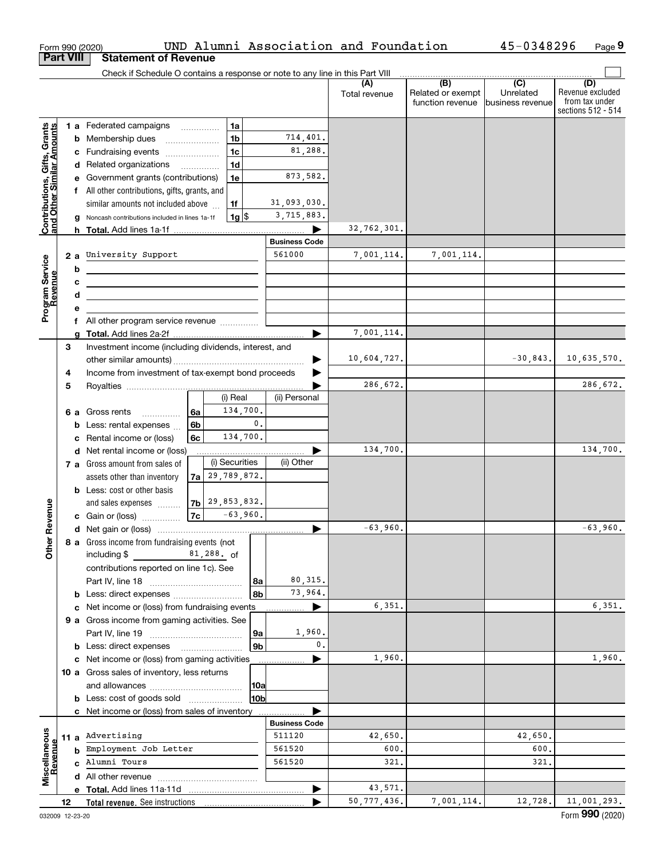|                                                           |                                            |    | Form 990 (2020)                                                               |                |                    |             |                      | UND Alumni Association and Foundation |                          | 45-0348296        | Page 9                  |
|-----------------------------------------------------------|--------------------------------------------|----|-------------------------------------------------------------------------------|----------------|--------------------|-------------|----------------------|---------------------------------------|--------------------------|-------------------|-------------------------|
| <b>Part VIII</b>                                          |                                            |    | <b>Statement of Revenue</b>                                                   |                |                    |             |                      |                                       |                          |                   |                         |
|                                                           |                                            |    | Check if Schedule O contains a response or note to any line in this Part VIII |                |                    |             |                      |                                       |                          |                   |                         |
|                                                           |                                            |    |                                                                               |                |                    |             |                      | (A)<br>Total revenue                  | (B)<br>Related or exempt | (C)<br>Unrelated  | (D)<br>Revenue excluded |
|                                                           |                                            |    |                                                                               |                |                    |             |                      |                                       | function revenue         | Ibusiness revenue | from tax under          |
|                                                           |                                            |    |                                                                               |                |                    |             |                      |                                       |                          |                   | sections 512 - 514      |
|                                                           |                                            |    | 1 a Federated campaigns                                                       |                | 1a                 |             |                      |                                       |                          |                   |                         |
|                                                           | 1 <sub>b</sub><br><b>b</b> Membership dues |    |                                                                               | 714,401.       |                    |             |                      |                                       |                          |                   |                         |
|                                                           |                                            |    | c Fundraising events                                                          |                | 1 <sub>c</sub>     |             | 81,288.              |                                       |                          |                   |                         |
|                                                           |                                            |    | d Related organizations                                                       |                | 1 <sub>d</sub>     |             |                      |                                       |                          |                   |                         |
|                                                           |                                            |    | e Government grants (contributions)                                           |                | 1e                 |             | 873,582.             |                                       |                          |                   |                         |
|                                                           |                                            |    | f All other contributions, gifts, grants, and                                 |                |                    |             |                      |                                       |                          |                   |                         |
| Contributions, Gifts, Grants<br>and Other Similar Amounts |                                            |    | similar amounts not included above                                            |                | 1f                 |             | 31,093,030.          |                                       |                          |                   |                         |
|                                                           |                                            |    | Noncash contributions included in lines 1a-1f                                 |                | $1g$   \$          |             | 3,715,883.           |                                       |                          |                   |                         |
|                                                           |                                            |    |                                                                               |                |                    |             |                      | 32,762,301.                           |                          |                   |                         |
|                                                           |                                            |    |                                                                               |                |                    |             | <b>Business Code</b> |                                       |                          |                   |                         |
|                                                           |                                            | 2a | University Support                                                            |                |                    |             | 561000               | 7,001,114.                            | 7,001,114.               |                   |                         |
|                                                           |                                            | b  |                                                                               |                |                    |             |                      |                                       |                          |                   |                         |
|                                                           | с                                          |    |                                                                               |                |                    |             |                      |                                       |                          |                   |                         |
|                                                           |                                            | d  |                                                                               |                |                    |             |                      |                                       |                          |                   |                         |
| Program Service<br>Revenue                                |                                            |    |                                                                               |                |                    |             |                      |                                       |                          |                   |                         |
|                                                           |                                            | f  | All other program service revenue                                             |                |                    |             |                      |                                       |                          |                   |                         |
|                                                           |                                            | a  |                                                                               |                |                    |             |                      | 7,001,114.                            |                          |                   |                         |
|                                                           | 3                                          |    | Investment income (including dividends, interest, and                         |                |                    |             |                      |                                       |                          |                   |                         |
|                                                           |                                            |    |                                                                               |                |                    | 10,604,727. |                      | $-30,843.$                            | 10,635,570.              |                   |                         |
|                                                           | 4                                          |    | Income from investment of tax-exempt bond proceeds                            |                |                    |             |                      |                                       |                          |                   |                         |
|                                                           | 5                                          |    |                                                                               |                |                    |             |                      | 286,672.                              |                          |                   | 286,672.                |
|                                                           |                                            |    |                                                                               |                | (i) Real           |             | (ii) Personal        |                                       |                          |                   |                         |
|                                                           |                                            |    | 6 a Gross rents<br>.                                                          | 6a             | 134,700.           |             |                      |                                       |                          |                   |                         |
|                                                           |                                            |    | <b>b</b> Less: rental expenses $\ldots$                                       | 6 <sub>b</sub> |                    | 0.          |                      |                                       |                          |                   |                         |
|                                                           |                                            | c  | Rental income or (loss)                                                       | 6с             | 134,700.           |             |                      |                                       |                          |                   |                         |
|                                                           |                                            |    | d Net rental income or (loss)                                                 |                |                    |             |                      | 134,700.                              |                          |                   | 134,700.                |
|                                                           |                                            |    | 7 a Gross amount from sales of                                                |                | (i) Securities     |             | (ii) Other           |                                       |                          |                   |                         |
|                                                           |                                            |    | assets other than inventory                                                   |                | $7a$ 29, 789, 872. |             |                      |                                       |                          |                   |                         |
|                                                           |                                            |    | <b>b</b> Less: cost or other basis                                            |                |                    |             |                      |                                       |                          |                   |                         |
| venue                                                     |                                            |    | and sales expenses                                                            |                | $7b$ $29,853,832.$ |             |                      |                                       |                          |                   |                         |
|                                                           |                                            |    | c Gain or (loss)                                                              | 7c             | $-63,960.$         |             |                      |                                       |                          |                   |                         |
|                                                           |                                            |    |                                                                               |                |                    |             |                      | $-63,960$ .                           |                          |                   | $-63,960$ .             |
| Other Re                                                  |                                            |    | 8 a Gross income from fundraising events (not                                 |                |                    |             |                      |                                       |                          |                   |                         |
|                                                           |                                            |    | including \$<br>$81,288.$ of                                                  |                |                    |             |                      |                                       |                          |                   |                         |
|                                                           |                                            |    | contributions reported on line 1c). See                                       |                |                    |             |                      |                                       |                          |                   |                         |
|                                                           |                                            |    |                                                                               |                |                    | 8a          | 80, 315.             |                                       |                          |                   |                         |
|                                                           |                                            |    |                                                                               |                |                    | l 8b        | 73,964.              | 6,351.                                |                          |                   | 6,351.                  |
|                                                           |                                            |    | c Net income or (loss) from fundraising events                                |                |                    |             |                      |                                       |                          |                   |                         |
|                                                           |                                            |    | 9 a Gross income from gaming activities. See                                  |                |                    |             | 1,960.               |                                       |                          |                   |                         |
|                                                           |                                            |    |                                                                               |                |                    | 9а          | 0.                   |                                       |                          |                   |                         |
|                                                           |                                            |    |                                                                               |                |                    | l 9b        |                      | 1,960.                                |                          |                   | 1,960.                  |
|                                                           |                                            |    | c Net income or (loss) from gaming activities                                 |                |                    |             |                      |                                       |                          |                   |                         |
|                                                           |                                            |    | 10 a Gross sales of inventory, less returns                                   |                |                    |             |                      |                                       |                          |                   |                         |
|                                                           |                                            |    |                                                                               |                |                    | 10a         |                      |                                       |                          |                   |                         |
|                                                           | 10b<br><b>b</b> Less: cost of goods sold   |    |                                                                               |                |                    |             |                      |                                       |                          |                   |                         |
|                                                           |                                            |    | c Net income or (loss) from sales of inventory                                |                |                    |             | <b>Business Code</b> |                                       |                          |                   |                         |
|                                                           |                                            |    | Advertising                                                                   |                |                    |             | 511120               | 42,650.                               |                          | 42,650.           |                         |
|                                                           | 11 a                                       |    | Employment Job Letter                                                         |                |                    |             | 561520               | 600.                                  |                          | 600               |                         |
|                                                           |                                            | b  | Alumni Tours                                                                  |                |                    |             | 561520               | 321,                                  |                          | 321               |                         |
| Miscellaneous<br>Revenue                                  |                                            | C  |                                                                               |                |                    |             |                      |                                       |                          |                   |                         |
|                                                           |                                            |    |                                                                               |                |                    |             |                      |                                       |                          |                   |                         |
|                                                           |                                            |    | e Total. Add lines 11a-11d                                                    |                |                    |             |                      | 43,571.                               |                          |                   |                         |
|                                                           | 12                                         |    | <b>Total revenue.</b> See instructions                                        |                |                    |             |                      | 50, 777, 436.                         | 7,001,114.               | 12,728.           | 11,001,293.             |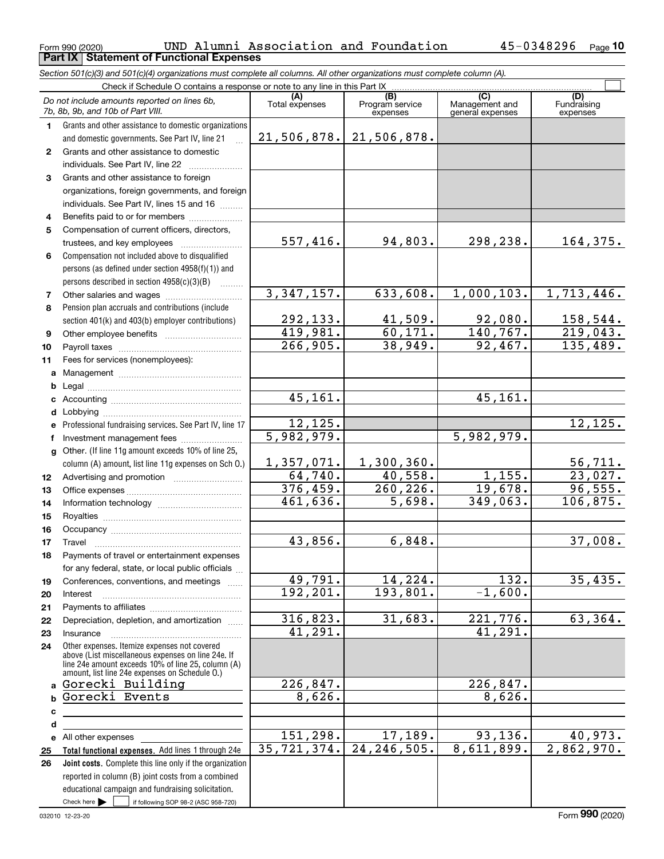|              | Section 501(c)(3) and 501(c)(4) organizations must complete all columns. All other organizations must complete column (A).                                                                                 |                       |                                    |                                           |                                |  |  |  |  |  |  |
|--------------|------------------------------------------------------------------------------------------------------------------------------------------------------------------------------------------------------------|-----------------------|------------------------------------|-------------------------------------------|--------------------------------|--|--|--|--|--|--|
|              | Check if Schedule O contains a response or note to any line in this Part IX                                                                                                                                |                       |                                    |                                           |                                |  |  |  |  |  |  |
|              | Do not include amounts reported on lines 6b,<br>7b, 8b, 9b, and 10b of Part VIII.                                                                                                                          | (A)<br>Total expenses | (B)<br>Program service<br>expenses | (C)<br>Management and<br>general expenses | (D)<br>Fundraising<br>expenses |  |  |  |  |  |  |
| 1.           | Grants and other assistance to domestic organizations                                                                                                                                                      |                       |                                    |                                           |                                |  |  |  |  |  |  |
|              | and domestic governments. See Part IV, line 21                                                                                                                                                             |                       | 21,506,878. 21,506,878.            |                                           |                                |  |  |  |  |  |  |
| $\mathbf{2}$ | Grants and other assistance to domestic                                                                                                                                                                    |                       |                                    |                                           |                                |  |  |  |  |  |  |
|              | individuals. See Part IV, line 22                                                                                                                                                                          |                       |                                    |                                           |                                |  |  |  |  |  |  |
| 3            | Grants and other assistance to foreign                                                                                                                                                                     |                       |                                    |                                           |                                |  |  |  |  |  |  |
|              | organizations, foreign governments, and foreign                                                                                                                                                            |                       |                                    |                                           |                                |  |  |  |  |  |  |
|              | individuals. See Part IV, lines 15 and 16                                                                                                                                                                  |                       |                                    |                                           |                                |  |  |  |  |  |  |
| 4            | Benefits paid to or for members                                                                                                                                                                            |                       |                                    |                                           |                                |  |  |  |  |  |  |
| 5            | Compensation of current officers, directors,                                                                                                                                                               |                       |                                    |                                           |                                |  |  |  |  |  |  |
|              | trustees, and key employees                                                                                                                                                                                | 557,416.              | 94,803.                            | 298,238.                                  | 164,375.                       |  |  |  |  |  |  |
| 6            | Compensation not included above to disqualified                                                                                                                                                            |                       |                                    |                                           |                                |  |  |  |  |  |  |
|              | persons (as defined under section 4958(f)(1)) and                                                                                                                                                          |                       |                                    |                                           |                                |  |  |  |  |  |  |
|              | persons described in section 4958(c)(3)(B)                                                                                                                                                                 |                       |                                    |                                           |                                |  |  |  |  |  |  |
| 7            |                                                                                                                                                                                                            | 3,347,157.            | 633,608.                           | 1,000,103.                                | 1,713,446.                     |  |  |  |  |  |  |
| 8            | Pension plan accruals and contributions (include                                                                                                                                                           |                       |                                    |                                           |                                |  |  |  |  |  |  |
|              | section 401(k) and 403(b) employer contributions)                                                                                                                                                          | 292,133.              | 41,509.                            | 92,080.                                   | 158,544.                       |  |  |  |  |  |  |
| 9            |                                                                                                                                                                                                            | 419,981.              | 60, 171.                           | 140, 767.                                 | 219,043.                       |  |  |  |  |  |  |
| 10           |                                                                                                                                                                                                            | 266,905.              | 38,949.                            | 92,467.                                   | 135,489.                       |  |  |  |  |  |  |
| 11           | Fees for services (nonemployees):                                                                                                                                                                          |                       |                                    |                                           |                                |  |  |  |  |  |  |
| a            |                                                                                                                                                                                                            |                       |                                    |                                           |                                |  |  |  |  |  |  |
| b            |                                                                                                                                                                                                            |                       |                                    |                                           |                                |  |  |  |  |  |  |
|              |                                                                                                                                                                                                            | 45,161.               |                                    | 45,161.                                   |                                |  |  |  |  |  |  |
|              |                                                                                                                                                                                                            |                       |                                    |                                           |                                |  |  |  |  |  |  |
| е            | Professional fundraising services. See Part IV, line 17                                                                                                                                                    | 12,125.               |                                    |                                           | 12, 125.                       |  |  |  |  |  |  |
| f            | Investment management fees                                                                                                                                                                                 | 5,982,979.            |                                    | 5,982,979.                                |                                |  |  |  |  |  |  |
|              | g Other. (If line 11g amount exceeds 10% of line 25,                                                                                                                                                       |                       |                                    |                                           |                                |  |  |  |  |  |  |
|              | column (A) amount, list line 11g expenses on Sch O.)                                                                                                                                                       | 1,357,071.            | 1,300,360.                         |                                           | 56,711.                        |  |  |  |  |  |  |
| 12           |                                                                                                                                                                                                            | 64,740.               | 40,558.                            | 1,155.                                    | 23,027.                        |  |  |  |  |  |  |
| 13           |                                                                                                                                                                                                            | 376,459.              | 260, 226.                          | 19,678.                                   | 96,555.                        |  |  |  |  |  |  |
| 14           |                                                                                                                                                                                                            | 461,636.              | 5,698.                             | 349,063.                                  | 106,875.                       |  |  |  |  |  |  |
| 15           |                                                                                                                                                                                                            |                       |                                    |                                           |                                |  |  |  |  |  |  |
| 16           |                                                                                                                                                                                                            |                       |                                    |                                           |                                |  |  |  |  |  |  |
| 17           |                                                                                                                                                                                                            | 43,856.               | 6,848.                             |                                           | 37,008.                        |  |  |  |  |  |  |
| 18           | Payments of travel or entertainment expenses                                                                                                                                                               |                       |                                    |                                           |                                |  |  |  |  |  |  |
|              | for any federal, state, or local public officials                                                                                                                                                          |                       |                                    |                                           |                                |  |  |  |  |  |  |
| 19           | Conferences, conventions, and meetings                                                                                                                                                                     | 49,791.               | 14,224.                            | $\overline{132}$ .                        | 35,435.                        |  |  |  |  |  |  |
| 20           | Interest                                                                                                                                                                                                   | 192, 201.             | 193,801.                           | $-1,600.$                                 |                                |  |  |  |  |  |  |
| 21           |                                                                                                                                                                                                            |                       |                                    |                                           |                                |  |  |  |  |  |  |
| 22           | Depreciation, depletion, and amortization                                                                                                                                                                  | 316,823.              | 31,683.                            | 221,776.                                  | 63,364.                        |  |  |  |  |  |  |
| 23           | Insurance                                                                                                                                                                                                  | $\overline{41,291}$ . |                                    | 41,291.                                   |                                |  |  |  |  |  |  |
| 24           | Other expenses. Itemize expenses not covered<br>above (List miscellaneous expenses on line 24e. If<br>line 24e amount exceeds 10% of line 25, column (A)<br>amount, list line 24e expenses on Schedule O.) |                       |                                    |                                           |                                |  |  |  |  |  |  |
|              | a Gorecki Building                                                                                                                                                                                         | 226,847.              |                                    | 226,847.                                  |                                |  |  |  |  |  |  |
| b            | Gorecki Events                                                                                                                                                                                             | 8,626.                |                                    | 8,626.                                    |                                |  |  |  |  |  |  |
| c            |                                                                                                                                                                                                            |                       |                                    |                                           |                                |  |  |  |  |  |  |
| d            |                                                                                                                                                                                                            |                       |                                    |                                           |                                |  |  |  |  |  |  |
|              | e All other expenses                                                                                                                                                                                       | 151,298.              | 17,189.                            | 93, 136.                                  | 40,973.                        |  |  |  |  |  |  |
| 25           | Total functional expenses. Add lines 1 through 24e                                                                                                                                                         | 35, 721, 374.         | 24, 246, 505.                      | 8,611,899.                                | 2,862,970.                     |  |  |  |  |  |  |
| 26           | Joint costs. Complete this line only if the organization                                                                                                                                                   |                       |                                    |                                           |                                |  |  |  |  |  |  |
|              | reported in column (B) joint costs from a combined                                                                                                                                                         |                       |                                    |                                           |                                |  |  |  |  |  |  |
|              | educational campaign and fundraising solicitation.                                                                                                                                                         |                       |                                    |                                           |                                |  |  |  |  |  |  |
|              | Check here       if following SOP 98-2 (ASC 958-720)                                                                                                                                                       |                       |                                    |                                           |                                |  |  |  |  |  |  |

Form 990 (2020) Page **Part IX Statement of Functional Expenses**

UND Alumni Association and Foundation 45-0348296

**10**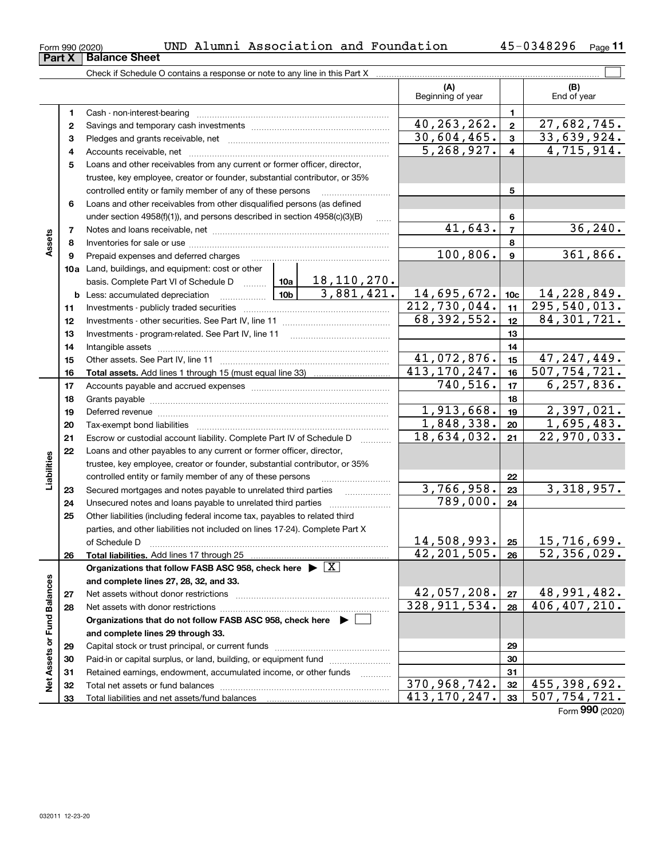| Form 990 (2020) |                               |
|-----------------|-------------------------------|
|                 | <b>Part X   Balance Sheet</b> |

**11**

|                             |    |                                                                                            |                                  |                 | (A)<br>Beginning of year   |                         | (B)<br>End of year           |          |
|-----------------------------|----|--------------------------------------------------------------------------------------------|----------------------------------|-----------------|----------------------------|-------------------------|------------------------------|----------|
|                             | 1  |                                                                                            |                                  |                 |                            | $\mathbf{1}$            |                              |          |
|                             | 2  |                                                                                            |                                  |                 | 40, 263, 262.              | $\overline{\mathbf{2}}$ | 27,682,745.                  |          |
|                             | 3  |                                                                                            |                                  |                 | 30,604,465.                | 3                       | 33,639,924.                  |          |
|                             | 4  |                                                                                            |                                  |                 | $\overline{5,268,927.}$    | $\overline{4}$          | 4,715,914.                   |          |
|                             | 5  | Loans and other receivables from any current or former officer, director,                  |                                  |                 |                            |                         |                              |          |
|                             |    | trustee, key employee, creator or founder, substantial contributor, or 35%                 |                                  |                 |                            |                         |                              |          |
|                             |    | controlled entity or family member of any of these persons                                 |                                  |                 |                            | 5                       |                              |          |
|                             | 6  | Loans and other receivables from other disqualified persons (as defined                    |                                  |                 |                            |                         |                              |          |
|                             |    | under section 4958(f)(1)), and persons described in section 4958(c)(3)(B)                  |                                  |                 |                            | 6                       |                              |          |
|                             | 7  |                                                                                            |                                  |                 | 41,643.                    | $\overline{7}$          |                              | 36, 240. |
| Assets                      | 8  |                                                                                            |                                  |                 | 8                          |                         |                              |          |
|                             | 9  | Prepaid expenses and deferred charges                                                      |                                  | 100, 806.       | $\boldsymbol{9}$           |                         | 361,866.                     |          |
|                             |    | 10a Land, buildings, and equipment: cost or other                                          |                                  |                 |                            |                         |                              |          |
|                             |    | 10a<br>basis. Complete Part VI of Schedule D                                               | <u>18,110,270.</u><br>3,881,421. |                 |                            |                         |                              |          |
|                             |    | 10 <sub>b</sub><br><b>b</b> Less: accumulated depreciation                                 | 14,695,672.                      | 10 <sub>c</sub> | 14, 228, 849.              |                         |                              |          |
|                             | 11 |                                                                                            |                                  |                 | $\overline{212,730,044}$ . | 11                      | 295, 540, 013.               |          |
|                             | 12 |                                                                                            |                                  |                 | 68, 392, 552.              | 12                      | 84, 301, 721.                |          |
|                             | 13 |                                                                                            |                                  |                 |                            | 13                      |                              |          |
|                             | 14 |                                                                                            |                                  |                 | 14                         |                         |                              |          |
|                             | 15 |                                                                                            |                                  |                 | 41,072,876.                | 15                      | 47, 247, 449.                |          |
|                             | 16 |                                                                                            |                                  |                 | 413, 170, 247.             | 16                      | $\overline{507, 754, 721.}$  |          |
|                             | 17 |                                                                                            |                                  |                 | 740, 516.                  | 17                      | 6, 257, 836.                 |          |
|                             | 18 |                                                                                            |                                  |                 | 18                         |                         |                              |          |
|                             | 19 |                                                                                            |                                  | 1,913,668.      | 19                         | 2,397,021.              |                              |          |
|                             | 20 |                                                                                            |                                  |                 | 1,848,338.                 | 20                      | 1,695,483.                   |          |
|                             | 21 | Escrow or custodial account liability. Complete Part IV of Schedule D                      |                                  |                 | 18,634,032.                | 21                      | 22,970,033.                  |          |
|                             | 22 | Loans and other payables to any current or former officer, director,                       |                                  |                 |                            |                         |                              |          |
| Liabilities                 |    | trustee, key employee, creator or founder, substantial contributor, or 35%                 |                                  |                 |                            |                         |                              |          |
|                             |    | controlled entity or family member of any of these persons                                 |                                  |                 |                            | 22                      |                              |          |
|                             | 23 | Secured mortgages and notes payable to unrelated third parties                             |                                  |                 | 3,766,958.                 | 23                      | 3,318,957.                   |          |
|                             | 24 | Unsecured notes and loans payable to unrelated third parties                               |                                  |                 | $\overline{789,000}$ .     | 24                      |                              |          |
|                             | 25 | Other liabilities (including federal income tax, payables to related third                 |                                  |                 |                            |                         |                              |          |
|                             |    | parties, and other liabilities not included on lines 17-24). Complete Part X               |                                  |                 |                            |                         |                              |          |
|                             |    | of Schedule D                                                                              |                                  |                 | $14,508,993.$ 25           |                         | 15,716,699.                  |          |
|                             | 26 |                                                                                            |                                  |                 | $42, 201, 505$ . 26        |                         | 52,356,029.                  |          |
|                             |    | Organizations that follow FASB ASC 958, check here $\blacktriangleright \lfloor X \rfloor$ |                                  |                 |                            |                         |                              |          |
|                             |    | and complete lines 27, 28, 32, and 33.                                                     |                                  |                 |                            |                         |                              |          |
|                             | 27 |                                                                                            |                                  |                 | 42,057,208.                | 27                      | 48, 991, 482.                |          |
|                             | 28 |                                                                                            |                                  |                 | 328, 911, 534.             | 28                      | $\overline{406, 407, 210}$ . |          |
|                             |    | Organizations that do not follow FASB ASC 958, check here $\blacktriangleright$            |                                  |                 |                            |                         |                              |          |
| Net Assets or Fund Balances |    | and complete lines 29 through 33.                                                          |                                  |                 |                            |                         |                              |          |
|                             | 29 |                                                                                            |                                  |                 |                            | 29                      |                              |          |
|                             | 30 | Paid-in or capital surplus, or land, building, or equipment fund                           |                                  |                 |                            | 30                      |                              |          |
|                             | 31 | Retained earnings, endowment, accumulated income, or other funds                           |                                  |                 |                            | 31                      |                              |          |
|                             | 32 |                                                                                            |                                  |                 | 370,968,742.               | 32                      | 455, 398, 692.               |          |
|                             | 33 |                                                                                            |                                  |                 | 413, 170, 247.             | 33                      | 507,754,721.                 |          |

Form (2020) **990**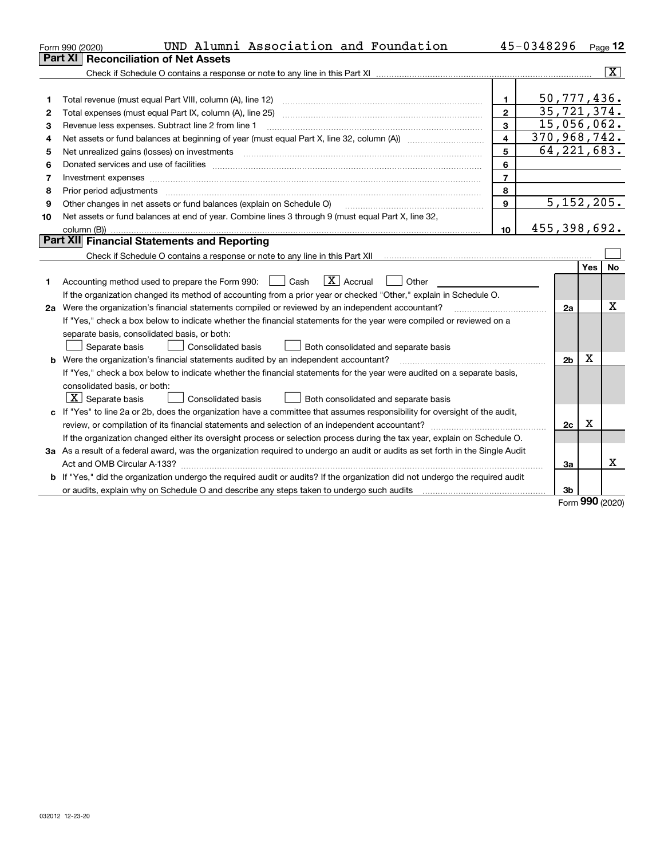|    | UND Alumni Association and Foundation<br>Form 990 (2020)                                                                        |                         | 45-0348296   |                |     | Page 12                 |
|----|---------------------------------------------------------------------------------------------------------------------------------|-------------------------|--------------|----------------|-----|-------------------------|
|    | Part XI<br><b>Reconciliation of Net Assets</b>                                                                                  |                         |              |                |     |                         |
|    |                                                                                                                                 |                         |              |                |     | $\overline{\mathtt{x}}$ |
|    |                                                                                                                                 |                         |              |                |     |                         |
| 1  | Total revenue (must equal Part VIII, column (A), line 12)                                                                       | 1                       |              | 50, 777, 436.  |     |                         |
| 2  | Total expenses (must equal Part IX, column (A), line 25)                                                                        | $\overline{2}$          |              | 35, 721, 374.  |     |                         |
| з  | Revenue less expenses. Subtract line 2 from line 1                                                                              | 3                       |              | 15,056,062.    |     |                         |
| 4  |                                                                                                                                 | $\overline{\mathbf{4}}$ | 370,968,742. |                |     |                         |
| 5  |                                                                                                                                 | 5                       |              | 64, 221, 683.  |     |                         |
| 6  |                                                                                                                                 | 6                       |              |                |     |                         |
| 7  |                                                                                                                                 | $\overline{7}$          |              |                |     |                         |
| 8  | Prior period adjustments                                                                                                        | 8                       |              |                |     |                         |
| 9  | Other changes in net assets or fund balances (explain on Schedule O)                                                            | 9                       |              | 5,152,205.     |     |                         |
| 10 | Net assets or fund balances at end of year. Combine lines 3 through 9 (must equal Part X, line 32,                              |                         |              |                |     |                         |
|    |                                                                                                                                 | 10                      | 455,398,692. |                |     |                         |
|    | Part XII Financial Statements and Reporting                                                                                     |                         |              |                |     |                         |
|    |                                                                                                                                 |                         |              |                |     |                         |
|    |                                                                                                                                 |                         |              |                | Yes | <b>No</b>               |
| 1  | $\boxed{\mathbf{X}}$ Accrual<br>Accounting method used to prepare the Form 990: <u>June</u> Cash<br>Other                       |                         |              |                |     |                         |
|    | If the organization changed its method of accounting from a prior year or checked "Other," explain in Schedule O.               |                         |              |                |     |                         |
|    | 2a Were the organization's financial statements compiled or reviewed by an independent accountant?                              |                         |              | 2a             |     | X                       |
|    | If "Yes," check a box below to indicate whether the financial statements for the year were compiled or reviewed on a            |                         |              |                |     |                         |
|    | separate basis, consolidated basis, or both:                                                                                    |                         |              |                |     |                         |
|    | Separate basis<br><b>Consolidated basis</b><br>Both consolidated and separate basis                                             |                         |              |                |     |                         |
|    | <b>b</b> Were the organization's financial statements audited by an independent accountant?                                     |                         |              | 2 <sub>b</sub> | X   |                         |
|    | If "Yes," check a box below to indicate whether the financial statements for the year were audited on a separate basis,         |                         |              |                |     |                         |
|    | consolidated basis, or both:                                                                                                    |                         |              |                |     |                         |
|    | $\lfloor x \rfloor$ Separate basis<br>Consolidated basis<br>Both consolidated and separate basis                                |                         |              |                |     |                         |
|    | c If "Yes" to line 2a or 2b, does the organization have a committee that assumes responsibility for oversight of the audit,     |                         |              |                |     |                         |
|    |                                                                                                                                 |                         |              | 2c             | х   |                         |
|    | If the organization changed either its oversight process or selection process during the tax year, explain on Schedule O.       |                         |              |                |     |                         |
|    | 3a As a result of a federal award, was the organization required to undergo an audit or audits as set forth in the Single Audit |                         |              |                |     |                         |
|    | Act and OMB Circular A-133?                                                                                                     |                         |              | 3a             |     | x                       |
|    | b If "Yes," did the organization undergo the required audit or audits? If the organization did not undergo the required audit   |                         |              |                |     |                         |
|    |                                                                                                                                 |                         |              | 3 <sub>b</sub> |     |                         |

Form (2020) **990**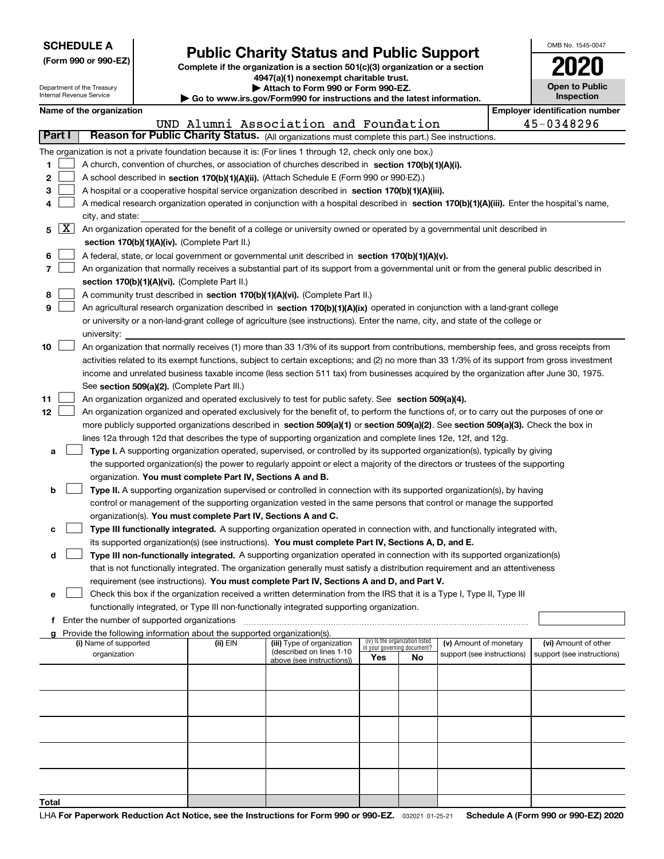| <b>SCHEDULE A</b> |
|-------------------|
|                   |

Department of the Treasury

|  |  | (Form 990 or 990-EZ) |  |
|--|--|----------------------|--|

## **Public Charity Status and Public Support**

**Complete if the organization is a section 501(c)(3) organization or a section 4947(a)(1) nonexempt charitable trust. | Attach to Form 990 or Form 990-EZ.** 

|  | P AWW. WI VIII VY VI I VIII VY LE. |                                                                    |
|--|------------------------------------|--------------------------------------------------------------------|
|  |                                    | o www.irs.gov/Eorm990 for instructions and the latest information. |

| OMB No 1545-0047                    |
|-------------------------------------|
| 2020                                |
| <b>Open to Public</b><br>Inspection |

|        | Internal Revenue Service |                                               | Go to www.irs.gov/Form990 for instructions and the latest information.   |                                                                                                                                              |     |                                 |                                                      |  | Inspection                            |
|--------|--------------------------|-----------------------------------------------|--------------------------------------------------------------------------|----------------------------------------------------------------------------------------------------------------------------------------------|-----|---------------------------------|------------------------------------------------------|--|---------------------------------------|
|        | Name of the organization |                                               |                                                                          |                                                                                                                                              |     |                                 |                                                      |  | <b>Employer identification number</b> |
|        |                          |                                               |                                                                          | UND Alumni Association and Foundation                                                                                                        |     |                                 |                                                      |  | 45-0348296                            |
| Part I |                          |                                               |                                                                          | Reason for Public Charity Status. (All organizations must complete this part.) See instructions.                                             |     |                                 |                                                      |  |                                       |
|        |                          |                                               |                                                                          | The organization is not a private foundation because it is: (For lines 1 through 12, check only one box.)                                    |     |                                 |                                                      |  |                                       |
| 1      |                          |                                               |                                                                          | A church, convention of churches, or association of churches described in section 170(b)(1)(A)(i).                                           |     |                                 |                                                      |  |                                       |
| 2      |                          |                                               |                                                                          | A school described in section 170(b)(1)(A)(ii). (Attach Schedule E (Form 990 or 990-EZ).)                                                    |     |                                 |                                                      |  |                                       |
| 3      |                          |                                               |                                                                          | A hospital or a cooperative hospital service organization described in section 170(b)(1)(A)(iii).                                            |     |                                 |                                                      |  |                                       |
| 4      |                          |                                               |                                                                          | A medical research organization operated in conjunction with a hospital described in section 170(b)(1)(A)(iii). Enter the hospital's name,   |     |                                 |                                                      |  |                                       |
|        |                          | city, and state:                              |                                                                          |                                                                                                                                              |     |                                 |                                                      |  |                                       |
| 5      | ΧI                       |                                               |                                                                          | An organization operated for the benefit of a college or university owned or operated by a governmental unit described in                    |     |                                 |                                                      |  |                                       |
|        |                          | section 170(b)(1)(A)(iv). (Complete Part II.) |                                                                          |                                                                                                                                              |     |                                 |                                                      |  |                                       |
| 6      |                          |                                               |                                                                          | A federal, state, or local government or governmental unit described in section 170(b)(1)(A)(v).                                             |     |                                 |                                                      |  |                                       |
| 7      |                          |                                               |                                                                          | An organization that normally receives a substantial part of its support from a governmental unit or from the general public described in    |     |                                 |                                                      |  |                                       |
|        |                          | section 170(b)(1)(A)(vi). (Complete Part II.) |                                                                          |                                                                                                                                              |     |                                 |                                                      |  |                                       |
| 8      |                          |                                               |                                                                          | A community trust described in section 170(b)(1)(A)(vi). (Complete Part II.)                                                                 |     |                                 |                                                      |  |                                       |
| 9      |                          |                                               |                                                                          | An agricultural research organization described in section 170(b)(1)(A)(ix) operated in conjunction with a land-grant college                |     |                                 |                                                      |  |                                       |
|        |                          |                                               |                                                                          | or university or a non-land-grant college of agriculture (see instructions). Enter the name, city, and state of the college or               |     |                                 |                                                      |  |                                       |
|        | university:              |                                               |                                                                          |                                                                                                                                              |     |                                 |                                                      |  |                                       |
| 10     |                          |                                               |                                                                          | An organization that normally receives (1) more than 33 1/3% of its support from contributions, membership fees, and gross receipts from     |     |                                 |                                                      |  |                                       |
|        |                          |                                               |                                                                          | activities related to its exempt functions, subject to certain exceptions; and (2) no more than 33 1/3% of its support from gross investment |     |                                 |                                                      |  |                                       |
|        |                          |                                               |                                                                          | income and unrelated business taxable income (less section 511 tax) from businesses acquired by the organization after June 30, 1975.        |     |                                 |                                                      |  |                                       |
|        |                          | See section 509(a)(2). (Complete Part III.)   |                                                                          |                                                                                                                                              |     |                                 |                                                      |  |                                       |
| 11     |                          |                                               |                                                                          | An organization organized and operated exclusively to test for public safety. See section 509(a)(4).                                         |     |                                 |                                                      |  |                                       |
| 12     |                          |                                               |                                                                          | An organization organized and operated exclusively for the benefit of, to perform the functions of, or to carry out the purposes of one or   |     |                                 |                                                      |  |                                       |
|        |                          |                                               |                                                                          | more publicly supported organizations described in section 509(a)(1) or section 509(a)(2). See section 509(a)(3). Check the box in           |     |                                 |                                                      |  |                                       |
|        |                          |                                               |                                                                          | lines 12a through 12d that describes the type of supporting organization and complete lines 12e, 12f, and 12g.                               |     |                                 |                                                      |  |                                       |
| а      |                          |                                               |                                                                          | Type I. A supporting organization operated, supervised, or controlled by its supported organization(s), typically by giving                  |     |                                 |                                                      |  |                                       |
|        |                          |                                               |                                                                          | the supported organization(s) the power to regularly appoint or elect a majority of the directors or trustees of the supporting              |     |                                 |                                                      |  |                                       |
|        |                          |                                               | organization. You must complete Part IV, Sections A and B.               |                                                                                                                                              |     |                                 |                                                      |  |                                       |
| b      |                          |                                               |                                                                          | Type II. A supporting organization supervised or controlled in connection with its supported organization(s), by having                      |     |                                 |                                                      |  |                                       |
|        |                          |                                               |                                                                          | control or management of the supporting organization vested in the same persons that control or manage the supported                         |     |                                 |                                                      |  |                                       |
|        |                          |                                               | organization(s). You must complete Part IV, Sections A and C.            |                                                                                                                                              |     |                                 |                                                      |  |                                       |
| c      |                          |                                               |                                                                          | Type III functionally integrated. A supporting organization operated in connection with, and functionally integrated with,                   |     |                                 |                                                      |  |                                       |
|        |                          |                                               |                                                                          | its supported organization(s) (see instructions). You must complete Part IV, Sections A, D, and E.                                           |     |                                 |                                                      |  |                                       |
| d      |                          |                                               |                                                                          | Type III non-functionally integrated. A supporting organization operated in connection with its supported organization(s)                    |     |                                 |                                                      |  |                                       |
|        |                          |                                               |                                                                          | that is not functionally integrated. The organization generally must satisfy a distribution requirement and an attentiveness                 |     |                                 |                                                      |  |                                       |
|        |                          |                                               |                                                                          | requirement (see instructions). You must complete Part IV, Sections A and D, and Part V.                                                     |     |                                 |                                                      |  |                                       |
| е      |                          |                                               |                                                                          | Check this box if the organization received a written determination from the IRS that it is a Type I, Type II, Type III                      |     |                                 |                                                      |  |                                       |
|        |                          |                                               |                                                                          | functionally integrated, or Type III non-functionally integrated supporting organization.                                                    |     |                                 |                                                      |  |                                       |
|        |                          | f Enter the number of supported organizations |                                                                          |                                                                                                                                              |     |                                 |                                                      |  |                                       |
|        |                          | (i) Name of supported                         | g Provide the following information about the supported organization(s). | (iii) Type of organization                                                                                                                   |     | (iv) Is the organization listed |                                                      |  | (vi) Amount of other                  |
|        |                          | organization                                  | (ii) EIN                                                                 | (described on lines 1-10                                                                                                                     |     | in your governing document?     | (v) Amount of monetary<br>support (see instructions) |  | support (see instructions)            |
|        |                          |                                               |                                                                          | above (see instructions))                                                                                                                    | Yes | No                              |                                                      |  |                                       |
|        |                          |                                               |                                                                          |                                                                                                                                              |     |                                 |                                                      |  |                                       |
|        |                          |                                               |                                                                          |                                                                                                                                              |     |                                 |                                                      |  |                                       |
|        |                          |                                               |                                                                          |                                                                                                                                              |     |                                 |                                                      |  |                                       |
|        |                          |                                               |                                                                          |                                                                                                                                              |     |                                 |                                                      |  |                                       |
|        |                          |                                               |                                                                          |                                                                                                                                              |     |                                 |                                                      |  |                                       |
|        |                          |                                               |                                                                          |                                                                                                                                              |     |                                 |                                                      |  |                                       |
|        |                          |                                               |                                                                          |                                                                                                                                              |     |                                 |                                                      |  |                                       |
|        |                          |                                               |                                                                          |                                                                                                                                              |     |                                 |                                                      |  |                                       |
|        |                          |                                               |                                                                          |                                                                                                                                              |     |                                 |                                                      |  |                                       |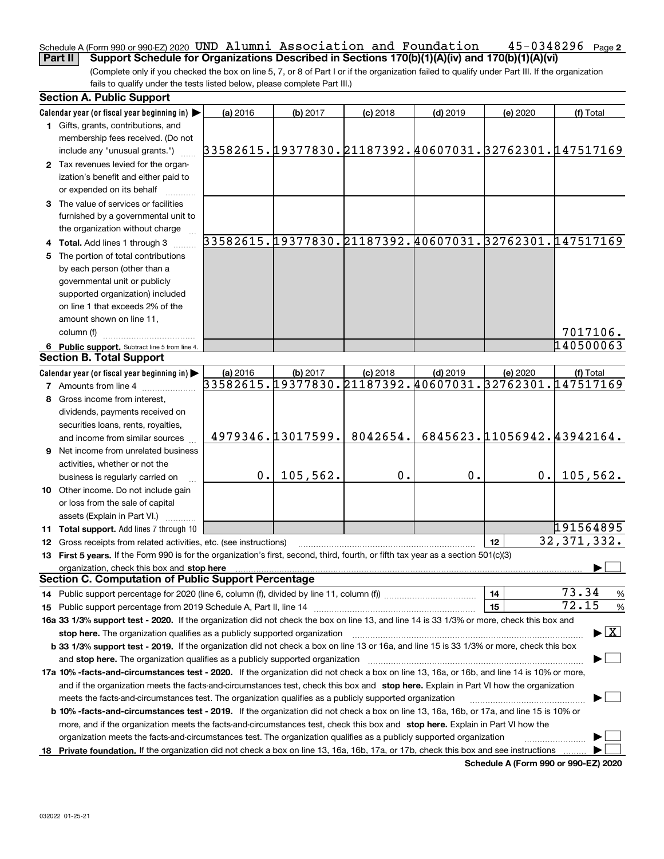### **2** Schedule A (Form 990 or 990-EZ) 2020 UND Alumni ASSOCiation and Foundation 45-0348296 Page **Part II Support Schedule for Organizations Described in Sections 170(b)(1)(A)(iv) and 170(b)(1)(A)(vi)** UND Alumni Association and Foundation 45-0348296

(Complete only if you checked the box on line 5, 7, or 8 of Part I or if the organization failed to qualify under Part III. If the organization fails to qualify under the tests listed below, please complete Part III.)

| <b>Section A. Public Support</b> |                                                                                                                                                                                                                                |                                                        |          |                            |            |                            |                                          |
|----------------------------------|--------------------------------------------------------------------------------------------------------------------------------------------------------------------------------------------------------------------------------|--------------------------------------------------------|----------|----------------------------|------------|----------------------------|------------------------------------------|
|                                  | Calendar year (or fiscal year beginning in) $\blacktriangleright$                                                                                                                                                              | (a) 2016                                               | (b) 2017 | $(c)$ 2018                 | $(d)$ 2019 | (e) 2020                   | (f) Total                                |
|                                  | 1 Gifts, grants, contributions, and                                                                                                                                                                                            |                                                        |          |                            |            |                            |                                          |
|                                  | membership fees received. (Do not                                                                                                                                                                                              |                                                        |          |                            |            |                            |                                          |
|                                  | include any "unusual grants.")                                                                                                                                                                                                 | 33582615.19377830.21187392.40607031.32762301.147517169 |          |                            |            |                            |                                          |
|                                  | 2 Tax revenues levied for the organ-                                                                                                                                                                                           |                                                        |          |                            |            |                            |                                          |
|                                  | ization's benefit and either paid to                                                                                                                                                                                           |                                                        |          |                            |            |                            |                                          |
|                                  | or expended on its behalf                                                                                                                                                                                                      |                                                        |          |                            |            |                            |                                          |
|                                  | 3 The value of services or facilities                                                                                                                                                                                          |                                                        |          |                            |            |                            |                                          |
|                                  | furnished by a governmental unit to                                                                                                                                                                                            |                                                        |          |                            |            |                            |                                          |
|                                  | the organization without charge                                                                                                                                                                                                |                                                        |          |                            |            |                            |                                          |
|                                  | Total. Add lines 1 through 3                                                                                                                                                                                                   | 33582615.19377830.21187392.40607031.32762301.147517169 |          |                            |            |                            |                                          |
| 5.                               | The portion of total contributions                                                                                                                                                                                             |                                                        |          |                            |            |                            |                                          |
|                                  | by each person (other than a                                                                                                                                                                                                   |                                                        |          |                            |            |                            |                                          |
|                                  | governmental unit or publicly                                                                                                                                                                                                  |                                                        |          |                            |            |                            |                                          |
|                                  | supported organization) included                                                                                                                                                                                               |                                                        |          |                            |            |                            |                                          |
|                                  | on line 1 that exceeds 2% of the                                                                                                                                                                                               |                                                        |          |                            |            |                            |                                          |
|                                  | amount shown on line 11,                                                                                                                                                                                                       |                                                        |          |                            |            |                            |                                          |
|                                  | column (f)                                                                                                                                                                                                                     |                                                        |          |                            |            |                            | 7017106.                                 |
|                                  | 6 Public support. Subtract line 5 from line 4.                                                                                                                                                                                 |                                                        |          |                            |            |                            | 140500063                                |
|                                  | <b>Section B. Total Support</b>                                                                                                                                                                                                |                                                        |          |                            |            |                            |                                          |
|                                  | Calendar year (or fiscal year beginning in)                                                                                                                                                                                    | (a) 2016                                               | (b) 2017 | $(c)$ 2018                 | $(d)$ 2019 | (e) 2020                   | (f) Total                                |
|                                  | 7 Amounts from line 4                                                                                                                                                                                                          | 33582615.19377830.21187392.40607031.32762301.          |          |                            |            |                            | 147517169                                |
|                                  | 8 Gross income from interest,                                                                                                                                                                                                  |                                                        |          |                            |            |                            |                                          |
|                                  | dividends, payments received on                                                                                                                                                                                                |                                                        |          |                            |            |                            |                                          |
|                                  | securities loans, rents, royalties,                                                                                                                                                                                            |                                                        |          |                            |            |                            |                                          |
|                                  | and income from similar sources                                                                                                                                                                                                |                                                        |          | 4979346.13017599. 8042654. |            | 6845623.11056942.43942164. |                                          |
| 9                                | Net income from unrelated business                                                                                                                                                                                             |                                                        |          |                            |            |                            |                                          |
|                                  | activities, whether or not the                                                                                                                                                                                                 |                                                        |          |                            |            |                            |                                          |
|                                  | business is regularly carried on                                                                                                                                                                                               | 0.1                                                    | 105,562. | 0.                         | 0.         | 0.1                        | 105, 562.                                |
|                                  | 10 Other income. Do not include gain                                                                                                                                                                                           |                                                        |          |                            |            |                            |                                          |
|                                  | or loss from the sale of capital                                                                                                                                                                                               |                                                        |          |                            |            |                            |                                          |
|                                  | assets (Explain in Part VI.)                                                                                                                                                                                                   |                                                        |          |                            |            |                            |                                          |
|                                  | 11 Total support. Add lines 7 through 10                                                                                                                                                                                       |                                                        |          |                            |            |                            | 191564895                                |
|                                  | 12 Gross receipts from related activities, etc. (see instructions)                                                                                                                                                             |                                                        |          |                            |            | 12 <sup>2</sup>            | 32, 371, 332.                            |
|                                  | 13 First 5 years. If the Form 990 is for the organization's first, second, third, fourth, or fifth tax year as a section 501(c)(3)                                                                                             |                                                        |          |                            |            |                            |                                          |
|                                  | organization, check this box and stop here manufactured and the content of the state of the content of the content of the content of the content of the content of the content of the content of the content of the content of |                                                        |          |                            |            |                            |                                          |
|                                  | <b>Section C. Computation of Public Support Percentage</b>                                                                                                                                                                     |                                                        |          |                            |            |                            |                                          |
| 14.                              |                                                                                                                                                                                                                                |                                                        |          |                            |            | 14                         | 73.34<br>%                               |
| 15                               |                                                                                                                                                                                                                                |                                                        |          |                            |            | 15                         | 72.15<br>$\%$                            |
|                                  | 16a 33 1/3% support test - 2020. If the organization did not check the box on line 13, and line 14 is 33 1/3% or more, check this box and                                                                                      |                                                        |          |                            |            |                            |                                          |
|                                  |                                                                                                                                                                                                                                |                                                        |          |                            |            |                            | $\blacktriangleright$ $\boxed{\text{X}}$ |
|                                  | b 33 1/3% support test - 2019. If the organization did not check a box on line 13 or 16a, and line 15 is 33 1/3% or more, check this box                                                                                       |                                                        |          |                            |            |                            |                                          |
|                                  | and stop here. The organization qualifies as a publicly supported organization                                                                                                                                                 |                                                        |          |                            |            |                            |                                          |
|                                  | 17a 10% -facts-and-circumstances test - 2020. If the organization did not check a box on line 13, 16a, or 16b, and line 14 is 10% or more,                                                                                     |                                                        |          |                            |            |                            |                                          |
|                                  | and if the organization meets the facts-and-circumstances test, check this box and stop here. Explain in Part VI how the organization                                                                                          |                                                        |          |                            |            |                            |                                          |
|                                  | meets the facts-and-circumstances test. The organization qualifies as a publicly supported organization                                                                                                                        |                                                        |          |                            |            |                            |                                          |
|                                  | <b>b 10% -facts-and-circumstances test - 2019.</b> If the organization did not check a box on line 13, 16a, 16b, or 17a, and line 15 is 10% or                                                                                 |                                                        |          |                            |            |                            |                                          |
|                                  | more, and if the organization meets the facts-and-circumstances test, check this box and stop here. Explain in Part VI how the                                                                                                 |                                                        |          |                            |            |                            |                                          |
|                                  | organization meets the facts-and-circumstances test. The organization qualifies as a publicly supported organization                                                                                                           |                                                        |          |                            |            |                            |                                          |
| 18.                              | Private foundation. If the organization did not check a box on line 13, 16a, 16b, 17a, or 17b, check this box and see instructions                                                                                             |                                                        |          |                            |            |                            |                                          |
|                                  |                                                                                                                                                                                                                                |                                                        |          |                            |            |                            |                                          |

**Schedule A (Form 990 or 990-EZ) 2020**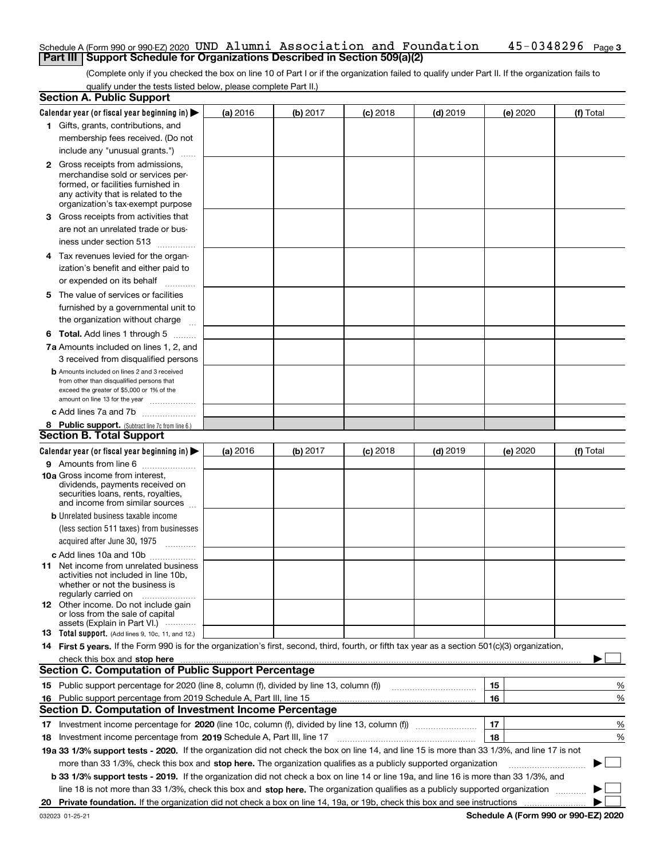### Schedule A (Form 990 or 990-EZ) 2020 <code>UND Alumni Association and Foundation 45-0348296 Page 3</code> **Part III | Support Schedule for Organizations Described in Section 509(a)(2)**

(Complete only if you checked the box on line 10 of Part I or if the organization failed to qualify under Part II. If the organization fails to qualify under the tests listed below, please complete Part II.)

| <b>Section A. Public Support</b>                                                                                                                 |   |          |          |            |            |          |           |
|--------------------------------------------------------------------------------------------------------------------------------------------------|---|----------|----------|------------|------------|----------|-----------|
| Calendar year (or fiscal year beginning in) $\blacktriangleright$                                                                                |   | (a) 2016 | (b) 2017 | $(c)$ 2018 | $(d)$ 2019 | (e) 2020 | (f) Total |
| 1 Gifts, grants, contributions, and                                                                                                              |   |          |          |            |            |          |           |
| membership fees received. (Do not                                                                                                                |   |          |          |            |            |          |           |
| include any "unusual grants.")                                                                                                                   |   |          |          |            |            |          |           |
| <b>2</b> Gross receipts from admissions,                                                                                                         |   |          |          |            |            |          |           |
| merchandise sold or services per-                                                                                                                |   |          |          |            |            |          |           |
| formed, or facilities furnished in                                                                                                               |   |          |          |            |            |          |           |
| any activity that is related to the<br>organization's tax-exempt purpose                                                                         |   |          |          |            |            |          |           |
| 3 Gross receipts from activities that                                                                                                            |   |          |          |            |            |          |           |
| are not an unrelated trade or bus-                                                                                                               |   |          |          |            |            |          |           |
|                                                                                                                                                  |   |          |          |            |            |          |           |
| iness under section 513                                                                                                                          |   |          |          |            |            |          |           |
| 4 Tax revenues levied for the organ-                                                                                                             |   |          |          |            |            |          |           |
| ization's benefit and either paid to                                                                                                             |   |          |          |            |            |          |           |
| or expended on its behalf                                                                                                                        | . |          |          |            |            |          |           |
| 5 The value of services or facilities                                                                                                            |   |          |          |            |            |          |           |
| furnished by a governmental unit to                                                                                                              |   |          |          |            |            |          |           |
| the organization without charge                                                                                                                  |   |          |          |            |            |          |           |
| <b>6 Total.</b> Add lines 1 through 5                                                                                                            |   |          |          |            |            |          |           |
| 7a Amounts included on lines 1, 2, and                                                                                                           |   |          |          |            |            |          |           |
| 3 received from disqualified persons                                                                                                             |   |          |          |            |            |          |           |
| <b>b</b> Amounts included on lines 2 and 3 received                                                                                              |   |          |          |            |            |          |           |
| from other than disqualified persons that                                                                                                        |   |          |          |            |            |          |           |
| exceed the greater of \$5,000 or 1% of the<br>amount on line 13 for the year                                                                     |   |          |          |            |            |          |           |
| c Add lines 7a and 7b                                                                                                                            |   |          |          |            |            |          |           |
| 8 Public support. (Subtract line 7c from line 6.)                                                                                                |   |          |          |            |            |          |           |
| <b>Section B. Total Support</b>                                                                                                                  |   |          |          |            |            |          |           |
| Calendar year (or fiscal year beginning in)                                                                                                      |   | (a) 2016 | (b) 2017 | $(c)$ 2018 | $(d)$ 2019 | (e) 2020 | (f) Total |
| 9 Amounts from line 6                                                                                                                            |   |          |          |            |            |          |           |
| <b>10a</b> Gross income from interest,                                                                                                           |   |          |          |            |            |          |           |
| dividends, payments received on                                                                                                                  |   |          |          |            |            |          |           |
| securities loans, rents, royalties,                                                                                                              |   |          |          |            |            |          |           |
| and income from similar sources                                                                                                                  |   |          |          |            |            |          |           |
| <b>b</b> Unrelated business taxable income                                                                                                       |   |          |          |            |            |          |           |
| (less section 511 taxes) from businesses                                                                                                         |   |          |          |            |            |          |           |
| acquired after June 30, 1975 [10001]                                                                                                             |   |          |          |            |            |          |           |
| c Add lines 10a and 10b                                                                                                                          |   |          |          |            |            |          |           |
| 11 Net income from unrelated business<br>activities not included in line 10b,                                                                    |   |          |          |            |            |          |           |
| whether or not the business is                                                                                                                   |   |          |          |            |            |          |           |
| regularly carried on                                                                                                                             |   |          |          |            |            |          |           |
| <b>12</b> Other income. Do not include gain<br>or loss from the sale of capital                                                                  |   |          |          |            |            |          |           |
| assets (Explain in Part VI.)                                                                                                                     |   |          |          |            |            |          |           |
| <b>13</b> Total support. (Add lines 9, 10c, 11, and 12.)                                                                                         |   |          |          |            |            |          |           |
| 14 First 5 years. If the Form 990 is for the organization's first, second, third, fourth, or fifth tax year as a section 501(c)(3) organization, |   |          |          |            |            |          |           |
| check this box and stop here measurements are constructed as the state of the state of the state of the state o                                  |   |          |          |            |            |          |           |
| <b>Section C. Computation of Public Support Percentage</b>                                                                                       |   |          |          |            |            |          |           |
| 15 Public support percentage for 2020 (line 8, column (f), divided by line 13, column (f))                                                       |   |          |          |            |            | 15       | %         |
| 16 Public support percentage from 2019 Schedule A, Part III, line 15                                                                             |   |          |          |            |            | 16       | %         |
| <b>Section D. Computation of Investment Income Percentage</b>                                                                                    |   |          |          |            |            |          |           |
| Investment income percentage for 2020 (line 10c, column (f), divided by line 13, column (f))<br>17                                               |   |          |          |            |            | 17       | %         |
| <b>18</b> Investment income percentage from <b>2019</b> Schedule A, Part III, line 17                                                            |   |          |          |            |            | 18       | %         |
| 19a 33 1/3% support tests - 2020. If the organization did not check the box on line 14, and line 15 is more than 33 1/3%, and line 17 is not     |   |          |          |            |            |          |           |
| more than 33 1/3%, check this box and stop here. The organization qualifies as a publicly supported organization                                 |   |          |          |            |            |          | ▶         |
| b 33 1/3% support tests - 2019. If the organization did not check a box on line 14 or line 19a, and line 16 is more than 33 1/3%, and            |   |          |          |            |            |          |           |
| line 18 is not more than 33 1/3%, check this box and stop here. The organization qualifies as a publicly supported organization                  |   |          |          |            |            |          |           |
| 20                                                                                                                                               |   |          |          |            |            |          |           |
|                                                                                                                                                  |   |          |          |            |            |          |           |

**Schedule A (Form 990 or 990-EZ) 2020**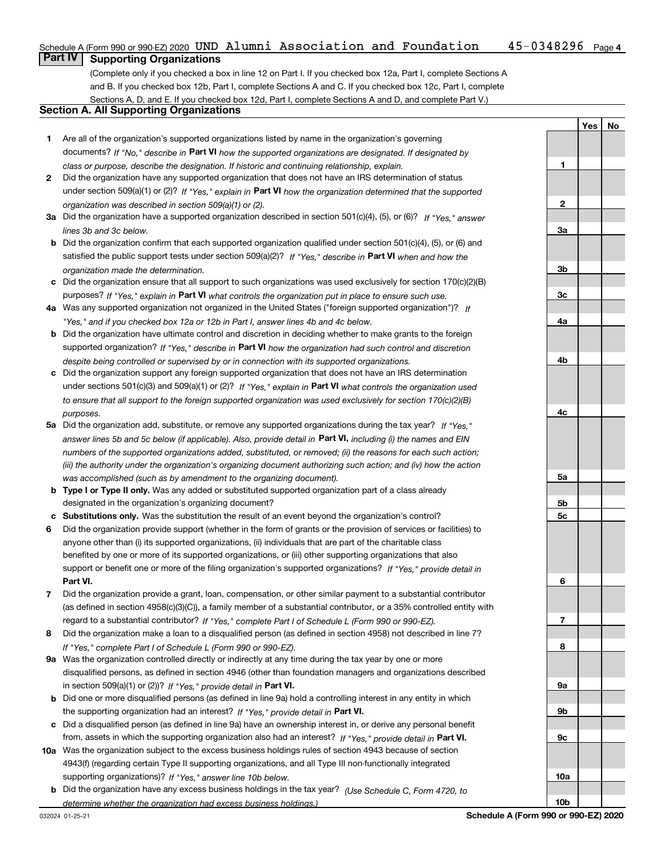### Schedule A (Form 990 or 990-EZ) 2020 <code>UND Alumni Association and Foundation 45-0348296 Page 4</code> **Part IV Supporting Organizations**

(Complete only if you checked a box in line 12 on Part I. If you checked box 12a, Part I, complete Sections A and B. If you checked box 12b, Part I, complete Sections A and C. If you checked box 12c, Part I, complete Sections A, D, and E. If you checked box 12d, Part I, complete Sections A and D, and complete Part V.)

## **Section A. All Supporting Organizations**

- **1** Are all of the organization's supported organizations listed by name in the organization's governing documents? If "No," describe in **Part VI** how the supported organizations are designated. If designated by *class or purpose, describe the designation. If historic and continuing relationship, explain.*
- **2** Did the organization have any supported organization that does not have an IRS determination of status under section 509(a)(1) or (2)? If "Yes," explain in Part VI how the organization determined that the supported *organization was described in section 509(a)(1) or (2).*
- **3a** Did the organization have a supported organization described in section 501(c)(4), (5), or (6)? If "Yes," answer *lines 3b and 3c below.*
- **b** Did the organization confirm that each supported organization qualified under section 501(c)(4), (5), or (6) and satisfied the public support tests under section 509(a)(2)? If "Yes," describe in **Part VI** when and how the *organization made the determination.*
- **c**Did the organization ensure that all support to such organizations was used exclusively for section 170(c)(2)(B) purposes? If "Yes," explain in **Part VI** what controls the organization put in place to ensure such use.
- **4a***If* Was any supported organization not organized in the United States ("foreign supported organization")? *"Yes," and if you checked box 12a or 12b in Part I, answer lines 4b and 4c below.*
- **b** Did the organization have ultimate control and discretion in deciding whether to make grants to the foreign supported organization? If "Yes," describe in **Part VI** how the organization had such control and discretion *despite being controlled or supervised by or in connection with its supported organizations.*
- **c** Did the organization support any foreign supported organization that does not have an IRS determination under sections 501(c)(3) and 509(a)(1) or (2)? If "Yes," explain in **Part VI** what controls the organization used *to ensure that all support to the foreign supported organization was used exclusively for section 170(c)(2)(B) purposes.*
- **5a***If "Yes,"* Did the organization add, substitute, or remove any supported organizations during the tax year? answer lines 5b and 5c below (if applicable). Also, provide detail in **Part VI,** including (i) the names and EIN *numbers of the supported organizations added, substituted, or removed; (ii) the reasons for each such action; (iii) the authority under the organization's organizing document authorizing such action; and (iv) how the action was accomplished (such as by amendment to the organizing document).*
- **b** Type I or Type II only. Was any added or substituted supported organization part of a class already designated in the organization's organizing document?
- **cSubstitutions only.**  Was the substitution the result of an event beyond the organization's control?
- **6** Did the organization provide support (whether in the form of grants or the provision of services or facilities) to **Part VI.** *If "Yes," provide detail in* support or benefit one or more of the filing organization's supported organizations? anyone other than (i) its supported organizations, (ii) individuals that are part of the charitable class benefited by one or more of its supported organizations, or (iii) other supporting organizations that also
- **7**Did the organization provide a grant, loan, compensation, or other similar payment to a substantial contributor *If "Yes," complete Part I of Schedule L (Form 990 or 990-EZ).* regard to a substantial contributor? (as defined in section 4958(c)(3)(C)), a family member of a substantial contributor, or a 35% controlled entity with
- **8** Did the organization make a loan to a disqualified person (as defined in section 4958) not described in line 7? *If "Yes," complete Part I of Schedule L (Form 990 or 990-EZ).*
- **9a** Was the organization controlled directly or indirectly at any time during the tax year by one or more in section 509(a)(1) or (2))? If "Yes," *provide detail in* <code>Part VI.</code> disqualified persons, as defined in section 4946 (other than foundation managers and organizations described
- **b** Did one or more disqualified persons (as defined in line 9a) hold a controlling interest in any entity in which the supporting organization had an interest? If "Yes," provide detail in P**art VI**.
- **c**Did a disqualified person (as defined in line 9a) have an ownership interest in, or derive any personal benefit from, assets in which the supporting organization also had an interest? If "Yes," provide detail in P**art VI.**
- **10a** Was the organization subject to the excess business holdings rules of section 4943 because of section supporting organizations)? If "Yes," answer line 10b below. 4943(f) (regarding certain Type II supporting organizations, and all Type III non-functionally integrated
- **b** Did the organization have any excess business holdings in the tax year? (Use Schedule C, Form 4720, to *determine whether the organization had excess business holdings.)*

**123a3b3c4a4b4c5a 5b5c6789a 9b9c10a**

**YesNo**

**10b**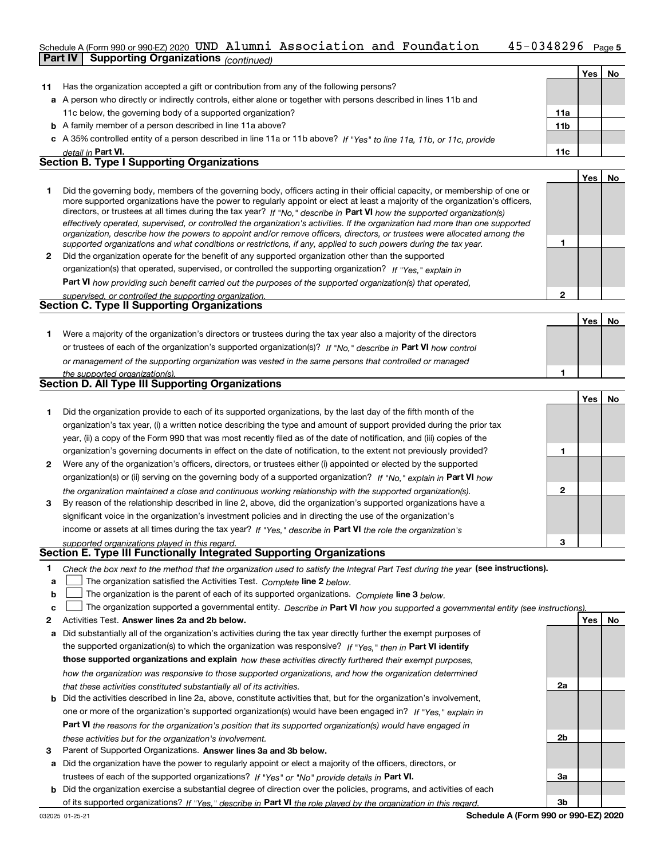### 45-0348296 Page 5 Schedule A (Form 990 or 990-EZ) 2020 <code>UND Alumni Association and Foundation 45-0348296 Page</code> **Part IV Supporting Organizations** *(continued)*

|    |                                                                                                                                                                                                                                                                                                                                                                                                                                                                                                                          |                 | Yes | <b>No</b> |
|----|--------------------------------------------------------------------------------------------------------------------------------------------------------------------------------------------------------------------------------------------------------------------------------------------------------------------------------------------------------------------------------------------------------------------------------------------------------------------------------------------------------------------------|-----------------|-----|-----------|
| 11 | Has the organization accepted a gift or contribution from any of the following persons?                                                                                                                                                                                                                                                                                                                                                                                                                                  |                 |     |           |
|    | a A person who directly or indirectly controls, either alone or together with persons described in lines 11b and                                                                                                                                                                                                                                                                                                                                                                                                         |                 |     |           |
|    | 11c below, the governing body of a supported organization?                                                                                                                                                                                                                                                                                                                                                                                                                                                               | 11a             |     |           |
|    | <b>b</b> A family member of a person described in line 11a above?                                                                                                                                                                                                                                                                                                                                                                                                                                                        | 11 <sub>b</sub> |     |           |
|    | c A 35% controlled entity of a person described in line 11a or 11b above? If "Yes" to line 11a, 11b, or 11c, provide                                                                                                                                                                                                                                                                                                                                                                                                     |                 |     |           |
|    | detail in Part VI.                                                                                                                                                                                                                                                                                                                                                                                                                                                                                                       | 11c             |     |           |
|    | <b>Section B. Type I Supporting Organizations</b>                                                                                                                                                                                                                                                                                                                                                                                                                                                                        |                 |     |           |
|    |                                                                                                                                                                                                                                                                                                                                                                                                                                                                                                                          |                 | Yes | No        |
|    | Did the governing body, members of the governing body, officers acting in their official capacity, or membership of one or<br>more supported organizations have the power to regularly appoint or elect at least a majority of the organization's officers,<br>directors, or trustees at all times during the tax year? If "No," describe in Part VI how the supported organization(s)<br>effectively operated, supervised, or controlled the organization's activities. If the organization had more than one supported |                 |     |           |

|              | and and a later and a later than the community of the memorial and and and and and and and and and adopted to            |
|--------------|--------------------------------------------------------------------------------------------------------------------------|
|              | organization, describe how the powers to appoint and/or remove officers, directors, or trustees were allocated among the |
|              | supported organizations and what conditions or restrictions, if any, applied to such powers during the tax year.         |
| $\mathbf{2}$ | Did the organization operate for the benefit of any supported organization other than the supported                      |
|              | organization(s) that operated, supervised, or controlled the supporting organization? If "Yes," explain in               |
|              |                                                                                                                          |

**Part VI**  *how providing such benefit carried out the purposes of the supported organization(s) that operated,*

| supervised, or controlled the supporting organization. |  |
|--------------------------------------------------------|--|
| <b>Section C. Type II Supporting Organizations</b>     |  |
|                                                        |  |

**1**or trustees of each of the organization's supported organization(s)? If "No," describe in **Part VI** how control **1***or management of the supporting organization was vested in the same persons that controlled or managed the supported organization(s).* Were a majority of the organization's directors or trustees during the tax year also a majority of the directors

| <b>Section D. All Type III Supporting Organizations</b> |  |
|---------------------------------------------------------|--|
|                                                         |  |

|                |                                                                                                                        |   | Yes   No |  |
|----------------|------------------------------------------------------------------------------------------------------------------------|---|----------|--|
|                | Did the organization provide to each of its supported organizations, by the last day of the fifth month of the         |   |          |  |
|                | organization's tax year, (i) a written notice describing the type and amount of support provided during the prior tax  |   |          |  |
|                | year, (ii) a copy of the Form 990 that was most recently filed as of the date of notification, and (iii) copies of the |   |          |  |
|                | organization's governing documents in effect on the date of notification, to the extent not previously provided?       |   |          |  |
| $\overline{2}$ | Were any of the organization's officers, directors, or trustees either (i) appointed or elected by the supported       |   |          |  |
|                | organization(s) or (ii) serving on the governing body of a supported organization? If "No," explain in Part VI how     |   |          |  |
|                | the organization maintained a close and continuous working relationship with the supported organization(s).            | 2 |          |  |
| 3              | By reason of the relationship described in line 2, above, did the organization's supported organizations have a        |   |          |  |
|                | significant voice in the organization's investment policies and in directing the use of the organization's             |   |          |  |
|                | income or assets at all times during the tax year? If "Yes," describe in Part VI the role the organization's           |   |          |  |
|                | supported organizations played in this regard.                                                                         | з |          |  |

# *supported organizations played in this regard.* **Section E. Type III Functionally Integrated Supporting Organizations**

- **1**Check the box next to the method that the organization used to satisfy the Integral Part Test during the year (see instructions).
- **alinupy** The organization satisfied the Activities Test. Complete line 2 below.
- **b**The organization is the parent of each of its supported organizations. *Complete* line 3 *below.*  $\mathcal{L}^{\text{max}}$

|  |  | $\mathbf{c}$ The organization supported a governmental entity. Describe in Part VI how you supported a governmental entity (see instructions). |  |  |  |  |
|--|--|------------------------------------------------------------------------------------------------------------------------------------------------|--|--|--|--|
|--|--|------------------------------------------------------------------------------------------------------------------------------------------------|--|--|--|--|

- **2Answer lines 2a and 2b below. Yes No** Activities Test.
- **a** Did substantially all of the organization's activities during the tax year directly further the exempt purposes of the supported organization(s) to which the organization was responsive? If "Yes," then in **Part VI identify those supported organizations and explain**  *how these activities directly furthered their exempt purposes, how the organization was responsive to those supported organizations, and how the organization determined that these activities constituted substantially all of its activities.*
- **b** Did the activities described in line 2a, above, constitute activities that, but for the organization's involvement, **Part VI**  *the reasons for the organization's position that its supported organization(s) would have engaged in* one or more of the organization's supported organization(s) would have been engaged in? If "Yes," e*xplain in these activities but for the organization's involvement.*
- **3** Parent of Supported Organizations. Answer lines 3a and 3b below.
- **a** Did the organization have the power to regularly appoint or elect a majority of the officers, directors, or trustees of each of the supported organizations? If "Yes" or "No" provide details in **Part VI.**
- **b** Did the organization exercise a substantial degree of direction over the policies, programs, and activities of each of its supported organizations? If "Yes," describe in Part VI the role played by the organization in this regard.

**2a**

**2b**

**3a**

**3b**

**1**

**2**

**YesNo**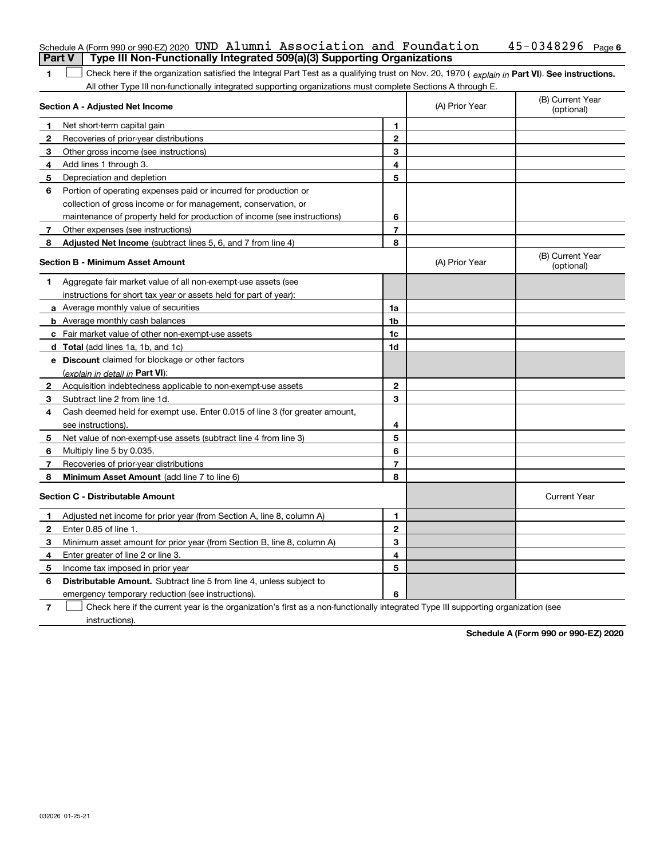|        | Schedule A (Form 990 or 990-EZ) 2020 UND Alumni Association and Foundation                                                                     |                |                | $45 - 0348296$ Page 6          |
|--------|------------------------------------------------------------------------------------------------------------------------------------------------|----------------|----------------|--------------------------------|
| Part V | Type III Non-Functionally Integrated 509(a)(3) Supporting Organizations                                                                        |                |                |                                |
| 1      | Check here if the organization satisfied the Integral Part Test as a qualifying trust on Nov. 20, 1970 (explain in Part VI). See instructions. |                |                |                                |
|        | All other Type III non-functionally integrated supporting organizations must complete Sections A through E.                                    |                |                |                                |
|        | Section A - Adjusted Net Income                                                                                                                |                | (A) Prior Year | (B) Current Year<br>(optional) |
|        | Net short-term capital gain                                                                                                                    | 1              |                |                                |
| 2      | Recoveries of prior-year distributions                                                                                                         | $\overline{2}$ |                |                                |
| З      | Other gross income (see instructions)                                                                                                          | 3              |                |                                |
| 4      | Add lines 1 through 3.                                                                                                                         | 4              |                |                                |
| 5      | Depreciation and depletion                                                                                                                     | 5              |                |                                |
| 6      | Portion of operating expenses paid or incurred for production or                                                                               |                |                |                                |
|        | collection of gross income or for management, conservation, or                                                                                 |                |                |                                |
|        | maintenance of property held for production of income (see instructions)                                                                       | 6              |                |                                |
| 7      | Other expenses (see instructions)                                                                                                              | 7              |                |                                |
| 8      | Adjusted Net Income (subtract lines 5, 6, and 7 from line 4)                                                                                   | 8              |                |                                |
|        | Section B - Minimum Asset Amount                                                                                                               |                | (A) Prior Year | (B) Current Year<br>(optional) |
| 1.     | Aggregate fair market value of all non-exempt-use assets (see                                                                                  |                |                |                                |
|        | instructions for short tax year or assets held for part of year):                                                                              |                |                |                                |
|        | a Average monthly value of securities                                                                                                          | 1a             |                |                                |
|        | <b>b</b> Average monthly cash balances                                                                                                         | 1b             |                |                                |
|        | c Fair market value of other non-exempt-use assets                                                                                             | 1c             |                |                                |
|        | d Total (add lines 1a, 1b, and 1c)                                                                                                             | 1d             |                |                                |
|        | e Discount claimed for blockage or other factors                                                                                               |                |                |                                |
|        | (explain in detail in Part VI):                                                                                                                |                |                |                                |
| 2      | Acquisition indebtedness applicable to non-exempt-use assets                                                                                   | $\mathbf{2}$   |                |                                |
| 3      | Subtract line 2 from line 1d.                                                                                                                  | 3              |                |                                |
| 4      | Cash deemed held for exempt use. Enter 0.015 of line 3 (for greater amount,                                                                    |                |                |                                |
|        | see instructions).                                                                                                                             | 4              |                |                                |
| 5      | Net value of non-exempt-use assets (subtract line 4 from line 3)                                                                               | 5              |                |                                |
| 6      | Multiply line 5 by 0.035.                                                                                                                      | 6              |                |                                |
| 7      | Recoveries of prior-year distributions                                                                                                         | 7              |                |                                |
| 8      | Minimum Asset Amount (add line 7 to line 6)                                                                                                    | 8              |                |                                |
|        | <b>Section C - Distributable Amount</b>                                                                                                        |                |                | <b>Current Year</b>            |
|        | Adjusted net income for prior year (from Section A, line 8, column A)                                                                          | 1              |                |                                |
| 2      | Enter 0.85 of line 1.                                                                                                                          | 2              |                |                                |
| 3      | Minimum asset amount for prior year (from Section B, line 8, column A)                                                                         | 3              |                |                                |
| 4      | Enter greater of line 2 or line 3.                                                                                                             | 4              |                |                                |
| 5      | Income tax imposed in prior year                                                                                                               | 5              |                |                                |
| 6      | Distributable Amount. Subtract line 5 from line 4, unless subject to                                                                           |                |                |                                |
|        | emergency temporary reduction (see instructions).                                                                                              | 6              |                |                                |
| 7      | Check here if the current year is the organization's first as a non-functionally integrated Type III supporting organization (see              |                |                |                                |

instructions).

**Schedule A (Form 990 or 990-EZ) 2020**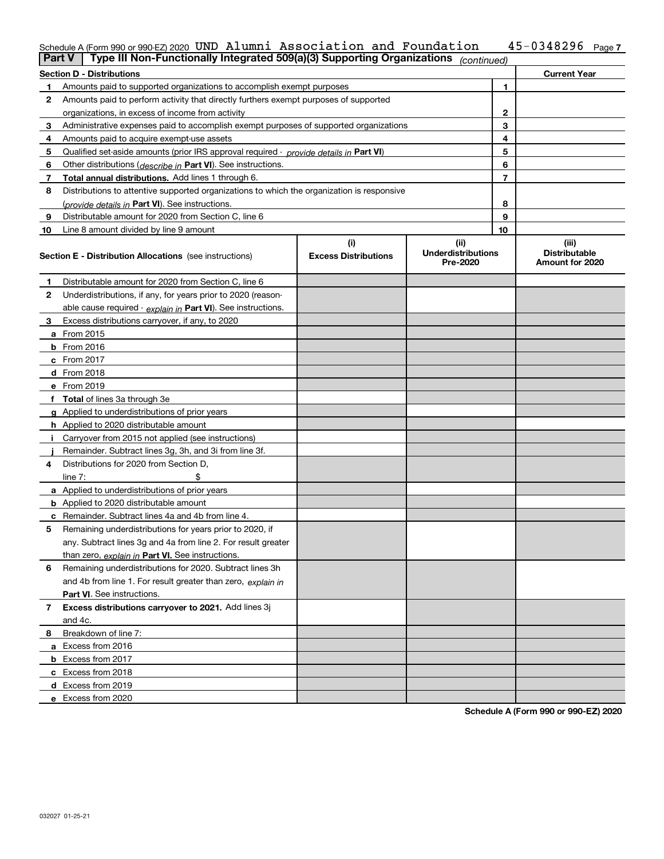### **7** Schedule A (Form 990 or 990-EZ) 2020 <code>UND Alumni Association and Foundation 45-0348296 Page</code>

| <b>Part V</b> | Type III Non-Functionally Integrated 509(a)(3) Supporting Organizations $ _{\text{continued}}\rangle$ |                             |                                       |                |                                         |
|---------------|-------------------------------------------------------------------------------------------------------|-----------------------------|---------------------------------------|----------------|-----------------------------------------|
|               | <b>Section D - Distributions</b>                                                                      |                             |                                       |                | <b>Current Year</b>                     |
| 1             | Amounts paid to supported organizations to accomplish exempt purposes                                 | 1                           |                                       |                |                                         |
| 2             | Amounts paid to perform activity that directly furthers exempt purposes of supported                  |                             |                                       |                |                                         |
|               | organizations, in excess of income from activity                                                      |                             |                                       | 2              |                                         |
| 3             | Administrative expenses paid to accomplish exempt purposes of supported organizations                 | 3                           |                                       |                |                                         |
| 4             | Amounts paid to acquire exempt-use assets                                                             |                             |                                       | 4              |                                         |
| 5             | Qualified set-aside amounts (prior IRS approval required - <i>provide details in</i> Part VI)         |                             |                                       | 5              |                                         |
| 6             | Other distributions ( <i>describe in</i> Part VI). See instructions.                                  |                             |                                       | 6              |                                         |
| 7             | Total annual distributions. Add lines 1 through 6.                                                    |                             |                                       | $\overline{7}$ |                                         |
| 8             | Distributions to attentive supported organizations to which the organization is responsive            |                             |                                       |                |                                         |
|               | (provide details in Part VI). See instructions.                                                       |                             |                                       | 8              |                                         |
| 9             | Distributable amount for 2020 from Section C, line 6                                                  |                             |                                       | 9              |                                         |
| 10            | Line 8 amount divided by line 9 amount                                                                |                             |                                       | 10             |                                         |
|               |                                                                                                       | (i)                         | (ii)                                  |                | (iii)                                   |
|               | <b>Section E - Distribution Allocations</b> (see instructions)                                        | <b>Excess Distributions</b> | <b>Underdistributions</b><br>Pre-2020 |                | <b>Distributable</b><br>Amount for 2020 |
| 1             | Distributable amount for 2020 from Section C, line 6                                                  |                             |                                       |                |                                         |
| 2             | Underdistributions, if any, for years prior to 2020 (reason-                                          |                             |                                       |                |                                         |
|               | able cause required - explain in Part VI). See instructions.                                          |                             |                                       |                |                                         |
| 3             | Excess distributions carryover, if any, to 2020                                                       |                             |                                       |                |                                         |
|               | a From 2015                                                                                           |                             |                                       |                |                                         |
|               | <b>b</b> From 2016                                                                                    |                             |                                       |                |                                         |
|               | $c$ From 2017                                                                                         |                             |                                       |                |                                         |
|               | d From 2018                                                                                           |                             |                                       |                |                                         |
|               | e From 2019                                                                                           |                             |                                       |                |                                         |
|               | f Total of lines 3a through 3e                                                                        |                             |                                       |                |                                         |
|               | g Applied to underdistributions of prior years                                                        |                             |                                       |                |                                         |
|               | <b>h</b> Applied to 2020 distributable amount                                                         |                             |                                       |                |                                         |
|               | Carryover from 2015 not applied (see instructions)                                                    |                             |                                       |                |                                         |
|               | Remainder. Subtract lines 3g, 3h, and 3i from line 3f.                                                |                             |                                       |                |                                         |
| 4             | Distributions for 2020 from Section D,                                                                |                             |                                       |                |                                         |
|               | line $7:$                                                                                             |                             |                                       |                |                                         |
|               | a Applied to underdistributions of prior years                                                        |                             |                                       |                |                                         |
|               | <b>b</b> Applied to 2020 distributable amount                                                         |                             |                                       |                |                                         |
|               | c Remainder. Subtract lines 4a and 4b from line 4.                                                    |                             |                                       |                |                                         |
| 5.            | Remaining underdistributions for years prior to 2020, if                                              |                             |                                       |                |                                         |
|               | any. Subtract lines 3g and 4a from line 2. For result greater                                         |                             |                                       |                |                                         |
|               | than zero, explain in Part VI. See instructions.                                                      |                             |                                       |                |                                         |
| 6             | Remaining underdistributions for 2020. Subtract lines 3h                                              |                             |                                       |                |                                         |
|               | and 4b from line 1. For result greater than zero, explain in                                          |                             |                                       |                |                                         |
|               | Part VI. See instructions.                                                                            |                             |                                       |                |                                         |
| 7             | Excess distributions carryover to 2021. Add lines 3j                                                  |                             |                                       |                |                                         |
|               | and 4c.                                                                                               |                             |                                       |                |                                         |
| 8             | Breakdown of line 7:                                                                                  |                             |                                       |                |                                         |
|               | a Excess from 2016                                                                                    |                             |                                       |                |                                         |
|               | <b>b</b> Excess from 2017                                                                             |                             |                                       |                |                                         |
|               | c Excess from 2018                                                                                    |                             |                                       |                |                                         |
|               | d Excess from 2019                                                                                    |                             |                                       |                |                                         |
|               | e Excess from 2020                                                                                    |                             |                                       |                |                                         |

**Schedule A (Form 990 or 990-EZ) 2020**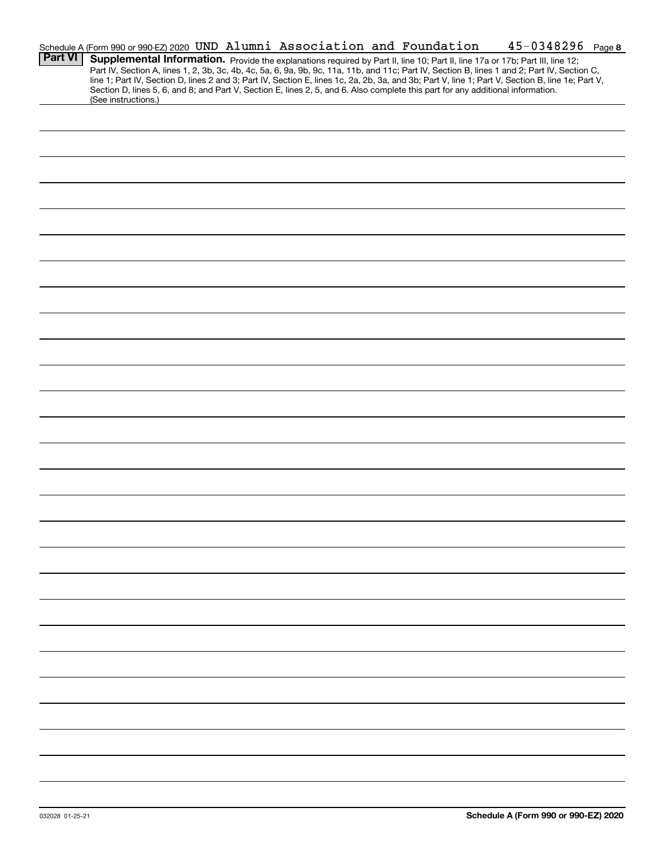|                | Schedule A (Form 990 or 990-EZ) 2020 UND Alumni Association and Foundation                                                                                                                                                                                                                                                                                                                                                        |  |  | $45 - 0348296$ Page 8 |  |
|----------------|-----------------------------------------------------------------------------------------------------------------------------------------------------------------------------------------------------------------------------------------------------------------------------------------------------------------------------------------------------------------------------------------------------------------------------------|--|--|-----------------------|--|
| <b>Part VI</b> | Supplemental Information. Provide the explanations required by Part II, line 10; Part II, line 17a or 17b; Part III, line 12;<br>Part IV, Section A, lines 1, 2, 3b, 3c, 4b, 4c, 5a, 6, 9a, 9b, 9c, 11a, 11b, and 11c; Part IV, Section B, lines 1 and 2; Part IV, Section C,<br>line 1; Part IV, Section D, lines 2 and 3; Part IV, Section E, lines 1c, 2a, 2b, 3a, and 3b; Part V, line 1; Part V, Section B, line 1e; Part V, |  |  |                       |  |
|                | Section D, lines 5, 6, and 8; and Part V, Section E, lines 2, 5, and 6. Also complete this part for any additional information.<br>(See instructions.)                                                                                                                                                                                                                                                                            |  |  |                       |  |
|                |                                                                                                                                                                                                                                                                                                                                                                                                                                   |  |  |                       |  |
|                |                                                                                                                                                                                                                                                                                                                                                                                                                                   |  |  |                       |  |
|                |                                                                                                                                                                                                                                                                                                                                                                                                                                   |  |  |                       |  |
|                |                                                                                                                                                                                                                                                                                                                                                                                                                                   |  |  |                       |  |
|                |                                                                                                                                                                                                                                                                                                                                                                                                                                   |  |  |                       |  |
|                |                                                                                                                                                                                                                                                                                                                                                                                                                                   |  |  |                       |  |
|                |                                                                                                                                                                                                                                                                                                                                                                                                                                   |  |  |                       |  |
|                |                                                                                                                                                                                                                                                                                                                                                                                                                                   |  |  |                       |  |
|                |                                                                                                                                                                                                                                                                                                                                                                                                                                   |  |  |                       |  |
|                |                                                                                                                                                                                                                                                                                                                                                                                                                                   |  |  |                       |  |
|                |                                                                                                                                                                                                                                                                                                                                                                                                                                   |  |  |                       |  |
|                |                                                                                                                                                                                                                                                                                                                                                                                                                                   |  |  |                       |  |
|                |                                                                                                                                                                                                                                                                                                                                                                                                                                   |  |  |                       |  |
|                |                                                                                                                                                                                                                                                                                                                                                                                                                                   |  |  |                       |  |
|                |                                                                                                                                                                                                                                                                                                                                                                                                                                   |  |  |                       |  |
|                |                                                                                                                                                                                                                                                                                                                                                                                                                                   |  |  |                       |  |
|                |                                                                                                                                                                                                                                                                                                                                                                                                                                   |  |  |                       |  |
|                |                                                                                                                                                                                                                                                                                                                                                                                                                                   |  |  |                       |  |
|                |                                                                                                                                                                                                                                                                                                                                                                                                                                   |  |  |                       |  |
|                |                                                                                                                                                                                                                                                                                                                                                                                                                                   |  |  |                       |  |
|                |                                                                                                                                                                                                                                                                                                                                                                                                                                   |  |  |                       |  |
|                |                                                                                                                                                                                                                                                                                                                                                                                                                                   |  |  |                       |  |
|                |                                                                                                                                                                                                                                                                                                                                                                                                                                   |  |  |                       |  |
|                |                                                                                                                                                                                                                                                                                                                                                                                                                                   |  |  |                       |  |
|                |                                                                                                                                                                                                                                                                                                                                                                                                                                   |  |  |                       |  |
|                |                                                                                                                                                                                                                                                                                                                                                                                                                                   |  |  |                       |  |
|                |                                                                                                                                                                                                                                                                                                                                                                                                                                   |  |  |                       |  |
|                |                                                                                                                                                                                                                                                                                                                                                                                                                                   |  |  |                       |  |
|                |                                                                                                                                                                                                                                                                                                                                                                                                                                   |  |  |                       |  |
|                |                                                                                                                                                                                                                                                                                                                                                                                                                                   |  |  |                       |  |
|                |                                                                                                                                                                                                                                                                                                                                                                                                                                   |  |  |                       |  |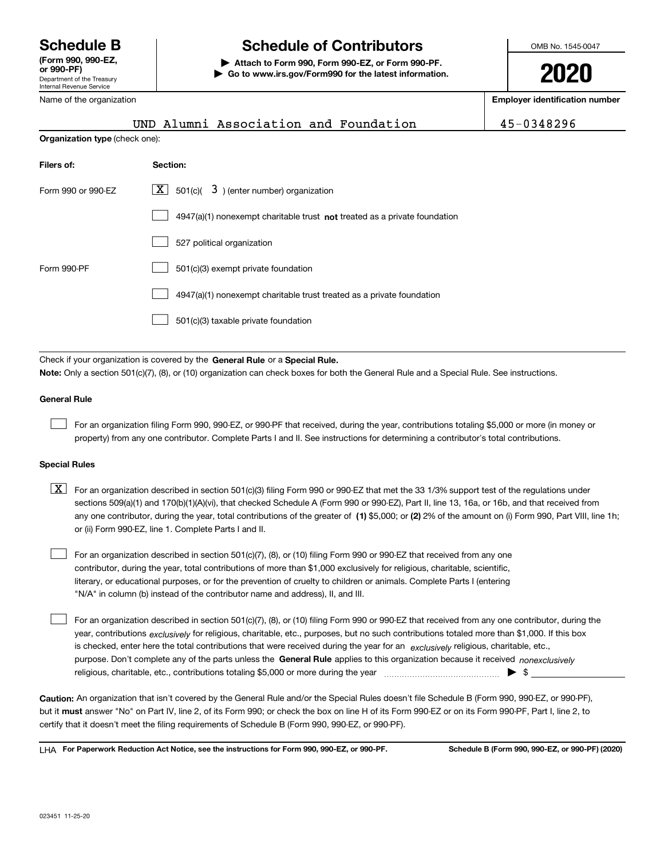### Department of the Treasury Internal Revenue Service **or 990-PF)**

## Name of the organization

# **Schedule B Schedule of Contributors**

**| Attach to Form 990, Form 990-EZ, or Form 990-PF. | Go to www.irs.gov/Form990 for the latest information.** OMB No. 1545-0047

**2020**

**Employer identification number**

|                                                                  | UND Alumni Association and Foundation                                                                                                     | 45-0348296 |  |  |  |  |  |
|------------------------------------------------------------------|-------------------------------------------------------------------------------------------------------------------------------------------|------------|--|--|--|--|--|
| Organization type (check one):                                   |                                                                                                                                           |            |  |  |  |  |  |
| Filers of:                                                       | Section:                                                                                                                                  |            |  |  |  |  |  |
| $X$ 501(c)( 3) (enter number) organization<br>Form 990 or 990-EZ |                                                                                                                                           |            |  |  |  |  |  |
|                                                                  | $4947(a)(1)$ nonexempt charitable trust not treated as a private foundation                                                               |            |  |  |  |  |  |
|                                                                  | 527 political organization                                                                                                                |            |  |  |  |  |  |
| Form 990-PF                                                      | 501(c)(3) exempt private foundation                                                                                                       |            |  |  |  |  |  |
|                                                                  | 4947(a)(1) nonexempt charitable trust treated as a private foundation                                                                     |            |  |  |  |  |  |
|                                                                  | 501(c)(3) taxable private foundation                                                                                                      |            |  |  |  |  |  |
|                                                                  |                                                                                                                                           |            |  |  |  |  |  |
|                                                                  | Check if your organization is covered by the General Rule or a Special Rule.                                                              |            |  |  |  |  |  |
|                                                                  | Note: Only a section 501(c)(7), (8), or (10) organization can check boxes for both the General Rule and a Special Rule. See instructions. |            |  |  |  |  |  |
| <b>General Rule</b>                                              |                                                                                                                                           |            |  |  |  |  |  |

For an organization filing Form 990, 990-EZ, or 990-PF that received, during the year, contributions totaling \$5,000 or more (in money or property) from any one contributor. Complete Parts I and II. See instructions for determining a contributor's total contributions.  $\mathcal{L}^{\text{max}}$ 

### **Special Rules**

any one contributor, during the year, total contributions of the greater of  $\,$  (1) \$5,000; or **(2)** 2% of the amount on (i) Form 990, Part VIII, line 1h;  $\boxed{\textbf{X}}$  For an organization described in section 501(c)(3) filing Form 990 or 990-EZ that met the 33 1/3% support test of the regulations under sections 509(a)(1) and 170(b)(1)(A)(vi), that checked Schedule A (Form 990 or 990-EZ), Part II, line 13, 16a, or 16b, and that received from or (ii) Form 990-EZ, line 1. Complete Parts I and II.

For an organization described in section 501(c)(7), (8), or (10) filing Form 990 or 990-EZ that received from any one contributor, during the year, total contributions of more than \$1,000 exclusively for religious, charitable, scientific, literary, or educational purposes, or for the prevention of cruelty to children or animals. Complete Parts I (entering "N/A" in column (b) instead of the contributor name and address), II, and III.  $\mathcal{L}^{\text{max}}$ 

purpose. Don't complete any of the parts unless the **General Rule** applies to this organization because it received *nonexclusively* year, contributions <sub>exclusively</sub> for religious, charitable, etc., purposes, but no such contributions totaled more than \$1,000. If this box is checked, enter here the total contributions that were received during the year for an  $\;$ exclusively religious, charitable, etc., For an organization described in section 501(c)(7), (8), or (10) filing Form 990 or 990-EZ that received from any one contributor, during the religious, charitable, etc., contributions totaling \$5,000 or more during the year  $\Box$ — $\Box$   $\Box$  $\mathcal{L}^{\text{max}}$ 

**Caution:**  An organization that isn't covered by the General Rule and/or the Special Rules doesn't file Schedule B (Form 990, 990-EZ, or 990-PF),  **must** but it answer "No" on Part IV, line 2, of its Form 990; or check the box on line H of its Form 990-EZ or on its Form 990-PF, Part I, line 2, to certify that it doesn't meet the filing requirements of Schedule B (Form 990, 990-EZ, or 990-PF).

**For Paperwork Reduction Act Notice, see the instructions for Form 990, 990-EZ, or 990-PF. Schedule B (Form 990, 990-EZ, or 990-PF) (2020)** LHA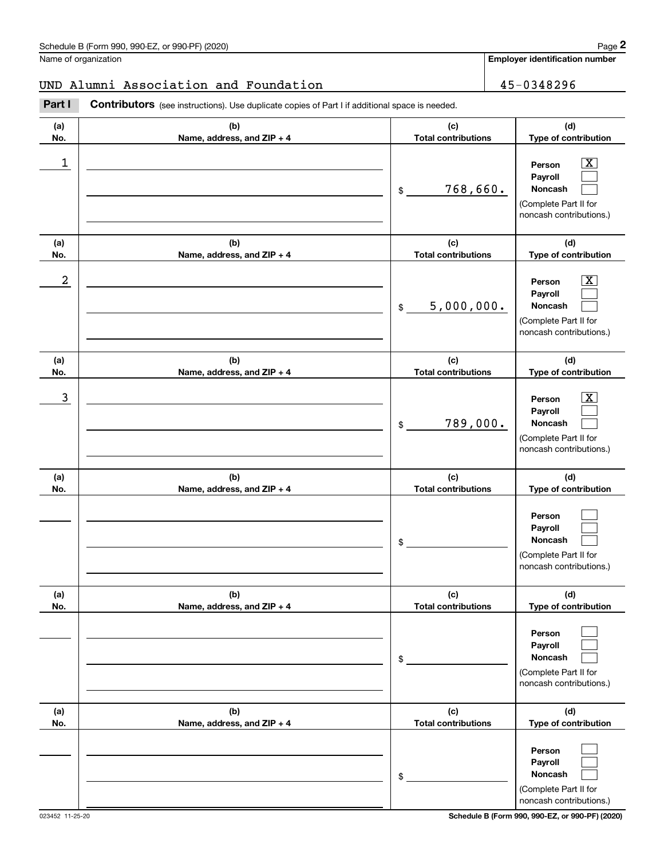## UND Alumni Association and Foundation 45-0348296

|            | Schedule B (Form 990, 990-EZ, or 990-PF) (2020)                                                       |                                   | Page 2                                                                                                      |
|------------|-------------------------------------------------------------------------------------------------------|-----------------------------------|-------------------------------------------------------------------------------------------------------------|
|            | Name of organization                                                                                  |                                   | <b>Employer identification number</b>                                                                       |
|            | UND Alumni Association and Foundation                                                                 |                                   | 45-0348296                                                                                                  |
| Part I     | <b>Contributors</b> (see instructions). Use duplicate copies of Part I if additional space is needed. |                                   |                                                                                                             |
| (a)<br>No. | (b)<br>Name, address, and ZIP + 4                                                                     | (c)<br><b>Total contributions</b> | (d)<br>Type of contribution                                                                                 |
| 1          |                                                                                                       | 768,660.<br>\$                    | $\overline{\mathbf{X}}$<br>Person<br>Payroll<br>Noncash<br>(Complete Part II for<br>noncash contributions.) |
| (a)<br>No. | (b)<br>Name, address, and ZIP + 4                                                                     | (c)<br><b>Total contributions</b> | (d)<br>Type of contribution                                                                                 |
| 2          |                                                                                                       | 5,000,000.<br>\$                  | $\overline{\text{X}}$<br>Person<br>Payroll<br>Noncash<br>(Complete Part II for<br>noncash contributions.)   |
| (a)<br>No. | (b)<br>Name, address, and ZIP + 4                                                                     | (c)<br><b>Total contributions</b> | (d)<br>Type of contribution                                                                                 |
| 3          |                                                                                                       | 789,000.<br>\$                    | $\overline{\text{X}}$<br>Person<br>Payroll<br>Noncash<br>(Complete Part II for<br>noncash contributions.)   |
| (a)<br>No. | (b)<br>Name, address, and ZIP + 4                                                                     | (c)<br><b>Total contributions</b> | (d)<br>Type of contribution                                                                                 |
|            |                                                                                                       | \$                                | Person<br>Payroll<br><b>Noncash</b><br>(Complete Part II for<br>noncash contributions.)                     |
| (a)<br>No. | (b)<br>Name, address, and ZIP + 4                                                                     | (c)<br><b>Total contributions</b> | (d)<br>Type of contribution                                                                                 |
|            |                                                                                                       | \$                                | Person<br>Payroll<br>Noncash<br>(Complete Part II for<br>noncash contributions.)                            |
| (a)<br>No. | (b)<br>Name, address, and ZIP + 4                                                                     | (c)<br><b>Total contributions</b> | (d)<br>Type of contribution                                                                                 |
|            |                                                                                                       | \$                                | Person<br>Payroll<br>Noncash<br>(Complete Part II for<br>noncash contributions.)                            |

023452 11-25-20 **Schedule B (Form 990, 990-EZ, or 990-PF) (2020)**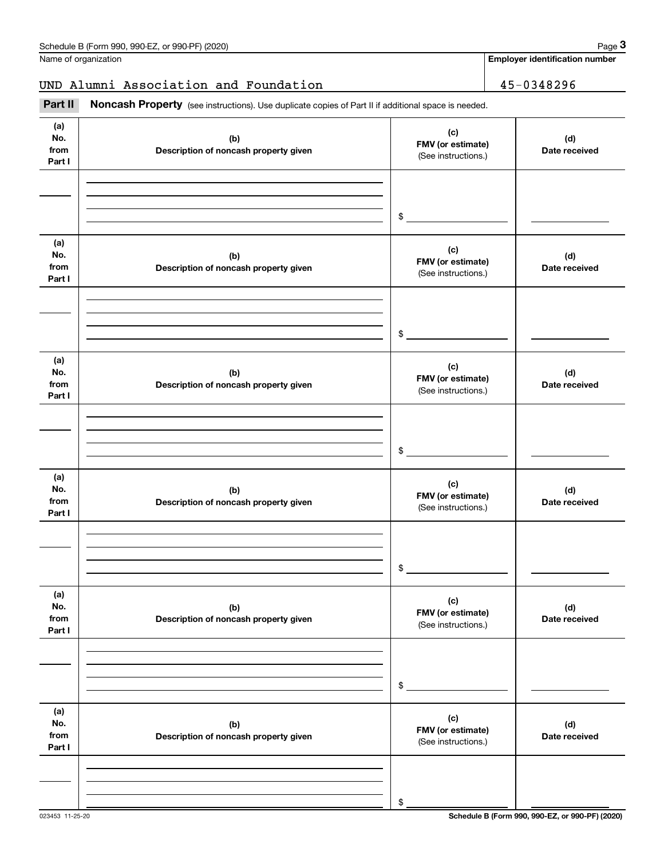## **Employer identification number**

## UND Alumni Association and Foundation 45-0348296

Fage 3 Employer identification and Foundation<br>
MD Alumni Association and Foundation<br> **Part II** Noncash Property (see instructions). Use duplicate copies of Part II if additional space is needed.

| (a)<br>No.<br>from<br>Part I | (b)<br>Description of noncash property given | (c)<br>FMV (or estimate)<br>(See instructions.) | (d)<br>Date received |
|------------------------------|----------------------------------------------|-------------------------------------------------|----------------------|
|                              |                                              | $\frac{1}{2}$                                   |                      |
| (a)<br>No.<br>from<br>Part I | (b)<br>Description of noncash property given | (c)<br>FMV (or estimate)<br>(See instructions.) | (d)<br>Date received |
|                              |                                              | $\mathfrak{S}$                                  |                      |
| (a)<br>No.<br>from<br>Part I | (b)<br>Description of noncash property given | (c)<br>FMV (or estimate)<br>(See instructions.) | (d)<br>Date received |
|                              |                                              | $$\frown$                                       |                      |
| (a)<br>No.<br>from<br>Part I | (b)<br>Description of noncash property given | (c)<br>FMV (or estimate)<br>(See instructions.) | (d)<br>Date received |
|                              |                                              | $\mathsf{\$}$                                   |                      |
| (a)<br>No.<br>from<br>Part I | (b)<br>Description of noncash property given | (c)<br>FMV (or estimate)<br>(See instructions.) | (d)<br>Date received |
|                              |                                              | \$                                              |                      |
| (a)<br>No.<br>from<br>Part I | (b)<br>Description of noncash property given | (c)<br>FMV (or estimate)<br>(See instructions.) | (d)<br>Date received |
|                              |                                              | \$                                              |                      |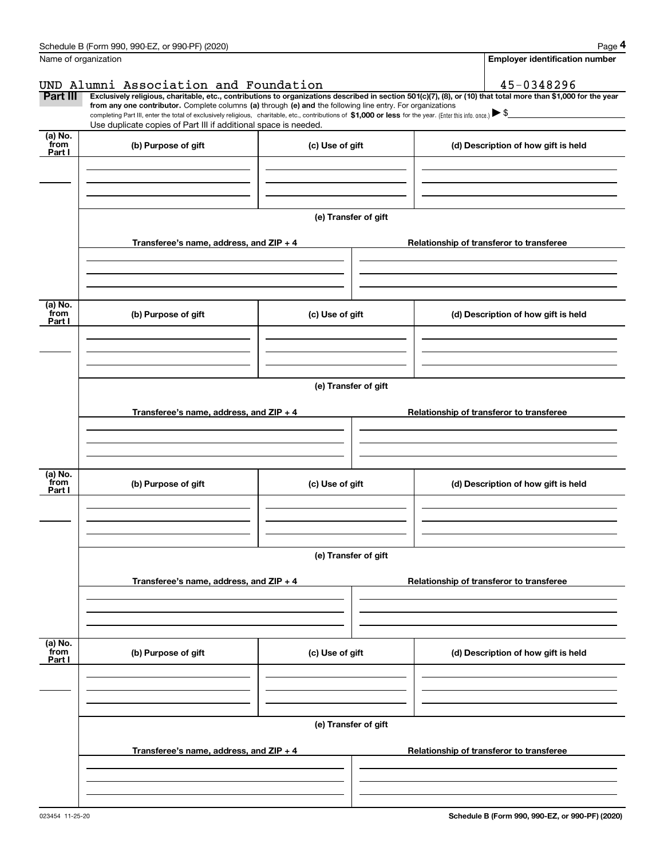|                                               | Schedule B (Form 990, 990-EZ, or 990-PF) (2020)                                                                                                                                                                                                                                                 |                                       | Page 4                                                                                                                                                         |
|-----------------------------------------------|-------------------------------------------------------------------------------------------------------------------------------------------------------------------------------------------------------------------------------------------------------------------------------------------------|---------------------------------------|----------------------------------------------------------------------------------------------------------------------------------------------------------------|
|                                               | Name of organization                                                                                                                                                                                                                                                                            | <b>Employer identification number</b> |                                                                                                                                                                |
|                                               | UND Alumni Association and Foundation                                                                                                                                                                                                                                                           |                                       | 45-0348296                                                                                                                                                     |
| Part III                                      | from any one contributor. Complete columns (a) through (e) and the following line entry. For organizations<br>completing Part III, enter the total of exclusively religious, charitable, etc., contributions of \$1,000 or less for the year. (Enter this info. once.) $\blacktriangleright$ \$ |                                       | Exclusively religious, charitable, etc., contributions to organizations described in section 501(c)(7), (8), or (10) that total more than \$1,000 for the year |
|                                               | Use duplicate copies of Part III if additional space is needed.                                                                                                                                                                                                                                 |                                       |                                                                                                                                                                |
| (a) No.<br>from<br>Part I                     | (b) Purpose of gift                                                                                                                                                                                                                                                                             | (c) Use of gift                       | (d) Description of how gift is held                                                                                                                            |
|                                               |                                                                                                                                                                                                                                                                                                 | (e) Transfer of gift                  |                                                                                                                                                                |
|                                               | Transferee's name, address, and $ZIP + 4$                                                                                                                                                                                                                                                       |                                       | Relationship of transferor to transferee                                                                                                                       |
| (a) No.<br>from<br>Part I                     | (b) Purpose of gift                                                                                                                                                                                                                                                                             | (c) Use of gift                       | (d) Description of how gift is held                                                                                                                            |
|                                               |                                                                                                                                                                                                                                                                                                 |                                       |                                                                                                                                                                |
|                                               |                                                                                                                                                                                                                                                                                                 | (e) Transfer of gift                  |                                                                                                                                                                |
|                                               | Transferee's name, address, and $ZIP + 4$                                                                                                                                                                                                                                                       |                                       | Relationship of transferor to transferee                                                                                                                       |
| (a) $\overline{\text{No.}}$<br>from<br>Part I | (b) Purpose of gift                                                                                                                                                                                                                                                                             | (c) Use of gift                       | (d) Description of how gift is held                                                                                                                            |
|                                               |                                                                                                                                                                                                                                                                                                 | (e) Transfer of gift                  |                                                                                                                                                                |
|                                               | Transferee's name, address, and $ZIP + 4$                                                                                                                                                                                                                                                       |                                       | Relationship of transferor to transferee                                                                                                                       |
|                                               |                                                                                                                                                                                                                                                                                                 |                                       |                                                                                                                                                                |
| (a) No.<br>from<br>Part I                     | (b) Purpose of gift                                                                                                                                                                                                                                                                             | (c) Use of gift                       | (d) Description of how gift is held                                                                                                                            |
|                                               |                                                                                                                                                                                                                                                                                                 | (e) Transfer of gift                  |                                                                                                                                                                |
|                                               | Transferee's name, address, and $ZIP + 4$                                                                                                                                                                                                                                                       |                                       | Relationship of transferor to transferee                                                                                                                       |
|                                               |                                                                                                                                                                                                                                                                                                 |                                       |                                                                                                                                                                |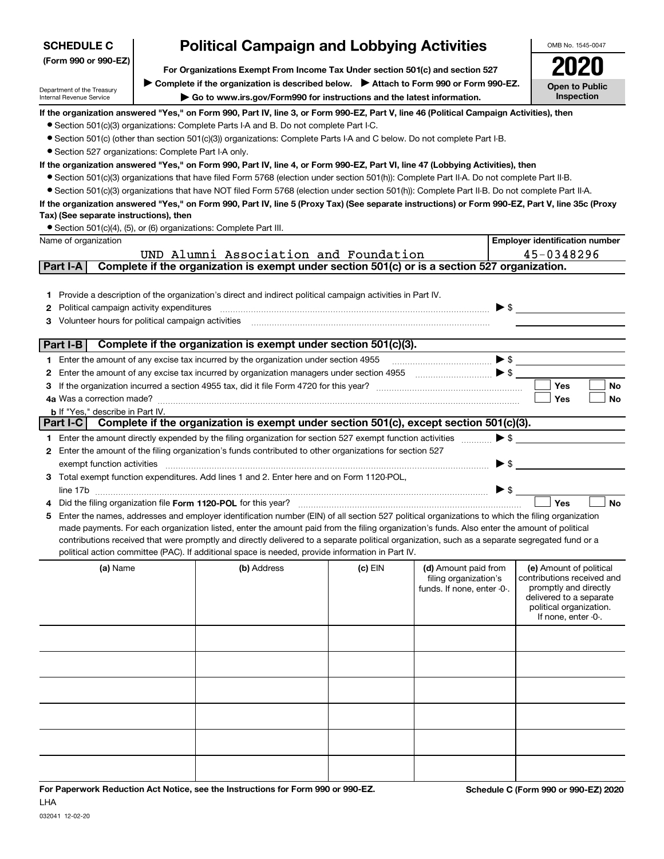| <b>SCHEDULE C</b>                                                                                        | <b>Political Campaign and Lobbying Activities</b>                                                                                                                                | OMB No. 1545-0047                                                                                                                                                                                                                                  |         |                            |                                                  |  |  |  |  |  |
|----------------------------------------------------------------------------------------------------------|----------------------------------------------------------------------------------------------------------------------------------------------------------------------------------|----------------------------------------------------------------------------------------------------------------------------------------------------------------------------------------------------------------------------------------------------|---------|----------------------------|--------------------------------------------------|--|--|--|--|--|
| (Form 990 or 990-EZ)                                                                                     | For Organizations Exempt From Income Tax Under section 501(c) and section 527                                                                                                    |                                                                                                                                                                                                                                                    |         |                            |                                                  |  |  |  |  |  |
|                                                                                                          | Complete if the organization is described below.<br>> Attach to Form 990 or Form 990-EZ.                                                                                         | <b>Open to Public</b>                                                                                                                                                                                                                              |         |                            |                                                  |  |  |  |  |  |
| Department of the Treasury<br>Internal Revenue Service                                                   |                                                                                                                                                                                  | Go to www.irs.gov/Form990 for instructions and the latest information.                                                                                                                                                                             |         |                            | Inspection                                       |  |  |  |  |  |
|                                                                                                          |                                                                                                                                                                                  | If the organization answered "Yes," on Form 990, Part IV, line 3, or Form 990-EZ, Part V, line 46 (Political Campaign Activities), then                                                                                                            |         |                            |                                                  |  |  |  |  |  |
| • Section 501(c)(3) organizations: Complete Parts I-A and B. Do not complete Part I-C.                   |                                                                                                                                                                                  |                                                                                                                                                                                                                                                    |         |                            |                                                  |  |  |  |  |  |
|                                                                                                          | • Section 501(c) (other than section 501(c)(3)) organizations: Complete Parts I-A and C below. Do not complete Part I-B.<br>• Section 527 organizations: Complete Part I-A only. |                                                                                                                                                                                                                                                    |         |                            |                                                  |  |  |  |  |  |
|                                                                                                          |                                                                                                                                                                                  | If the organization answered "Yes," on Form 990, Part IV, line 4, or Form 990-EZ, Part VI, line 47 (Lobbying Activities), then                                                                                                                     |         |                            |                                                  |  |  |  |  |  |
|                                                                                                          |                                                                                                                                                                                  | • Section 501(c)(3) organizations that have filed Form 5768 (election under section 501(h)): Complete Part II-A. Do not complete Part II-B.                                                                                                        |         |                            |                                                  |  |  |  |  |  |
|                                                                                                          |                                                                                                                                                                                  | • Section 501(c)(3) organizations that have NOT filed Form 5768 (election under section 501(h)): Complete Part II-B. Do not complete Part II-A.                                                                                                    |         |                            |                                                  |  |  |  |  |  |
|                                                                                                          |                                                                                                                                                                                  | If the organization answered "Yes," on Form 990, Part IV, line 5 (Proxy Tax) (See separate instructions) or Form 990-EZ, Part V, line 35c (Proxy                                                                                                   |         |                            |                                                  |  |  |  |  |  |
| Tax) (See separate instructions), then                                                                   |                                                                                                                                                                                  | • Section 501(c)(4), (5), or (6) organizations: Complete Part III.                                                                                                                                                                                 |         |                            |                                                  |  |  |  |  |  |
| Name of organization                                                                                     |                                                                                                                                                                                  |                                                                                                                                                                                                                                                    |         |                            | <b>Employer identification number</b>            |  |  |  |  |  |
|                                                                                                          |                                                                                                                                                                                  | UND Alumni Association and Foundation                                                                                                                                                                                                              |         |                            | 45-0348296                                       |  |  |  |  |  |
| Part I-A                                                                                                 |                                                                                                                                                                                  | Complete if the organization is exempt under section 501(c) or is a section 527 organization.                                                                                                                                                      |         |                            |                                                  |  |  |  |  |  |
|                                                                                                          |                                                                                                                                                                                  |                                                                                                                                                                                                                                                    |         |                            |                                                  |  |  |  |  |  |
| 1.                                                                                                       |                                                                                                                                                                                  | Provide a description of the organization's direct and indirect political campaign activities in Part IV.                                                                                                                                          |         |                            |                                                  |  |  |  |  |  |
| Political campaign activity expenditures<br>2<br>Volunteer hours for political campaign activities<br>3. |                                                                                                                                                                                  |                                                                                                                                                                                                                                                    |         |                            | $\blacktriangleright$ \$                         |  |  |  |  |  |
|                                                                                                          |                                                                                                                                                                                  |                                                                                                                                                                                                                                                    |         |                            |                                                  |  |  |  |  |  |
| Part I-B                                                                                                 |                                                                                                                                                                                  | Complete if the organization is exempt under section 501(c)(3).                                                                                                                                                                                    |         |                            |                                                  |  |  |  |  |  |
|                                                                                                          |                                                                                                                                                                                  | 1 Enter the amount of any excise tax incurred by the organization under section 4955                                                                                                                                                               |         |                            | $\blacktriangleright$ \$                         |  |  |  |  |  |
| 2                                                                                                        |                                                                                                                                                                                  |                                                                                                                                                                                                                                                    |         |                            | $\blacktriangleright$ \$                         |  |  |  |  |  |
| 3<br>4a Was a correction made?                                                                           |                                                                                                                                                                                  |                                                                                                                                                                                                                                                    |         |                            | <b>Yes</b><br>No<br>Yes<br>No                    |  |  |  |  |  |
| <b>b</b> If "Yes," describe in Part IV.                                                                  |                                                                                                                                                                                  |                                                                                                                                                                                                                                                    |         |                            |                                                  |  |  |  |  |  |
| Part I-C                                                                                                 |                                                                                                                                                                                  | Complete if the organization is exempt under section 501(c), except section 501(c)(3).                                                                                                                                                             |         |                            |                                                  |  |  |  |  |  |
|                                                                                                          |                                                                                                                                                                                  | 1 Enter the amount directly expended by the filing organization for section 527 exempt function activities                                                                                                                                         |         |                            | $\blacktriangleright$ \$                         |  |  |  |  |  |
|                                                                                                          |                                                                                                                                                                                  | 2 Enter the amount of the filing organization's funds contributed to other organizations for section 527                                                                                                                                           |         |                            |                                                  |  |  |  |  |  |
| exempt function activities                                                                               |                                                                                                                                                                                  | 3 Total exempt function expenditures. Add lines 1 and 2. Enter here and on Form 1120-POL,                                                                                                                                                          |         |                            | $\blacktriangleright$ \$                         |  |  |  |  |  |
|                                                                                                          |                                                                                                                                                                                  |                                                                                                                                                                                                                                                    |         |                            | $\triangleright$ \$                              |  |  |  |  |  |
|                                                                                                          |                                                                                                                                                                                  | Did the filing organization file Form 1120-POL for this year?                                                                                                                                                                                      |         |                            | Yes<br><b>No</b>                                 |  |  |  |  |  |
| 5                                                                                                        |                                                                                                                                                                                  | Enter the names, addresses and employer identification number (EIN) of all section 527 political organizations to which the filing organization                                                                                                    |         |                            |                                                  |  |  |  |  |  |
|                                                                                                          |                                                                                                                                                                                  | made payments. For each organization listed, enter the amount paid from the filing organization's funds. Also enter the amount of political                                                                                                        |         |                            |                                                  |  |  |  |  |  |
|                                                                                                          |                                                                                                                                                                                  | contributions received that were promptly and directly delivered to a separate political organization, such as a separate segregated fund or a<br>political action committee (PAC). If additional space is needed, provide information in Part IV. |         |                            |                                                  |  |  |  |  |  |
| (a) Name                                                                                                 |                                                                                                                                                                                  | (b) Address                                                                                                                                                                                                                                        | (c) EIN | (d) Amount paid from       | (e) Amount of political                          |  |  |  |  |  |
|                                                                                                          |                                                                                                                                                                                  |                                                                                                                                                                                                                                                    |         | filing organization's      | contributions received and                       |  |  |  |  |  |
|                                                                                                          |                                                                                                                                                                                  |                                                                                                                                                                                                                                                    |         | funds. If none, enter -0-. | promptly and directly<br>delivered to a separate |  |  |  |  |  |
|                                                                                                          |                                                                                                                                                                                  |                                                                                                                                                                                                                                                    |         |                            | political organization.                          |  |  |  |  |  |
|                                                                                                          |                                                                                                                                                                                  |                                                                                                                                                                                                                                                    |         |                            | If none, enter -0-.                              |  |  |  |  |  |
|                                                                                                          |                                                                                                                                                                                  |                                                                                                                                                                                                                                                    |         |                            |                                                  |  |  |  |  |  |
|                                                                                                          |                                                                                                                                                                                  |                                                                                                                                                                                                                                                    |         |                            |                                                  |  |  |  |  |  |
|                                                                                                          |                                                                                                                                                                                  |                                                                                                                                                                                                                                                    |         |                            |                                                  |  |  |  |  |  |
|                                                                                                          |                                                                                                                                                                                  |                                                                                                                                                                                                                                                    |         |                            |                                                  |  |  |  |  |  |
|                                                                                                          |                                                                                                                                                                                  |                                                                                                                                                                                                                                                    |         |                            |                                                  |  |  |  |  |  |
|                                                                                                          |                                                                                                                                                                                  |                                                                                                                                                                                                                                                    |         |                            |                                                  |  |  |  |  |  |
|                                                                                                          |                                                                                                                                                                                  |                                                                                                                                                                                                                                                    |         |                            |                                                  |  |  |  |  |  |
|                                                                                                          |                                                                                                                                                                                  |                                                                                                                                                                                                                                                    |         |                            |                                                  |  |  |  |  |  |
|                                                                                                          |                                                                                                                                                                                  |                                                                                                                                                                                                                                                    |         |                            |                                                  |  |  |  |  |  |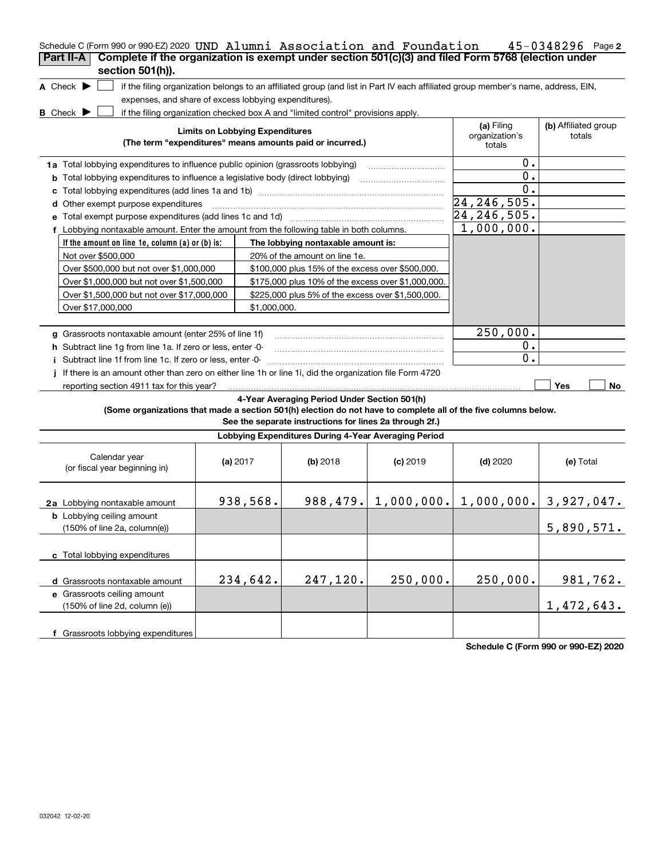| Schedule C (Form 990 or 990-EZ) 2020 UND Alumni Association and Foundation<br>$45 - 0348296$ Page 2                                                                             |  |              |                                                                                  |                        |                                                                                                                                   |                         |  |  |
|---------------------------------------------------------------------------------------------------------------------------------------------------------------------------------|--|--------------|----------------------------------------------------------------------------------|------------------------|-----------------------------------------------------------------------------------------------------------------------------------|-------------------------|--|--|
| Complete if the organization is exempt under section 501(c)(3) and filed Form 5768 (election under<br>Part II-A                                                                 |  |              |                                                                                  |                        |                                                                                                                                   |                         |  |  |
| section 501(h)).                                                                                                                                                                |  |              |                                                                                  |                        |                                                                                                                                   |                         |  |  |
| A Check $\blacktriangleright$                                                                                                                                                   |  |              |                                                                                  |                        | if the filing organization belongs to an affiliated group (and list in Part IV each affiliated group member's name, address, EIN, |                         |  |  |
| expenses, and share of excess lobbying expenditures).                                                                                                                           |  |              |                                                                                  |                        |                                                                                                                                   |                         |  |  |
| <b>B</b> Check D                                                                                                                                                                |  |              | if the filing organization checked box A and "limited control" provisions apply. |                        |                                                                                                                                   |                         |  |  |
| (a) Filing<br>(b) Affiliated group<br><b>Limits on Lobbying Expenditures</b><br>organization's<br>totals<br>(The term "expenditures" means amounts paid or incurred.)<br>totals |  |              |                                                                                  |                        |                                                                                                                                   |                         |  |  |
|                                                                                                                                                                                 |  | 0.           |                                                                                  |                        |                                                                                                                                   |                         |  |  |
| 1a Total lobbying expenditures to influence public opinion (grassroots lobbying)                                                                                                |  |              |                                                                                  |                        | 0.                                                                                                                                |                         |  |  |
| <b>b</b> Total lobbying expenditures to influence a legislative body (direct lobbying)                                                                                          |  |              |                                                                                  |                        | 0.                                                                                                                                |                         |  |  |
| d Other exempt purpose expenditures                                                                                                                                             |  |              |                                                                                  |                        | 24, 246, 505.                                                                                                                     |                         |  |  |
| Total exempt purpose expenditures (add lines 1c and 1d)                                                                                                                         |  |              |                                                                                  |                        | $24, 246, 505$ .                                                                                                                  |                         |  |  |
| f Lobbying nontaxable amount. Enter the amount from the following table in both columns.                                                                                        |  |              |                                                                                  |                        | 1,000,000.                                                                                                                        |                         |  |  |
| If the amount on line 1e, column $(a)$ or $(b)$ is:                                                                                                                             |  |              | The lobbying nontaxable amount is:                                               |                        |                                                                                                                                   |                         |  |  |
| Not over \$500,000                                                                                                                                                              |  |              | 20% of the amount on line 1e.                                                    |                        |                                                                                                                                   |                         |  |  |
| Over \$500,000 but not over \$1,000,000                                                                                                                                         |  |              | \$100,000 plus 15% of the excess over \$500,000.                                 |                        |                                                                                                                                   |                         |  |  |
| Over \$1,000,000 but not over \$1,500,000                                                                                                                                       |  |              | \$175,000 plus 10% of the excess over \$1,000,000.                               |                        |                                                                                                                                   |                         |  |  |
| Over \$1,500,000 but not over \$17,000,000                                                                                                                                      |  |              | \$225,000 plus 5% of the excess over \$1,500,000.                                |                        |                                                                                                                                   |                         |  |  |
| Over \$17,000,000                                                                                                                                                               |  | \$1.000.000. |                                                                                  |                        |                                                                                                                                   |                         |  |  |
|                                                                                                                                                                                 |  |              |                                                                                  |                        |                                                                                                                                   |                         |  |  |
| g Grassroots nontaxable amount (enter 25% of line 1f)                                                                                                                           |  |              |                                                                                  |                        | 250,000.                                                                                                                          |                         |  |  |
| h Subtract line 1q from line 1a. If zero or less, enter -0-                                                                                                                     |  |              |                                                                                  |                        | Ο.                                                                                                                                |                         |  |  |
| Subtract line 1f from line 1c. If zero or less, enter -0-                                                                                                                       |  |              |                                                                                  |                        | 0.                                                                                                                                |                         |  |  |
| If there is an amount other than zero on either line 1h or line 1i, did the organization file Form 4720                                                                         |  |              |                                                                                  |                        |                                                                                                                                   |                         |  |  |
| reporting section 4911 tax for this year?                                                                                                                                       |  |              |                                                                                  |                        |                                                                                                                                   | Yes<br>No               |  |  |
|                                                                                                                                                                                 |  |              | 4-Year Averaging Period Under Section 501(h)                                     |                        |                                                                                                                                   |                         |  |  |
| (Some organizations that made a section 501(h) election do not have to complete all of the five columns below.                                                                  |  |              |                                                                                  |                        |                                                                                                                                   |                         |  |  |
|                                                                                                                                                                                 |  |              | See the separate instructions for lines 2a through 2f.)                          |                        |                                                                                                                                   |                         |  |  |
|                                                                                                                                                                                 |  |              | Lobbying Expenditures During 4-Year Averaging Period                             |                        |                                                                                                                                   |                         |  |  |
| Calendar year<br>(or fiscal year beginning in)                                                                                                                                  |  | (a) $2017$   | $(b)$ 2018                                                                       | $(c)$ 2019             | $(d)$ 2020                                                                                                                        | (e) Total               |  |  |
| 2a Lobbying nontaxable amount                                                                                                                                                   |  | 938,568.     |                                                                                  | $988, 479.$ 1,000,000. |                                                                                                                                   | $1,000,000.$ 3,927,047. |  |  |
| <b>b</b> Lobbying ceiling amount<br>(150% of line 2a, column(e))                                                                                                                |  |              |                                                                                  |                        |                                                                                                                                   | 5,890,571.              |  |  |
| c Total lobbying expenditures                                                                                                                                                   |  |              |                                                                                  |                        |                                                                                                                                   |                         |  |  |
| d Grassroots nontaxable amount                                                                                                                                                  |  | 234,642.     | 247,120.                                                                         | 250,000.               | 250,000.                                                                                                                          | 981,762.                |  |  |
| e Grassroots ceiling amount                                                                                                                                                     |  |              |                                                                                  |                        |                                                                                                                                   |                         |  |  |
| (150% of line 2d, column (e))                                                                                                                                                   |  |              |                                                                                  |                        |                                                                                                                                   | 1,472,643.              |  |  |
| f Grassroots lobbying expenditures                                                                                                                                              |  |              |                                                                                  |                        |                                                                                                                                   |                         |  |  |

**Schedule C (Form 990 or 990-EZ) 2020**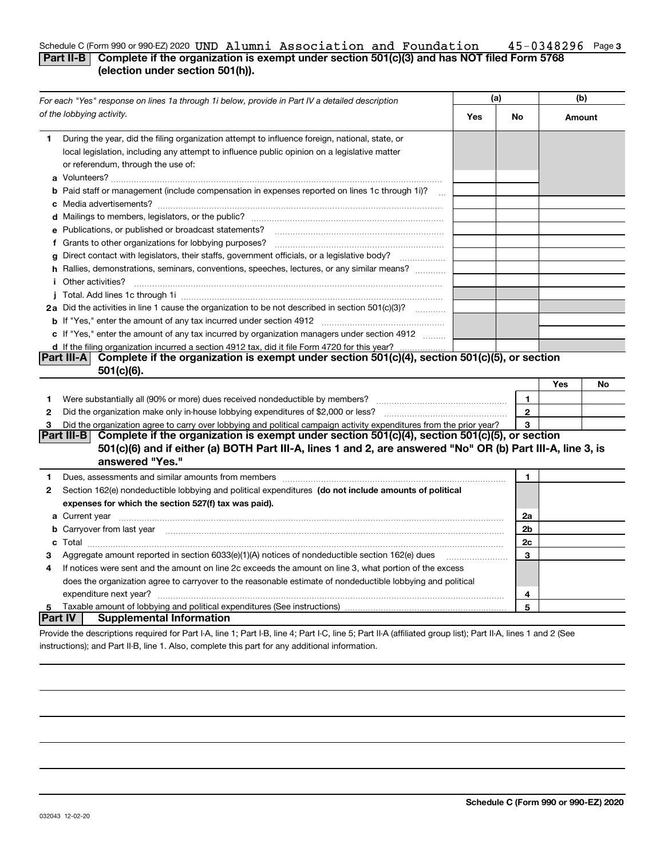### **3** Schedule C (Form 990 or 990-EZ)2020 UND Alumni Association and Foundation 45-0348296 Page **Part II-B Complete if the organization is exempt under section 501(c)(3) and has NOT filed Form 5768** UND Alumni Association and Foundation 45-0348296

## **(election under section 501(h)).**

|                | For each "Yes" response on lines 1a through 1i below, provide in Part IV a detailed description                                                                                                                                               | (a) |                | (b)    |    |
|----------------|-----------------------------------------------------------------------------------------------------------------------------------------------------------------------------------------------------------------------------------------------|-----|----------------|--------|----|
|                | of the lobbying activity.                                                                                                                                                                                                                     | Yes | No             | Amount |    |
| 1.             | During the year, did the filing organization attempt to influence foreign, national, state, or<br>local legislation, including any attempt to influence public opinion on a legislative matter<br>or referendum, through the use of:          |     |                |        |    |
|                | <b>b</b> Paid staff or management (include compensation in expenses reported on lines 1c through 1i)?                                                                                                                                         |     |                |        |    |
|                |                                                                                                                                                                                                                                               |     |                |        |    |
|                | e Publications, or published or broadcast statements?                                                                                                                                                                                         |     |                |        |    |
|                | f Grants to other organizations for lobbying purposes?                                                                                                                                                                                        |     |                |        |    |
|                | g Direct contact with legislators, their staffs, government officials, or a legislative body?<br>.                                                                                                                                            |     |                |        |    |
|                | h Rallies, demonstrations, seminars, conventions, speeches, lectures, or any similar means?                                                                                                                                                   |     |                |        |    |
| i.             | Other activities?                                                                                                                                                                                                                             |     |                |        |    |
|                |                                                                                                                                                                                                                                               |     |                |        |    |
|                | 2a Did the activities in line 1 cause the organization to be not described in section 501(c)(3)?                                                                                                                                              |     |                |        |    |
|                |                                                                                                                                                                                                                                               |     |                |        |    |
|                | c If "Yes," enter the amount of any tax incurred by organization managers under section 4912                                                                                                                                                  |     |                |        |    |
|                | d If the filing organization incurred a section 4912 tax, did it file Form 4720 for this year?                                                                                                                                                |     |                |        |    |
|                | Part III-A Complete if the organization is exempt under section 501(c)(4), section 501(c)(5), or section<br>501(c)(6).                                                                                                                        |     |                |        |    |
|                |                                                                                                                                                                                                                                               |     |                | Yes    | No |
| 1              | Were substantially all (90% or more) dues received nondeductible by members?                                                                                                                                                                  |     | $\mathbf{1}$   |        |    |
| 2              |                                                                                                                                                                                                                                               |     | $\mathbf{2}$   |        |    |
| З              | Did the organization agree to carry over lobbying and political campaign activity expenditures from the prior year?                                                                                                                           |     | 3              |        |    |
|                | Complete if the organization is exempt under section 501(c)(4), section 501(c)(5), or section<br>Part III-B<br>501(c)(6) and if either (a) BOTH Part III-A, lines 1 and 2, are answered "No" OR (b) Part III-A, line 3, is<br>answered "Yes." |     |                |        |    |
| 1.             | Dues, assessments and similar amounts from members [111] matter continuum matter and similar amounts and similar amounts from members [11] matter continuum matter and similar amounts from members [11] matter and similar an                |     | $\mathbf{1}$   |        |    |
| 2              | Section 162(e) nondeductible lobbying and political expenditures (do not include amounts of political                                                                                                                                         |     |                |        |    |
|                | expenses for which the section 527(f) tax was paid).                                                                                                                                                                                          |     |                |        |    |
|                |                                                                                                                                                                                                                                               |     | 2a             |        |    |
|                | b Carryover from last year manufactured and contain a series of the contract of the contract of the contract of the contract of the contract of the contract of the contract of the contract of the contract of the contract o                |     | 2 <sub>b</sub> |        |    |
|                |                                                                                                                                                                                                                                               |     | 2c             |        |    |
| З              | Aggregate amount reported in section 6033(e)(1)(A) notices of nondeductible section 162(e) dues                                                                                                                                               |     | 3              |        |    |
| 4              | If notices were sent and the amount on line 2c exceeds the amount on line 3, what portion of the excess                                                                                                                                       |     |                |        |    |
|                | does the organization agree to carryover to the reasonable estimate of nondeductible lobbying and political                                                                                                                                   |     |                |        |    |
|                | expenditure next year?                                                                                                                                                                                                                        |     | 4              |        |    |
| 5              |                                                                                                                                                                                                                                               |     | 5              |        |    |
| <b>Part IV</b> | <b>Supplemental Information</b>                                                                                                                                                                                                               |     |                |        |    |
|                | Provide the descriptions required for Part I-A, line 1; Part I-B, line 4; Part I-C, line 5; Part II-A (affiliated group list); Part II-A, lines 1 and 2 (See                                                                                  |     |                |        |    |

instructions); and Part II-B, line 1. Also, complete this part for any additional information.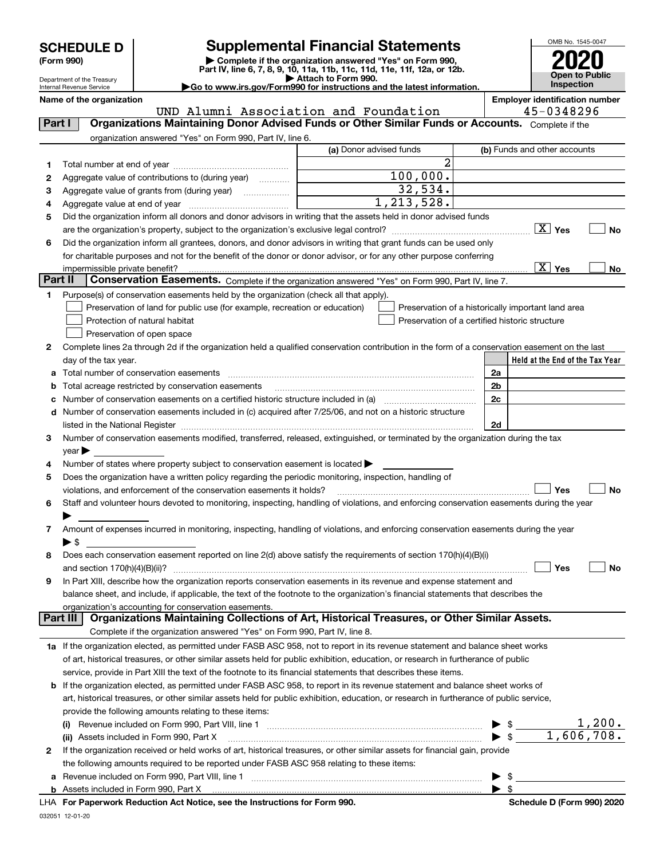| (Form 990) |
|------------|
|            |

## **SCHEDULE D Supplemental Financial Statements**

(Form 990)<br>
Pepartment of the Treasury<br>
Department of the Treasury<br>
Department of the Treasury<br>
Department of the Treasury<br> **Co to www.irs.gov/Form990 for instructions and the latest information.**<br> **Co to www.irs.gov/Form9** 



Department of the Treasury Internal Revenue Service

| UND Alumni Association and Foundation<br>Organizations Maintaining Donor Advised Funds or Other Similar Funds or Accounts. Complete if the<br>Part I<br>organization answered "Yes" on Form 990, Part IV, line 6.<br>(a) Donor advised funds | (b) Funds and other accounts                                                                                                                                                                                                         |
|----------------------------------------------------------------------------------------------------------------------------------------------------------------------------------------------------------------------------------------------|--------------------------------------------------------------------------------------------------------------------------------------------------------------------------------------------------------------------------------------|
|                                                                                                                                                                                                                                              |                                                                                                                                                                                                                                      |
|                                                                                                                                                                                                                                              |                                                                                                                                                                                                                                      |
|                                                                                                                                                                                                                                              |                                                                                                                                                                                                                                      |
| 2<br>1                                                                                                                                                                                                                                       |                                                                                                                                                                                                                                      |
| 100,000.<br>Aggregate value of contributions to (during year)<br>2                                                                                                                                                                           |                                                                                                                                                                                                                                      |
| 32,534.<br>Aggregate value of grants from (during year)<br>з                                                                                                                                                                                 |                                                                                                                                                                                                                                      |
| 1, 213, 528.<br>4                                                                                                                                                                                                                            |                                                                                                                                                                                                                                      |
| Did the organization inform all donors and donor advisors in writing that the assets held in donor advised funds<br>5                                                                                                                        |                                                                                                                                                                                                                                      |
| are the organization's property, subject to the organization's exclusive legal control?                                                                                                                                                      | $\boxed{\text{X}}$ Yes<br>No                                                                                                                                                                                                         |
| Did the organization inform all grantees, donors, and donor advisors in writing that grant funds can be used only<br>6                                                                                                                       |                                                                                                                                                                                                                                      |
| for charitable purposes and not for the benefit of the donor or donor advisor, or for any other purpose conferring                                                                                                                           |                                                                                                                                                                                                                                      |
| impermissible private benefit?                                                                                                                                                                                                               | $\boxed{\text{X}}$ Yes<br>No                                                                                                                                                                                                         |
| Part II<br>Conservation Easements. Complete if the organization answered "Yes" on Form 990, Part IV, line 7.                                                                                                                                 |                                                                                                                                                                                                                                      |
| Purpose(s) of conservation easements held by the organization (check all that apply).<br>1.                                                                                                                                                  |                                                                                                                                                                                                                                      |
| Preservation of land for public use (for example, recreation or education)<br>Preservation of a historically important land area                                                                                                             |                                                                                                                                                                                                                                      |
| Protection of natural habitat<br>Preservation of a certified historic structure                                                                                                                                                              |                                                                                                                                                                                                                                      |
| Preservation of open space                                                                                                                                                                                                                   |                                                                                                                                                                                                                                      |
| Complete lines 2a through 2d if the organization held a qualified conservation contribution in the form of a conservation easement on the last<br>2                                                                                          |                                                                                                                                                                                                                                      |
| day of the tax year.                                                                                                                                                                                                                         | Held at the End of the Tax Year                                                                                                                                                                                                      |
| Total number of conservation easements<br>2a                                                                                                                                                                                                 |                                                                                                                                                                                                                                      |
| a<br>2b<br>Total acreage restricted by conservation easements                                                                                                                                                                                |                                                                                                                                                                                                                                      |
| b                                                                                                                                                                                                                                            |                                                                                                                                                                                                                                      |
| 2c<br>с                                                                                                                                                                                                                                      |                                                                                                                                                                                                                                      |
| Number of conservation easements included in (c) acquired after 7/25/06, and not on a historic structure<br>d                                                                                                                                |                                                                                                                                                                                                                                      |
| listed in the National Register [11, 1200] [12] The National Register [11, 1200] [12] The National Register [11, 1200] [12] The National Register [11, 1200] [12] The National Register [11, 1200] [12] The National Register<br>2d          |                                                                                                                                                                                                                                      |
| Number of conservation easements modified, transferred, released, extinguished, or terminated by the organization during the tax<br>З.                                                                                                       |                                                                                                                                                                                                                                      |
| $year \blacktriangleright$                                                                                                                                                                                                                   |                                                                                                                                                                                                                                      |
| Number of states where property subject to conservation easement is located ><br>4                                                                                                                                                           |                                                                                                                                                                                                                                      |
| Does the organization have a written policy regarding the periodic monitoring, inspection, handling of<br>5                                                                                                                                  | No                                                                                                                                                                                                                                   |
| violations, and enforcement of the conservation easements it holds?                                                                                                                                                                          | Yes                                                                                                                                                                                                                                  |
| Staff and volunteer hours devoted to monitoring, inspecting, handling of violations, and enforcing conservation easements during the year<br>6                                                                                               |                                                                                                                                                                                                                                      |
|                                                                                                                                                                                                                                              |                                                                                                                                                                                                                                      |
| Amount of expenses incurred in monitoring, inspecting, handling of violations, and enforcing conservation easements during the year<br>7<br>$\blacktriangleright$ \$                                                                         |                                                                                                                                                                                                                                      |
| Does each conservation easement reported on line 2(d) above satisfy the requirements of section 170(h)(4)(B)(i)<br>8                                                                                                                         |                                                                                                                                                                                                                                      |
|                                                                                                                                                                                                                                              | Yes<br>No                                                                                                                                                                                                                            |
| In Part XIII, describe how the organization reports conservation easements in its revenue and expense statement and                                                                                                                          |                                                                                                                                                                                                                                      |
| balance sheet, and include, if applicable, the text of the footnote to the organization's financial statements that describes the                                                                                                            |                                                                                                                                                                                                                                      |
| organization's accounting for conservation easements.                                                                                                                                                                                        |                                                                                                                                                                                                                                      |
| Organizations Maintaining Collections of Art, Historical Treasures, or Other Similar Assets.<br>Part III                                                                                                                                     |                                                                                                                                                                                                                                      |
| Complete if the organization answered "Yes" on Form 990, Part IV, line 8.                                                                                                                                                                    |                                                                                                                                                                                                                                      |
| 1a If the organization elected, as permitted under FASB ASC 958, not to report in its revenue statement and balance sheet works                                                                                                              |                                                                                                                                                                                                                                      |
| of art, historical treasures, or other similar assets held for public exhibition, education, or research in furtherance of public                                                                                                            |                                                                                                                                                                                                                                      |
| service, provide in Part XIII the text of the footnote to its financial statements that describes these items.                                                                                                                               |                                                                                                                                                                                                                                      |
| If the organization elected, as permitted under FASB ASC 958, to report in its revenue statement and balance sheet works of<br>b                                                                                                             |                                                                                                                                                                                                                                      |
| art, historical treasures, or other similar assets held for public exhibition, education, or research in furtherance of public service,                                                                                                      |                                                                                                                                                                                                                                      |
| provide the following amounts relating to these items:                                                                                                                                                                                       |                                                                                                                                                                                                                                      |
|                                                                                                                                                                                                                                              |                                                                                                                                                                                                                                      |
| (ii) Assets included in Form 990, Part X                                                                                                                                                                                                     | $\begin{array}{r} \triangleright \ \$ \begin{array}{r} \text{\texttt{0}} \\ \text{\texttt{0}} \end{array} \end{array} \begin{array}{r} \text{\texttt{1,200.}} \\ \text{\texttt{1,606,708.}} \end{array}$<br>$\blacktriangleright$ \$ |
| If the organization received or held works of art, historical treasures, or other similar assets for financial gain, provide<br>2                                                                                                            |                                                                                                                                                                                                                                      |
| the following amounts required to be reported under FASB ASC 958 relating to these items:                                                                                                                                                    |                                                                                                                                                                                                                                      |
| а                                                                                                                                                                                                                                            | $\triangleright$ \$                                                                                                                                                                                                                  |
|                                                                                                                                                                                                                                              | $\blacktriangleright$ \$                                                                                                                                                                                                             |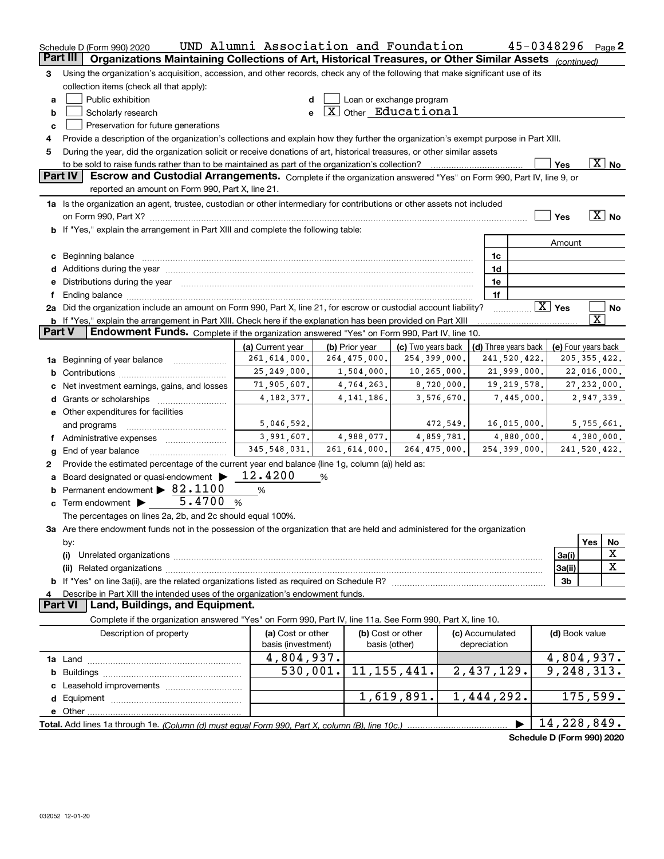|               | UND Alumni Association and Foundation<br>45-0348296<br>Page 2<br>Schedule D (Form 990) 2020                                          |                        |                                      |                          |                      |               |                        |                            |  |
|---------------|--------------------------------------------------------------------------------------------------------------------------------------|------------------------|--------------------------------------|--------------------------|----------------------|---------------|------------------------|----------------------------|--|
|               | Part III<br>Organizations Maintaining Collections of Art, Historical Treasures, or Other Similar Assets (continued)                  |                        |                                      |                          |                      |               |                        |                            |  |
| 3             | Using the organization's acquisition, accession, and other records, check any of the following that make significant use of its      |                        |                                      |                          |                      |               |                        |                            |  |
|               | collection items (check all that apply):                                                                                             |                        |                                      |                          |                      |               |                        |                            |  |
| a             | Public exhibition                                                                                                                    | d                      |                                      | Loan or exchange program |                      |               |                        |                            |  |
| b             | Scholarly research                                                                                                                   | e                      | $\boxed{\text{X}}$ Other Educational |                          |                      |               |                        |                            |  |
| c             | Preservation for future generations                                                                                                  |                        |                                      |                          |                      |               |                        |                            |  |
| 4             | Provide a description of the organization's collections and explain how they further the organization's exempt purpose in Part XIII. |                        |                                      |                          |                      |               |                        |                            |  |
| 5             | During the year, did the organization solicit or receive donations of art, historical treasures, or other similar assets             |                        |                                      |                          |                      |               |                        |                            |  |
|               |                                                                                                                                      |                        |                                      |                          |                      |               | Yes                    | $\overline{\text{X}}$ No   |  |
|               | <b>Part IV</b><br>Escrow and Custodial Arrangements. Complete if the organization answered "Yes" on Form 990, Part IV, line 9, or    |                        |                                      |                          |                      |               |                        |                            |  |
|               | reported an amount on Form 990, Part X, line 21.                                                                                     |                        |                                      |                          |                      |               |                        |                            |  |
|               | 1a Is the organization an agent, trustee, custodian or other intermediary for contributions or other assets not included             |                        |                                      |                          |                      |               |                        |                            |  |
|               |                                                                                                                                      |                        |                                      |                          |                      |               | Yes                    | $\boxed{\text{X}}$ No      |  |
|               | b If "Yes," explain the arrangement in Part XIII and complete the following table:                                                   |                        |                                      |                          |                      |               |                        |                            |  |
|               |                                                                                                                                      |                        |                                      |                          |                      |               | Amount                 |                            |  |
|               |                                                                                                                                      |                        |                                      |                          | 1c                   |               |                        |                            |  |
|               |                                                                                                                                      |                        |                                      |                          | 1d                   |               |                        |                            |  |
| е             | Distributions during the year manufactured and continuum and continuum and continuum and continuum and continuum                     |                        |                                      |                          | 1e                   |               |                        |                            |  |
| f             |                                                                                                                                      |                        |                                      |                          | 1f                   |               |                        |                            |  |
|               | 2a Did the organization include an amount on Form 990, Part X, line 21, for escrow or custodial account liability?                   |                        |                                      |                          |                      |               | $\boxed{\text{X}}$ Yes | No                         |  |
|               | <b>b</b> If "Yes," explain the arrangement in Part XIII. Check here if the explanation has been provided on Part XIII                |                        |                                      |                          |                      |               |                        | $\overline{\text{X}}$      |  |
| <b>Part V</b> | Endowment Funds. Complete if the organization answered "Yes" on Form 990, Part IV, line 10.                                          |                        |                                      |                          |                      |               |                        |                            |  |
|               |                                                                                                                                      | (a) Current year       | (b) Prior year                       | (c) Two years back       | (d) Three years back |               |                        | (e) Four years back        |  |
|               | 1a Beginning of year balance                                                                                                         | 261,614,000.           | 264,475,000.                         | 254,399,000.             |                      | 241,520,422.  |                        | 205, 355, 422.             |  |
| b             |                                                                                                                                      | 25, 249, 000.          | 1,504,000.                           | 10,265,000.              |                      | 21,999,000.   |                        | 22,016,000.                |  |
|               | Net investment earnings, gains, and losses                                                                                           | 71,905,607.            | 4,764,263.                           | 8,720,000.               |                      | 19, 219, 578. |                        | 27, 232, 000.              |  |
|               |                                                                                                                                      | 4, 182, 377.           | 4, 141, 186.                         | 3,576,670.               |                      | 7,445,000.    |                        | 2,947,339.                 |  |
|               | e Other expenditures for facilities                                                                                                  |                        |                                      |                          |                      |               |                        |                            |  |
|               | and programs                                                                                                                         | 5,046,592.             |                                      | 472,549.                 |                      | 16,015,000.   |                        | 5,755,661.                 |  |
| Ť.            | Administrative expenses                                                                                                              | 3,991,607.             | 4,988,077.                           | 4,859,781.               |                      | 4,880,000.    |                        | 4,380,000.                 |  |
| g             | End of year balance                                                                                                                  | 345, 548, 031.         | 261,614,000.                         | 264, 475, 000.           |                      | 254,399,000.  |                        | 241,520,422.               |  |
| 2             | Provide the estimated percentage of the current year end balance (line 1g, column (a)) held as:                                      |                        |                                      |                          |                      |               |                        |                            |  |
| a             | Board designated or quasi-endowment                                                                                                  | 12.4200                | %                                    |                          |                      |               |                        |                            |  |
| b             | Permanent endowment > 82.1100                                                                                                        | %                      |                                      |                          |                      |               |                        |                            |  |
|               | 5.4700<br><b>c</b> Term endowment $\blacktriangleright$                                                                              | $\%$                   |                                      |                          |                      |               |                        |                            |  |
|               | The percentages on lines 2a, 2b, and 2c should equal 100%.                                                                           |                        |                                      |                          |                      |               |                        |                            |  |
|               | 3a Are there endowment funds not in the possession of the organization that are held and administered for the organization           |                        |                                      |                          |                      |               |                        |                            |  |
|               | by:                                                                                                                                  |                        |                                      |                          |                      |               |                        | Yes<br>No                  |  |
|               | (i)                                                                                                                                  |                        |                                      |                          |                      |               | 3a(i)                  | X                          |  |
|               | (ii)                                                                                                                                 |                        |                                      |                          |                      |               | 3a(ii)                 | $\mathbf X$                |  |
|               |                                                                                                                                      |                        |                                      |                          |                      |               | 3 <sub>b</sub>         |                            |  |
|               | Describe in Part XIII the intended uses of the organization's endowment funds.                                                       |                        |                                      |                          |                      |               |                        |                            |  |
|               | Land, Buildings, and Equipment.<br><b>Part VI</b>                                                                                    |                        |                                      |                          |                      |               |                        |                            |  |
|               | Complete if the organization answered "Yes" on Form 990, Part IV, line 11a. See Form 990, Part X, line 10.                           |                        |                                      |                          |                      |               |                        |                            |  |
|               | Description of property                                                                                                              | (a) Cost or other      |                                      | (b) Cost or other        | (c) Accumulated      |               | (d) Book value         |                            |  |
|               |                                                                                                                                      | basis (investment)     |                                      | basis (other)            | depreciation         |               |                        |                            |  |
|               |                                                                                                                                      | 4,804,937.             |                                      |                          |                      |               |                        | 4,804,937.                 |  |
|               |                                                                                                                                      | $\overline{530,001}$ . |                                      | 11, 155, 441.            | 2,437,129.           |               |                        | 9, 248, 313.               |  |
|               |                                                                                                                                      |                        |                                      |                          |                      |               |                        |                            |  |
|               |                                                                                                                                      |                        |                                      | 1,619,891.               | 1,444,292.           |               |                        | 175,599.                   |  |
|               |                                                                                                                                      |                        |                                      |                          |                      |               |                        |                            |  |
|               |                                                                                                                                      |                        |                                      |                          |                      |               |                        | 14,228,849.                |  |
|               |                                                                                                                                      |                        |                                      |                          |                      |               |                        | Schedule D (Form 990) 2020 |  |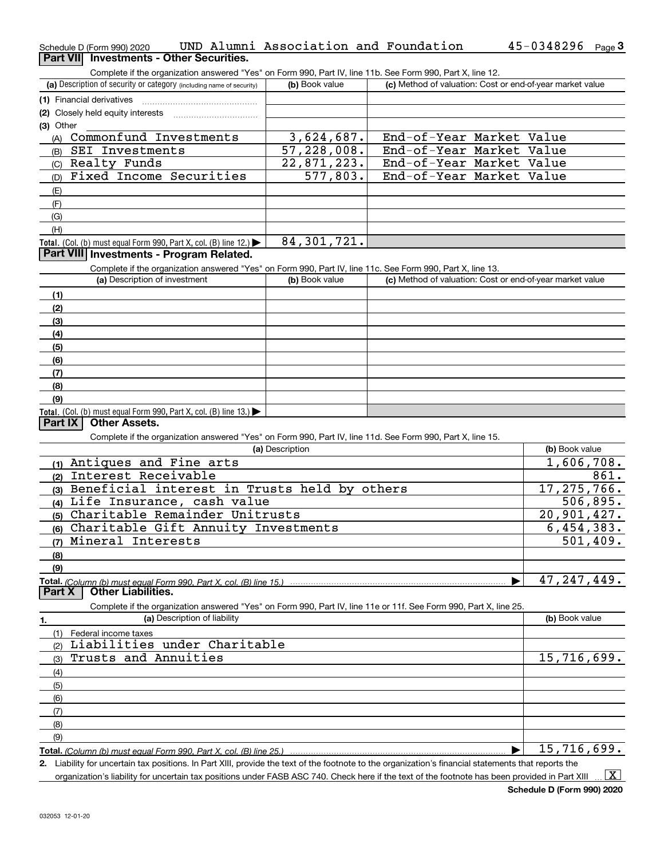| Schedule D (Form 990) 2020 |                                          | UND Alumni Association and Foundation |  | $45 - 0348296$ Page 3 |  |
|----------------------------|------------------------------------------|---------------------------------------|--|-----------------------|--|
|                            | Part VII Investments - Other Securities. |                                       |  |                       |  |

Complete if the organization answered "Yes" on Form 990, Part IV, line 11b. See Form 990, Part X, line 12.

| (a) Description of security or category (including name of security)                          | (b) Book value | (c) Method of valuation: Cost or end-of-year market value |
|-----------------------------------------------------------------------------------------------|----------------|-----------------------------------------------------------|
| (1) Financial derivatives                                                                     |                |                                                           |
| (2) Closely held equity interests                                                             |                |                                                           |
| (3) Other                                                                                     |                |                                                           |
| Commonfund Investments<br>(A)                                                                 | 3,624,687.     | End-of-Year Market Value                                  |
| SEI Investments<br>(B)                                                                        | 57, 228, 008.  | End-of-Year Market Value                                  |
| (C) Realty Funds                                                                              | 22,871,223.    | End-of-Year Market Value                                  |
| Fixed Income Securities<br>(D)                                                                | 577,803.       | End-of-Year Market Value                                  |
| (E)                                                                                           |                |                                                           |
| (F)                                                                                           |                |                                                           |
| (G)                                                                                           |                |                                                           |
| (H)                                                                                           |                |                                                           |
| <b>Total.</b> (Col. (b) must equal Form 990, Part X, col. (B) line 12.) $\blacktriangleright$ | 84,301,721.    |                                                           |
| Dout VIII Increator cote Due nueve Delated                                                    |                |                                                           |

### **Part VIII Investments - Program Related.**

Complete if the organization answered "Yes" on Form 990, Part IV, line 11c. See Form 990, Part X, line 13.

| (a) Description of investment                                       | (b) Book value | (c) Method of valuation: Cost or end-of-year market value |
|---------------------------------------------------------------------|----------------|-----------------------------------------------------------|
| (1)                                                                 |                |                                                           |
| (2)                                                                 |                |                                                           |
| $\frac{1}{2}$                                                       |                |                                                           |
| (4)                                                                 |                |                                                           |
| $\frac{1}{2}$                                                       |                |                                                           |
| (6)                                                                 |                |                                                           |
| (7)                                                                 |                |                                                           |
| (8)                                                                 |                |                                                           |
| (9)                                                                 |                |                                                           |
| Total. (Col. (b) must equal Form 990, Part X, col. (B) line $13.$ ) |                |                                                           |

### **Part IX Other Assets.**

Complete if the organization answered "Yes" on Form 990, Part IV, line 11d. See Form 990, Part X, line 15.

| (a) Description                                                                                                   | (b) Book value |
|-------------------------------------------------------------------------------------------------------------------|----------------|
| Antiques and Fine arts<br>(1)                                                                                     | 1,606,708.     |
| Interest Receivable<br>(2)                                                                                        | 861.           |
| Beneficial interest in Trusts held by others<br>(3)                                                               | 17, 275, 766.  |
| Life Insurance, cash value<br>(4)                                                                                 | 506,895.       |
| Charitable Remainder Unitrusts<br>(5)                                                                             | 20,901,427.    |
| Charitable Gift Annuity Investments<br>(6)                                                                        | 6,454,383.     |
| Mineral Interests<br>(7)                                                                                          | 501,409.       |
| (8)                                                                                                               |                |
| (9)                                                                                                               |                |
|                                                                                                                   | 47, 247, 449.  |
| <b>Other Liabilities.</b><br><b>Part X</b>                                                                        |                |
| Complete if the organization answered "Yes" on Form 990, Part IV, line 11e or 11f. See Form 990, Part X, line 25. |                |
| (a) Description of liability                                                                                      | (b) Book value |
| Federal income taxes                                                                                              |                |
| Liabilities under Charitable<br>(2)                                                                               |                |
| Trusts and Annuities<br>(3)                                                                                       | 15,716,699.    |
| (4)                                                                                                               |                |
| (5)                                                                                                               |                |
| (6)                                                                                                               |                |

(8)(9)

**Total.**  *(Column (b) must equal Form 990, Part X, col. (B) line 25.)*  $\blacktriangleright$ 15,716,699.

**2.**Liability for uncertain tax positions. In Part XIII, provide the text of the footnote to the organization's financial statements that reports the organization's liability for uncertain tax positions under FASB ASC 740. Check here if the text of the footnote has been provided in Part XIII  $\vert$  X  $\vert$ 

(7)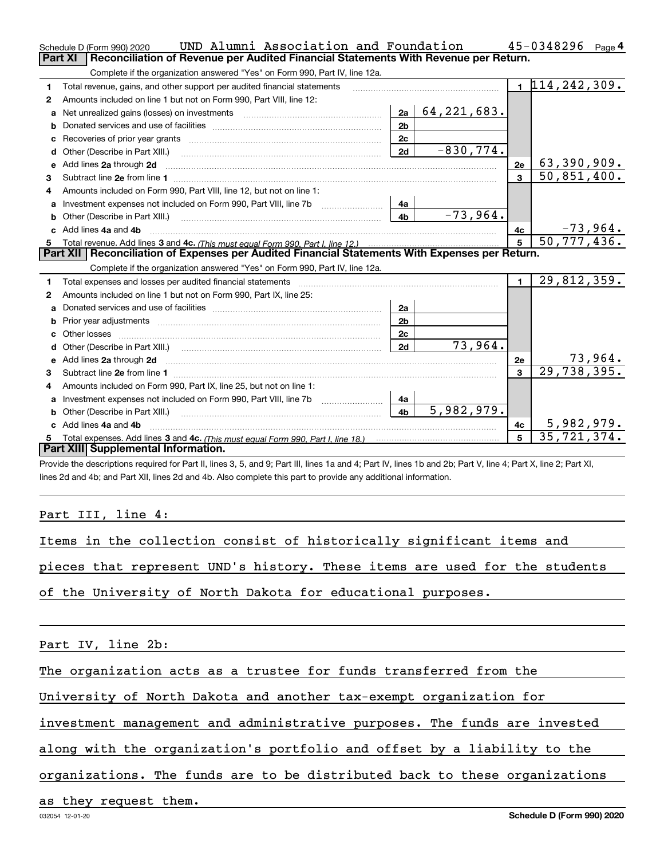|              | UND Alumni Association and Foundation<br>Schedule D (Form 990) 2020                                                                                                                                                            |                |               |                | 45-0348296<br>Page 4          |
|--------------|--------------------------------------------------------------------------------------------------------------------------------------------------------------------------------------------------------------------------------|----------------|---------------|----------------|-------------------------------|
|              | <b>Part XI</b><br>Reconciliation of Revenue per Audited Financial Statements With Revenue per Return.                                                                                                                          |                |               |                |                               |
|              | Complete if the organization answered "Yes" on Form 990, Part IV, line 12a.                                                                                                                                                    |                |               |                |                               |
| 1            | Total revenue, gains, and other support per audited financial statements                                                                                                                                                       |                |               |                | $1\overline{114}$ , 242, 309. |
| 2            | Amounts included on line 1 but not on Form 990, Part VIII, line 12:                                                                                                                                                            |                |               |                |                               |
| a            |                                                                                                                                                                                                                                | 2a             | 64, 221, 683. |                |                               |
|              |                                                                                                                                                                                                                                | 2 <sub>b</sub> |               |                |                               |
| c            |                                                                                                                                                                                                                                | 2c             |               |                |                               |
| d            | Other (Describe in Part XIII.) <b>Construction Contract Construction</b> [                                                                                                                                                     | 2d             | $-830,774.$   |                |                               |
| e            | Add lines 2a through 2d                                                                                                                                                                                                        |                |               | 2e             | 63,390,909.                   |
| 3            |                                                                                                                                                                                                                                |                |               |                | 50,851,400.                   |
| 4            | Amounts included on Form 990, Part VIII, line 12, but not on line 1:                                                                                                                                                           |                |               |                |                               |
|              | Investment expenses not included on Form 990, Part VIII, line 7b [100] [100] [100] [100] [100] [100] [100] [100] [100] [100] [100] [100] [100] [100] [100] [100] [100] [100] [100] [100] [100] [100] [100] [100] [100] [100] [ | 4a             |               |                |                               |
|              |                                                                                                                                                                                                                                | 4 <sub>b</sub> | $-73,964.$    |                |                               |
| c.           | Add lines 4a and 4b                                                                                                                                                                                                            |                |               | 4с             | $\frac{-73,964}{50,777,436}$  |
|              |                                                                                                                                                                                                                                | $\overline{5}$ |               |                |                               |
|              |                                                                                                                                                                                                                                |                |               |                |                               |
|              | Part XII   Reconciliation of Expenses per Audited Financial Statements With Expenses per Return.                                                                                                                               |                |               |                |                               |
|              | Complete if the organization answered "Yes" on Form 990, Part IV, line 12a.                                                                                                                                                    |                |               |                |                               |
| 1.           | Total expenses and losses per audited financial statements [11] [12] contain an intervention and contain a statements [13] [13] and the statements [13] [13] and the statements [13] and the statements [13] and the statement |                |               | $\blacksquare$ | 29,812,359.                   |
| 2            | Amounts included on line 1 but not on Form 990, Part IX, line 25:                                                                                                                                                              |                |               |                |                               |
| $\mathbf{a}$ |                                                                                                                                                                                                                                | 2a             |               |                |                               |
|              | Prior year adjustments [111] Prior year adjustments [11] minimum minimum minimum minimum minimum minimum minim                                                                                                                 | 2 <sub>b</sub> |               |                |                               |
| C.           |                                                                                                                                                                                                                                | 2c             |               |                |                               |
|              |                                                                                                                                                                                                                                | 2d             | 73,964.       |                |                               |
|              |                                                                                                                                                                                                                                |                |               | 2e             | 73,964.                       |
| 3            |                                                                                                                                                                                                                                |                |               |                | 29,738,395.                   |
| 4            | Amounts included on Form 990, Part IX, line 25, but not on line 1:                                                                                                                                                             |                |               |                |                               |
| a            |                                                                                                                                                                                                                                | 4a             |               |                |                               |
|              |                                                                                                                                                                                                                                | 4 <sub>b</sub> | 5,982,979.    |                |                               |
|              | c Add lines 4a and 4b                                                                                                                                                                                                          |                |               | 4c             | 5,982,979.                    |
|              | Part XIII Supplemental Information.                                                                                                                                                                                            |                |               | 5              | 35, 721, 374.                 |

Provide the descriptions required for Part II, lines 3, 5, and 9; Part III, lines 1a and 4; Part IV, lines 1b and 2b; Part V, line 4; Part X, line 2; Part XI, lines 2d and 4b; and Part XII, lines 2d and 4b. Also complete this part to provide any additional information.

## Part III, line 4:

|  |  |  |  |  |  | Items in the collection consist of historically significant items and |  |  |  |  |
|--|--|--|--|--|--|-----------------------------------------------------------------------|--|--|--|--|
|--|--|--|--|--|--|-----------------------------------------------------------------------|--|--|--|--|

pieces that represent UND's history. These items are used for the students

of the University of North Dakota for educational purposes.

Part IV, line 2b:

The organization acts as a trustee for funds transferred from the

University of North Dakota and another tax-exempt organization for

investment management and administrative purposes. The funds are invested

along with the organization's portfolio and offset by a liability to the

organizations. The funds are to be distributed back to these organizations

as they request them.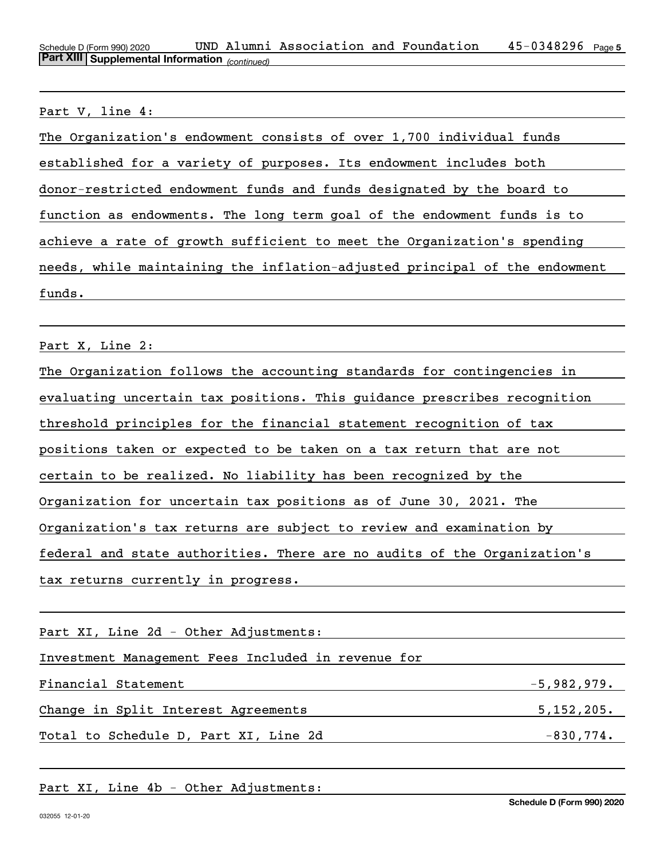Schedule D (Form 990) 2020 UND Alumni Association and Foundation 45-0348296 <sub>Page 5</sub> *(continued)* **Part XIII Supplemental Information** 

Part V, line 4:

Part X, Line 2: 2008. [2010] [2010] [2010] [2010] [2010] [2010] [2010] [2010] [2010] [2010] [2010] [2010] [2010] [2010] [2010] [2010] [2010] [2010] [2010] [2010] [2010] [2010] [2010] [2010] [2010] [2010] [2010] [2010] [201

| The Organization follows the accounting standards for contingencies in   |  |  |  |  |  |
|--------------------------------------------------------------------------|--|--|--|--|--|
| evaluating uncertain tax positions. This guidance prescribes recognition |  |  |  |  |  |
| threshold principles for the financial statement recognition of tax      |  |  |  |  |  |
| positions taken or expected to be taken on a tax return that are not     |  |  |  |  |  |
| certain to be realized. No liability has been recognized by the          |  |  |  |  |  |
| Organization for uncertain tax positions as of June 30, 2021. The        |  |  |  |  |  |
| Organization's tax returns are subject to review and examination by      |  |  |  |  |  |
| federal and state authorities. There are no audits of the Organization's |  |  |  |  |  |
| tax returns currently in progress.                                       |  |  |  |  |  |

Part XI, Line 2d - Other Adjustments:

Investment Management Fees Included in revenue for

Financial Statement -5,982,979. Change in Split Interest Agreements 5,152,205. Total to Schedule D, Part XI, Line 2d -830,774.

## Part XI, Line 4b - Other Adjustments: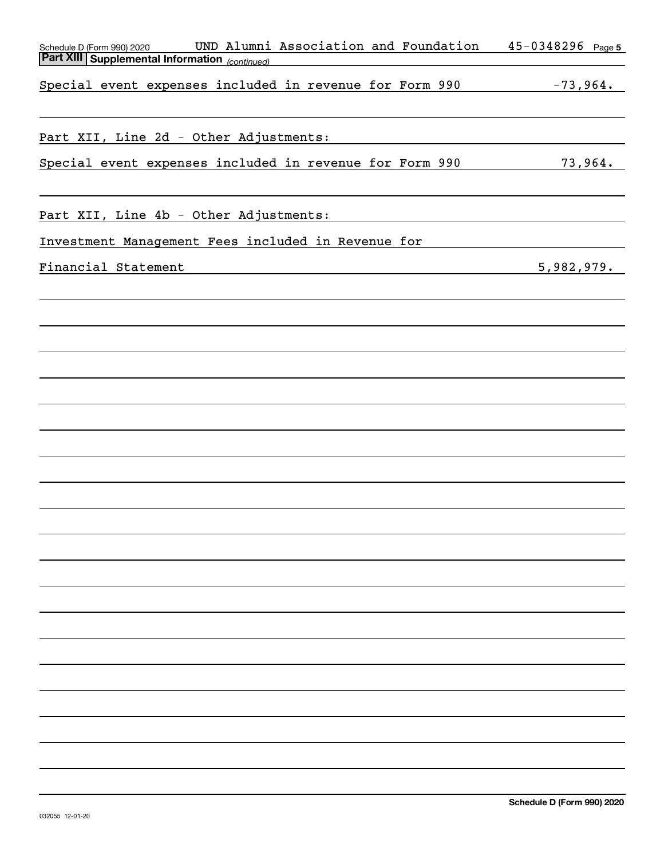| UND Alumni Association and Foundation<br>Schedule D (Form 990) 2020                                                                           | $45 - 0348296$ Page 5 |
|-----------------------------------------------------------------------------------------------------------------------------------------------|-----------------------|
| <b>Part XIII Supplemental Information</b> (continued)                                                                                         |                       |
| Special event expenses included in revenue for Form 990 -73,964.                                                                              |                       |
|                                                                                                                                               |                       |
|                                                                                                                                               |                       |
|                                                                                                                                               |                       |
| Part XII, Line 2d - Other Adjustments:<br>the control of the control of the control of the control of the control of                          |                       |
| Special event expenses included in revenue for Form 990                                                                                       | 73,964.               |
|                                                                                                                                               |                       |
|                                                                                                                                               |                       |
| Part XII, Line 4b - Other Adjustments:                                                                                                        |                       |
|                                                                                                                                               |                       |
| Investment Management Fees included in Revenue for                                                                                            |                       |
| Financial Statement<br><u> 1989 - Johann Stoff, deutscher Stoffen und der Stoffen und der Stoffen und der Stoffen und der Stoffen und der</u> | 5,982,979.            |
|                                                                                                                                               |                       |
|                                                                                                                                               |                       |
|                                                                                                                                               |                       |
|                                                                                                                                               |                       |
|                                                                                                                                               |                       |
|                                                                                                                                               |                       |
|                                                                                                                                               |                       |
|                                                                                                                                               |                       |
|                                                                                                                                               |                       |
|                                                                                                                                               |                       |
|                                                                                                                                               |                       |
|                                                                                                                                               |                       |
|                                                                                                                                               |                       |
|                                                                                                                                               |                       |
|                                                                                                                                               |                       |
|                                                                                                                                               |                       |
|                                                                                                                                               |                       |
|                                                                                                                                               |                       |
|                                                                                                                                               |                       |
|                                                                                                                                               |                       |
|                                                                                                                                               |                       |
|                                                                                                                                               |                       |
|                                                                                                                                               |                       |
|                                                                                                                                               |                       |
|                                                                                                                                               |                       |
|                                                                                                                                               |                       |
|                                                                                                                                               |                       |
|                                                                                                                                               |                       |
|                                                                                                                                               |                       |
|                                                                                                                                               |                       |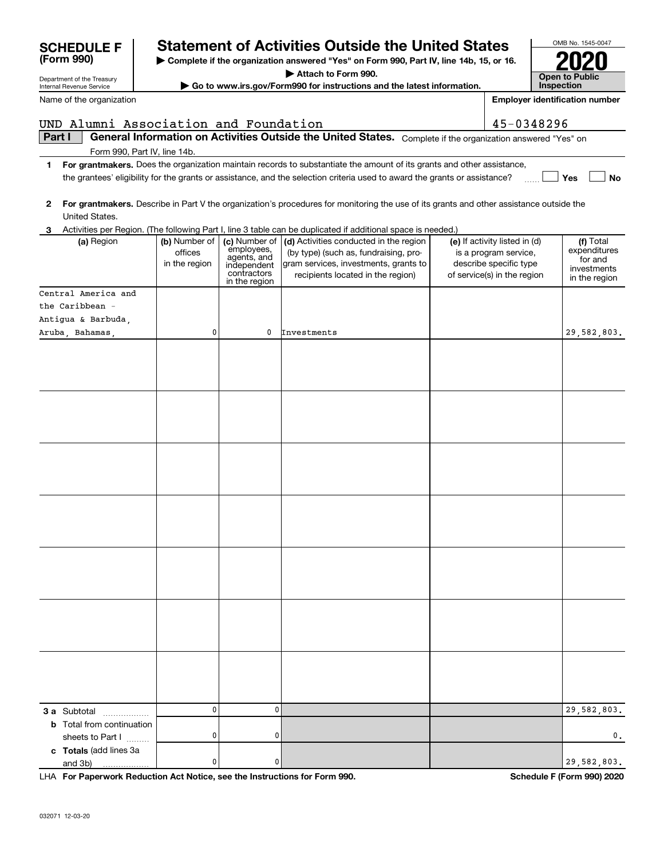|        | UND Alumni Association and Foundation |                          |                            |                                                                                                                                         | 45-0348296                                             |                              |
|--------|---------------------------------------|--------------------------|----------------------------|-----------------------------------------------------------------------------------------------------------------------------------------|--------------------------------------------------------|------------------------------|
| Part I |                                       |                          |                            | General Information on Activities Outside the United States. Complete if the organization answered "Yes" on                             |                                                        |                              |
|        | Form 990, Part IV, line 14b.          |                          |                            |                                                                                                                                         |                                                        |                              |
| 1.     |                                       |                          |                            | For grantmakers. Does the organization maintain records to substantiate the amount of its grants and other assistance,                  |                                                        |                              |
|        |                                       |                          |                            | the grantees' eligibility for the grants or assistance, and the selection criteria used to award the grants or assistance?              |                                                        | <b>No</b><br>Yes             |
|        |                                       |                          |                            |                                                                                                                                         |                                                        |                              |
| 2      |                                       |                          |                            | For grantmakers. Describe in Part V the organization's procedures for monitoring the use of its grants and other assistance outside the |                                                        |                              |
|        | United States.                        |                          |                            |                                                                                                                                         |                                                        |                              |
|        |                                       |                          |                            | 3 Activities per Region. (The following Part I, line 3 table can be duplicated if additional space is needed.)                          |                                                        |                              |
|        | (a) Region                            | (b) Number of<br>offices |                            | (c) Number of $\vert$ (d) Activities conducted in the region<br>(by type) (such as, fundraising, pro-                                   | (e) If activity listed in (d)<br>is a program service, | (f) Total<br>expenditures    |
|        |                                       | in the region            | employees,<br>agents, and  | gram services, investments, grants to                                                                                                   | describe specific type                                 | for and                      |
|        |                                       |                          | independent<br>contractors | recipients located in the region)                                                                                                       | of service(s) in the region                            | investments<br>in the region |
|        |                                       |                          | in the region              |                                                                                                                                         |                                                        |                              |
|        | Central America and                   |                          |                            |                                                                                                                                         |                                                        |                              |
|        | the Caribbean -                       |                          |                            |                                                                                                                                         |                                                        |                              |
|        | Antigua & Barbuda,                    |                          |                            |                                                                                                                                         |                                                        |                              |
|        | Aruba, Bahamas,                       | 0                        | 0                          | Investments                                                                                                                             |                                                        | 29,582,803.                  |
|        |                                       |                          |                            |                                                                                                                                         |                                                        |                              |
|        |                                       |                          |                            |                                                                                                                                         |                                                        |                              |
|        |                                       |                          |                            |                                                                                                                                         |                                                        |                              |
|        |                                       |                          |                            |                                                                                                                                         |                                                        |                              |
|        |                                       |                          |                            |                                                                                                                                         |                                                        |                              |
|        |                                       |                          |                            |                                                                                                                                         |                                                        |                              |
|        |                                       |                          |                            |                                                                                                                                         |                                                        |                              |
|        |                                       |                          |                            |                                                                                                                                         |                                                        |                              |
|        |                                       |                          |                            |                                                                                                                                         |                                                        |                              |
|        |                                       |                          |                            |                                                                                                                                         |                                                        |                              |
|        |                                       |                          |                            |                                                                                                                                         |                                                        |                              |
|        |                                       |                          |                            |                                                                                                                                         |                                                        |                              |
|        |                                       |                          |                            |                                                                                                                                         |                                                        |                              |
|        |                                       |                          |                            |                                                                                                                                         |                                                        |                              |
|        |                                       |                          |                            |                                                                                                                                         |                                                        |                              |
|        |                                       |                          |                            |                                                                                                                                         |                                                        |                              |
|        |                                       |                          |                            |                                                                                                                                         |                                                        |                              |
|        |                                       |                          |                            |                                                                                                                                         |                                                        |                              |
|        |                                       |                          |                            |                                                                                                                                         |                                                        |                              |
|        |                                       |                          |                            |                                                                                                                                         |                                                        |                              |
|        |                                       |                          |                            |                                                                                                                                         |                                                        |                              |
|        |                                       |                          |                            |                                                                                                                                         |                                                        |                              |
|        |                                       |                          |                            |                                                                                                                                         |                                                        |                              |
|        |                                       |                          |                            |                                                                                                                                         |                                                        |                              |
|        |                                       |                          |                            |                                                                                                                                         |                                                        |                              |
|        |                                       |                          |                            |                                                                                                                                         |                                                        |                              |
|        |                                       |                          |                            |                                                                                                                                         |                                                        |                              |
|        | 3 a Subtotal                          | $\mathbf 0$              | 0                          |                                                                                                                                         |                                                        | 29,582,803.                  |
|        | <b>b</b> Total from continuation      |                          |                            |                                                                                                                                         |                                                        |                              |
|        | sheets to Part I                      | 0                        | 0                          |                                                                                                                                         |                                                        | 0.                           |
|        | c Totals (add lines 3a                |                          |                            |                                                                                                                                         |                                                        |                              |
|        | and 3b)                               | 0                        | 0                          |                                                                                                                                         |                                                        | 29,582,803.                  |

**| Complete if the organization answered "Yes" on Form 990, Part IV, line 14b, 15, or 16. | Attach to Form 990. | Go to www.irs.gov/Form990 for instructions and the latest information.**

**Statement of Activities Outside the United States** 

**For Paperwork Reduction Act Notice, see the Instructions for Form 990. Schedule F (Form 990) 2020** LHA

OMB No. 1545-0047

**2020**

**Open to Public InspectionEmployer identification number**

Department of the Treasury Internal Revenue Service

**(Form 990)**

Name of the organization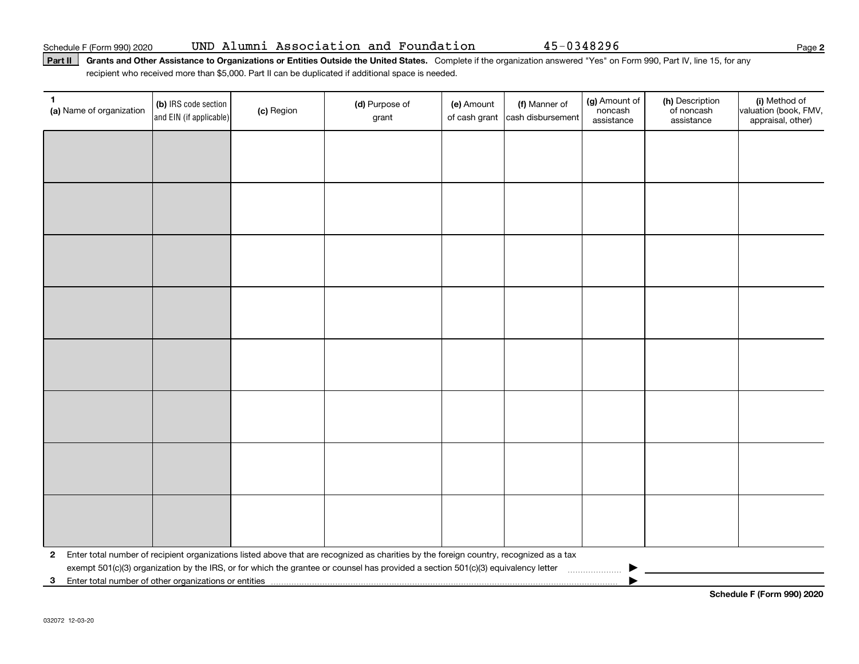### Part II | Grants and Other Assistance to Organizations or Entities Outside the United States. Complete if the organization answered "Yes" on Form 990, Part IV, line 15, for any recipient who received more than \$5,000. Part II can be duplicated if additional space is needed.

| 1<br>(a) Name of organization | (b) IRS code section<br>and EIN (if applicable)         | (c) Region | (d) Purpose of<br>grant                                                                                                                 | (e) Amount | (f) Manner of<br>of cash grant cash disbursement | (g) Amount of<br>noncash<br>assistance | (h) Description<br>of noncash<br>assistance | (i) Method of<br>valuation (book, FMV,<br>appraisal, other) |  |
|-------------------------------|---------------------------------------------------------|------------|-----------------------------------------------------------------------------------------------------------------------------------------|------------|--------------------------------------------------|----------------------------------------|---------------------------------------------|-------------------------------------------------------------|--|
|                               |                                                         |            |                                                                                                                                         |            |                                                  |                                        |                                             |                                                             |  |
|                               |                                                         |            |                                                                                                                                         |            |                                                  |                                        |                                             |                                                             |  |
|                               |                                                         |            |                                                                                                                                         |            |                                                  |                                        |                                             |                                                             |  |
|                               |                                                         |            |                                                                                                                                         |            |                                                  |                                        |                                             |                                                             |  |
|                               |                                                         |            |                                                                                                                                         |            |                                                  |                                        |                                             |                                                             |  |
|                               |                                                         |            |                                                                                                                                         |            |                                                  |                                        |                                             |                                                             |  |
|                               |                                                         |            |                                                                                                                                         |            |                                                  |                                        |                                             |                                                             |  |
|                               |                                                         |            |                                                                                                                                         |            |                                                  |                                        |                                             |                                                             |  |
|                               |                                                         |            |                                                                                                                                         |            |                                                  |                                        |                                             |                                                             |  |
|                               |                                                         |            |                                                                                                                                         |            |                                                  |                                        |                                             |                                                             |  |
|                               |                                                         |            |                                                                                                                                         |            |                                                  |                                        |                                             |                                                             |  |
|                               |                                                         |            |                                                                                                                                         |            |                                                  |                                        |                                             |                                                             |  |
|                               |                                                         |            |                                                                                                                                         |            |                                                  |                                        |                                             |                                                             |  |
|                               |                                                         |            |                                                                                                                                         |            |                                                  |                                        |                                             |                                                             |  |
|                               |                                                         |            |                                                                                                                                         |            |                                                  |                                        |                                             |                                                             |  |
|                               |                                                         |            |                                                                                                                                         |            |                                                  |                                        |                                             |                                                             |  |
| $\mathbf{2}$                  |                                                         |            | Enter total number of recipient organizations listed above that are recognized as charities by the foreign country, recognized as a tax |            |                                                  |                                        |                                             |                                                             |  |
|                               |                                                         |            | exempt 501(c)(3) organization by the IRS, or for which the grantee or counsel has provided a section 501(c)(3) equivalency letter       |            |                                                  |                                        |                                             |                                                             |  |
|                               | 3 Enter total number of other organizations or entities |            |                                                                                                                                         |            |                                                  |                                        |                                             |                                                             |  |

**Schedule F (Form 990) 2020**

**2**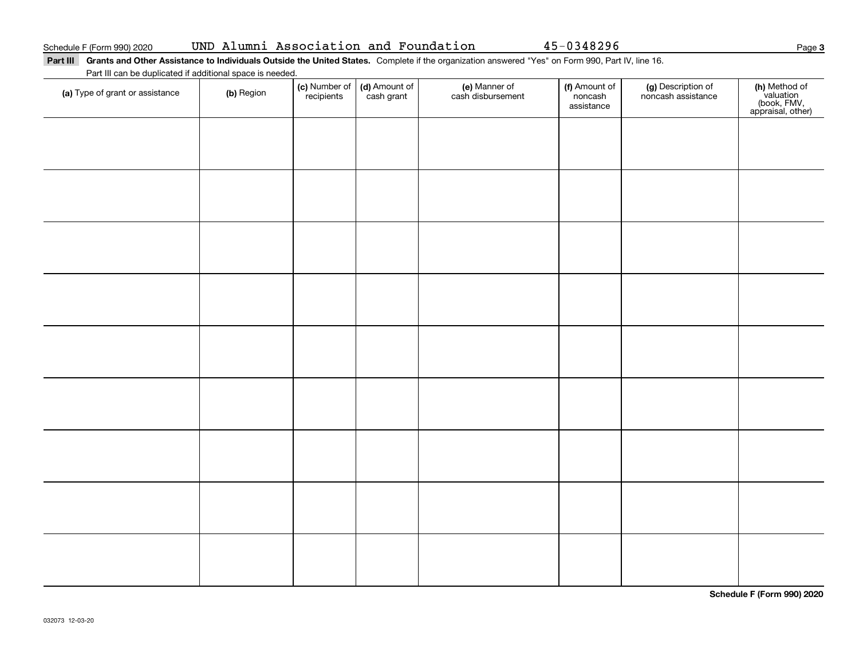### Part III Grants and Other Assistance to Individuals Outside the United States. Complete if the organization answered "Yes" on Form 990, Part IV, line 16. Part III can be duplicated if additional space is needed.

| <u>Fait in car be depiled to additional space is riceded</u> .<br>(a) Type of grant or assistance | (b) Region | (c) Number of<br>recipients | (d) Amount of<br>cash grant | (e) Manner of<br>cash disbursement | (f) Amount of<br>noncash<br>assistance | (g) Description of<br>noncash assistance | (h) Method of<br>valuation<br>(book, FMV,<br>appraisal, other) |
|---------------------------------------------------------------------------------------------------|------------|-----------------------------|-----------------------------|------------------------------------|----------------------------------------|------------------------------------------|----------------------------------------------------------------|
|                                                                                                   |            |                             |                             |                                    |                                        |                                          |                                                                |
|                                                                                                   |            |                             |                             |                                    |                                        |                                          |                                                                |
|                                                                                                   |            |                             |                             |                                    |                                        |                                          |                                                                |
|                                                                                                   |            |                             |                             |                                    |                                        |                                          |                                                                |
|                                                                                                   |            |                             |                             |                                    |                                        |                                          |                                                                |
|                                                                                                   |            |                             |                             |                                    |                                        |                                          |                                                                |
|                                                                                                   |            |                             |                             |                                    |                                        |                                          |                                                                |
|                                                                                                   |            |                             |                             |                                    |                                        |                                          |                                                                |
|                                                                                                   |            |                             |                             |                                    |                                        |                                          |                                                                |
|                                                                                                   |            |                             |                             |                                    |                                        |                                          |                                                                |

**Schedule F (Form 990) 2020**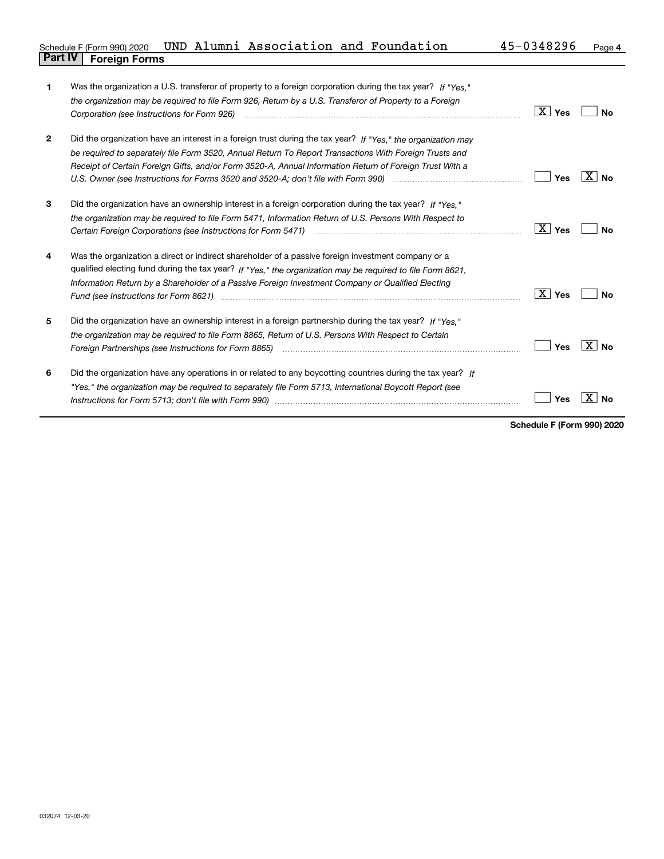|                                |  | Schedule F (Form 990) 2020 UND Alumni Association and Foundation |  | 45-0348296 | Page 4 |
|--------------------------------|--|------------------------------------------------------------------|--|------------|--------|
| <b>Part IV   Foreign Forms</b> |  |                                                                  |  |            |        |

| 1            | Was the organization a U.S. transferor of property to a foreign corporation during the tax year? If "Yes."                                                                                                                          |                        |                   |
|--------------|-------------------------------------------------------------------------------------------------------------------------------------------------------------------------------------------------------------------------------------|------------------------|-------------------|
|              | the organization may be required to file Form 926, Return by a U.S. Transferor of Property to a Foreign                                                                                                                             |                        |                   |
|              | Corporation (see Instructions for Form 926) <i>manual content content corporation</i> (see Instructions for Form 926)                                                                                                               | $\boxed{\text{X}}$ Yes | No                |
|              |                                                                                                                                                                                                                                     |                        |                   |
| $\mathbf{2}$ | Did the organization have an interest in a foreign trust during the tax year? If "Yes," the organization may                                                                                                                        |                        |                   |
|              | be required to separately file Form 3520, Annual Return To Report Transactions With Foreign Trusts and                                                                                                                              |                        |                   |
|              | Receipt of Certain Foreign Gifts, and/or Form 3520-A, Annual Information Return of Foreign Trust With a                                                                                                                             |                        |                   |
|              |                                                                                                                                                                                                                                     | Yes                    | $\overline{X}$ No |
|              |                                                                                                                                                                                                                                     |                        |                   |
| 3            | Did the organization have an ownership interest in a foreign corporation during the tax year? If "Yes."                                                                                                                             |                        |                   |
|              | the organization may be required to file Form 5471, Information Return of U.S. Persons With Respect to                                                                                                                              |                        |                   |
|              | Certain Foreign Corporations (see Instructions for Form 5471) <i>[100]</i> [100] [100] [100] [100] [100] [100] [100] [100] [100] [100] [100] [100] [100] [100] [100] [100] [100] [100] [100] [100] [100] [100] [100] [100] [100] [1 | $\boxed{\text{X}}$ Yes | Nο                |
|              |                                                                                                                                                                                                                                     |                        |                   |
| 4            | Was the organization a direct or indirect shareholder of a passive foreign investment company or a                                                                                                                                  |                        |                   |
|              | qualified electing fund during the tax year? If "Yes," the organization may be required to file Form 8621,                                                                                                                          |                        |                   |
|              | Information Return by a Shareholder of a Passive Foreign Investment Company or Qualified Electing                                                                                                                                   |                        |                   |
|              | Fund (see Instructions for Form 8621) manufactured control to the form of the state of the control of the state of the state of the state of the state of the state of the state of the state of the state of the state of the      | $\boxed{\text{X}}$ Yes | <b>No</b>         |
|              |                                                                                                                                                                                                                                     |                        |                   |
| 5            | Did the organization have an ownership interest in a foreign partnership during the tax year? If "Yes."                                                                                                                             |                        |                   |
|              | the organization may be required to file Form 8865, Return of U.S. Persons With Respect to Certain                                                                                                                                  |                        |                   |
|              |                                                                                                                                                                                                                                     | Yes                    | $X $ No           |
|              |                                                                                                                                                                                                                                     |                        |                   |
| 6            | Did the organization have any operations in or related to any boycotting countries during the tax year? If                                                                                                                          |                        |                   |
|              | "Yes," the organization may be required to separately file Form 5713, International Boycott Report (see                                                                                                                             |                        |                   |
|              |                                                                                                                                                                                                                                     | Yes                    | X.<br>Nο          |
|              |                                                                                                                                                                                                                                     |                        |                   |

**Schedule F (Form 990) 2020**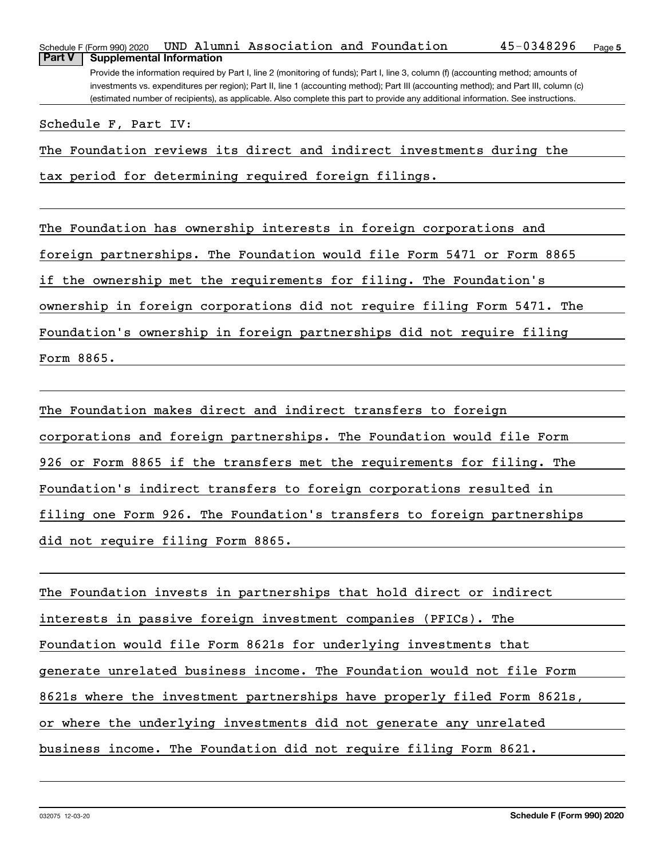|                                                                                                                                   | Schedule F (Form 990) 2020                                                                                                            |  |  | UND Alumni Association and Foundation |  |  | 45-0348296 | Page 5 |  |  |  |  |
|-----------------------------------------------------------------------------------------------------------------------------------|---------------------------------------------------------------------------------------------------------------------------------------|--|--|---------------------------------------|--|--|------------|--------|--|--|--|--|
| <b>Part V</b>                                                                                                                     | <b>Supplemental Information</b>                                                                                                       |  |  |                                       |  |  |            |        |  |  |  |  |
|                                                                                                                                   | Provide the information required by Part I, line 2 (monitoring of funds); Part I, line 3, column (f) (accounting method; amounts of   |  |  |                                       |  |  |            |        |  |  |  |  |
|                                                                                                                                   | investments vs. expenditures per region); Part II, line 1 (accounting method); Part III (accounting method); and Part III, column (c) |  |  |                                       |  |  |            |        |  |  |  |  |
| (estimated number of recipients), as applicable. Also complete this part to provide any additional information. See instructions. |                                                                                                                                       |  |  |                                       |  |  |            |        |  |  |  |  |
|                                                                                                                                   |                                                                                                                                       |  |  |                                       |  |  |            |        |  |  |  |  |

Schedule F, Part IV:

The Foundation reviews its direct and indirect investments during the

tax period for determining required foreign filings.

The Foundation has ownership interests in foreign corporations and foreign partnerships. The Foundation would file Form 5471 or Form 8865 if the ownership met the requirements for filing. The Foundation's ownership in foreign corporations did not require filing Form 5471. The Foundation's ownership in foreign partnerships did not require filing Form 8865.

The Foundation makes direct and indirect transfers to foreign corporations and foreign partnerships. The Foundation would file Form 926 or Form 8865 if the transfers met the requirements for filing. The Foundation's indirect transfers to foreign corporations resulted in filing one Form 926. The Foundation's transfers to foreign partnerships did not require filing Form 8865.

The Foundation invests in partnerships that hold direct or indirect interests in passive foreign investment companies (PFICs). The Foundation would file Form 8621s for underlying investments that generate unrelated business income. The Foundation would not file Form 8621s where the investment partnerships have properly filed Form 8621s, or where the underlying investments did not generate any unrelated business income. The Foundation did not require filing Form 8621.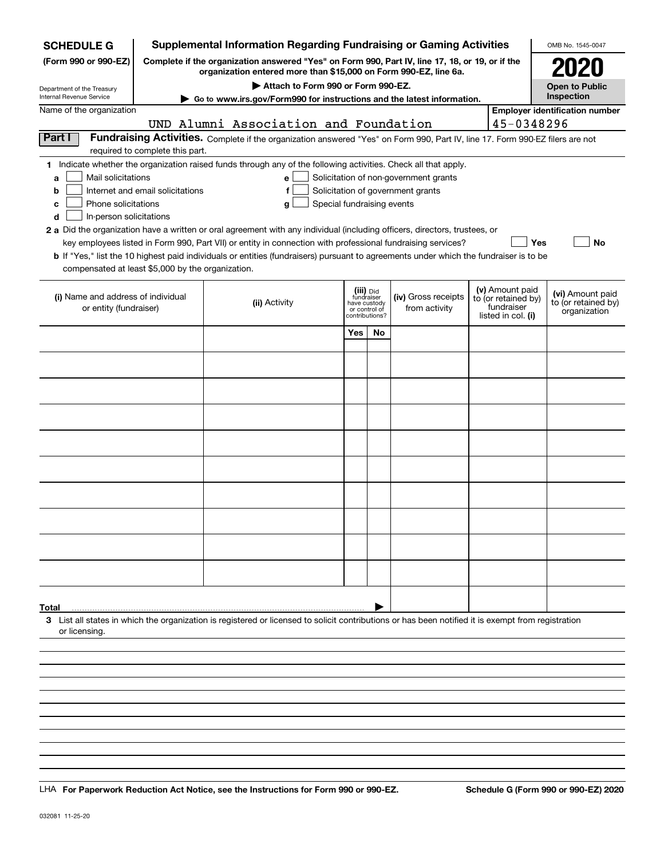| <b>SCHEDULE G</b>                                            |                                  | <b>Supplemental Information Regarding Fundraising or Gaming Activities</b>                                                                                          |                |                               |                                       |                                   |                 | OMB No. 1545-0047                     |  |  |  |  |
|--------------------------------------------------------------|----------------------------------|---------------------------------------------------------------------------------------------------------------------------------------------------------------------|----------------|-------------------------------|---------------------------------------|-----------------------------------|-----------------|---------------------------------------|--|--|--|--|
| (Form 990 or 990-EZ)                                         |                                  | Complete if the organization answered "Yes" on Form 990, Part IV, line 17, 18, or 19, or if the<br>organization entered more than \$15,000 on Form 990-EZ, line 6a. |                |                               |                                       |                                   |                 | 2020                                  |  |  |  |  |
| Department of the Treasury                                   |                                  | Attach to Form 990 or Form 990-EZ.                                                                                                                                  |                |                               |                                       |                                   |                 | <b>Open to Public</b>                 |  |  |  |  |
| Internal Revenue Service                                     |                                  | Go to www.irs.gov/Form990 for instructions and the latest information.                                                                                              |                |                               |                                       |                                   |                 | Inspection                            |  |  |  |  |
| Name of the organization                                     |                                  |                                                                                                                                                                     |                |                               |                                       |                                   |                 | <b>Employer identification number</b> |  |  |  |  |
| Part I                                                       |                                  | UND Alumni Association and Foundation                                                                                                                               |                |                               |                                       |                                   | 45-0348296      |                                       |  |  |  |  |
|                                                              | required to complete this part.  | Fundraising Activities. Complete if the organization answered "Yes" on Form 990, Part IV, line 17. Form 990-EZ filers are not                                       |                |                               |                                       |                                   |                 |                                       |  |  |  |  |
|                                                              |                                  | 1 Indicate whether the organization raised funds through any of the following activities. Check all that apply.                                                     |                |                               |                                       |                                   |                 |                                       |  |  |  |  |
| Mail solicitations<br>a                                      |                                  | е                                                                                                                                                                   |                |                               | Solicitation of non-government grants |                                   |                 |                                       |  |  |  |  |
| b                                                            | Internet and email solicitations | f                                                                                                                                                                   |                |                               | Solicitation of government grants     |                                   |                 |                                       |  |  |  |  |
| Phone solicitations<br>c                                     |                                  | Special fundraising events<br>g                                                                                                                                     |                |                               |                                       |                                   |                 |                                       |  |  |  |  |
| In-person solicitations<br>d                                 |                                  |                                                                                                                                                                     |                |                               |                                       |                                   |                 |                                       |  |  |  |  |
|                                                              |                                  | 2 a Did the organization have a written or oral agreement with any individual (including officers, directors, trustees, or                                          |                |                               |                                       |                                   |                 |                                       |  |  |  |  |
|                                                              |                                  | key employees listed in Form 990, Part VII) or entity in connection with professional fundraising services?                                                         |                |                               |                                       |                                   | Yes             | No                                    |  |  |  |  |
|                                                              |                                  | b If "Yes," list the 10 highest paid individuals or entities (fundraisers) pursuant to agreements under which the fundraiser is to be                               |                |                               |                                       |                                   |                 |                                       |  |  |  |  |
| compensated at least \$5,000 by the organization.            |                                  |                                                                                                                                                                     |                |                               |                                       |                                   |                 |                                       |  |  |  |  |
|                                                              |                                  |                                                                                                                                                                     |                | (iii) Did<br>fundraiser       |                                       |                                   | (v) Amount paid | (vi) Amount paid                      |  |  |  |  |
| (i) Name and address of individual<br>or entity (fundraiser) |                                  | (ii) Activity                                                                                                                                                       |                | have custody<br>or control of | (iv) Gross receipts<br>from activity  | to (or retained by)<br>fundraiser |                 | to (or retained by)                   |  |  |  |  |
|                                                              |                                  |                                                                                                                                                                     | contributions? |                               |                                       | listed in col. (i)                |                 | organization                          |  |  |  |  |
|                                                              |                                  |                                                                                                                                                                     | Yes            | No                            |                                       |                                   |                 |                                       |  |  |  |  |
|                                                              |                                  |                                                                                                                                                                     |                |                               |                                       |                                   |                 |                                       |  |  |  |  |
|                                                              |                                  |                                                                                                                                                                     |                |                               |                                       |                                   |                 |                                       |  |  |  |  |
|                                                              |                                  |                                                                                                                                                                     |                |                               |                                       |                                   |                 |                                       |  |  |  |  |
|                                                              |                                  |                                                                                                                                                                     |                |                               |                                       |                                   |                 |                                       |  |  |  |  |
|                                                              |                                  |                                                                                                                                                                     |                |                               |                                       |                                   |                 |                                       |  |  |  |  |
|                                                              |                                  |                                                                                                                                                                     |                |                               |                                       |                                   |                 |                                       |  |  |  |  |
|                                                              |                                  |                                                                                                                                                                     |                |                               |                                       |                                   |                 |                                       |  |  |  |  |
|                                                              |                                  |                                                                                                                                                                     |                |                               |                                       |                                   |                 |                                       |  |  |  |  |
|                                                              |                                  |                                                                                                                                                                     |                |                               |                                       |                                   |                 |                                       |  |  |  |  |
|                                                              |                                  |                                                                                                                                                                     |                |                               |                                       |                                   |                 |                                       |  |  |  |  |
|                                                              |                                  |                                                                                                                                                                     |                |                               |                                       |                                   |                 |                                       |  |  |  |  |
|                                                              |                                  |                                                                                                                                                                     |                |                               |                                       |                                   |                 |                                       |  |  |  |  |
|                                                              |                                  |                                                                                                                                                                     |                |                               |                                       |                                   |                 |                                       |  |  |  |  |
|                                                              |                                  |                                                                                                                                                                     |                |                               |                                       |                                   |                 |                                       |  |  |  |  |
|                                                              |                                  |                                                                                                                                                                     |                |                               |                                       |                                   |                 |                                       |  |  |  |  |
|                                                              |                                  |                                                                                                                                                                     |                |                               |                                       |                                   |                 |                                       |  |  |  |  |
|                                                              |                                  |                                                                                                                                                                     |                |                               |                                       |                                   |                 |                                       |  |  |  |  |
|                                                              |                                  |                                                                                                                                                                     |                |                               |                                       |                                   |                 |                                       |  |  |  |  |
| Total                                                        |                                  |                                                                                                                                                                     |                |                               |                                       |                                   |                 |                                       |  |  |  |  |
| or licensing.                                                |                                  | 3 List all states in which the organization is registered or licensed to solicit contributions or has been notified it is exempt from registration                  |                |                               |                                       |                                   |                 |                                       |  |  |  |  |
|                                                              |                                  |                                                                                                                                                                     |                |                               |                                       |                                   |                 |                                       |  |  |  |  |
|                                                              |                                  |                                                                                                                                                                     |                |                               |                                       |                                   |                 |                                       |  |  |  |  |
|                                                              |                                  |                                                                                                                                                                     |                |                               |                                       |                                   |                 |                                       |  |  |  |  |
|                                                              |                                  |                                                                                                                                                                     |                |                               |                                       |                                   |                 |                                       |  |  |  |  |
|                                                              |                                  |                                                                                                                                                                     |                |                               |                                       |                                   |                 |                                       |  |  |  |  |

LHA For Paperwork Reduction Act Notice, see the Instructions for Form 990 or 990-EZ. Schedule G (Form 990 or 990-EZ) 2020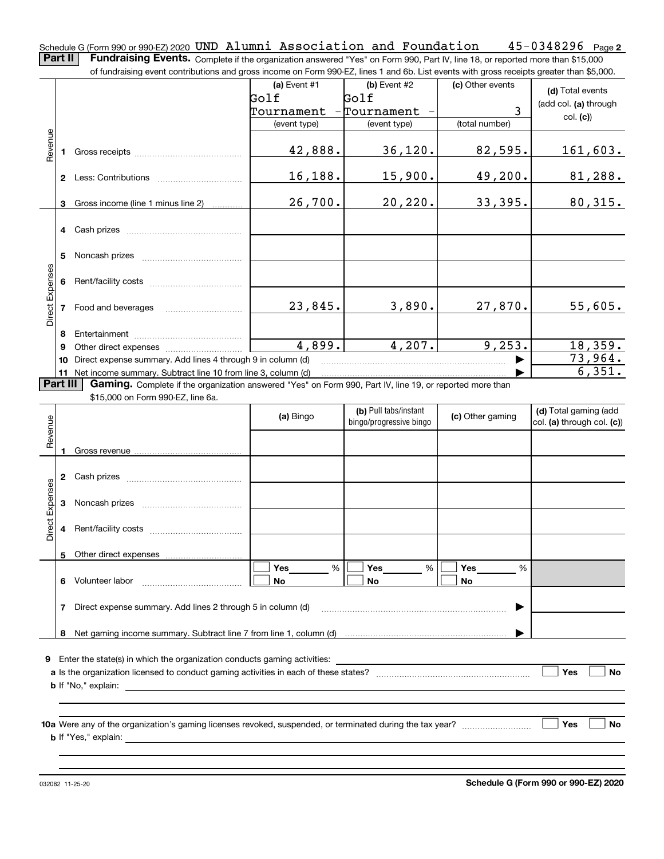**2** Schedule G (Form 990 or 990-EZ) 2020 <code>UND Alumni Association and Foundation 45-0348296 Page</code>

**Part II** | Fundraising Events. Complete if the organization answered "Yes" on Form 990, Part IV, line 18, or reported more than \$15,000 of fundraising event contributions and gross income on Form 990-EZ, lines 1 and 6b. List events with gross receipts greater than \$5,000.

|                 |    | 01 lunuraising event continuutions and gross income on Form 990-EZ, illies T and OD. Elst events with gross receipts greater than \$0,000.                                                                                     |                |                         |                  |                                |
|-----------------|----|--------------------------------------------------------------------------------------------------------------------------------------------------------------------------------------------------------------------------------|----------------|-------------------------|------------------|--------------------------------|
|                 |    |                                                                                                                                                                                                                                | (a) Event $#1$ | $(b)$ Event #2          | (c) Other events | (d) Total events               |
|                 |    |                                                                                                                                                                                                                                | Golf           | Golf                    |                  | (add col. (a) through          |
|                 |    |                                                                                                                                                                                                                                | Tournament -   | Tournament              | 3                | col. (c)                       |
|                 |    |                                                                                                                                                                                                                                | (event type)   | (event type)            | (total number)   |                                |
|                 |    |                                                                                                                                                                                                                                |                |                         |                  |                                |
| Revenue         | 1. | Gross receipts and the control of the control of the control of the control of the control of the control of the control of the control of the control of the control of the control of the control of the control of the cont | 42,888.        | 36, 120.                | 82,595.          | 161,603.                       |
|                 |    |                                                                                                                                                                                                                                |                |                         |                  |                                |
|                 |    |                                                                                                                                                                                                                                | 16,188.        | 15,900.                 | 49,200.          | 81,288.                        |
|                 |    |                                                                                                                                                                                                                                |                |                         |                  |                                |
|                 | 3  | Gross income (line 1 minus line 2)                                                                                                                                                                                             | 26,700.        | 20, 220.                | 33,395.          | 80,315.                        |
|                 |    |                                                                                                                                                                                                                                |                |                         |                  |                                |
|                 |    |                                                                                                                                                                                                                                |                |                         |                  |                                |
|                 |    |                                                                                                                                                                                                                                |                |                         |                  |                                |
|                 |    |                                                                                                                                                                                                                                |                |                         |                  |                                |
|                 |    |                                                                                                                                                                                                                                |                |                         |                  |                                |
|                 | 6  |                                                                                                                                                                                                                                |                |                         |                  |                                |
| Direct Expenses |    |                                                                                                                                                                                                                                |                |                         |                  |                                |
|                 |    | 7 Food and beverages                                                                                                                                                                                                           | 23,845.        | 3,890.                  | 27,870.          | 55,605.                        |
|                 |    |                                                                                                                                                                                                                                |                |                         |                  |                                |
|                 | 8  |                                                                                                                                                                                                                                |                |                         |                  |                                |
|                 | 9  |                                                                                                                                                                                                                                | 4,899.         | 4,207.                  | 9,253.           | 18,359.                        |
|                 |    | 10 Direct expense summary. Add lines 4 through 9 in column (d)                                                                                                                                                                 |                |                         |                  | 73,964.                        |
|                 |    | 11 Net income summary. Subtract line 10 from line 3, column (d)                                                                                                                                                                |                |                         |                  | $\overline{6,351}$ .           |
| Part III        |    | Gaming. Complete if the organization answered "Yes" on Form 990, Part IV, line 19, or reported more than                                                                                                                       |                |                         |                  |                                |
|                 |    | \$15,000 on Form 990-EZ, line 6a.                                                                                                                                                                                              |                |                         |                  |                                |
|                 |    |                                                                                                                                                                                                                                | (a) Bingo      | (b) Pull tabs/instant   | (c) Other gaming | (d) Total gaming (add          |
| Revenue         |    |                                                                                                                                                                                                                                |                | bingo/progressive bingo |                  | $ col. (a)$ through col. $(c)$ |
|                 |    |                                                                                                                                                                                                                                |                |                         |                  |                                |
|                 |    |                                                                                                                                                                                                                                |                |                         |                  |                                |
|                 |    |                                                                                                                                                                                                                                |                |                         |                  |                                |
|                 |    |                                                                                                                                                                                                                                |                |                         |                  |                                |
|                 |    |                                                                                                                                                                                                                                |                |                         |                  |                                |
| Direct Expenses | 3  |                                                                                                                                                                                                                                |                |                         |                  |                                |
|                 |    |                                                                                                                                                                                                                                |                |                         |                  |                                |
|                 | 4  |                                                                                                                                                                                                                                |                |                         |                  |                                |
|                 |    |                                                                                                                                                                                                                                |                |                         |                  |                                |
|                 |    | 5 Other direct expenses                                                                                                                                                                                                        |                |                         |                  |                                |
|                 |    |                                                                                                                                                                                                                                | Yes<br>%       | Yes<br>%                | Yes<br>%         |                                |
|                 |    | 6 Volunteer labor                                                                                                                                                                                                              | No             | No                      | No               |                                |
|                 |    |                                                                                                                                                                                                                                |                |                         |                  |                                |
|                 | 7  | Direct expense summary. Add lines 2 through 5 in column (d)                                                                                                                                                                    |                |                         |                  |                                |
|                 |    |                                                                                                                                                                                                                                |                |                         |                  |                                |
|                 | 8  |                                                                                                                                                                                                                                |                |                         |                  |                                |
| 9               |    | Enter the state(s) in which the organization conducts gaming activities:                                                                                                                                                       |                |                         |                  |                                |
|                 |    |                                                                                                                                                                                                                                |                |                         |                  | Yes<br><b>No</b>               |
|                 |    |                                                                                                                                                                                                                                |                |                         |                  |                                |
|                 |    |                                                                                                                                                                                                                                |                |                         |                  |                                |
|                 |    |                                                                                                                                                                                                                                |                |                         |                  |                                |
|                 |    |                                                                                                                                                                                                                                |                |                         |                  | Yes<br><b>No</b>               |
|                 |    |                                                                                                                                                                                                                                |                |                         |                  |                                |
|                 |    |                                                                                                                                                                                                                                |                |                         |                  |                                |
|                 |    |                                                                                                                                                                                                                                |                |                         |                  |                                |

032082 11-25-20

**Schedule G (Form 990 or 990-EZ) 2020**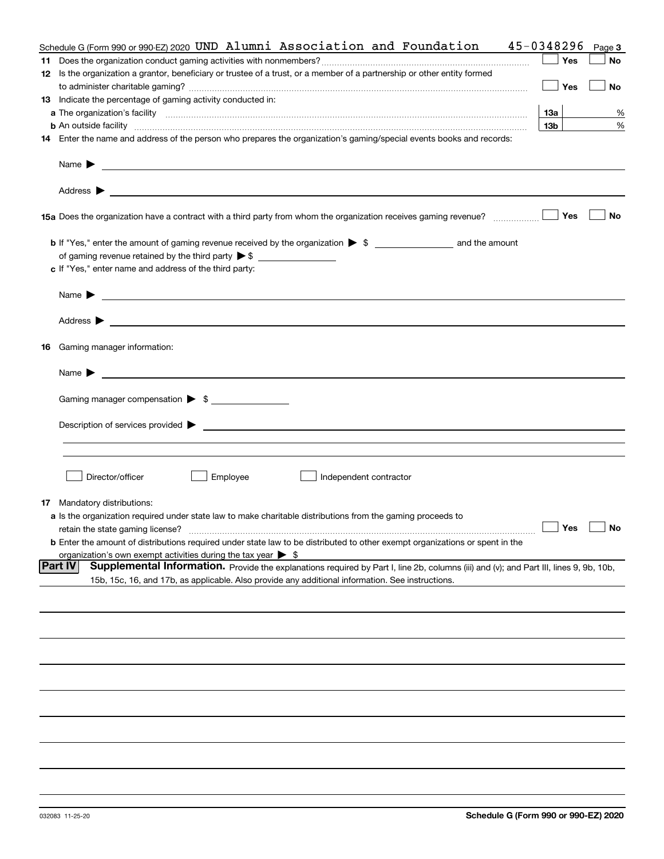| Schedule G (Form 990 or 990-EZ) 2020 UND Alumni Association and Foundation                                                                                                                                                                | 45-0348296<br>Page 3 |
|-------------------------------------------------------------------------------------------------------------------------------------------------------------------------------------------------------------------------------------------|----------------------|
|                                                                                                                                                                                                                                           | <b>Yes</b><br>No     |
| 12 Is the organization a grantor, beneficiary or trustee of a trust, or a member of a partnership or other entity formed                                                                                                                  |                      |
|                                                                                                                                                                                                                                           | <b>Yes</b><br>No     |
| 13 Indicate the percentage of gaming activity conducted in:                                                                                                                                                                               |                      |
|                                                                                                                                                                                                                                           | 13а<br>%             |
|                                                                                                                                                                                                                                           | 13 <sub>b</sub><br>% |
| <b>b</b> An outside facility <i>www.communicality communicality communicality communicality communicality communicality communicality communicality communicality communicality communicality communicality communicality communicali</i> |                      |
| 14 Enter the name and address of the person who prepares the organization's gaming/special events books and records:                                                                                                                      |                      |
| Name $\blacktriangleright$                                                                                                                                                                                                                |                      |
|                                                                                                                                                                                                                                           |                      |
|                                                                                                                                                                                                                                           | Yes<br>No            |
| <b>b</b> If "Yes," enter the amount of gaming revenue received by the organization $\triangleright$ \$ ____________________ and the amount                                                                                                |                      |
| of gaming revenue retained by the third party $\triangleright$ \$ $\_\_\_\_\_\_\_\_\_\_\_\_\_\_\_\_\_\_\_\_\_\_\_\_\_\_$                                                                                                                  |                      |
| c If "Yes," enter name and address of the third party:                                                                                                                                                                                    |                      |
|                                                                                                                                                                                                                                           |                      |
|                                                                                                                                                                                                                                           |                      |
|                                                                                                                                                                                                                                           |                      |
| <b>16</b> Gaming manager information:                                                                                                                                                                                                     |                      |
|                                                                                                                                                                                                                                           |                      |
| Gaming manager compensation > \$                                                                                                                                                                                                          |                      |
|                                                                                                                                                                                                                                           |                      |
|                                                                                                                                                                                                                                           |                      |
|                                                                                                                                                                                                                                           |                      |
|                                                                                                                                                                                                                                           |                      |
|                                                                                                                                                                                                                                           |                      |
| Director/officer<br>Employee<br>Independent contractor                                                                                                                                                                                    |                      |
|                                                                                                                                                                                                                                           |                      |
| <b>17</b> Mandatory distributions:                                                                                                                                                                                                        |                      |
| <b>a</b> Is the organization required under state law to make charitable distributions from the gaming proceeds to                                                                                                                        |                      |
|                                                                                                                                                                                                                                           | $\Box$ Yes $\Box$ No |
| <b>b</b> Enter the amount of distributions required under state law to be distributed to other exempt organizations or spent in the                                                                                                       |                      |
| organization's own exempt activities during the tax year $\triangleright$ \$                                                                                                                                                              |                      |
| <b>Part IV</b><br>Supplemental Information. Provide the explanations required by Part I, line 2b, columns (iii) and (v); and Part III, lines 9, 9b, 10b,                                                                                  |                      |
| 15b, 15c, 16, and 17b, as applicable. Also provide any additional information. See instructions.                                                                                                                                          |                      |
|                                                                                                                                                                                                                                           |                      |
|                                                                                                                                                                                                                                           |                      |
|                                                                                                                                                                                                                                           |                      |
|                                                                                                                                                                                                                                           |                      |
|                                                                                                                                                                                                                                           |                      |
|                                                                                                                                                                                                                                           |                      |
|                                                                                                                                                                                                                                           |                      |
|                                                                                                                                                                                                                                           |                      |
|                                                                                                                                                                                                                                           |                      |
|                                                                                                                                                                                                                                           |                      |
|                                                                                                                                                                                                                                           |                      |
|                                                                                                                                                                                                                                           |                      |
|                                                                                                                                                                                                                                           |                      |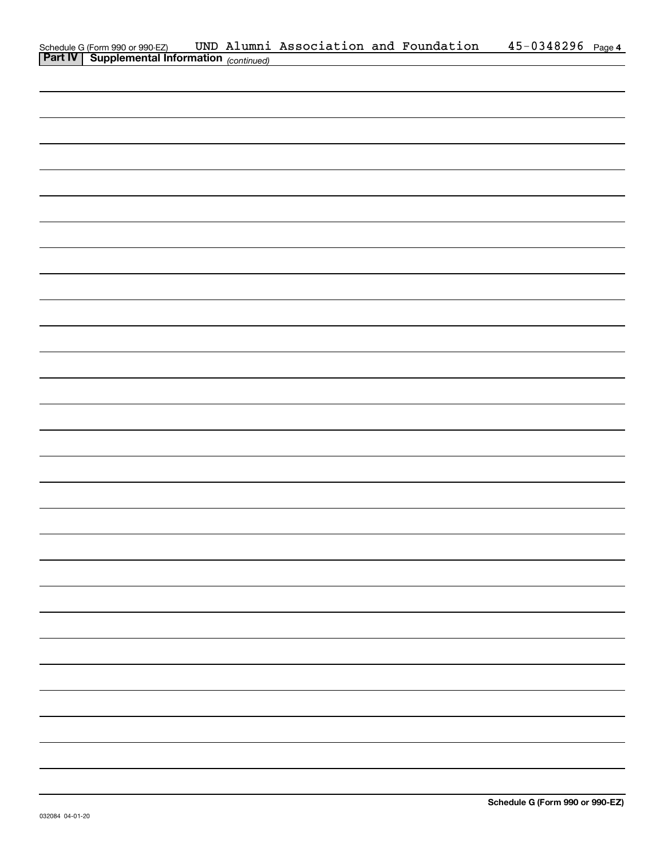| Schedule G (Form 990 or 990-EZ) UND Alumni Association and Foundation Part IV   Supplemental Information (continued) |  |  | 45-0348296 Page 4 |  |
|----------------------------------------------------------------------------------------------------------------------|--|--|-------------------|--|
|                                                                                                                      |  |  |                   |  |
|                                                                                                                      |  |  |                   |  |
|                                                                                                                      |  |  |                   |  |
|                                                                                                                      |  |  |                   |  |
|                                                                                                                      |  |  |                   |  |
|                                                                                                                      |  |  |                   |  |
|                                                                                                                      |  |  |                   |  |
|                                                                                                                      |  |  |                   |  |
|                                                                                                                      |  |  |                   |  |
|                                                                                                                      |  |  |                   |  |
|                                                                                                                      |  |  |                   |  |
|                                                                                                                      |  |  |                   |  |
|                                                                                                                      |  |  |                   |  |
|                                                                                                                      |  |  |                   |  |
|                                                                                                                      |  |  |                   |  |
|                                                                                                                      |  |  |                   |  |
|                                                                                                                      |  |  |                   |  |
|                                                                                                                      |  |  |                   |  |
|                                                                                                                      |  |  |                   |  |
|                                                                                                                      |  |  |                   |  |
|                                                                                                                      |  |  |                   |  |
|                                                                                                                      |  |  |                   |  |
|                                                                                                                      |  |  |                   |  |
|                                                                                                                      |  |  |                   |  |
|                                                                                                                      |  |  |                   |  |
|                                                                                                                      |  |  |                   |  |
|                                                                                                                      |  |  |                   |  |
|                                                                                                                      |  |  |                   |  |
|                                                                                                                      |  |  |                   |  |
|                                                                                                                      |  |  |                   |  |
|                                                                                                                      |  |  |                   |  |
|                                                                                                                      |  |  |                   |  |
|                                                                                                                      |  |  |                   |  |
|                                                                                                                      |  |  |                   |  |
|                                                                                                                      |  |  |                   |  |
|                                                                                                                      |  |  |                   |  |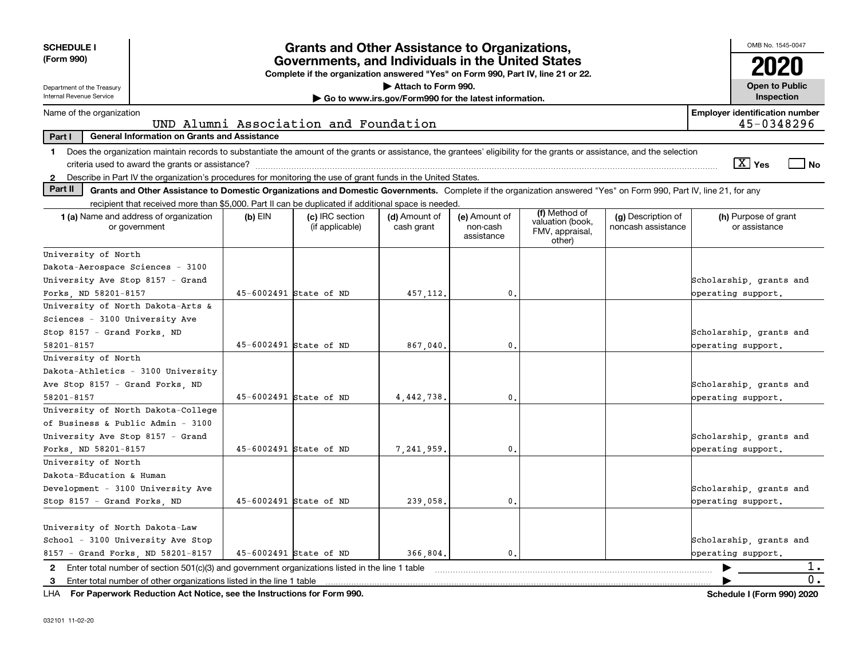| <b>SCHEDULE I</b><br>(Form 990)                                                                                                                                               | <b>Grants and Other Assistance to Organizations,</b><br>Governments, and Individuals in the United States<br>Complete if the organization answered "Yes" on Form 990, Part IV, line 21 or 22.                                           |                                       | OMB No. 1545-0047                                     |                |  |  |                                       |
|-------------------------------------------------------------------------------------------------------------------------------------------------------------------------------|-----------------------------------------------------------------------------------------------------------------------------------------------------------------------------------------------------------------------------------------|---------------------------------------|-------------------------------------------------------|----------------|--|--|---------------------------------------|
| Department of the Treasury<br>Internal Revenue Service                                                                                                                        |                                                                                                                                                                                                                                         |                                       | Attach to Form 990.                                   |                |  |  | <b>Open to Public</b><br>Inspection   |
| Name of the organization                                                                                                                                                      |                                                                                                                                                                                                                                         |                                       | Go to www.irs.gov/Form990 for the latest information. |                |  |  | <b>Employer identification number</b> |
|                                                                                                                                                                               |                                                                                                                                                                                                                                         | UND Alumni Association and Foundation |                                                       |                |  |  | 45-0348296                            |
| <b>General Information on Grants and Assistance</b><br>Part I                                                                                                                 |                                                                                                                                                                                                                                         |                                       |                                                       |                |  |  |                                       |
| 1 Does the organization maintain records to substantiate the amount of the grants or assistance, the grantees' eligibility for the grants or assistance, and the selection    |                                                                                                                                                                                                                                         |                                       |                                                       |                |  |  | $\boxed{\text{X}}$ Yes<br>l No        |
| 2 Describe in Part IV the organization's procedures for monitoring the use of grant funds in the United States.                                                               |                                                                                                                                                                                                                                         |                                       |                                                       |                |  |  |                                       |
| Part II<br>Grants and Other Assistance to Domestic Organizations and Domestic Governments. Complete if the organization answered "Yes" on Form 990, Part IV, line 21, for any |                                                                                                                                                                                                                                         |                                       |                                                       |                |  |  |                                       |
| recipient that received more than \$5,000. Part II can be duplicated if additional space is needed.                                                                           |                                                                                                                                                                                                                                         |                                       |                                                       |                |  |  |                                       |
| <b>1 (a)</b> Name and address of organization<br>or government                                                                                                                | (f) Method of<br>$(b)$ EIN<br>(c) IRC section<br>(d) Amount of<br>(e) Amount of<br>(g) Description of<br>valuation (book,<br>noncash assistance<br>(if applicable)<br>cash grant<br>non-cash<br>FMV, appraisal,<br>assistance<br>other) |                                       | (h) Purpose of grant<br>or assistance                 |                |  |  |                                       |
| University of North                                                                                                                                                           |                                                                                                                                                                                                                                         |                                       |                                                       |                |  |  |                                       |
| Dakota-Aerospace Sciences - 3100                                                                                                                                              |                                                                                                                                                                                                                                         |                                       |                                                       |                |  |  |                                       |
| University Ave Stop 8157 - Grand                                                                                                                                              | Scholarship, grants and                                                                                                                                                                                                                 |                                       |                                                       |                |  |  |                                       |
| Forks, ND 58201-8157                                                                                                                                                          | operating support.                                                                                                                                                                                                                      |                                       |                                                       |                |  |  |                                       |
| University of North Dakota-Arts &                                                                                                                                             |                                                                                                                                                                                                                                         |                                       |                                                       |                |  |  |                                       |
| Sciences - 3100 University Ave                                                                                                                                                |                                                                                                                                                                                                                                         |                                       |                                                       |                |  |  |                                       |
| Stop 8157 - Grand Forks, ND                                                                                                                                                   |                                                                                                                                                                                                                                         |                                       |                                                       |                |  |  | Scholarship, grants and               |
| 58201-8157                                                                                                                                                                    |                                                                                                                                                                                                                                         | 45-6002491 State of ND                | 867.040.                                              | 0.             |  |  | operating support.                    |
| University of North                                                                                                                                                           |                                                                                                                                                                                                                                         |                                       |                                                       |                |  |  |                                       |
| Dakota-Athletics - 3100 University                                                                                                                                            |                                                                                                                                                                                                                                         |                                       |                                                       |                |  |  |                                       |
| Ave Stop 8157 - Grand Forks, ND                                                                                                                                               |                                                                                                                                                                                                                                         |                                       |                                                       |                |  |  | Scholarship, grants and               |
| 58201-8157                                                                                                                                                                    |                                                                                                                                                                                                                                         | 45-6002491 State of ND                | 4,442,738.                                            | 0.             |  |  | operating support.                    |
| University of North Dakota-College                                                                                                                                            |                                                                                                                                                                                                                                         |                                       |                                                       |                |  |  |                                       |
| of Business & Public Admin - 3100                                                                                                                                             |                                                                                                                                                                                                                                         |                                       |                                                       |                |  |  |                                       |
| University Ave Stop 8157 - Grand                                                                                                                                              |                                                                                                                                                                                                                                         |                                       |                                                       |                |  |  | Scholarship, grants and               |
| Forks, ND 58201-8157                                                                                                                                                          |                                                                                                                                                                                                                                         | 45-6002491 State of ND                | 7.241.959.                                            | 0.             |  |  | operating support.                    |
| University of North                                                                                                                                                           |                                                                                                                                                                                                                                         |                                       |                                                       |                |  |  |                                       |
| Dakota-Education & Human                                                                                                                                                      |                                                                                                                                                                                                                                         |                                       |                                                       |                |  |  |                                       |
| Development - 3100 University Ave                                                                                                                                             |                                                                                                                                                                                                                                         |                                       |                                                       |                |  |  | Scholarship, grants and               |
| Stop 8157 - Grand Forks, ND                                                                                                                                                   |                                                                                                                                                                                                                                         | 45-6002491 State of ND                | 239,058.                                              | $\mathbf{0}$ . |  |  | operating support.                    |
|                                                                                                                                                                               |                                                                                                                                                                                                                                         |                                       |                                                       |                |  |  |                                       |
| University of North Dakota-Law                                                                                                                                                |                                                                                                                                                                                                                                         |                                       |                                                       |                |  |  |                                       |
| School - 3100 University Ave Stop                                                                                                                                             |                                                                                                                                                                                                                                         |                                       |                                                       |                |  |  | Scholarship, grants and               |
| 8157 - Grand Forks, ND 58201-8157                                                                                                                                             |                                                                                                                                                                                                                                         | 45-6002491 State of ND                | 366.804.                                              | 0.             |  |  | operating support.                    |
| 2 Enter total number of section 501(c)(3) and government organizations listed in the line 1 table                                                                             |                                                                                                                                                                                                                                         |                                       |                                                       |                |  |  | 1.<br>▶                               |
| 3 Enter total number of other organizations listed in the line 1 table                                                                                                        |                                                                                                                                                                                                                                         |                                       |                                                       |                |  |  | 0.                                    |

**For Paperwork Reduction Act Notice, see the Instructions for Form 990. Schedule I (Form 990) 2020** LHA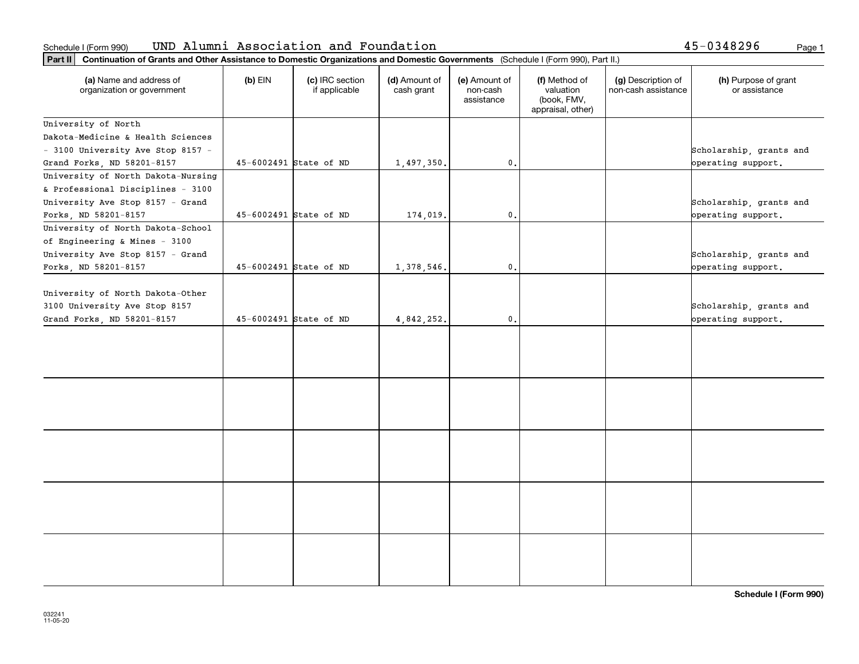### **Part II Continuation of Grants and Other Assistance to Domestic Organizations** Schedule I(Form 990) UND Alumni Association and Foundation 45-0348296 <sub>Page 1</sub>

|  | 45-0348296 | Page 1 |
|--|------------|--------|
|--|------------|--------|

| Part II   Continuation of Grants and Other Assistance to Domestic Organizations and Domestic Governments (Schedule I (Form 990), Part II.) |                        |                                  |                             |                                         |                                                                |                                           |                                               |  |  |
|--------------------------------------------------------------------------------------------------------------------------------------------|------------------------|----------------------------------|-----------------------------|-----------------------------------------|----------------------------------------------------------------|-------------------------------------------|-----------------------------------------------|--|--|
| (a) Name and address of<br>organization or government                                                                                      | $(b)$ EIN              | (c) IRC section<br>if applicable | (d) Amount of<br>cash grant | (e) Amount of<br>non-cash<br>assistance | (f) Method of<br>valuation<br>(book, FMV,<br>appraisal, other) | (g) Description of<br>non-cash assistance | (h) Purpose of grant<br>or assistance         |  |  |
| University of North                                                                                                                        |                        |                                  |                             |                                         |                                                                |                                           |                                               |  |  |
| Dakota-Medicine & Health Sciences                                                                                                          |                        |                                  |                             |                                         |                                                                |                                           |                                               |  |  |
| - 3100 University Ave Stop 8157 -                                                                                                          |                        |                                  |                             |                                         |                                                                |                                           | Scholarship, grants and                       |  |  |
| Grand Forks, ND 58201-8157                                                                                                                 | 45-6002491 State of ND |                                  | 1,497,350.                  | $\mathfrak o$ .                         |                                                                |                                           | operating support.                            |  |  |
| University of North Dakota-Nursing                                                                                                         |                        |                                  |                             |                                         |                                                                |                                           |                                               |  |  |
| & Professional Disciplines - 3100                                                                                                          |                        |                                  |                             |                                         |                                                                |                                           |                                               |  |  |
| University Ave Stop 8157 - Grand                                                                                                           |                        |                                  |                             |                                         |                                                                |                                           | Scholarship, grants and                       |  |  |
| Forks, ND 58201-8157                                                                                                                       | 45-6002491 State of ND |                                  | 174,019.                    | $\mathbf{0}$ .                          |                                                                |                                           | operating support.                            |  |  |
| University of North Dakota-School                                                                                                          |                        |                                  |                             |                                         |                                                                |                                           |                                               |  |  |
| of Engineering & Mines - 3100                                                                                                              |                        |                                  |                             |                                         |                                                                |                                           |                                               |  |  |
| University Ave Stop 8157 - Grand                                                                                                           |                        |                                  |                             |                                         |                                                                |                                           | Scholarship, grants and                       |  |  |
| Forks, ND 58201-8157                                                                                                                       | 45-6002491 State of ND |                                  | 1,378,546.                  | $\mathfrak{o}$ .                        |                                                                |                                           | operating support.                            |  |  |
| University of North Dakota-Other<br>3100 University Ave Stop 8157<br>Grand Forks, ND 58201-8157                                            | 45-6002491 State of ND |                                  | 4,842,252.                  | $\mathfrak{o}$ .                        |                                                                |                                           | Scholarship, grants and<br>operating support. |  |  |
|                                                                                                                                            |                        |                                  |                             |                                         |                                                                |                                           |                                               |  |  |
|                                                                                                                                            |                        |                                  |                             |                                         |                                                                |                                           |                                               |  |  |
|                                                                                                                                            |                        |                                  |                             |                                         |                                                                |                                           |                                               |  |  |
|                                                                                                                                            |                        |                                  |                             |                                         |                                                                |                                           |                                               |  |  |
|                                                                                                                                            |                        |                                  |                             |                                         |                                                                |                                           |                                               |  |  |
|                                                                                                                                            |                        |                                  |                             |                                         |                                                                |                                           |                                               |  |  |
|                                                                                                                                            |                        |                                  |                             |                                         |                                                                |                                           |                                               |  |  |
|                                                                                                                                            |                        |                                  |                             |                                         |                                                                |                                           |                                               |  |  |
|                                                                                                                                            |                        |                                  |                             |                                         |                                                                |                                           |                                               |  |  |
|                                                                                                                                            |                        |                                  |                             |                                         |                                                                |                                           |                                               |  |  |
|                                                                                                                                            |                        |                                  |                             |                                         |                                                                |                                           |                                               |  |  |
|                                                                                                                                            |                        |                                  |                             |                                         |                                                                |                                           |                                               |  |  |
|                                                                                                                                            |                        |                                  |                             |                                         |                                                                |                                           |                                               |  |  |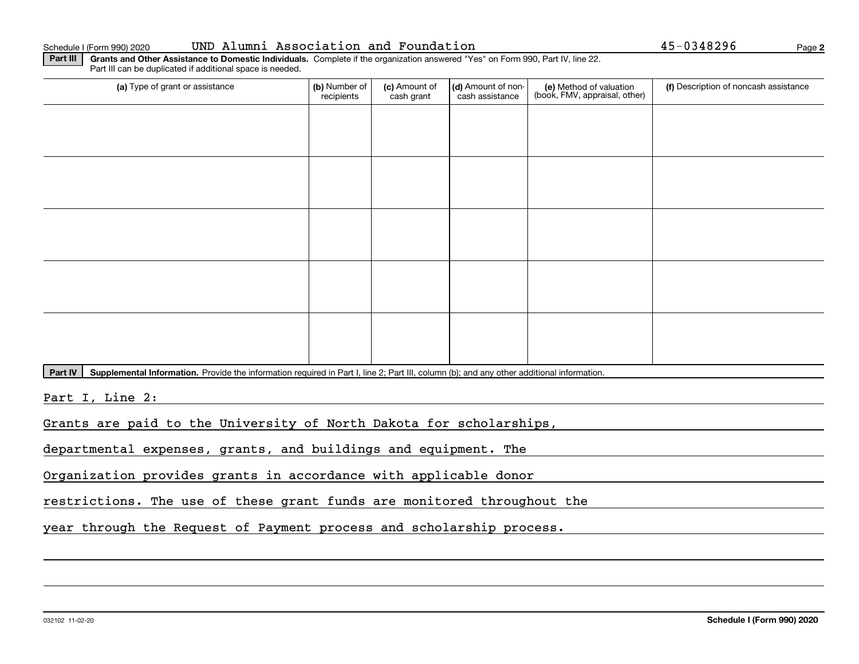### Schedule I (Form 990) 2020 UND Alumni Association and Foundation 45-0348296 <sub>Page</sub>

**2**

**Part III** | Grants and Other Assistance to Domestic Individuals. Complete if the organization answered "Yes" on Form 990, Part IV, line 22. Part III can be duplicated if additional space is needed.

| (a) Type of grant or assistance | (b) Number of<br>recipients | (c) Amount of<br>cash grant | (d) Amount of non-<br>cash assistance | (e) Method of valuation<br>(book, FMV, appraisal, other) | (f) Description of noncash assistance |
|---------------------------------|-----------------------------|-----------------------------|---------------------------------------|----------------------------------------------------------|---------------------------------------|
|                                 |                             |                             |                                       |                                                          |                                       |
|                                 |                             |                             |                                       |                                                          |                                       |
|                                 |                             |                             |                                       |                                                          |                                       |
|                                 |                             |                             |                                       |                                                          |                                       |
|                                 |                             |                             |                                       |                                                          |                                       |
|                                 |                             |                             |                                       |                                                          |                                       |
|                                 |                             |                             |                                       |                                                          |                                       |
|                                 |                             |                             |                                       |                                                          |                                       |
|                                 |                             |                             |                                       |                                                          |                                       |
|                                 |                             |                             |                                       |                                                          |                                       |

Part IV | Supplemental Information. Provide the information required in Part I, line 2; Part III, column (b); and any other additional information.

Part I, Line 2:

Grants are paid to the University of North Dakota for scholarships,

departmental expenses, grants, and buildings and equipment. The

Organization provides grants in accordance with applicable donor

restrictions. The use of these grant funds are monitored throughout the

year through the Request of Payment process and scholarship process.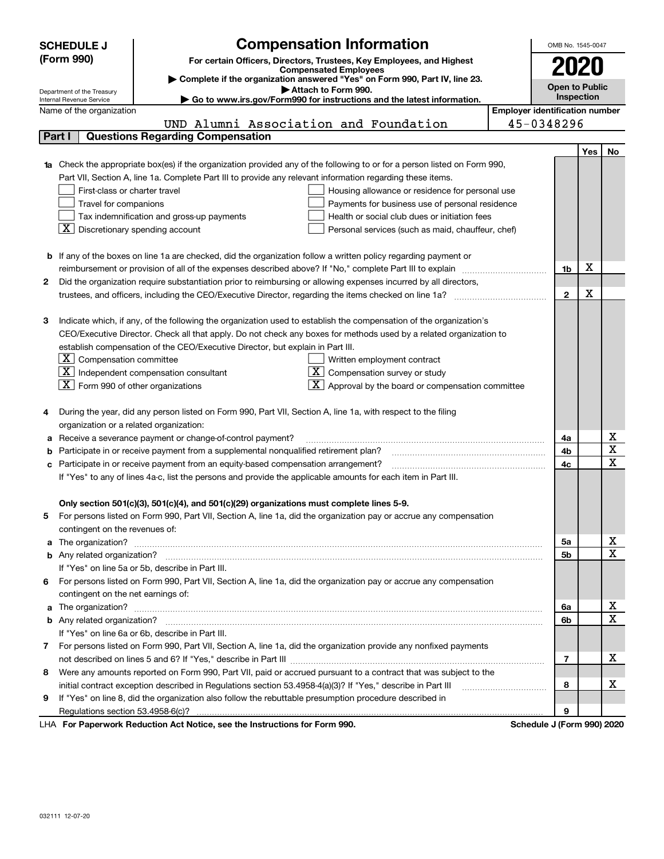|   | <b>Compensation Information</b><br><b>SCHEDULE J</b><br>OMB No. 1545-0047                                              |                                                                                                                        |                                       |                       |            |                  |  |  |
|---|------------------------------------------------------------------------------------------------------------------------|------------------------------------------------------------------------------------------------------------------------|---------------------------------------|-----------------------|------------|------------------|--|--|
|   | (Form 990)                                                                                                             | For certain Officers, Directors, Trustees, Key Employees, and Highest                                                  |                                       |                       |            |                  |  |  |
|   |                                                                                                                        | <b>Compensated Employees</b>                                                                                           |                                       | 2020                  |            |                  |  |  |
|   |                                                                                                                        | Complete if the organization answered "Yes" on Form 990, Part IV, line 23.<br>Attach to Form 990.                      |                                       | <b>Open to Public</b> |            |                  |  |  |
|   | Department of the Treasury<br>Internal Revenue Service                                                                 | ► Go to www.irs.gov/Form990 for instructions and the latest information.                                               |                                       |                       | Inspection |                  |  |  |
|   | Name of the organization                                                                                               |                                                                                                                        | <b>Employer identification number</b> |                       |            |                  |  |  |
|   |                                                                                                                        | UND Alumni Association and Foundation                                                                                  |                                       | 45-0348296            |            |                  |  |  |
|   | Part I                                                                                                                 | <b>Questions Regarding Compensation</b>                                                                                |                                       |                       |            |                  |  |  |
|   |                                                                                                                        |                                                                                                                        |                                       |                       | Yes        | No               |  |  |
|   |                                                                                                                        | Check the appropriate box(es) if the organization provided any of the following to or for a person listed on Form 990, |                                       |                       |            |                  |  |  |
|   |                                                                                                                        | Part VII, Section A, line 1a. Complete Part III to provide any relevant information regarding these items.             |                                       |                       |            |                  |  |  |
|   | First-class or charter travel                                                                                          | Housing allowance or residence for personal use                                                                        |                                       |                       |            |                  |  |  |
|   | Travel for companions                                                                                                  | Payments for business use of personal residence                                                                        |                                       |                       |            |                  |  |  |
|   |                                                                                                                        | Tax indemnification and gross-up payments<br>Health or social club dues or initiation fees                             |                                       |                       |            |                  |  |  |
|   | $\overline{X}$ Discretionary spending account<br>Personal services (such as maid, chauffeur, chef)                     |                                                                                                                        |                                       |                       |            |                  |  |  |
|   |                                                                                                                        |                                                                                                                        |                                       |                       |            |                  |  |  |
|   | <b>b</b> If any of the boxes on line 1a are checked, did the organization follow a written policy regarding payment or |                                                                                                                        |                                       |                       |            |                  |  |  |
|   |                                                                                                                        |                                                                                                                        |                                       |                       |            |                  |  |  |
| 2 | Did the organization require substantiation prior to reimbursing or allowing expenses incurred by all directors,       |                                                                                                                        |                                       |                       |            |                  |  |  |
|   |                                                                                                                        |                                                                                                                        |                                       | $\mathbf{2}$          | X          |                  |  |  |
|   |                                                                                                                        |                                                                                                                        |                                       |                       |            |                  |  |  |
| З |                                                                                                                        | Indicate which, if any, of the following the organization used to establish the compensation of the organization's     |                                       |                       |            |                  |  |  |
|   |                                                                                                                        | CEO/Executive Director. Check all that apply. Do not check any boxes for methods used by a related organization to     |                                       |                       |            |                  |  |  |
|   |                                                                                                                        | establish compensation of the CEO/Executive Director, but explain in Part III.                                         |                                       |                       |            |                  |  |  |
|   | $X$ Compensation committee                                                                                             | Written employment contract                                                                                            |                                       |                       |            |                  |  |  |
|   |                                                                                                                        | $\boxed{\text{X}}$ Independent compensation consultant<br>$X$ Compensation survey or study                             |                                       |                       |            |                  |  |  |
|   | $\overline{X}$ Form 990 of other organizations                                                                         | $\boxed{\textbf{X}}$ Approval by the board or compensation committee                                                   |                                       |                       |            |                  |  |  |
|   |                                                                                                                        |                                                                                                                        |                                       |                       |            |                  |  |  |
| 4 |                                                                                                                        | During the year, did any person listed on Form 990, Part VII, Section A, line 1a, with respect to the filing           |                                       |                       |            |                  |  |  |
|   | organization or a related organization:                                                                                |                                                                                                                        |                                       |                       |            |                  |  |  |
| а |                                                                                                                        | Receive a severance payment or change-of-control payment?                                                              |                                       | 4a                    |            | х                |  |  |
| b |                                                                                                                        | Participate in or receive payment from a supplemental nonqualified retirement plan?                                    |                                       | 4b                    |            | X                |  |  |
| с |                                                                                                                        | Participate in or receive payment from an equity-based compensation arrangement?                                       |                                       | 4c                    |            | X                |  |  |
|   |                                                                                                                        | If "Yes" to any of lines 4a-c, list the persons and provide the applicable amounts for each item in Part III.          |                                       |                       |            |                  |  |  |
|   |                                                                                                                        |                                                                                                                        |                                       |                       |            |                  |  |  |
|   |                                                                                                                        | Only section 501(c)(3), 501(c)(4), and 501(c)(29) organizations must complete lines 5-9.                               |                                       |                       |            |                  |  |  |
| 5 |                                                                                                                        | For persons listed on Form 990, Part VII, Section A, line 1a, did the organization pay or accrue any compensation      |                                       |                       |            |                  |  |  |
|   | contingent on the revenues of:                                                                                         |                                                                                                                        |                                       |                       |            |                  |  |  |
| a |                                                                                                                        |                                                                                                                        |                                       | 5a                    |            | X                |  |  |
|   |                                                                                                                        |                                                                                                                        |                                       | 5b                    |            | X                |  |  |
|   |                                                                                                                        | If "Yes" on line 5a or 5b, describe in Part III.                                                                       |                                       |                       |            |                  |  |  |
|   |                                                                                                                        | 6 For persons listed on Form 990, Part VII, Section A, line 1a, did the organization pay or accrue any compensation    |                                       |                       |            |                  |  |  |
|   | contingent on the net earnings of:                                                                                     |                                                                                                                        |                                       |                       |            | x                |  |  |
| a |                                                                                                                        |                                                                                                                        |                                       |                       |            |                  |  |  |
|   |                                                                                                                        |                                                                                                                        |                                       | 6b                    |            | X                |  |  |
|   |                                                                                                                        | If "Yes" on line 6a or 6b, describe in Part III.                                                                       |                                       |                       |            |                  |  |  |
| 7 |                                                                                                                        | For persons listed on Form 990, Part VII, Section A, line 1a, did the organization provide any nonfixed payments       |                                       |                       |            |                  |  |  |
|   |                                                                                                                        |                                                                                                                        |                                       | 7                     |            | x                |  |  |
| 8 |                                                                                                                        | Were any amounts reported on Form 990, Part VII, paid or accrued pursuant to a contract that was subject to the        |                                       |                       |            |                  |  |  |
|   |                                                                                                                        | initial contract exception described in Regulations section 53.4958-4(a)(3)? If "Yes," describe in Part III            |                                       | 8                     |            | х                |  |  |
| 9 |                                                                                                                        | If "Yes" on line 8, did the organization also follow the rebuttable presumption procedure described in                 |                                       |                       |            |                  |  |  |
|   |                                                                                                                        | duction Act Notice, and the Instructions for Form 000.                                                                 |                                       | 9                     |            |                  |  |  |
|   |                                                                                                                        |                                                                                                                        |                                       | Calcadota, LIPa.      |            | <u>nnov nnov</u> |  |  |

LHA For Paperwork Reduction Act Notice, see the Instructions for Form 990. Schedule J (Form 990) 2020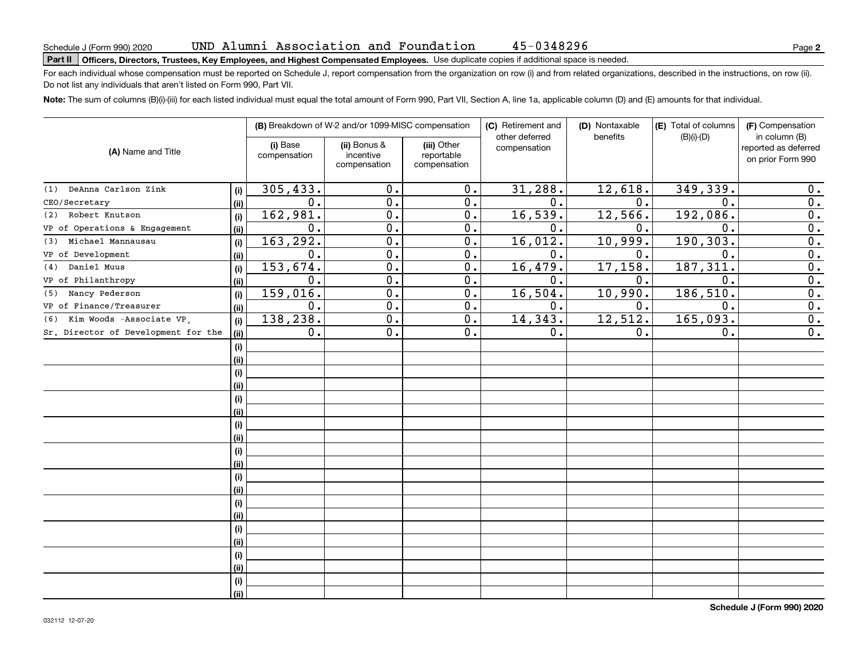# Schedule J (Form 990) 2020 UND Alumni ASSOC1at1on and Foundat1on 45–0348296<br>Part II | Officers, Directors, Trustees, Key Employees, and Highest Compensated Employees. Use duplicate copies

For each individual whose compensation must be reported on Schedule J, report compensation from the organization on row (i) and from related organizations, described in the instructions, on row (ii). Do not list any individuals that aren't listed on Form 990, Part VII.

45-0348296

**Note:**  The sum of columns (B)(i)-(iii) for each listed individual must equal the total amount of Form 990, Part VII, Section A, line 1a, applicable column (D) and (E) amounts for that individual.

|                                     |      |                          | (B) Breakdown of W-2 and/or 1099-MISC compensation |                                           | (C) Retirement and<br>other deferred | (D) Nontaxable<br>benefits | (E) Total of columns<br>$(B)(i)-(D)$ | (F) Compensation<br>in column (B)         |
|-------------------------------------|------|--------------------------|----------------------------------------------------|-------------------------------------------|--------------------------------------|----------------------------|--------------------------------------|-------------------------------------------|
| (A) Name and Title                  |      | (i) Base<br>compensation | (ii) Bonus &<br>incentive<br>compensation          | (iii) Other<br>reportable<br>compensation | compensation                         |                            |                                      | reported as deferred<br>on prior Form 990 |
| (1) DeAnna Carlson Zink             | (i)  | 305, 433.                | 0.                                                 | 0.                                        | 31,288.                              | 12,618.                    | 349,339.                             | 0.                                        |
| CEO/Secretary                       | (ii) | 0.                       | 0.                                                 | 0.                                        | 0.                                   | 0.                         | 0.                                   | 0.                                        |
| Robert Knutson<br>(2)               | (i)  | 162,981.                 | 0.                                                 | 0.                                        | 16, 539.                             | 12,566.                    | 192,086.                             | 0.                                        |
| VP of Operations & Engagement       | (ii) | 0.                       | $\overline{0}$ .                                   | 0.                                        | 0.                                   | 0.                         | $\mathbf 0$ .                        | $\overline{0}$ .                          |
| Michael Mannausau<br>(3)            | (i)  | 163,292.                 | $\overline{0}$ .                                   | 0.                                        | 16,012.                              | 10,999.                    | 190,303.                             | $\overline{0}$ .                          |
| VP of Development                   | (ii) | 0.                       | $\overline{0}$ .                                   | 0.                                        | $\mathbf 0$ .                        | $\mathbf 0$ .              | $\mathbf 0$ .                        | $\overline{0}$ .                          |
| Daniel Muus<br>(4)                  | (i)  | 153,674.                 | 0.                                                 | 0.                                        | 16, 479.                             | 17, 158.                   | 187, 311                             | $\overline{0}$ .                          |
| VP of Philanthropy                  | (ii) | 0.                       | 0.                                                 | 0.                                        | $\mathbf 0$ .                        | $\mathbf 0$ .              | $\mathbf 0$ .                        | $\overline{0}$ .                          |
| Nancy Pederson<br>(5)               | (i)  | 159,016.                 | 0.                                                 | 0.                                        | 16,504.                              | 10,990.                    | 186,510.                             | $\mathbf 0$ .                             |
| VP of Finance/Treasurer             | (ii) | 0.                       | 0.                                                 | $0$ .                                     | $\mathbf 0$ .                        | $\mathbf 0$ .              | 0.                                   | $\mathbf 0$ .                             |
| Kim Woods -Associate VP,<br>(6)     | (i)  | 138,238.                 | $\overline{0}$ .                                   | $\overline{0}$ .                          | 14,343.                              | 12,512.                    | 165,093.                             | $\overline{0}$ .                          |
| Sr. Director of Development for the | (ii) | $0$ .                    | $\overline{0}$ .                                   | 0.                                        | 0.                                   | 0.                         | 0.                                   | $\overline{0}$ .                          |
|                                     | (i)  |                          |                                                    |                                           |                                      |                            |                                      |                                           |
|                                     | (ii) |                          |                                                    |                                           |                                      |                            |                                      |                                           |
|                                     | (i)  |                          |                                                    |                                           |                                      |                            |                                      |                                           |
|                                     | (ii) |                          |                                                    |                                           |                                      |                            |                                      |                                           |
|                                     | (i)  |                          |                                                    |                                           |                                      |                            |                                      |                                           |
|                                     | (ii) |                          |                                                    |                                           |                                      |                            |                                      |                                           |
|                                     | (i)  |                          |                                                    |                                           |                                      |                            |                                      |                                           |
|                                     | (ii) |                          |                                                    |                                           |                                      |                            |                                      |                                           |
|                                     | (i)  |                          |                                                    |                                           |                                      |                            |                                      |                                           |
|                                     | (ii) |                          |                                                    |                                           |                                      |                            |                                      |                                           |
|                                     | (i)  |                          |                                                    |                                           |                                      |                            |                                      |                                           |
|                                     | (ii) |                          |                                                    |                                           |                                      |                            |                                      |                                           |
|                                     | (i)  |                          |                                                    |                                           |                                      |                            |                                      |                                           |
|                                     | (ii) |                          |                                                    |                                           |                                      |                            |                                      |                                           |
|                                     | (i)  |                          |                                                    |                                           |                                      |                            |                                      |                                           |
|                                     | (ii) |                          |                                                    |                                           |                                      |                            |                                      |                                           |
|                                     | (i)  |                          |                                                    |                                           |                                      |                            |                                      |                                           |
|                                     | (ii) |                          |                                                    |                                           |                                      |                            |                                      |                                           |
|                                     | (i)  |                          |                                                    |                                           |                                      |                            |                                      |                                           |
|                                     | (ii) |                          |                                                    |                                           |                                      |                            |                                      |                                           |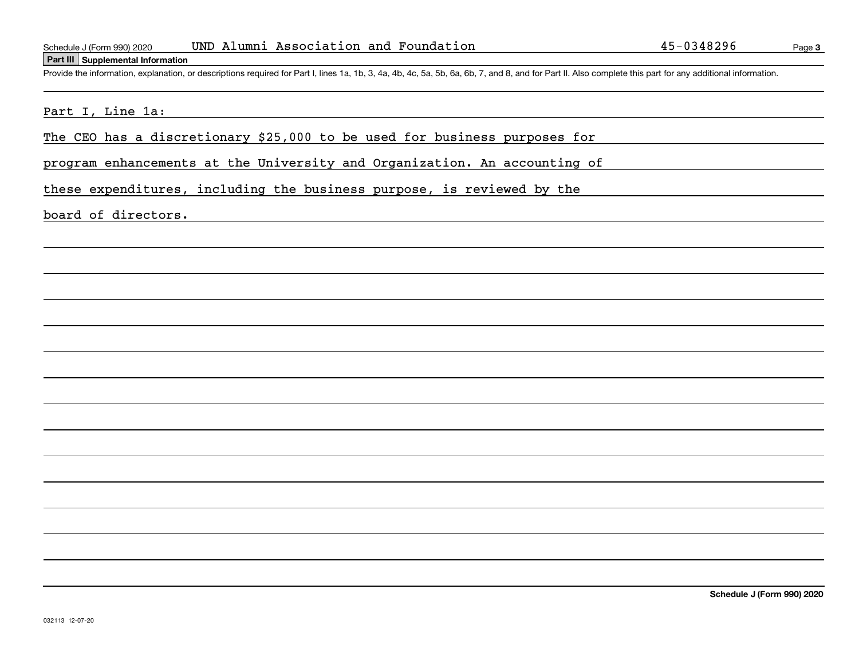### **Part III Supplemental Information**

Schedule J (Form 990) 2020 UND Alumni Association and Foundation<br>Part III Supplemental Information<br>Provide the information, explanation, or descriptions required for Part I, lines 1a, 1b, 3, 4a, 4b, 4c, 5a, 5b, 6a, 6b, 7,

### Part I, Line 1a:

The CEO has a discretionary \$25,000 to be used for business purposes for

program enhancements at the University and Organization. An accounting of

these expenditures, including the business purpose, is reviewed by the

### board of directors.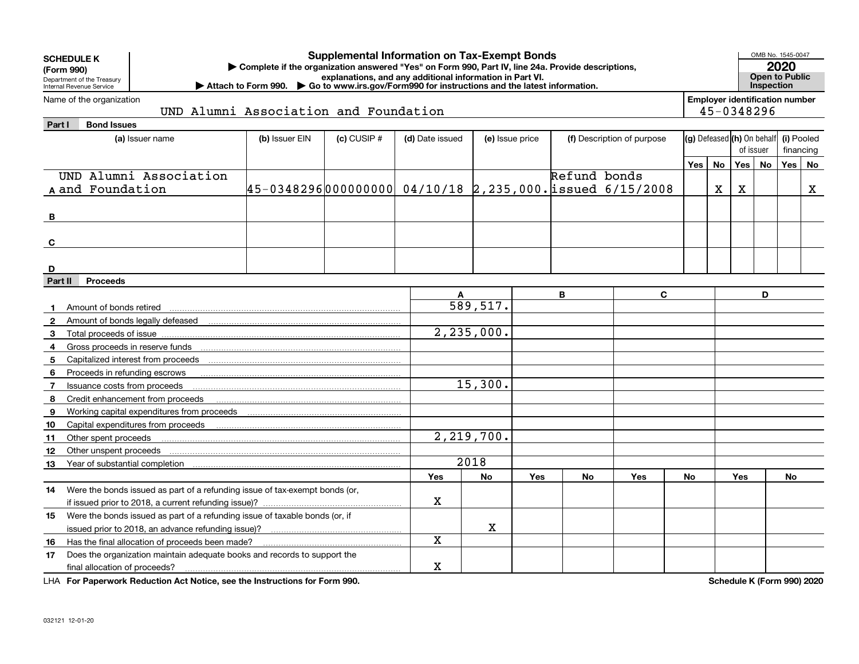|                             | <b>Supplemental Information on Tax-Exempt Bonds</b><br><b>SCHEDULE K</b><br>Complete if the organization answered "Yes" on Form 990, Part IV, line 24a. Provide descriptions,<br>(Form 990)<br>explanations, and any additional information in Part VI.<br>Department of the Treasury<br>Attach to Form 990. Co to www.irs.gov/Form990 for instructions and the latest information.<br>Internal Revenue Service |                                                               |                 |                 |                 |     |              |                            |                                |           |            |                                       | OMB No. 1545-0047<br>2020<br><b>Open to Public</b><br>Inspection |             |  |
|-----------------------------|-----------------------------------------------------------------------------------------------------------------------------------------------------------------------------------------------------------------------------------------------------------------------------------------------------------------------------------------------------------------------------------------------------------------|---------------------------------------------------------------|-----------------|-----------------|-----------------|-----|--------------|----------------------------|--------------------------------|-----------|------------|---------------------------------------|------------------------------------------------------------------|-------------|--|
|                             | Name of the organization                                                                                                                                                                                                                                                                                                                                                                                        |                                                               |                 |                 |                 |     |              |                            |                                |           |            | <b>Employer identification number</b> |                                                                  |             |  |
|                             | UND Alumni Association and Foundation                                                                                                                                                                                                                                                                                                                                                                           |                                                               |                 |                 |                 |     |              |                            |                                |           | 45-0348296 |                                       |                                                                  |             |  |
| Part I                      | <b>Bond Issues</b>                                                                                                                                                                                                                                                                                                                                                                                              |                                                               |                 |                 |                 |     |              |                            |                                |           |            |                                       |                                                                  |             |  |
|                             | (a) Issuer name                                                                                                                                                                                                                                                                                                                                                                                                 | (b) Issuer EIN                                                | $(c)$ CUSIP $#$ | (d) Date issued | (e) Issue price |     |              | (f) Description of purpose | $(g)$ Defeased $(h)$ On behalf |           |            | of issuer                             |                                                                  | (i) Pooled  |  |
|                             |                                                                                                                                                                                                                                                                                                                                                                                                                 |                                                               |                 |                 |                 |     |              |                            |                                |           |            |                                       |                                                                  | financing   |  |
|                             | UND Alumni Association                                                                                                                                                                                                                                                                                                                                                                                          |                                                               |                 |                 |                 |     |              |                            | Yes                            | <b>No</b> | <b>Yes</b> | No                                    | <b>Yes</b>                                                       | No          |  |
|                             |                                                                                                                                                                                                                                                                                                                                                                                                                 |                                                               |                 |                 |                 |     | Refund bonds |                            |                                |           |            |                                       |                                                                  |             |  |
|                             | A and Foundation                                                                                                                                                                                                                                                                                                                                                                                                | $45-0348296 000000000 04/10/18 2,235,000.$ issued $6/15/2008$ |                 |                 |                 |     |              |                            |                                | X         | X          |                                       |                                                                  | $\mathbf X$ |  |
|                             |                                                                                                                                                                                                                                                                                                                                                                                                                 |                                                               |                 |                 |                 |     |              |                            |                                |           |            |                                       |                                                                  |             |  |
| в                           |                                                                                                                                                                                                                                                                                                                                                                                                                 |                                                               |                 |                 |                 |     |              |                            |                                |           |            |                                       |                                                                  |             |  |
|                             |                                                                                                                                                                                                                                                                                                                                                                                                                 |                                                               |                 |                 |                 |     |              |                            |                                |           |            |                                       |                                                                  |             |  |
| C                           |                                                                                                                                                                                                                                                                                                                                                                                                                 |                                                               |                 |                 |                 |     |              |                            |                                |           |            |                                       |                                                                  |             |  |
|                             |                                                                                                                                                                                                                                                                                                                                                                                                                 |                                                               |                 |                 |                 |     |              |                            |                                |           |            |                                       |                                                                  |             |  |
| D<br>Part II                | <b>Proceeds</b>                                                                                                                                                                                                                                                                                                                                                                                                 |                                                               |                 |                 |                 |     |              |                            |                                |           |            |                                       |                                                                  |             |  |
|                             |                                                                                                                                                                                                                                                                                                                                                                                                                 | A                                                             |                 |                 | В               | C   |              |                            |                                | D         |            |                                       |                                                                  |             |  |
|                             |                                                                                                                                                                                                                                                                                                                                                                                                                 |                                                               |                 |                 | 589, 517.       |     |              |                            |                                |           |            |                                       |                                                                  |             |  |
| $\mathbf 1$<br>$\mathbf{2}$ | Amount of bonds retired                                                                                                                                                                                                                                                                                                                                                                                         |                                                               |                 |                 |                 |     |              |                            |                                |           |            |                                       |                                                                  |             |  |
| 3                           | Total proceeds of issue                                                                                                                                                                                                                                                                                                                                                                                         |                                                               |                 |                 | 2, 235, 000.    |     |              |                            |                                |           |            |                                       |                                                                  |             |  |
| 4                           |                                                                                                                                                                                                                                                                                                                                                                                                                 |                                                               |                 |                 |                 |     |              |                            |                                |           |            |                                       |                                                                  |             |  |
| 5                           | Capitalized interest from proceeds                                                                                                                                                                                                                                                                                                                                                                              |                                                               |                 |                 |                 |     |              |                            |                                |           |            |                                       |                                                                  |             |  |
| 6                           | Proceeds in refunding escrows                                                                                                                                                                                                                                                                                                                                                                                   |                                                               |                 |                 |                 |     |              |                            |                                |           |            |                                       |                                                                  |             |  |
| $\overline{7}$              | Issuance costs from proceeds                                                                                                                                                                                                                                                                                                                                                                                    |                                                               |                 |                 | 15,300.         |     |              |                            |                                |           |            |                                       |                                                                  |             |  |
| 8                           | Credit enhancement from proceeds                                                                                                                                                                                                                                                                                                                                                                                |                                                               |                 |                 |                 |     |              |                            |                                |           |            |                                       |                                                                  |             |  |
| 9                           | Working capital expenditures from proceeds                                                                                                                                                                                                                                                                                                                                                                      |                                                               |                 |                 |                 |     |              |                            |                                |           |            |                                       |                                                                  |             |  |
| 10                          | Capital expenditures from proceeds                                                                                                                                                                                                                                                                                                                                                                              |                                                               |                 |                 |                 |     |              |                            |                                |           |            |                                       |                                                                  |             |  |
| 11                          | Other spent proceeds                                                                                                                                                                                                                                                                                                                                                                                            |                                                               |                 |                 | 2, 219, 700.    |     |              |                            |                                |           |            |                                       |                                                                  |             |  |
| 12                          | Other unspent proceeds                                                                                                                                                                                                                                                                                                                                                                                          |                                                               |                 |                 |                 |     |              |                            |                                |           |            |                                       |                                                                  |             |  |
| 13                          | Year of substantial completion                                                                                                                                                                                                                                                                                                                                                                                  |                                                               |                 |                 | 2018            |     |              |                            |                                |           |            |                                       |                                                                  |             |  |
|                             |                                                                                                                                                                                                                                                                                                                                                                                                                 |                                                               |                 | Yes             | No              | Yes | No           | Yes                        | No                             |           | Yes        |                                       | No                                                               |             |  |
| 14                          | Were the bonds issued as part of a refunding issue of tax-exempt bonds (or,                                                                                                                                                                                                                                                                                                                                     |                                                               |                 |                 |                 |     |              |                            |                                |           |            |                                       |                                                                  |             |  |
|                             | if issued prior to 2018, a current refunding issue)?                                                                                                                                                                                                                                                                                                                                                            |                                                               |                 | х               |                 |     |              |                            |                                |           |            |                                       |                                                                  |             |  |
| 15                          | Were the bonds issued as part of a refunding issue of taxable bonds (or, if                                                                                                                                                                                                                                                                                                                                     |                                                               |                 |                 |                 |     |              |                            |                                |           |            |                                       |                                                                  |             |  |
|                             |                                                                                                                                                                                                                                                                                                                                                                                                                 |                                                               |                 |                 | X               |     |              |                            |                                |           |            |                                       |                                                                  |             |  |
| 16                          | Has the final allocation of proceeds been made?                                                                                                                                                                                                                                                                                                                                                                 |                                                               |                 | Х               |                 |     |              |                            |                                |           |            |                                       |                                                                  |             |  |
| 17                          | Does the organization maintain adequate books and records to support the                                                                                                                                                                                                                                                                                                                                        |                                                               |                 |                 |                 |     |              |                            |                                |           |            |                                       |                                                                  |             |  |
|                             | final allocation of proceeds?                                                                                                                                                                                                                                                                                                                                                                                   | X                                                             |                 |                 |                 |     |              |                            |                                |           |            |                                       |                                                                  |             |  |

**For Paperwork Reduction Act Notice, see the Instructions for Form 990. Schedule K (Form 990) 2020** LHA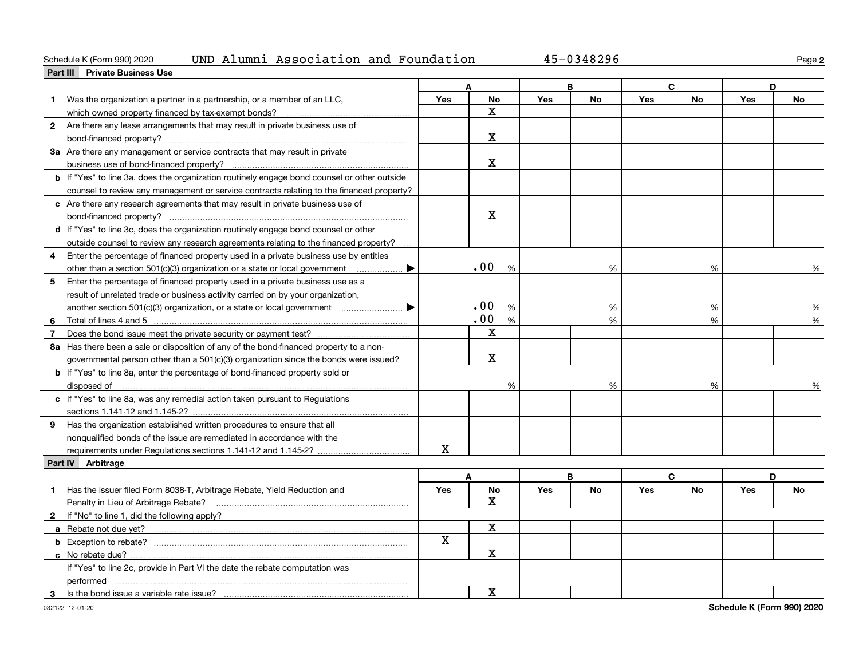### Schedule K (Form 990) 2020 Page UND Alumni Association and Foundation 45-0348296

**2**

|                | Part III Private Business Use                                                                      |     |             |     |           |     |           |     |           |
|----------------|----------------------------------------------------------------------------------------------------|-----|-------------|-----|-----------|-----|-----------|-----|-----------|
|                |                                                                                                    |     | Δ           |     | R         |     | C.        | D   |           |
| 1              | Was the organization a partner in a partnership, or a member of an LLC,                            | Yes | No          | Yes | <b>No</b> | Yes | <b>No</b> | Yes | <b>No</b> |
|                | which owned property financed by tax-exempt bonds?                                                 |     | x           |     |           |     |           |     |           |
|                | 2 Are there any lease arrangements that may result in private business use of                      |     |             |     |           |     |           |     |           |
|                |                                                                                                    |     | $\mathbf X$ |     |           |     |           |     |           |
|                | 3a Are there any management or service contracts that may result in private                        |     |             |     |           |     |           |     |           |
|                |                                                                                                    |     | х           |     |           |     |           |     |           |
|                | <b>b</b> If "Yes" to line 3a, does the organization routinely engage bond counsel or other outside |     |             |     |           |     |           |     |           |
|                | counsel to review any management or service contracts relating to the financed property?           |     |             |     |           |     |           |     |           |
|                | c Are there any research agreements that may result in private business use of                     |     |             |     |           |     |           |     |           |
|                | bond-financed property?                                                                            |     | X           |     |           |     |           |     |           |
|                | d If "Yes" to line 3c, does the organization routinely engage bond counsel or other                |     |             |     |           |     |           |     |           |
|                | outside counsel to review any research agreements relating to the financed property?               |     |             |     |           |     |           |     |           |
| 4              | Enter the percentage of financed property used in a private business use by entities               |     |             |     |           |     |           |     |           |
|                | other than a section 501(c)(3) organization or a state or local government<br>▶                    |     | .00<br>%    |     | %         |     | %         |     | %         |
| 5              | Enter the percentage of financed property used in a private business use as a                      |     |             |     |           |     |           |     |           |
|                | result of unrelated trade or business activity carried on by your organization,                    |     |             |     |           |     |           |     |           |
|                | another section 501(c)(3) organization, or a state or local government<br>▶                        |     | .00<br>%    |     | %         |     | %         |     | %         |
| 6              | Total of lines 4 and 5                                                                             |     | .00<br>%    |     | %         |     | %         |     | %         |
| $\overline{7}$ |                                                                                                    |     | X           |     |           |     |           |     |           |
|                | 8a Has there been a sale or disposition of any of the bond-financed property to a non-             |     |             |     |           |     |           |     |           |
|                | governmental person other than a $501(c)(3)$ organization since the bonds were issued?             |     | $\mathbf X$ |     |           |     |           |     |           |
|                | <b>b</b> If "Yes" to line 8a, enter the percentage of bond-financed property sold or               |     |             |     |           |     |           |     |           |
|                | disposed of <u>www.communications.communications.communications.com</u>                            |     | %           |     | %         |     | %         |     |           |
|                | c If "Yes" to line 8a, was any remedial action taken pursuant to Regulations                       |     |             |     |           |     |           |     |           |
|                |                                                                                                    |     |             |     |           |     |           |     |           |
|                | 9 Has the organization established written procedures to ensure that all                           |     |             |     |           |     |           |     |           |
|                | nonqualified bonds of the issue are remediated in accordance with the                              |     |             |     |           |     |           |     |           |
|                | requirements under Regulations sections 1.141-12 and 1.145-2?                                      | X   |             |     |           |     |           |     |           |
|                | Part IV Arbitrage                                                                                  |     |             |     |           |     |           |     |           |
|                |                                                                                                    |     | A           |     | B         |     | C         | D   |           |
|                | Has the issuer filed Form 8038-T, Arbitrage Rebate, Yield Reduction and                            | Yes | No          | Yes | <b>No</b> | Yes | <b>No</b> | Yes | <b>No</b> |
|                | Penalty in Lieu of Arbitrage Rebate?                                                               |     | X.          |     |           |     |           |     |           |
|                | 2 If "No" to line 1, did the following apply?                                                      |     |             |     |           |     |           |     |           |
|                |                                                                                                    |     | $\mathbf X$ |     |           |     |           |     |           |
|                | <b>b</b> Exception to rebate?                                                                      | X   |             |     |           |     |           |     |           |
|                |                                                                                                    |     | $\mathbf X$ |     |           |     |           |     |           |
|                | If "Yes" to line 2c, provide in Part VI the date the rebate computation was                        |     |             |     |           |     |           |     |           |
|                |                                                                                                    |     |             |     |           |     |           |     |           |
| 3              | performed<br>Is the bond issue a variable rate issue?                                              |     | $\mathbf X$ |     |           |     |           |     |           |
|                |                                                                                                    |     |             |     |           |     |           |     |           |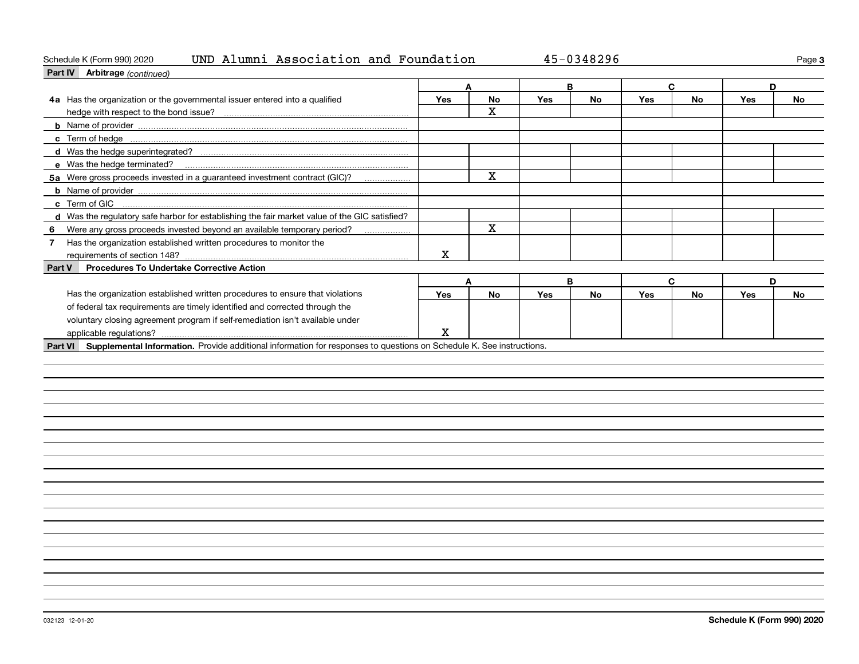### Schedule K (Form 990) 2020 Page UND Alumni Association and Foundation 45-0348296

| Part IV Arbitrage (continued)                                                                                                |     |             |     |           |            |           |     |           |
|------------------------------------------------------------------------------------------------------------------------------|-----|-------------|-----|-----------|------------|-----------|-----|-----------|
|                                                                                                                              | A   |             |     | B         |            | С         | D   |           |
| 4a Has the organization or the governmental issuer entered into a qualified                                                  | Yes | <b>No</b>   | Yes | <b>No</b> | <b>Yes</b> | <b>No</b> | Yes | <b>No</b> |
|                                                                                                                              |     | X.          |     |           |            |           |     |           |
|                                                                                                                              |     |             |     |           |            |           |     |           |
|                                                                                                                              |     |             |     |           |            |           |     |           |
|                                                                                                                              |     |             |     |           |            |           |     |           |
|                                                                                                                              |     |             |     |           |            |           |     |           |
| 5a Were gross proceeds invested in a guaranteed investment contract (GIC)?                                                   |     | X           |     |           |            |           |     |           |
|                                                                                                                              |     |             |     |           |            |           |     |           |
|                                                                                                                              |     |             |     |           |            |           |     |           |
| d Was the regulatory safe harbor for establishing the fair market value of the GIC satisfied?                                |     |             |     |           |            |           |     |           |
| Were any gross proceeds invested beyond an available temporary period?<br>6                                                  |     | $\mathbf X$ |     |           |            |           |     |           |
| Has the organization established written procedures to monitor the<br>$\overline{7}$                                         |     |             |     |           |            |           |     |           |
|                                                                                                                              | х   |             |     |           |            |           |     |           |
| <b>Procedures To Undertake Corrective Action</b><br>Part V                                                                   |     |             |     |           |            |           |     |           |
|                                                                                                                              | A   |             |     | В         |            | C         | D   |           |
| Has the organization established written procedures to ensure that violations                                                | Yes | <b>No</b>   | Yes | <b>No</b> | Yes        | <b>No</b> | Yes | <b>No</b> |
| of federal tax requirements are timely identified and corrected through the                                                  |     |             |     |           |            |           |     |           |
| voluntary closing agreement program if self-remediation isn't available under                                                |     |             |     |           |            |           |     |           |
|                                                                                                                              | X   |             |     |           |            |           |     |           |
| Part VI Supplemental Information. Provide additional information for responses to questions on Schedule K. See instructions. |     |             |     |           |            |           |     |           |
|                                                                                                                              |     |             |     |           |            |           |     |           |
|                                                                                                                              |     |             |     |           |            |           |     |           |
|                                                                                                                              |     |             |     |           |            |           |     |           |
|                                                                                                                              |     |             |     |           |            |           |     |           |
|                                                                                                                              |     |             |     |           |            |           |     |           |
|                                                                                                                              |     |             |     |           |            |           |     |           |
|                                                                                                                              |     |             |     |           |            |           |     |           |
|                                                                                                                              |     |             |     |           |            |           |     |           |
|                                                                                                                              |     |             |     |           |            |           |     |           |
|                                                                                                                              |     |             |     |           |            |           |     |           |
|                                                                                                                              |     |             |     |           |            |           |     |           |

**3**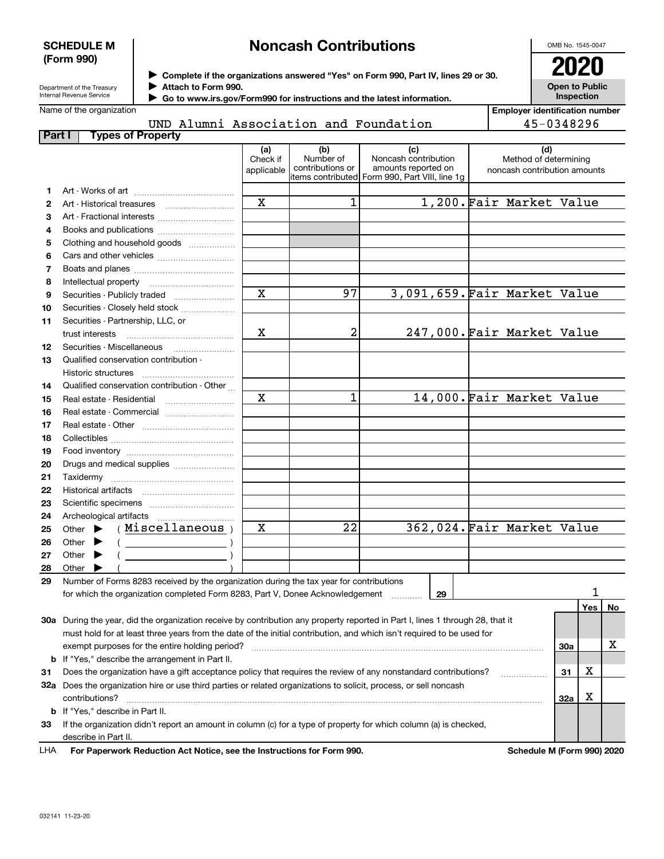### **SCHEDULE M (Form 990)**

# **Noncash Contributions**

OMB No. 1545-0047

| Department of the Treasury |
|----------------------------|
| Internal Revenue Service   |

**Complete if the organizations answered "Yes" on Form 990, Part IV, lines 29 or 30.** <sup>J</sup>**2020 Attach to Form 990.** J

**Open to Public Inspection**

| Name of the organization |  |
|--------------------------|--|
|                          |  |

UND Alumni Association and Foundation

 **Go to www.irs.gov/Form990 for instructions and the latest information.** J

| <b>Employer identification number</b> |
|---------------------------------------|
| 45-0348296                            |

| Part I | <b>Types of Property</b>                                                                                                                                                                                                                                                                                                                                                                                                                     |                 |                                        |                                                     |                              |     |    |  |
|--------|----------------------------------------------------------------------------------------------------------------------------------------------------------------------------------------------------------------------------------------------------------------------------------------------------------------------------------------------------------------------------------------------------------------------------------------------|-----------------|----------------------------------------|-----------------------------------------------------|------------------------------|-----|----|--|
|        |                                                                                                                                                                                                                                                                                                                                                                                                                                              | (a)<br>Check if | (b)<br>Number of                       | (c)<br>Noncash contribution                         | (d)<br>Method of determining |     |    |  |
|        |                                                                                                                                                                                                                                                                                                                                                                                                                                              | applicable      | contributions or<br> items contributed | amounts reported on<br>Form 990, Part VIII, line 1g | noncash contribution amounts |     |    |  |
| 1.     |                                                                                                                                                                                                                                                                                                                                                                                                                                              |                 |                                        |                                                     |                              |     |    |  |
| 2      |                                                                                                                                                                                                                                                                                                                                                                                                                                              | $\mathbf x$     | 1                                      |                                                     | 1,200. Fair Market Value     |     |    |  |
| 3      | Art - Fractional interests                                                                                                                                                                                                                                                                                                                                                                                                                   |                 |                                        |                                                     |                              |     |    |  |
| 4      | Books and publications                                                                                                                                                                                                                                                                                                                                                                                                                       |                 |                                        |                                                     |                              |     |    |  |
| 5      | Clothing and household goods                                                                                                                                                                                                                                                                                                                                                                                                                 |                 |                                        |                                                     |                              |     |    |  |
| 6      |                                                                                                                                                                                                                                                                                                                                                                                                                                              |                 |                                        |                                                     |                              |     |    |  |
| 7      |                                                                                                                                                                                                                                                                                                                                                                                                                                              |                 |                                        |                                                     |                              |     |    |  |
| 8      |                                                                                                                                                                                                                                                                                                                                                                                                                                              |                 |                                        |                                                     |                              |     |    |  |
| 9      |                                                                                                                                                                                                                                                                                                                                                                                                                                              | $\mathbf x$     | 97                                     |                                                     | 3,091,659. Fair Market Value |     |    |  |
| 10     | Securities - Closely held stock                                                                                                                                                                                                                                                                                                                                                                                                              |                 |                                        |                                                     |                              |     |    |  |
| 11     | Securities - Partnership, LLC, or                                                                                                                                                                                                                                                                                                                                                                                                            |                 |                                        |                                                     |                              |     |    |  |
|        | trust interests                                                                                                                                                                                                                                                                                                                                                                                                                              | х               | 2                                      |                                                     | 247,000. Fair Market Value   |     |    |  |
| 12     |                                                                                                                                                                                                                                                                                                                                                                                                                                              |                 |                                        |                                                     |                              |     |    |  |
| 13     | Qualified conservation contribution -                                                                                                                                                                                                                                                                                                                                                                                                        |                 |                                        |                                                     |                              |     |    |  |
|        | Historic structures                                                                                                                                                                                                                                                                                                                                                                                                                          |                 |                                        |                                                     |                              |     |    |  |
| 14     | Qualified conservation contribution - Other                                                                                                                                                                                                                                                                                                                                                                                                  |                 |                                        |                                                     |                              |     |    |  |
| 15     |                                                                                                                                                                                                                                                                                                                                                                                                                                              | X               | 1                                      |                                                     | 14,000. Fair Market Value    |     |    |  |
| 16     | Real estate - Commercial                                                                                                                                                                                                                                                                                                                                                                                                                     |                 |                                        |                                                     |                              |     |    |  |
| 17     |                                                                                                                                                                                                                                                                                                                                                                                                                                              |                 |                                        |                                                     |                              |     |    |  |
| 18     |                                                                                                                                                                                                                                                                                                                                                                                                                                              |                 |                                        |                                                     |                              |     |    |  |
| 19     |                                                                                                                                                                                                                                                                                                                                                                                                                                              |                 |                                        |                                                     |                              |     |    |  |
| 20     | Drugs and medical supplies                                                                                                                                                                                                                                                                                                                                                                                                                   |                 |                                        |                                                     |                              |     |    |  |
| 21     |                                                                                                                                                                                                                                                                                                                                                                                                                                              |                 |                                        |                                                     |                              |     |    |  |
| 22     |                                                                                                                                                                                                                                                                                                                                                                                                                                              |                 |                                        |                                                     |                              |     |    |  |
| 23     |                                                                                                                                                                                                                                                                                                                                                                                                                                              |                 |                                        |                                                     |                              |     |    |  |
| 24     |                                                                                                                                                                                                                                                                                                                                                                                                                                              |                 |                                        |                                                     |                              |     |    |  |
| 25     | (Miscellaneous)<br>Other $\blacktriangleright$                                                                                                                                                                                                                                                                                                                                                                                               | X               | $\overline{22}$                        |                                                     | 362,024. Fair Market Value   |     |    |  |
| 26     | Other $\blacktriangleright$<br>$\left(\begin{array}{ccc}\n\frac{1}{2} & \frac{1}{2} & \frac{1}{2} & \frac{1}{2} & \frac{1}{2} & \frac{1}{2} & \frac{1}{2} & \frac{1}{2} & \frac{1}{2} & \frac{1}{2} & \frac{1}{2} & \frac{1}{2} & \frac{1}{2} & \frac{1}{2} & \frac{1}{2} & \frac{1}{2} & \frac{1}{2} & \frac{1}{2} & \frac{1}{2} & \frac{1}{2} & \frac{1}{2} & \frac{1}{2} & \frac{1}{2} & \frac{1}{2} & \frac{1}{2} & \frac{1}{2} & \frac$ |                 |                                        |                                                     |                              |     |    |  |
| 27     | Other $\blacktriangleright$                                                                                                                                                                                                                                                                                                                                                                                                                  |                 |                                        |                                                     |                              |     |    |  |
| 28     | Other                                                                                                                                                                                                                                                                                                                                                                                                                                        |                 |                                        |                                                     |                              |     |    |  |
| 29     | Number of Forms 8283 received by the organization during the tax year for contributions                                                                                                                                                                                                                                                                                                                                                      |                 |                                        |                                                     |                              |     | 1  |  |
|        | for which the organization completed Form 8283, Part V, Donee Acknowledgement                                                                                                                                                                                                                                                                                                                                                                |                 |                                        | 29                                                  |                              |     |    |  |
|        |                                                                                                                                                                                                                                                                                                                                                                                                                                              |                 |                                        |                                                     |                              | Yes | No |  |
|        | 30a During the year, did the organization receive by contribution any property reported in Part I, lines 1 through 28, that it                                                                                                                                                                                                                                                                                                               |                 |                                        |                                                     |                              |     |    |  |
|        | must hold for at least three years from the date of the initial contribution, and which isn't required to be used for                                                                                                                                                                                                                                                                                                                        |                 |                                        |                                                     |                              |     | х  |  |
|        | exempt purposes for the entire holding period?<br><b>b</b> If "Yes," describe the arrangement in Part II.                                                                                                                                                                                                                                                                                                                                    |                 |                                        |                                                     |                              | 30a |    |  |
|        | Does the organization have a gift acceptance policy that requires the review of any nonstandard contributions?                                                                                                                                                                                                                                                                                                                               |                 |                                        |                                                     |                              | х   |    |  |
| 31     |                                                                                                                                                                                                                                                                                                                                                                                                                                              |                 |                                        |                                                     |                              | 31  |    |  |
|        | 32a Does the organization hire or use third parties or related organizations to solicit, process, or sell noncash                                                                                                                                                                                                                                                                                                                            |                 |                                        |                                                     |                              | х   |    |  |
|        | contributions?<br><b>b</b> If "Yes," describe in Part II.                                                                                                                                                                                                                                                                                                                                                                                    |                 |                                        |                                                     |                              | 32a |    |  |
| 33     | If the organization didn't report an amount in column (c) for a type of property for which column (a) is checked,                                                                                                                                                                                                                                                                                                                            |                 |                                        |                                                     |                              |     |    |  |
|        | describe in Part II.                                                                                                                                                                                                                                                                                                                                                                                                                         |                 |                                        |                                                     |                              |     |    |  |
| LHA    | For Paperwork Reduction Act Notice, see the Instructions for Form 990.                                                                                                                                                                                                                                                                                                                                                                       |                 |                                        |                                                     | Schedule M (Form 990) 2020   |     |    |  |
|        |                                                                                                                                                                                                                                                                                                                                                                                                                                              |                 |                                        |                                                     |                              |     |    |  |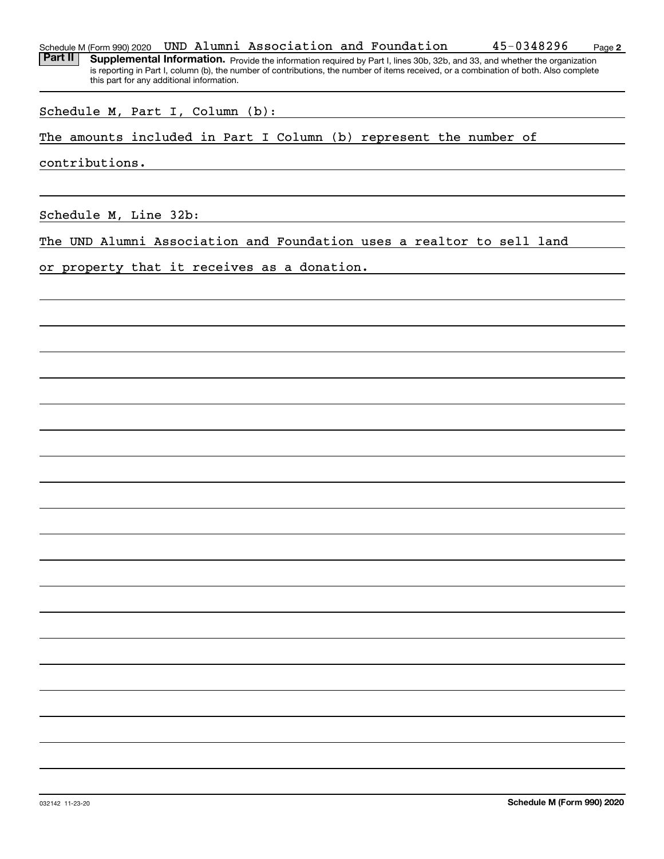### Schedule M (Form 990) 2020 Page UND Alumni Association and Foundation 45-0348296

Part II | Supplemental Information. Provide the information required by Part I, lines 30b, 32b, and 33, and whether the organization is reporting in Part I, column (b), the number of contributions, the number of items received, or a combination of both. Also complete this part for any additional information.

Schedule M, Part I, Column (b):

The amounts included in Part I Column (b) represent the number of

contributions.

Schedule M, Line 32b:

The UND Alumni Association and Foundation uses a realtor to sell land

or property that it receives as a donation.

**2**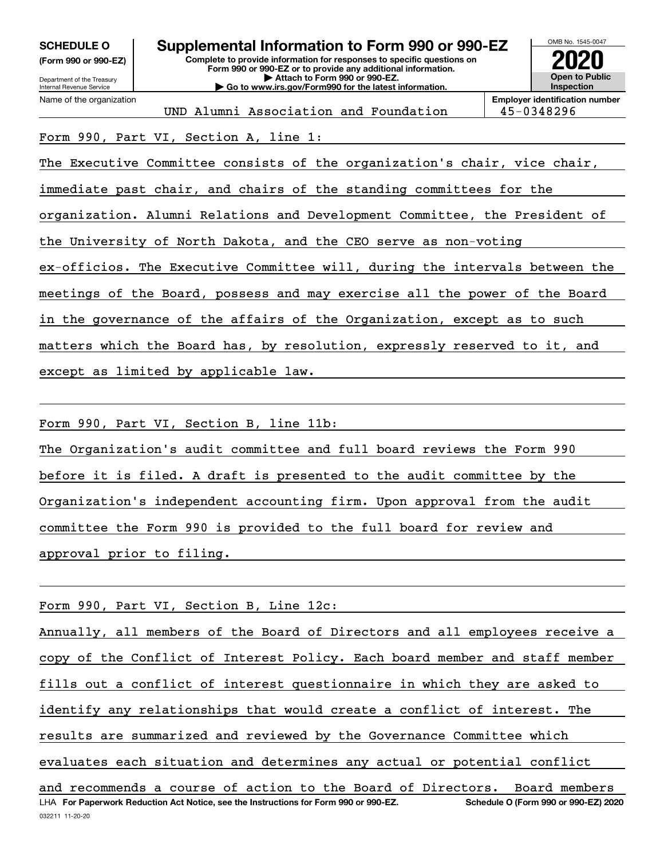| OMB No. 1545-0047<br><b>SCHEDULE O</b><br>Supplemental Information to Form 990 or 990-EZ<br>Complete to provide information for responses to specific questions on<br>(Form 990 or 990-EZ)<br>Form 990 or 990-EZ or to provide any additional information.<br><b>Open to Public</b><br>Attach to Form 990 or 990-EZ.<br>Department of the Treasury<br><b>Inspection</b><br>Go to www.irs.gov/Form990 for the latest information.<br>Internal Revenue Service |                                                                                                                          |  |  |  |  |  |  |  |  |
|--------------------------------------------------------------------------------------------------------------------------------------------------------------------------------------------------------------------------------------------------------------------------------------------------------------------------------------------------------------------------------------------------------------------------------------------------------------|--------------------------------------------------------------------------------------------------------------------------|--|--|--|--|--|--|--|--|
|                                                                                                                                                                                                                                                                                                                                                                                                                                                              | <b>Employer identification number</b><br>Name of the organization<br>UND Alumni Association and Foundation<br>45-0348296 |  |  |  |  |  |  |  |  |
| Form 990, Part VI, Section A, line 1:                                                                                                                                                                                                                                                                                                                                                                                                                        |                                                                                                                          |  |  |  |  |  |  |  |  |
|                                                                                                                                                                                                                                                                                                                                                                                                                                                              | The Executive Committee consists of the organization's chair, vice chair,                                                |  |  |  |  |  |  |  |  |
| immediate past chair, and chairs of the standing committees for the                                                                                                                                                                                                                                                                                                                                                                                          |                                                                                                                          |  |  |  |  |  |  |  |  |
| organization. Alumni Relations and Development Committee, the President of                                                                                                                                                                                                                                                                                                                                                                                   |                                                                                                                          |  |  |  |  |  |  |  |  |
|                                                                                                                                                                                                                                                                                                                                                                                                                                                              | the University of North Dakota, and the CEO serve as non-voting                                                          |  |  |  |  |  |  |  |  |
| ex-officios. The Executive Committee will, during the intervals between the                                                                                                                                                                                                                                                                                                                                                                                  |                                                                                                                          |  |  |  |  |  |  |  |  |
| meetings of the Board, possess and may exercise all the power of the Board                                                                                                                                                                                                                                                                                                                                                                                   |                                                                                                                          |  |  |  |  |  |  |  |  |
| in the governance of the affairs of the Organization, except as to such                                                                                                                                                                                                                                                                                                                                                                                      |                                                                                                                          |  |  |  |  |  |  |  |  |
|                                                                                                                                                                                                                                                                                                                                                                                                                                                              | matters which the Board has, by resolution, expressly reserved to it, and                                                |  |  |  |  |  |  |  |  |
|                                                                                                                                                                                                                                                                                                                                                                                                                                                              | except as limited by applicable law.                                                                                     |  |  |  |  |  |  |  |  |

Form 990, Part VI, Section B, line 11b:

The Organization's audit committee and full board reviews the Form 990 before it is filed. A draft is presented to the audit committee by the Organization's independent accounting firm. Upon approval from the audit committee the Form 990 is provided to the full board for review and approval prior to filing.

Form 990, Part VI, Section B, Line 12c:

LHA For Paperwork Reduction Act Notice, see the Instructions for Form 990 or 990-EZ. Schedule O (Form 990 or 990-EZ) 2020 Annually, all members of the Board of Directors and all employees receive a copy of the Conflict of Interest Policy. Each board member and staff member fills out a conflict of interest questionnaire in which they are asked to identify any relationships that would create a conflict of interest. The results are summarized and reviewed by the Governance Committee which evaluates each situation and determines any actual or potential conflict and recommends a course of action to the Board of Directors. Board members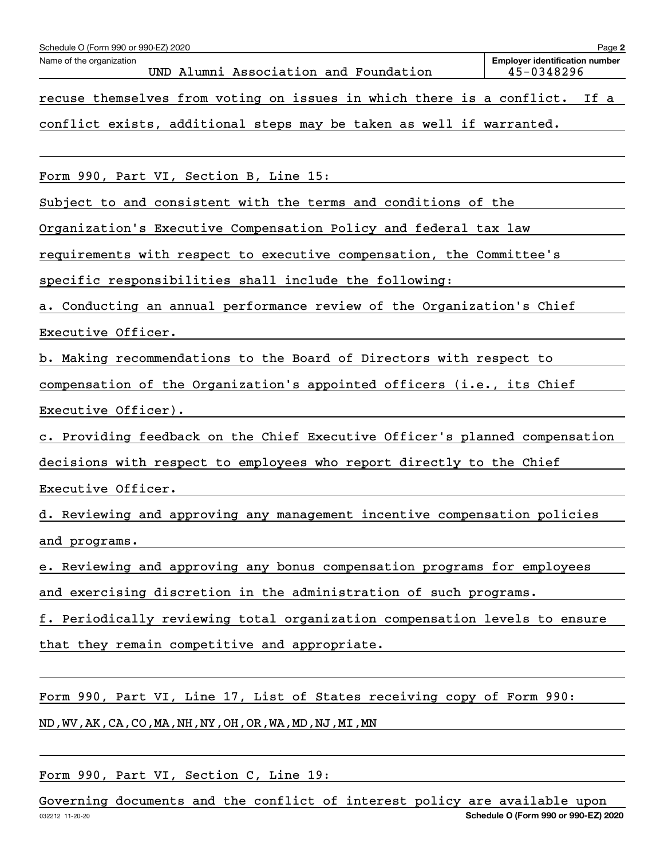| Schedule O (Form 990 or 990-EZ) 2020                                        | Page 2                                              |
|-----------------------------------------------------------------------------|-----------------------------------------------------|
| Name of the organization<br>UND Alumni Association and Foundation           | <b>Emplover identification number</b><br>45-0348296 |
| recuse themselves from voting on issues in which there is a conflict.       | If a                                                |
| conflict exists, additional steps may be taken as well if warranted.        |                                                     |
|                                                                             |                                                     |
| Form 990, Part VI, Section B, Line 15:                                      |                                                     |
| Subject to and consistent with the terms and conditions of the              |                                                     |
| Organization's Executive Compensation Policy and federal tax law            |                                                     |
| requirements with respect to executive compensation, the Committee's        |                                                     |
| specific responsibilities shall include the following:                      |                                                     |
| a. Conducting an annual performance review of the Organization's Chief      |                                                     |
| Executive Officer.                                                          |                                                     |
| b. Making recommendations to the Board of Directors with respect to         |                                                     |
| compensation of the Organization's appointed officers (i.e., its Chief      |                                                     |
| Executive Officer).                                                         |                                                     |
| c. Providing feedback on the Chief Executive Officer's planned compensation |                                                     |
| decisions with respect to employees who report directly to the Chief        |                                                     |
| Executive Officer.                                                          |                                                     |
| d. Reviewing and approving any management incentive compensation policies   |                                                     |
| and programs.                                                               |                                                     |
| e. Reviewing and approving any bonus compensation programs for employees    |                                                     |
| and exercising discretion in the administration of such programs.           |                                                     |
| f. Periodically reviewing total organization compensation levels to ensure  |                                                     |
| that they remain competitive and appropriate.                               |                                                     |
|                                                                             |                                                     |
| Form 990, Part VI, Line 17, List of States receiving copy of Form 990:      |                                                     |
| ND, WV, AK, CA, CO, MA, NH, NY, OH, OR, WA, MD, NJ, MI, MN                  |                                                     |

Form 990, Part VI, Section C, Line 19:

032212 11-20-20 **Schedule O (Form 990 or 990-EZ) 2020** Governing documents and the conflict of interest policy are available upon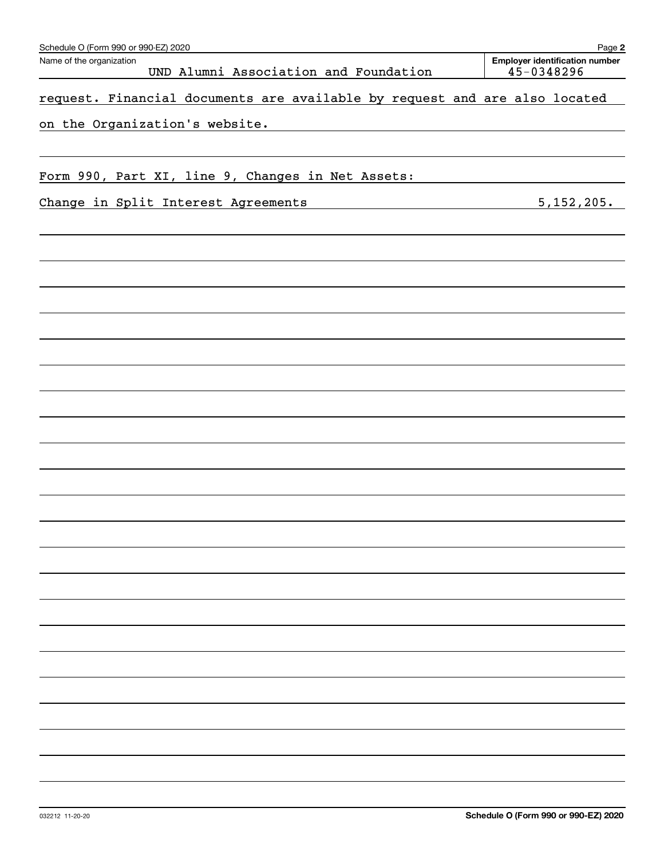| Schedule O (Form 990 or 990-EZ) 2020                                                                              | Page 2                                              |
|-------------------------------------------------------------------------------------------------------------------|-----------------------------------------------------|
| Name of the organization<br>UND Alumni Association and Foundation                                                 | <b>Employer identification number</b><br>45-0348296 |
| request. Financial documents are available by request and are also located                                        |                                                     |
| on the Organization's website.                                                                                    |                                                     |
|                                                                                                                   |                                                     |
| Form 990, Part XI, line 9, Changes in Net Assets:                                                                 |                                                     |
| Change in Split Interest Agreements<br>the control of the control of the control of the control of the control of | 5,152,205.                                          |
|                                                                                                                   |                                                     |
|                                                                                                                   |                                                     |
|                                                                                                                   |                                                     |
|                                                                                                                   |                                                     |
|                                                                                                                   |                                                     |
|                                                                                                                   |                                                     |
|                                                                                                                   |                                                     |
|                                                                                                                   |                                                     |
|                                                                                                                   |                                                     |
|                                                                                                                   |                                                     |
|                                                                                                                   |                                                     |
|                                                                                                                   |                                                     |
|                                                                                                                   |                                                     |
|                                                                                                                   |                                                     |
|                                                                                                                   |                                                     |
|                                                                                                                   |                                                     |
|                                                                                                                   |                                                     |
|                                                                                                                   |                                                     |
|                                                                                                                   |                                                     |
|                                                                                                                   |                                                     |
|                                                                                                                   |                                                     |
|                                                                                                                   |                                                     |
|                                                                                                                   |                                                     |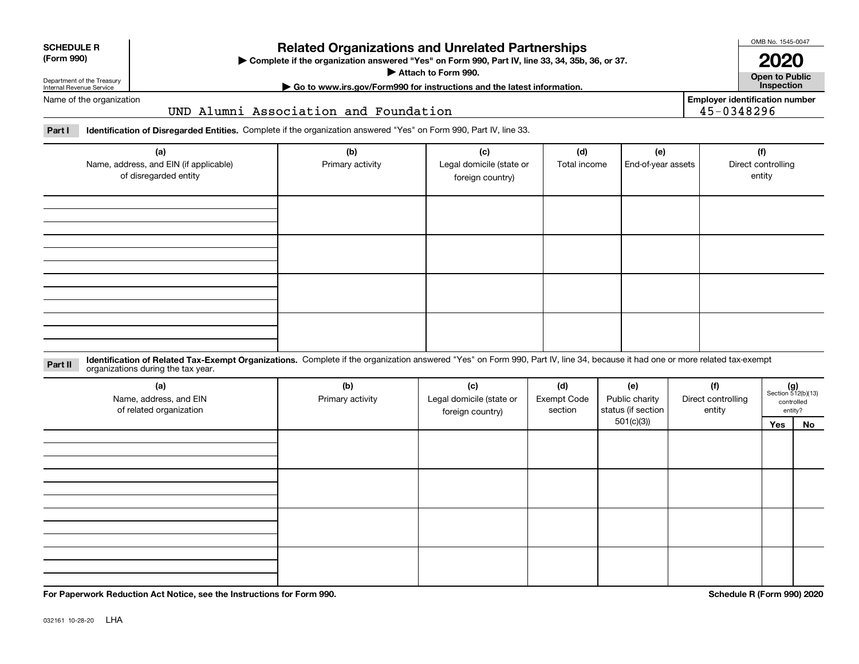| <b>SCHEDULE R</b> |
|-------------------|
|                   |

### **(Form 990)**

## **Related Organizations and Unrelated Partnerships**

**Complete if the organization answered "Yes" on Form 990, Part IV, line 33, 34, 35b, 36, or 37.** |

**Attach to Form 990.**  |

OMB No. 1545-0047 **2020**

**Open to Public**

**Employer identification number**

**| Go to www.irs.gov/Form990 for instructions and the latest information. Inspection**

Department of the Treasury Internal Revenue Service Name of the organization

UND Alumni Association and Foundation

**Part I Identification of Disregarded Entities.**  Complete if the organization answered "Yes" on Form 990, Part IV, line 33.

| (a)<br>Name, address, and EIN (if applicable)<br>of disregarded entity | (b)<br>Primary activity | (c)<br>Legal domicile (state or<br>foreign country) | (d)<br>Total income | (e)<br>End-of-year assets | (f)<br>Direct controlling<br>entity |
|------------------------------------------------------------------------|-------------------------|-----------------------------------------------------|---------------------|---------------------------|-------------------------------------|
|                                                                        |                         |                                                     |                     |                           |                                     |
|                                                                        |                         |                                                     |                     |                           |                                     |
|                                                                        |                         |                                                     |                     |                           |                                     |
|                                                                        |                         |                                                     |                     |                           |                                     |

**Identification of Related Tax-Exempt Organizations.** Complete if the organization answered "Yes" on Form 990, Part IV, line 34, because it had one or more related tax-exempt **Part II** organizations during the tax year.

| (a)<br>Name, address, and EIN<br>of related organization | (b)<br>Primary activity | (c)<br>Legal domicile (state or<br>foreign country) | (d)<br><b>Exempt Code</b><br>section | (e)<br>Public charity<br>status (if section | (f)<br>Direct controlling<br>entity |     | $(g)$<br>Section 512(b)(13)<br>controlled<br>entity? |
|----------------------------------------------------------|-------------------------|-----------------------------------------------------|--------------------------------------|---------------------------------------------|-------------------------------------|-----|------------------------------------------------------|
|                                                          |                         |                                                     |                                      | 501(c)(3)                                   |                                     | Yes | No                                                   |
|                                                          |                         |                                                     |                                      |                                             |                                     |     |                                                      |
|                                                          |                         |                                                     |                                      |                                             |                                     |     |                                                      |
|                                                          |                         |                                                     |                                      |                                             |                                     |     |                                                      |
|                                                          |                         |                                                     |                                      |                                             |                                     |     |                                                      |
|                                                          |                         |                                                     |                                      |                                             |                                     |     |                                                      |
|                                                          |                         |                                                     |                                      |                                             |                                     |     |                                                      |
|                                                          |                         |                                                     |                                      |                                             |                                     |     |                                                      |
|                                                          |                         |                                                     |                                      |                                             |                                     |     |                                                      |
|                                                          |                         |                                                     |                                      |                                             |                                     |     |                                                      |
|                                                          |                         |                                                     |                                      |                                             |                                     |     |                                                      |
|                                                          |                         |                                                     |                                      |                                             |                                     |     |                                                      |

**For Paperwork Reduction Act Notice, see the Instructions for Form 990. Schedule R (Form 990) 2020**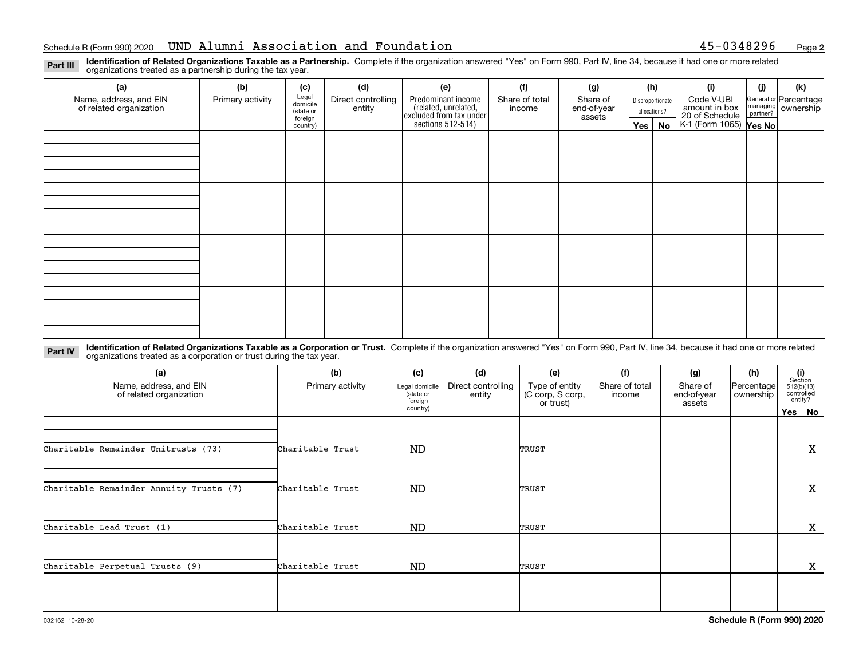**2**

**Identification of Related Organizations Taxable as a Partnership.** Complete if the organization answered "Yes" on Form 990, Part IV, line 34, because it had one or more related **Part III** organizations treated as a partnership during the tax year.

| (a)                                               | (b)              | (c)                  | (d)                          | (e)                                                                 | (f)                      | (g)                     |                  | (h)          | (i)                                      | (i) | (k) |  |  |  |  |  |  |  |  |  |                             |  |                                                         |
|---------------------------------------------------|------------------|----------------------|------------------------------|---------------------------------------------------------------------|--------------------------|-------------------------|------------------|--------------|------------------------------------------|-----|-----|--|--|--|--|--|--|--|--|--|-----------------------------|--|---------------------------------------------------------|
| Name, address, and EIN<br>of related organization | Primary activity | Legal<br>domicile    | Direct controlling<br>entity | Predominant income                                                  | Share of total<br>income | Share of<br>end-of-year | Disproportionate |              |                                          |     |     |  |  |  |  |  |  |  |  |  | Code V-UBI<br>amount in box |  | General or Percentage<br>managing ownership<br>partner? |
|                                                   |                  | (state or<br>foreign |                              | related, unrelated,<br>excluded from tax under<br>sections 512-514) |                          | assets                  |                  | allocations? |                                          |     |     |  |  |  |  |  |  |  |  |  |                             |  |                                                         |
|                                                   |                  | country)             |                              |                                                                     |                          |                         |                  | Yes   No     | 20 of Schedule<br>K-1 (Form 1065) Yes No |     |     |  |  |  |  |  |  |  |  |  |                             |  |                                                         |
|                                                   |                  |                      |                              |                                                                     |                          |                         |                  |              |                                          |     |     |  |  |  |  |  |  |  |  |  |                             |  |                                                         |
|                                                   |                  |                      |                              |                                                                     |                          |                         |                  |              |                                          |     |     |  |  |  |  |  |  |  |  |  |                             |  |                                                         |
|                                                   |                  |                      |                              |                                                                     |                          |                         |                  |              |                                          |     |     |  |  |  |  |  |  |  |  |  |                             |  |                                                         |
|                                                   |                  |                      |                              |                                                                     |                          |                         |                  |              |                                          |     |     |  |  |  |  |  |  |  |  |  |                             |  |                                                         |
|                                                   |                  |                      |                              |                                                                     |                          |                         |                  |              |                                          |     |     |  |  |  |  |  |  |  |  |  |                             |  |                                                         |
|                                                   |                  |                      |                              |                                                                     |                          |                         |                  |              |                                          |     |     |  |  |  |  |  |  |  |  |  |                             |  |                                                         |
|                                                   |                  |                      |                              |                                                                     |                          |                         |                  |              |                                          |     |     |  |  |  |  |  |  |  |  |  |                             |  |                                                         |
|                                                   |                  |                      |                              |                                                                     |                          |                         |                  |              |                                          |     |     |  |  |  |  |  |  |  |  |  |                             |  |                                                         |
|                                                   |                  |                      |                              |                                                                     |                          |                         |                  |              |                                          |     |     |  |  |  |  |  |  |  |  |  |                             |  |                                                         |
|                                                   |                  |                      |                              |                                                                     |                          |                         |                  |              |                                          |     |     |  |  |  |  |  |  |  |  |  |                             |  |                                                         |
|                                                   |                  |                      |                              |                                                                     |                          |                         |                  |              |                                          |     |     |  |  |  |  |  |  |  |  |  |                             |  |                                                         |
|                                                   |                  |                      |                              |                                                                     |                          |                         |                  |              |                                          |     |     |  |  |  |  |  |  |  |  |  |                             |  |                                                         |
|                                                   |                  |                      |                              |                                                                     |                          |                         |                  |              |                                          |     |     |  |  |  |  |  |  |  |  |  |                             |  |                                                         |
|                                                   |                  |                      |                              |                                                                     |                          |                         |                  |              |                                          |     |     |  |  |  |  |  |  |  |  |  |                             |  |                                                         |
|                                                   |                  |                      |                              |                                                                     |                          |                         |                  |              |                                          |     |     |  |  |  |  |  |  |  |  |  |                             |  |                                                         |
|                                                   |                  |                      |                              |                                                                     |                          |                         |                  |              |                                          |     |     |  |  |  |  |  |  |  |  |  |                             |  |                                                         |
|                                                   |                  |                      |                              |                                                                     |                          |                         |                  |              |                                          |     |     |  |  |  |  |  |  |  |  |  |                             |  |                                                         |

**Identification of Related Organizations Taxable as a Corporation or Trust.** Complete if the organization answered "Yes" on Form 990, Part IV, line 34, because it had one or more related **Part IV** organizations treated as a corporation or trust during the tax year.

| (a)<br>Name, address, and EIN<br>of related organization | (b)<br>Primary activity | (c)<br>Legal domicile<br>(state or<br>foreian | (d)<br>Direct controlling<br>entity | (e)<br>Type of entity<br>(C corp, S corp, | (f)<br>Share of total<br>income | (g)<br>Share of<br>end-of-year | (h)<br>Percentage<br>ownership | (i)<br>Section<br>512(b)(13)<br>controlled | entity?  |
|----------------------------------------------------------|-------------------------|-----------------------------------------------|-------------------------------------|-------------------------------------------|---------------------------------|--------------------------------|--------------------------------|--------------------------------------------|----------|
|                                                          |                         | country)                                      |                                     | or trust)                                 |                                 | assets                         |                                |                                            | Yes   No |
| Charitable Remainder Unitrusts (73)                      | Charitable Trust        | ND                                            |                                     | TRUST                                     |                                 |                                |                                |                                            | X        |
|                                                          |                         |                                               |                                     |                                           |                                 |                                |                                |                                            |          |
| Charitable Remainder Annuity Trusts (7)                  | Charitable Trust        | ND                                            |                                     | TRUST                                     |                                 |                                |                                |                                            | X        |
|                                                          |                         |                                               |                                     |                                           |                                 |                                |                                |                                            |          |
| Charitable Lead Trust (1)                                | Charitable Trust        | ND                                            |                                     | TRUST                                     |                                 |                                |                                |                                            | X        |
|                                                          |                         |                                               |                                     |                                           |                                 |                                |                                |                                            |          |
| Charitable Perpetual Trusts (9)                          | Charitable Trust        | ND                                            |                                     | TRUST                                     |                                 |                                |                                |                                            | х        |
|                                                          |                         |                                               |                                     |                                           |                                 |                                |                                |                                            |          |
|                                                          |                         |                                               |                                     |                                           |                                 |                                |                                |                                            |          |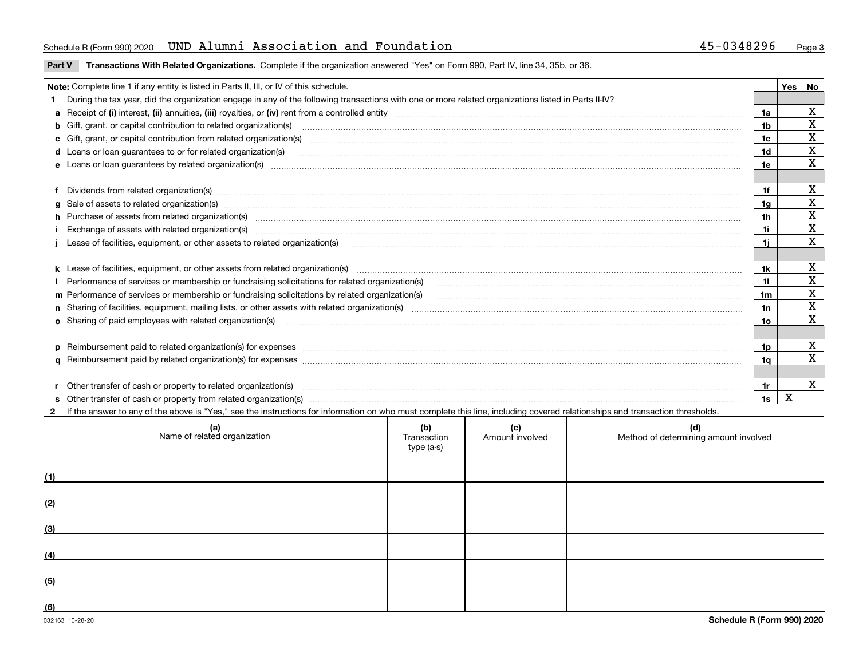### Schedule R (Form 990) 2020 Page UND Alumni Association and Foundation 45-0348296

**Part V** T**ransactions With Related Organizations.** Complete if the organization answered "Yes" on Form 990, Part IV, line 34, 35b, or 36.

| Note: Complete line 1 if any entity is listed in Parts II, III, or IV of this schedule. |                                                                                                                                                                                                                                |                |     |             |  |  |
|-----------------------------------------------------------------------------------------|--------------------------------------------------------------------------------------------------------------------------------------------------------------------------------------------------------------------------------|----------------|-----|-------------|--|--|
|                                                                                         | During the tax year, did the organization engage in any of the following transactions with one or more related organizations listed in Parts II-IV?                                                                            |                | Yes | No          |  |  |
|                                                                                         |                                                                                                                                                                                                                                |                |     | х           |  |  |
|                                                                                         |                                                                                                                                                                                                                                | 1a             |     | X           |  |  |
|                                                                                         | <b>b</b> Gift, grant, or capital contribution to related organization(s)                                                                                                                                                       | 1b             |     | X           |  |  |
|                                                                                         | c Gift, grant, or capital contribution from related organization(s) CONCO CONCORDIAL CONSERVITION CONTROVERSITY OF CONTROLLER CONTROLLER CONTROLLER CONTROLLER CONTROLLER CONTROLLER CONTROLLER CONTROLLER CONTROLLER CONTROLL | 1c             |     |             |  |  |
|                                                                                         | d Loans or loan guarantees to or for related organization(s) committion contracts are constructed as a control or contract or contract or contract or contract or contract or contract or contract or contract or contract or  | 1 <sub>d</sub> |     | $\mathbf X$ |  |  |
|                                                                                         |                                                                                                                                                                                                                                | 1e             |     | X           |  |  |
|                                                                                         |                                                                                                                                                                                                                                |                |     |             |  |  |
|                                                                                         | Dividends from related organization(s) www.andron.com/www.andron.com/www.andron.com/www.andron.com/www.andron.com/www.andron.com/www.andron.com/www.andron.com/www.andron.com/www.andron.com/www.andron.com/www.andron.com/www | 1f             |     | х           |  |  |
|                                                                                         | g Sale of assets to related organization(s) www.assettion.com/www.assettion.com/www.assettion.com/www.assettion.com/www.assettion.com/www.assettion.com/www.assettion.com/www.assettion.com/www.assettion.com/www.assettion.co | 1a             |     | X           |  |  |
|                                                                                         | h Purchase of assets from related organization(s) www.assettion.com/www.assettion.com/www.assettion.com/www.assettion.com/www.assettion.com/www.assettion.com/www.assettion.com/www.assettion.com/www.assettion.com/www.assett | 1h             |     | х           |  |  |
|                                                                                         |                                                                                                                                                                                                                                | 1i.            |     | X           |  |  |
|                                                                                         | Lease of facilities, equipment, or other assets to related organization(s) Chromomeron content in the set of facilities, equipment, or other assets to related organization(s) Chromomeron content in the set of facilities, e | 1i.            |     | $\mathbf X$ |  |  |
|                                                                                         |                                                                                                                                                                                                                                |                |     |             |  |  |
|                                                                                         |                                                                                                                                                                                                                                | 1k             |     | X           |  |  |
|                                                                                         | Performance of services or membership or fundraising solicitations for related organization(s) manufaction manufactured content and the services or membership or fundraising solicitations for related organization(s) manufa |                |     | X           |  |  |
|                                                                                         | m Performance of services or membership or fundraising solicitations by related organization(s)                                                                                                                                | 1m             |     | $\mathbf X$ |  |  |
|                                                                                         |                                                                                                                                                                                                                                | 1n             |     | $\mathbf X$ |  |  |
|                                                                                         | <b>o</b> Sharing of paid employees with related organization(s)                                                                                                                                                                | 1о             |     | $\mathbf X$ |  |  |
|                                                                                         |                                                                                                                                                                                                                                |                |     |             |  |  |
|                                                                                         |                                                                                                                                                                                                                                | 1p.            |     | X           |  |  |
|                                                                                         |                                                                                                                                                                                                                                | 1q             |     | X           |  |  |
|                                                                                         |                                                                                                                                                                                                                                |                |     |             |  |  |
|                                                                                         | r Other transfer of cash or property to related organization(s)                                                                                                                                                                | 1r             |     | X           |  |  |
|                                                                                         |                                                                                                                                                                                                                                | 1s             | x   |             |  |  |
|                                                                                         | 2 If the answer to any of the above is "Yes." see the instructions for information on who must complete this line, including covered relationships and transaction thresholds.                                                 |                |     |             |  |  |

| (a)<br>Name of related organization | (b)<br>Transaction<br>type (a-s) | (c)<br>Amount involved | (d)<br>Method of determining amount involved |
|-------------------------------------|----------------------------------|------------------------|----------------------------------------------|
| (1)                                 |                                  |                        |                                              |
| (2)                                 |                                  |                        |                                              |
| (3)                                 |                                  |                        |                                              |
| (4)                                 |                                  |                        |                                              |
| (5)                                 |                                  |                        |                                              |
| (6)                                 |                                  |                        |                                              |

 $\overline{\phantom{a}}$